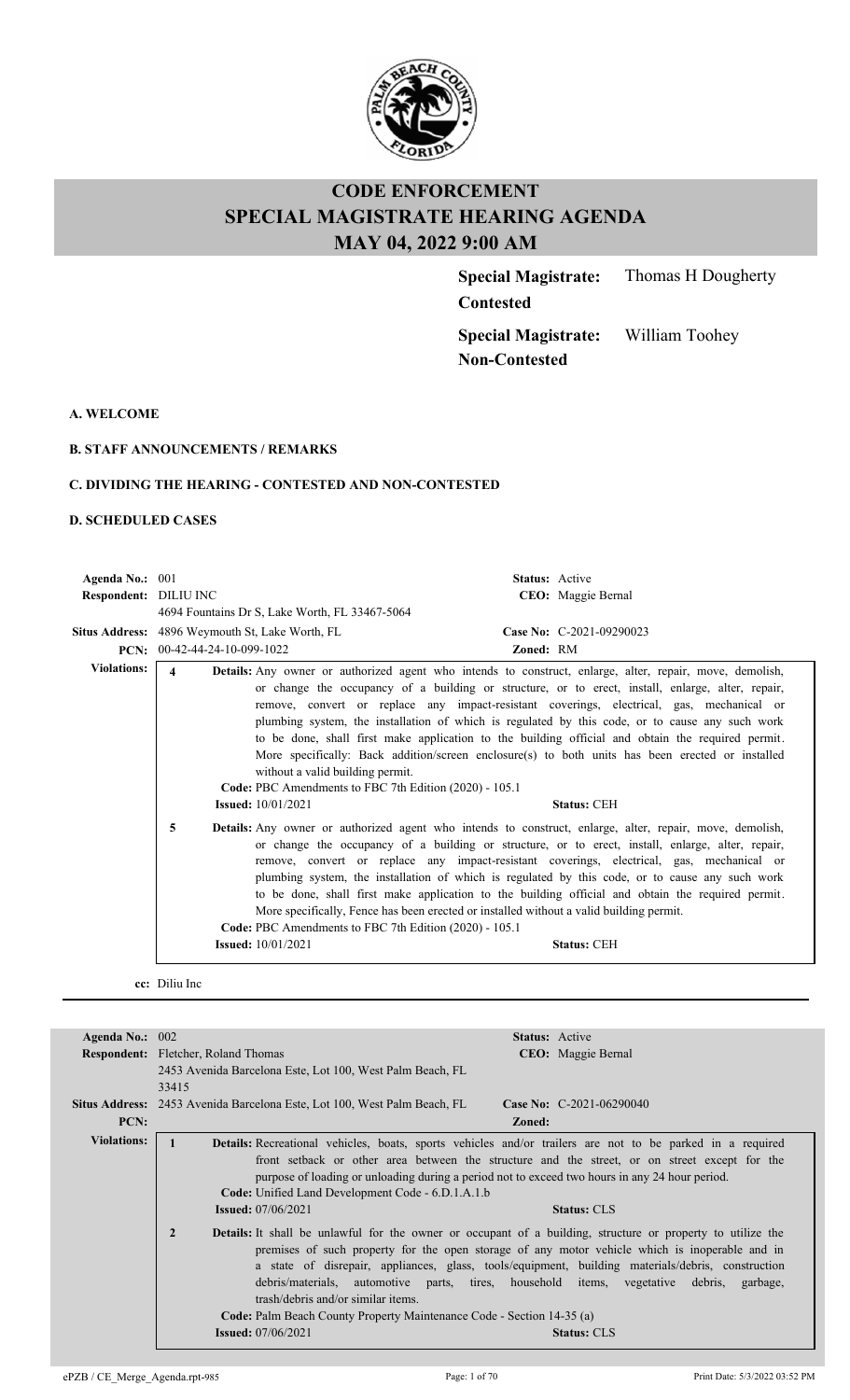

**Contested**

**Special Magistrate:** Thomas H Dougherty

**Special Magistrate: Non-Contested**

William Toohey

**A. WELCOME**

#### **B. STAFF ANNOUNCEMENTS / REMARKS**

#### **C. DIVIDING THE HEARING - CONTESTED AND NON-CONTESTED**

#### **D. SCHEDULED CASES**

| Agenda No.: 001       |                                                                                                 | <b>Status:</b> Active                                                                                                                                                                                                                                                                                                                                                                                                                                                                                                                                                                                                                      |
|-----------------------|-------------------------------------------------------------------------------------------------|--------------------------------------------------------------------------------------------------------------------------------------------------------------------------------------------------------------------------------------------------------------------------------------------------------------------------------------------------------------------------------------------------------------------------------------------------------------------------------------------------------------------------------------------------------------------------------------------------------------------------------------------|
| Respondent: DILIU INC |                                                                                                 | CEO: Maggie Bernal                                                                                                                                                                                                                                                                                                                                                                                                                                                                                                                                                                                                                         |
|                       | 4694 Fountains Dr S, Lake Worth, FL 33467-5064                                                  |                                                                                                                                                                                                                                                                                                                                                                                                                                                                                                                                                                                                                                            |
| Situs Address:        | 4896 Weymouth St, Lake Worth, FL                                                                | Case No: C-2021-09290023                                                                                                                                                                                                                                                                                                                                                                                                                                                                                                                                                                                                                   |
|                       | PCN: $00-42-44-24-10-099-1022$                                                                  | Zoned: RM                                                                                                                                                                                                                                                                                                                                                                                                                                                                                                                                                                                                                                  |
| <b>Violations:</b>    | 4<br>without a valid building permit.<br>Code: PBC Amendments to FBC 7th Edition (2020) - 105.1 | <b>Details:</b> Any owner or authorized agent who intends to construct, enlarge, alter, repair, move, demolish,<br>or change the occupancy of a building or structure, or to erect, install, enlarge, alter, repair,<br>remove, convert or replace any impact-resistant coverings, electrical, gas, mechanical or<br>plumbing system, the installation of which is regulated by this code, or to cause any such work<br>to be done, shall first make application to the building official and obtain the required permit.<br>More specifically: Back addition/screen enclosure(s) to both units has been erected or installed              |
|                       | <b>Issued:</b> 10/01/2021                                                                       | <b>Status: CEH</b>                                                                                                                                                                                                                                                                                                                                                                                                                                                                                                                                                                                                                         |
|                       | 5<br>Code: PBC Amendments to FBC 7th Edition (2020) - 105.1<br><b>Issued:</b> 10/01/2021        | <b>Details:</b> Any owner or authorized agent who intends to construct, enlarge, alter, repair, move, demolish,<br>or change the occupancy of a building or structure, or to erect, install, enlarge, alter, repair,<br>remove, convert or replace any impact-resistant coverings, electrical, gas, mechanical or<br>plumbing system, the installation of which is regulated by this code, or to cause any such work<br>to be done, shall first make application to the building official and obtain the required permit.<br>More specifically, Fence has been erected or installed without a valid building permit.<br><b>Status: CEH</b> |
|                       |                                                                                                 |                                                                                                                                                                                                                                                                                                                                                                                                                                                                                                                                                                                                                                            |

#### **cc:** Diliu Inc

| Agenda No.: $002$  | <b>Status:</b> Active                                                                                                                                                                                                                                                                                                                                                                                                                                                                                                                                                                                    |  |  |  |  |
|--------------------|----------------------------------------------------------------------------------------------------------------------------------------------------------------------------------------------------------------------------------------------------------------------------------------------------------------------------------------------------------------------------------------------------------------------------------------------------------------------------------------------------------------------------------------------------------------------------------------------------------|--|--|--|--|
|                    | <b>Respondent:</b> Fletcher, Roland Thomas<br>CEO: Maggie Bernal                                                                                                                                                                                                                                                                                                                                                                                                                                                                                                                                         |  |  |  |  |
|                    | 2453 Avenida Barcelona Este, Lot 100, West Palm Beach, FL                                                                                                                                                                                                                                                                                                                                                                                                                                                                                                                                                |  |  |  |  |
|                    | 33415                                                                                                                                                                                                                                                                                                                                                                                                                                                                                                                                                                                                    |  |  |  |  |
|                    | Situs Address: 2453 Avenida Barcelona Este, Lot 100, West Palm Beach, FL<br><b>Case No:</b> C-2021-06290040                                                                                                                                                                                                                                                                                                                                                                                                                                                                                              |  |  |  |  |
| PCN:               | Zoned:                                                                                                                                                                                                                                                                                                                                                                                                                                                                                                                                                                                                   |  |  |  |  |
| <b>Violations:</b> | <b>Details:</b> Recreational vehicles, boats, sports vehicles and/or trailers are not to be parked in a required                                                                                                                                                                                                                                                                                                                                                                                                                                                                                         |  |  |  |  |
|                    | front setback or other area between the structure and the street, or on street except for the                                                                                                                                                                                                                                                                                                                                                                                                                                                                                                            |  |  |  |  |
|                    | purpose of loading or unloading during a period not to exceed two hours in any 24 hour period.                                                                                                                                                                                                                                                                                                                                                                                                                                                                                                           |  |  |  |  |
|                    | Code: Unified Land Development Code - 6.D.1.A.1.b                                                                                                                                                                                                                                                                                                                                                                                                                                                                                                                                                        |  |  |  |  |
|                    | <b>Issued:</b> 07/06/2021<br><b>Status: CLS</b>                                                                                                                                                                                                                                                                                                                                                                                                                                                                                                                                                          |  |  |  |  |
|                    | $\overline{2}$<br><b>Details:</b> It shall be unlawful for the owner or occupant of a building, structure or property to utilize the<br>premises of such property for the open storage of any motor vehicle which is inoperable and in<br>a state of disrepair, appliances, glass, tools/equipment, building materials/debris, construction<br>debris/materials, automotive parts, tires, household items, vegetative debris, garbage,<br>trash/debris and/or similar items.<br>Code: Palm Beach County Property Maintenance Code - Section 14-35 (a)<br><b>Issued:</b> 07/06/2021<br><b>Status: CLS</b> |  |  |  |  |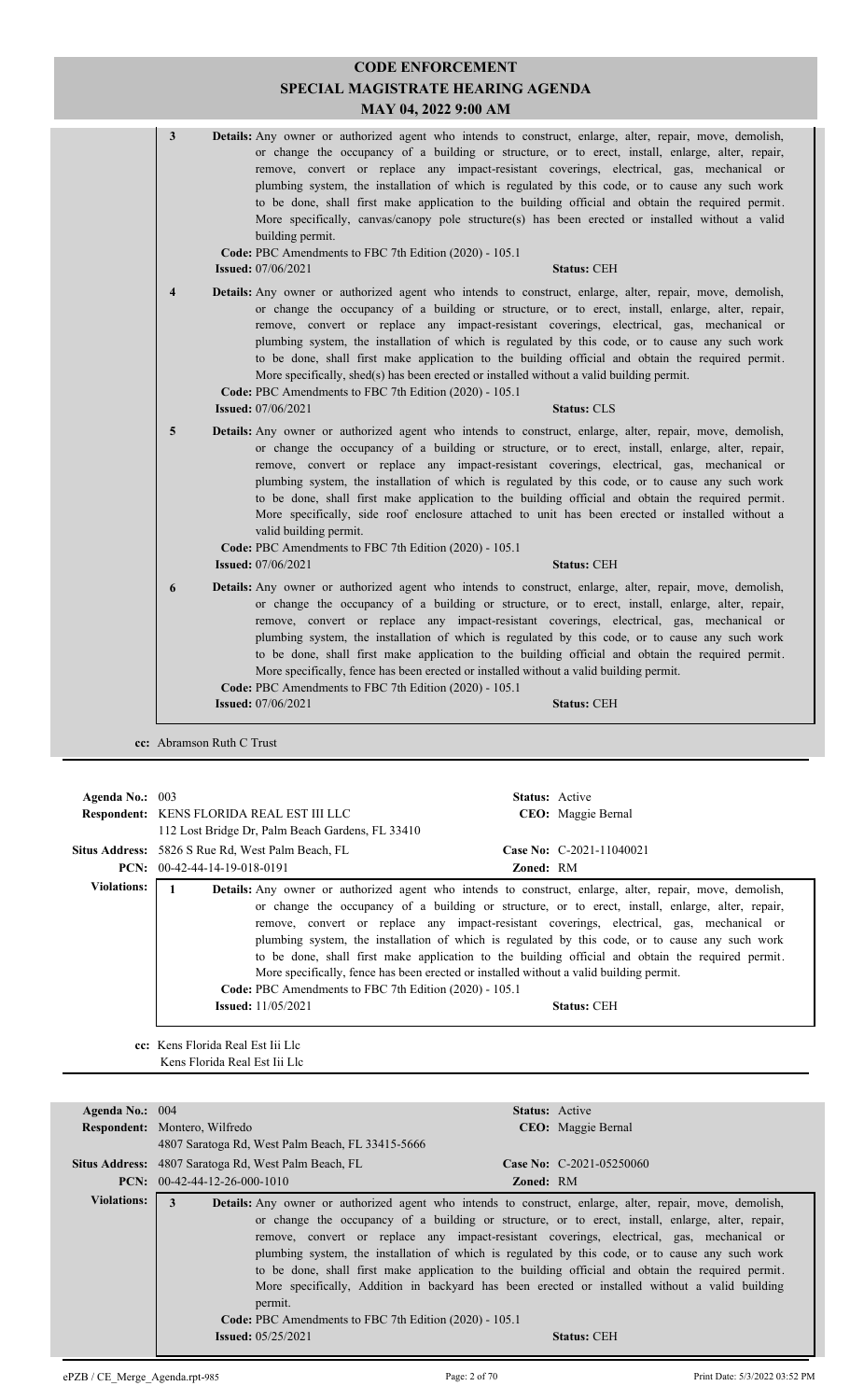| 3                       | <b>Details:</b> Any owner or authorized agent who intends to construct, enlarge, alter, repair, move, demolish,<br>or change the occupancy of a building or structure, or to erect, install, enlarge, alter, repair,<br>remove, convert or replace any impact-resistant coverings, electrical, gas, mechanical or<br>plumbing system, the installation of which is regulated by this code, or to cause any such work<br>to be done, shall first make application to the building official and obtain the required permit.<br>More specifically, canvas/canopy pole structure(s) has been erected or installed without a valid<br>building permit.<br>Code: PBC Amendments to FBC 7th Edition (2020) - 105.1<br><b>Issued:</b> 07/06/2021<br><b>Status: CEH</b> |
|-------------------------|----------------------------------------------------------------------------------------------------------------------------------------------------------------------------------------------------------------------------------------------------------------------------------------------------------------------------------------------------------------------------------------------------------------------------------------------------------------------------------------------------------------------------------------------------------------------------------------------------------------------------------------------------------------------------------------------------------------------------------------------------------------|
| $\overline{\mathbf{4}}$ | <b>Details:</b> Any owner or authorized agent who intends to construct, enlarge, alter, repair, move, demolish,<br>or change the occupancy of a building or structure, or to erect, install, enlarge, alter, repair,<br>remove, convert or replace any impact-resistant coverings, electrical, gas, mechanical or<br>plumbing system, the installation of which is regulated by this code, or to cause any such work<br>to be done, shall first make application to the building official and obtain the required permit.<br>More specifically, shed(s) has been erected or installed without a valid building permit.<br>Code: PBC Amendments to FBC 7th Edition (2020) - 105.1<br><b>Issued:</b> 07/06/2021<br><b>Status: CLS</b>                            |
| 5                       | Details: Any owner or authorized agent who intends to construct, enlarge, alter, repair, move, demolish,<br>or change the occupancy of a building or structure, or to erect, install, enlarge, alter, repair,<br>remove, convert or replace any impact-resistant coverings, electrical, gas, mechanical or<br>plumbing system, the installation of which is regulated by this code, or to cause any such work<br>to be done, shall first make application to the building official and obtain the required permit.<br>More specifically, side roof enclosure attached to unit has been erected or installed without a<br>valid building permit.<br>Code: PBC Amendments to FBC 7th Edition (2020) - 105.1<br><b>Issued:</b> 07/06/2021<br><b>Status: CEH</b>   |
| 6                       | Details: Any owner or authorized agent who intends to construct, enlarge, alter, repair, move, demolish,<br>or change the occupancy of a building or structure, or to erect, install, enlarge, alter, repair,<br>remove, convert or replace any impact-resistant coverings, electrical, gas, mechanical or<br>plumbing system, the installation of which is regulated by this code, or to cause any such work<br>to be done, shall first make application to the building official and obtain the required permit.<br>More specifically, fence has been erected or installed without a valid building permit.<br>Code: PBC Amendments to FBC 7th Edition (2020) - 105.1<br><b>Issued:</b> 07/06/2021<br><b>Status: CEH</b>                                     |

**cc:** Abramson Ruth C Trust

| Agenda No.: $003$  | <b>Respondent: KENS FLORIDA REAL EST III LLC</b><br>112 Lost Bridge Dr. Palm Beach Gardens, FL 33410 | <b>Status:</b> Active<br>CEO: Maggie Bernal                                                                                                                                                                                                                                                                                                                                                                                                                                                                                                                                                                                                |  |
|--------------------|------------------------------------------------------------------------------------------------------|--------------------------------------------------------------------------------------------------------------------------------------------------------------------------------------------------------------------------------------------------------------------------------------------------------------------------------------------------------------------------------------------------------------------------------------------------------------------------------------------------------------------------------------------------------------------------------------------------------------------------------------------|--|
|                    | <b>Situs Address:</b> 5826 S Rue Rd, West Palm Beach, FL<br><b>PCN:</b> $00-42-44-14-19-018-0191$    | Case No: $C-2021-11040021$<br><b>Zoned: RM</b>                                                                                                                                                                                                                                                                                                                                                                                                                                                                                                                                                                                             |  |
| <b>Violations:</b> | Code: PBC Amendments to FBC 7th Edition (2020) - 105.1<br><b>Issued:</b> 11/05/2021                  | <b>Details:</b> Any owner or authorized agent who intends to construct, enlarge, alter, repair, move, demolish,<br>or change the occupancy of a building or structure, or to erect, install, enlarge, alter, repair,<br>remove, convert or replace any impact-resistant coverings, electrical, gas, mechanical or<br>plumbing system, the installation of which is regulated by this code, or to cause any such work<br>to be done, shall first make application to the building official and obtain the required permit.<br>More specifically, fence has been erected or installed without a valid building permit.<br><b>Status: CEH</b> |  |

**cc:** Kens Florida Real Est Iii Llc Kens Florida Real Est Iii Llc

| Agenda No.: 004    |                                                                                                   | <b>Status:</b> Active                                                                                           |  |
|--------------------|---------------------------------------------------------------------------------------------------|-----------------------------------------------------------------------------------------------------------------|--|
|                    | Respondent: Montero, Wilfredo                                                                     | CEO: Maggie Bernal                                                                                              |  |
|                    | 4807 Saratoga Rd, West Palm Beach, FL 33415-5666                                                  |                                                                                                                 |  |
|                    | <b>Situs Address:</b> 4807 Saratoga Rd, West Palm Beach, FL                                       | <b>Case No:</b> C-2021-05250060                                                                                 |  |
|                    | <b>PCN:</b> $00-42-44-12-26-000-1010$                                                             | <b>Zoned: RM</b>                                                                                                |  |
| <b>Violations:</b> | $\mathbf{3}$                                                                                      | <b>Details:</b> Any owner or authorized agent who intends to construct, enlarge, alter, repair, move, demolish, |  |
|                    |                                                                                                   | or change the occupancy of a building or structure, or to erect, install, enlarge, alter, repair,               |  |
|                    |                                                                                                   | remove, convert or replace any impact-resistant coverings, electrical, gas, mechanical or                       |  |
|                    |                                                                                                   | plumbing system, the installation of which is regulated by this code, or to cause any such work                 |  |
|                    | to be done, shall first make application to the building official and obtain the required permit. |                                                                                                                 |  |
|                    |                                                                                                   | More specifically, Addition in backyard has been erected or installed without a valid building                  |  |
|                    | permit.                                                                                           |                                                                                                                 |  |
|                    | <b>Code: PBC</b> Amendments to FBC 7th Edition (2020) - 105.1                                     |                                                                                                                 |  |
|                    | <b>Issued:</b> 05/25/2021                                                                         | <b>Status: CEH</b>                                                                                              |  |
|                    |                                                                                                   |                                                                                                                 |  |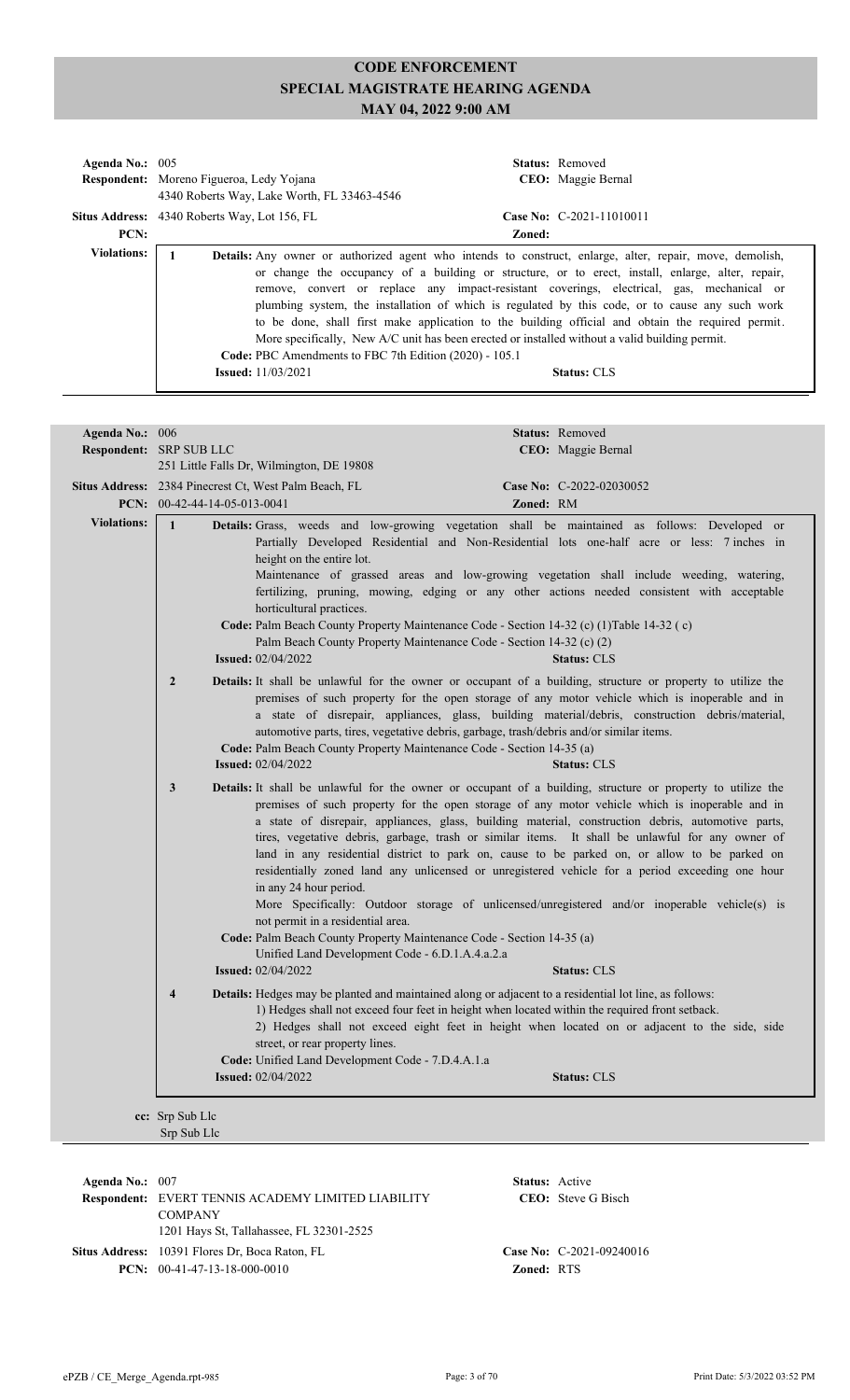| Agenda No.: $005$  | <b>Respondent:</b> Moreno Figueroa, Ledy Yojana<br>4340 Roberts Way, Lake Worth, FL 33463-4546                                                                                        |        | <b>Status:</b> Removed<br>CEO: Maggie Bernal                                                                                                                                                                                                                                                                                                                                                                                                                                                                                                    |
|--------------------|---------------------------------------------------------------------------------------------------------------------------------------------------------------------------------------|--------|-------------------------------------------------------------------------------------------------------------------------------------------------------------------------------------------------------------------------------------------------------------------------------------------------------------------------------------------------------------------------------------------------------------------------------------------------------------------------------------------------------------------------------------------------|
|                    | <b>Situs Address:</b> 4340 Roberts Way, Lot 156, FL                                                                                                                                   |        | Case No: C-2021-11010011                                                                                                                                                                                                                                                                                                                                                                                                                                                                                                                        |
| PCN:               |                                                                                                                                                                                       | Zoned: |                                                                                                                                                                                                                                                                                                                                                                                                                                                                                                                                                 |
| <b>Violations:</b> | More specifically, New A/C unit has been erected or installed without a valid building permit.<br>Code: PBC Amendments to FBC 7th Edition (2020) - 105.1<br><b>Issued:</b> 11/03/2021 |        | <b>Details:</b> Any owner or authorized agent who intends to construct, enlarge, alter, repair, move, demolish,<br>or change the occupancy of a building or structure, or to erect, install, enlarge, alter, repair,<br>remove, convert or replace any impact-resistant coverings, electrical, gas, mechanical or<br>plumbing system, the installation of which is regulated by this code, or to cause any such work<br>to be done, shall first make application to the building official and obtain the required permit.<br><b>Status: CLS</b> |

| Agenda No.: 006    |                                                                                                                                                                                                                           | Status: Removed                                                                                                                                                                                                                                                                                                                                                                                                                                                                                                                                                                                                                                                                                                                                   |
|--------------------|---------------------------------------------------------------------------------------------------------------------------------------------------------------------------------------------------------------------------|---------------------------------------------------------------------------------------------------------------------------------------------------------------------------------------------------------------------------------------------------------------------------------------------------------------------------------------------------------------------------------------------------------------------------------------------------------------------------------------------------------------------------------------------------------------------------------------------------------------------------------------------------------------------------------------------------------------------------------------------------|
|                    | <b>Respondent: SRP SUB LLC</b><br>251 Little Falls Dr, Wilmington, DE 19808                                                                                                                                               | CEO: Maggie Bernal                                                                                                                                                                                                                                                                                                                                                                                                                                                                                                                                                                                                                                                                                                                                |
|                    | Situs Address: 2384 Pinecrest Ct, West Palm Beach, FL<br>PCN: $00-42-44-14-05-013-0041$                                                                                                                                   | Case No: C-2022-02030052<br>Zoned: RM                                                                                                                                                                                                                                                                                                                                                                                                                                                                                                                                                                                                                                                                                                             |
| <b>Violations:</b> | $\mathbf{1}$<br>height on the entire lot.<br>horticultural practices.<br><b>Issued: 02/04/2022</b>                                                                                                                        | Details: Grass, weeds and low-growing vegetation shall be maintained as follows: Developed or<br>Partially Developed Residential and Non-Residential lots one-half acre or less: 7 inches in<br>Maintenance of grassed areas and low-growing vegetation shall include weeding, watering,<br>fertilizing, pruning, mowing, edging or any other actions needed consistent with acceptable<br>Code: Palm Beach County Property Maintenance Code - Section 14-32 (c) (1) Table 14-32 (c)<br>Palm Beach County Property Maintenance Code - Section 14-32 (c) (2)<br><b>Status: CLS</b>                                                                                                                                                                 |
|                    | $\overline{2}$<br>Code: Palm Beach County Property Maintenance Code - Section 14-35 (a)<br><b>Issued:</b> 02/04/2022                                                                                                      | Details: It shall be unlawful for the owner or occupant of a building, structure or property to utilize the<br>premises of such property for the open storage of any motor vehicle which is inoperable and in<br>a state of disrepair, appliances, glass, building material/debris, construction debris/material,<br>automotive parts, tires, vegetative debris, garbage, trash/debris and/or similar items.<br><b>Status: CLS</b>                                                                                                                                                                                                                                                                                                                |
|                    | 3<br>in any 24 hour period.<br>not permit in a residential area.<br>Code: Palm Beach County Property Maintenance Code - Section 14-35 (a)<br>Unified Land Development Code - 6.D.1.A.4.a.2.a<br><b>Issued: 02/04/2022</b> | Details: It shall be unlawful for the owner or occupant of a building, structure or property to utilize the<br>premises of such property for the open storage of any motor vehicle which is inoperable and in<br>a state of disrepair, appliances, glass, building material, construction debris, automotive parts,<br>tires, vegetative debris, garbage, trash or similar items. It shall be unlawful for any owner of<br>land in any residential district to park on, cause to be parked on, or allow to be parked on<br>residentially zoned land any unlicensed or unregistered vehicle for a period exceeding one hour<br>More Specifically: Outdoor storage of unlicensed/unregistered and/or inoperable vehicle(s) is<br><b>Status: CLS</b> |
|                    | $\overline{\mathbf{4}}$<br>street, or rear property lines.<br>Code: Unified Land Development Code - 7.D.4.A.1.a                                                                                                           | Details: Hedges may be planted and maintained along or adjacent to a residential lot line, as follows:<br>1) Hedges shall not exceed four feet in height when located within the required front setback.<br>2) Hedges shall not exceed eight feet in height when located on or adjacent to the side, side                                                                                                                                                                                                                                                                                                                                                                                                                                         |
|                    | <b>Issued: 02/04/2022</b>                                                                                                                                                                                                 | <b>Status: CLS</b>                                                                                                                                                                                                                                                                                                                                                                                                                                                                                                                                                                                                                                                                                                                                |

**Respondent:** EVERT TENNIS ACADEMY LIMITED LIABILITY **CEO:** COMPANY **Agenda No.:** 007 **Status:** Active CEO: Steve G Bisch 1201 Hays St, Tallahassee, FL 32301-2525 **Situs Address:** 10391 Flores Dr, Boca Raton, FL **Case No:** C-2021-09240016 **PCN:** 00-41-47-13-18-000-0010 **Zoned:** RTS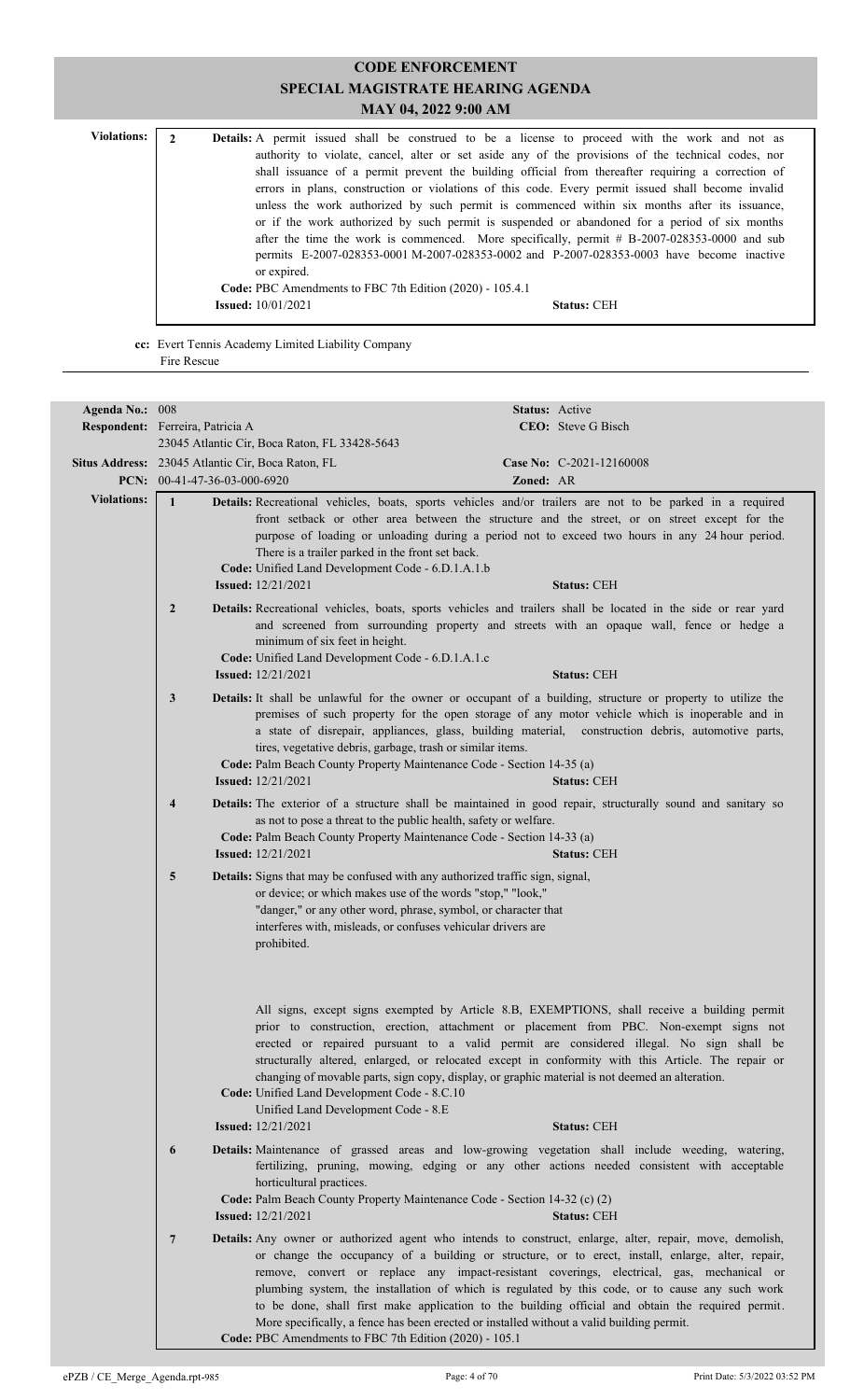| <b>Violations:</b> |                                                                                               | Details: A permit issued shall be construed to be a license to proceed with the work and not as    |  |  |  |
|--------------------|-----------------------------------------------------------------------------------------------|----------------------------------------------------------------------------------------------------|--|--|--|
|                    |                                                                                               |                                                                                                    |  |  |  |
|                    |                                                                                               | authority to violate, cancel, alter or set aside any of the provisions of the technical codes, nor |  |  |  |
|                    |                                                                                               | shall issuance of a permit prevent the building official from thereafter requiring a correction of |  |  |  |
|                    |                                                                                               | errors in plans, construction or violations of this code. Every permit issued shall become invalid |  |  |  |
|                    |                                                                                               | unless the work authorized by such permit is commenced within six months after its issuance,       |  |  |  |
|                    |                                                                                               | or if the work authorized by such permit is suspended or abandoned for a period of six months      |  |  |  |
|                    | after the time the work is commenced. More specifically, permit $#B-2007-028353-0000$ and sub |                                                                                                    |  |  |  |
|                    | permits E-2007-028353-0001 M-2007-028353-0002 and P-2007-028353-0003 have become inactive     |                                                                                                    |  |  |  |
|                    | or expired.                                                                                   |                                                                                                    |  |  |  |
|                    | Code: PBC Amendments to FBC 7th Edition (2020) - 105.4.1                                      |                                                                                                    |  |  |  |
|                    |                                                                                               | <b>Issued:</b> $10/01/2021$<br><b>Status: CEH</b>                                                  |  |  |  |

**cc:** Evert Tennis Academy Limited Liability Company Fire Rescue

| Agenda No.: 008    |                                                   |                                                                                                                                                                                                                                                                                                                                                                                                                                                                                                                                                                                                                                                                           | Status: Active |                          |
|--------------------|---------------------------------------------------|---------------------------------------------------------------------------------------------------------------------------------------------------------------------------------------------------------------------------------------------------------------------------------------------------------------------------------------------------------------------------------------------------------------------------------------------------------------------------------------------------------------------------------------------------------------------------------------------------------------------------------------------------------------------------|----------------|--------------------------|
|                    | Respondent: Ferreira, Patricia A                  |                                                                                                                                                                                                                                                                                                                                                                                                                                                                                                                                                                                                                                                                           |                | CEO: Steve G Bisch       |
|                    |                                                   | 23045 Atlantic Cir, Boca Raton, FL 33428-5643                                                                                                                                                                                                                                                                                                                                                                                                                                                                                                                                                                                                                             |                |                          |
|                    | Situs Address: 23045 Atlantic Cir, Boca Raton, FL |                                                                                                                                                                                                                                                                                                                                                                                                                                                                                                                                                                                                                                                                           |                | Case No: C-2021-12160008 |
|                    | PCN: 00-41-47-36-03-000-6920                      |                                                                                                                                                                                                                                                                                                                                                                                                                                                                                                                                                                                                                                                                           | Zoned: AR      |                          |
| <b>Violations:</b> | $\mathbf{1}$                                      | Details: Recreational vehicles, boats, sports vehicles and/or trailers are not to be parked in a required<br>front setback or other area between the structure and the street, or on street except for the<br>purpose of loading or unloading during a period not to exceed two hours in any 24 hour period.<br>There is a trailer parked in the front set back.<br>Code: Unified Land Development Code - 6.D.1.A.1.b<br><b>Issued:</b> 12/21/2021                                                                                                                                                                                                                        |                | <b>Status: CEH</b>       |
|                    | $\overline{2}$                                    | Details: Recreational vehicles, boats, sports vehicles and trailers shall be located in the side or rear yard<br>and screened from surrounding property and streets with an opaque wall, fence or hedge a<br>minimum of six feet in height.<br>Code: Unified Land Development Code - 6.D.1.A.1.c<br><b>Issued:</b> 12/21/2021                                                                                                                                                                                                                                                                                                                                             |                | <b>Status: CEH</b>       |
|                    | 3                                                 | Details: It shall be unlawful for the owner or occupant of a building, structure or property to utilize the<br>premises of such property for the open storage of any motor vehicle which is inoperable and in<br>a state of disrepair, appliances, glass, building material, construction debris, automotive parts,<br>tires, vegetative debris, garbage, trash or similar items.<br>Code: Palm Beach County Property Maintenance Code - Section 14-35 (a)<br><b>Issued:</b> 12/21/2021                                                                                                                                                                                   |                | <b>Status: CEH</b>       |
|                    | $\overline{4}$                                    | Details: The exterior of a structure shall be maintained in good repair, structurally sound and sanitary so<br>as not to pose a threat to the public health, safety or welfare.<br>Code: Palm Beach County Property Maintenance Code - Section 14-33 (a)<br><b>Issued:</b> 12/21/2021                                                                                                                                                                                                                                                                                                                                                                                     |                | <b>Status: CEH</b>       |
|                    | 5                                                 | Details: Signs that may be confused with any authorized traffic sign, signal,<br>or device; or which makes use of the words "stop," "look,"<br>"danger," or any other word, phrase, symbol, or character that<br>interferes with, misleads, or confuses vehicular drivers are<br>prohibited.                                                                                                                                                                                                                                                                                                                                                                              |                |                          |
|                    |                                                   | All signs, except signs exempted by Article 8.B, EXEMPTIONS, shall receive a building permit<br>prior to construction, erection, attachment or placement from PBC. Non-exempt signs not<br>erected or repaired pursuant to a valid permit are considered illegal. No sign shall be<br>structurally altered, enlarged, or relocated except in conformity with this Article. The repair or<br>changing of movable parts, sign copy, display, or graphic material is not deemed an alteration.<br>Code: Unified Land Development Code - 8.C.10<br>Unified Land Development Code - 8.E<br><b>Issued:</b> 12/21/2021                                                           |                | <b>Status: CEH</b>       |
|                    | 6                                                 | Details: Maintenance of grassed areas and low-growing vegetation shall include weeding, watering,<br>fertilizing, pruning, mowing, edging or any other actions needed consistent with acceptable<br>horticultural practices.<br>Code: Palm Beach County Property Maintenance Code - Section 14-32 (c) (2)<br><b>Issued:</b> 12/21/2021                                                                                                                                                                                                                                                                                                                                    |                | <b>Status: CEH</b>       |
|                    | $\overline{7}$                                    | Details: Any owner or authorized agent who intends to construct, enlarge, alter, repair, move, demolish,<br>or change the occupancy of a building or structure, or to erect, install, enlarge, alter, repair,<br>remove, convert or replace any impact-resistant coverings, electrical, gas, mechanical or<br>plumbing system, the installation of which is regulated by this code, or to cause any such work<br>to be done, shall first make application to the building official and obtain the required permit.<br>More specifically, a fence has been erected or installed without a valid building permit.<br>Code: PBC Amendments to FBC 7th Edition (2020) - 105.1 |                |                          |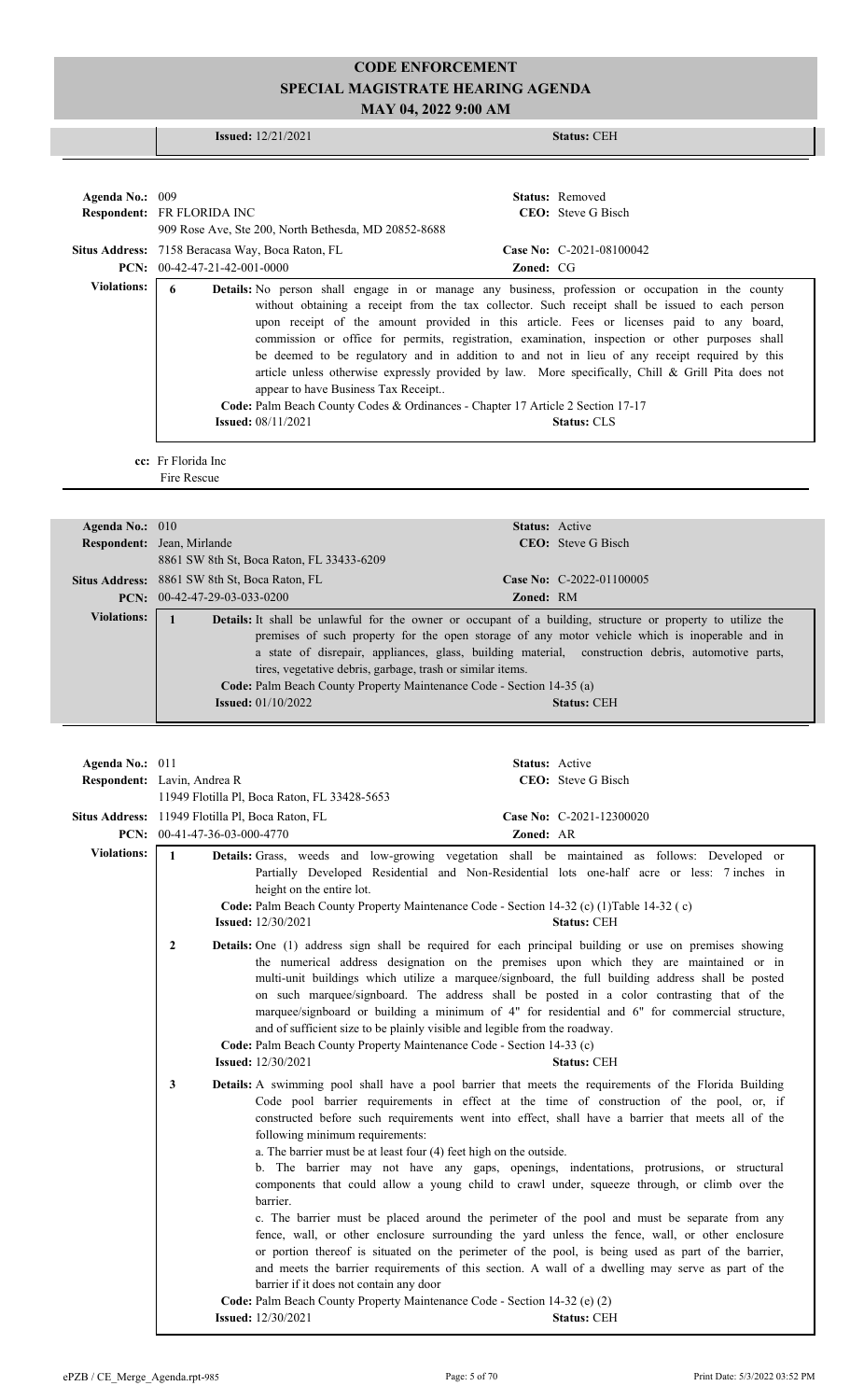# **CODE ENFORCEMENT SPECIAL MAGISTRATE HEARING AGENDA**

**MAY 04, 2022 9:00 AM**

|                    | <b>Issued:</b> $12/21/2021$<br><b>Status: CEH</b>                                                                                                                                                                                                                                                                                                                                                                                                                                                                                                                                                                                                                                                                                                                                            |
|--------------------|----------------------------------------------------------------------------------------------------------------------------------------------------------------------------------------------------------------------------------------------------------------------------------------------------------------------------------------------------------------------------------------------------------------------------------------------------------------------------------------------------------------------------------------------------------------------------------------------------------------------------------------------------------------------------------------------------------------------------------------------------------------------------------------------|
|                    |                                                                                                                                                                                                                                                                                                                                                                                                                                                                                                                                                                                                                                                                                                                                                                                              |
|                    |                                                                                                                                                                                                                                                                                                                                                                                                                                                                                                                                                                                                                                                                                                                                                                                              |
| Agenda No.: 009    | <b>Status:</b> Removed<br>CEO: Steve G Bisch<br>Respondent: FR FLORIDA INC                                                                                                                                                                                                                                                                                                                                                                                                                                                                                                                                                                                                                                                                                                                   |
|                    | 909 Rose Ave, Ste 200, North Bethesda, MD 20852-8688                                                                                                                                                                                                                                                                                                                                                                                                                                                                                                                                                                                                                                                                                                                                         |
|                    | Situs Address: 7158 Beracasa Way, Boca Raton, FL<br>Case No: C-2021-08100042                                                                                                                                                                                                                                                                                                                                                                                                                                                                                                                                                                                                                                                                                                                 |
|                    | PCN: 00-42-47-21-42-001-0000<br>Zoned: CG                                                                                                                                                                                                                                                                                                                                                                                                                                                                                                                                                                                                                                                                                                                                                    |
| <b>Violations:</b> | 6<br>Details: No person shall engage in or manage any business, profession or occupation in the county<br>without obtaining a receipt from the tax collector. Such receipt shall be issued to each person<br>upon receipt of the amount provided in this article. Fees or licenses paid to any board,<br>commission or office for permits, registration, examination, inspection or other purposes shall<br>be deemed to be regulatory and in addition to and not in lieu of any receipt required by this<br>article unless otherwise expressly provided by law. More specifically, Chill & Grill Pita does not<br>appear to have Business Tax Receipt<br>Code: Palm Beach County Codes & Ordinances - Chapter 17 Article 2 Section 17-17<br><b>Issued:</b> 08/11/2021<br><b>Status: CLS</b> |
|                    | cc: Fr Florida Inc<br>Fire Rescue                                                                                                                                                                                                                                                                                                                                                                                                                                                                                                                                                                                                                                                                                                                                                            |
|                    | <b>Status:</b> Active                                                                                                                                                                                                                                                                                                                                                                                                                                                                                                                                                                                                                                                                                                                                                                        |
| Agenda No.: 010    | Respondent: Jean, Mirlande<br><b>CEO</b> : Steve G Bisch                                                                                                                                                                                                                                                                                                                                                                                                                                                                                                                                                                                                                                                                                                                                     |
|                    | 8861 SW 8th St, Boca Raton, FL 33433-6209                                                                                                                                                                                                                                                                                                                                                                                                                                                                                                                                                                                                                                                                                                                                                    |
|                    | Case No: C-2022-01100005<br>Situs Address: 8861 SW 8th St, Boca Raton, FL<br>PCN: 00-42-47-29-03-033-0200<br><b>Zoned: RM</b>                                                                                                                                                                                                                                                                                                                                                                                                                                                                                                                                                                                                                                                                |
| <b>Violations:</b> | $\overline{1}$<br>Details: It shall be unlawful for the owner or occupant of a building, structure or property to utilize the                                                                                                                                                                                                                                                                                                                                                                                                                                                                                                                                                                                                                                                                |
|                    | a state of disrepair, appliances, glass, building material, construction debris, automotive parts,<br>tires, vegetative debris, garbage, trash or similar items.<br>Code: Palm Beach County Property Maintenance Code - Section 14-35 (a)<br><b>Issued: 01/10/2022</b><br><b>Status: CEH</b>                                                                                                                                                                                                                                                                                                                                                                                                                                                                                                 |
|                    |                                                                                                                                                                                                                                                                                                                                                                                                                                                                                                                                                                                                                                                                                                                                                                                              |
| Agenda No.: 011    | Status: Active<br>Respondent: Lavin, Andrea R<br>CEO: Steve G Bisch                                                                                                                                                                                                                                                                                                                                                                                                                                                                                                                                                                                                                                                                                                                          |
|                    | 11949 Flotilla Pl, Boca Raton, FL 33428-5653                                                                                                                                                                                                                                                                                                                                                                                                                                                                                                                                                                                                                                                                                                                                                 |
|                    | Case No: C-2021-12300020<br>Situs Address: 11949 Flotilla Pl, Boca Raton, FL                                                                                                                                                                                                                                                                                                                                                                                                                                                                                                                                                                                                                                                                                                                 |
|                    | PCN: 00-41-47-36-03-000-4770<br>Zoned: AR                                                                                                                                                                                                                                                                                                                                                                                                                                                                                                                                                                                                                                                                                                                                                    |
| <b>Violations:</b> | $\mathbf{1}$<br>Details: Grass, weeds and low-growing vegetation shall be maintained as follows: Developed or<br>Partially Developed Residential and Non-Residential lots one-half acre or less: 7 inches in<br>height on the entire lot.<br>Code: Palm Beach County Property Maintenance Code - Section 14-32 (c) (1)Table 14-32 (c)<br><b>Issued:</b> 12/30/2021<br>Status: CEH                                                                                                                                                                                                                                                                                                                                                                                                            |
|                    | Details: One (1) address sign shall be required for each principal building or use on premises showing<br>$\overline{2}$<br>the numerical address designation on the premises upon which they are maintained or in<br>multi-unit buildings which utilize a marquee/signboard, the full building address shall be posted<br>on such marquee/signboard. The address shall be posted in a color contrasting that of the<br>marquee/signboard or building a minimum of 4" for residential and 6" for commercial structure,<br>and of sufficient size to be plainly visible and legible from the roadway.<br>Code: Palm Beach County Property Maintenance Code - Section 14-33 (c)<br><b>Issued:</b> 12/30/2021<br><b>Status: CEH</b>                                                             |
|                    | Details: A swimming pool shall have a pool barrier that meets the requirements of the Florida Building<br>3<br>Code pool barrier requirements in effect at the time of construction of the pool, or, if<br>constructed before such requirements went into effect, shall have a barrier that meets all of the<br>following minimum requirements:<br>a. The barrier must be at least four (4) feet high on the outside.<br>b. The barrier may not have any gaps, openings, indentations, protrusions, or structural<br>components that could allow a young child to crawl under, squeeze through, or climb over the<br>barrier.                                                                                                                                                                |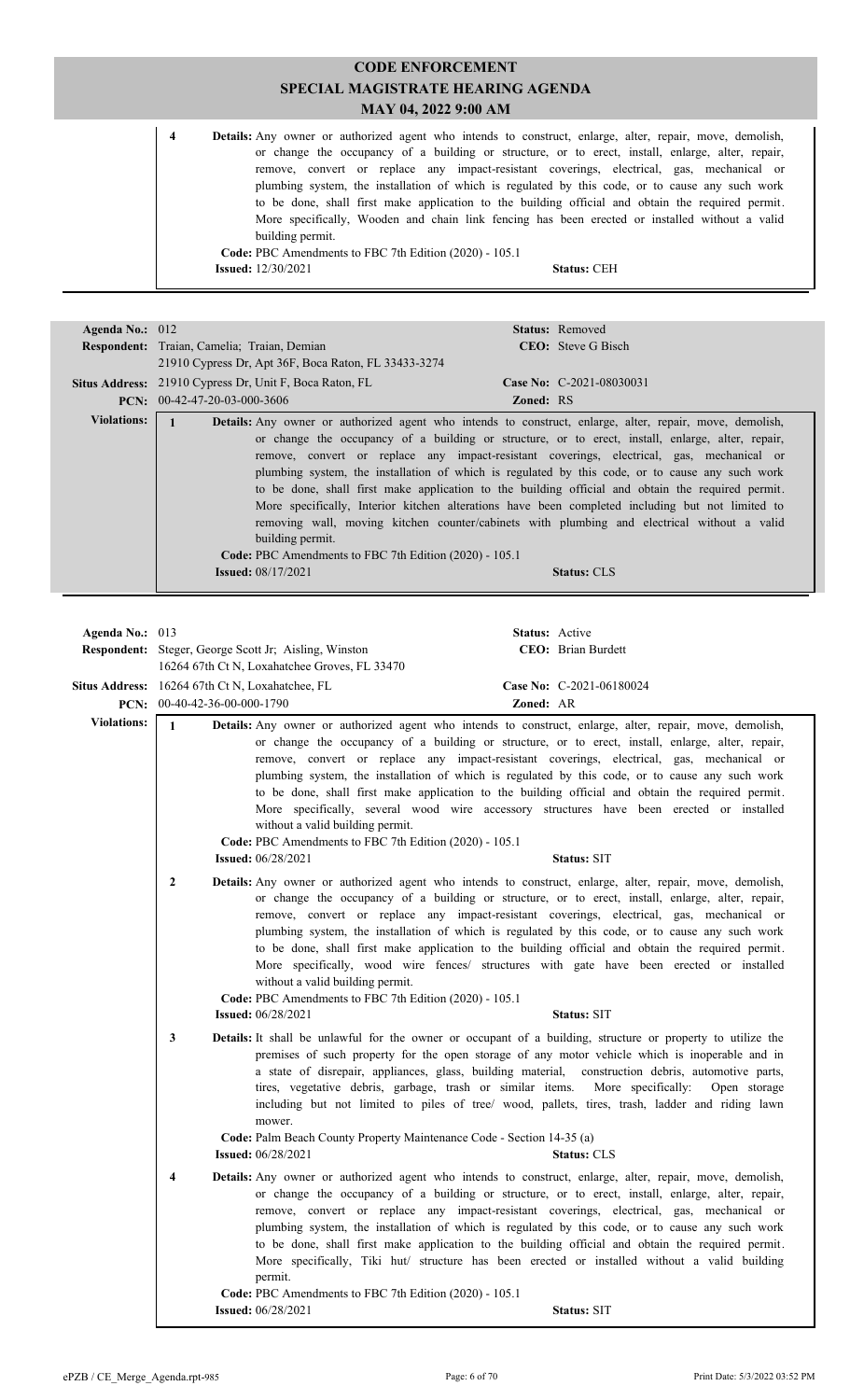|                         |                                                                            | <b>CODE ENFORCEMENT</b>                                                                                                                                                                                                                                                                                                                                                                                                                                                                                                                                                                                                     |
|-------------------------|----------------------------------------------------------------------------|-----------------------------------------------------------------------------------------------------------------------------------------------------------------------------------------------------------------------------------------------------------------------------------------------------------------------------------------------------------------------------------------------------------------------------------------------------------------------------------------------------------------------------------------------------------------------------------------------------------------------------|
|                         |                                                                            | <b>SPECIAL MAGISTRATE HEARING AGENDA</b>                                                                                                                                                                                                                                                                                                                                                                                                                                                                                                                                                                                    |
|                         |                                                                            | MAY 04, 2022 9:00 AM                                                                                                                                                                                                                                                                                                                                                                                                                                                                                                                                                                                                        |
| $\overline{\mathbf{4}}$ | building permit.<br>Code: PBC Amendments to FBC 7th Edition (2020) - 105.1 | <b>Details:</b> Any owner or authorized agent who intends to construct, enlarge, alter, repair, move, demolish,<br>or change the occupancy of a building or structure, or to erect, install, enlarge, alter, repair,<br>remove, convert or replace any impact-resistant coverings, electrical, gas, mechanical or<br>plumbing system, the installation of which is regulated by this code, or to cause any such work<br>to be done, shall first make application to the building official and obtain the required permit.<br>More specifically, Wooden and chain link fencing has been erected or installed without a valid |
|                         | <b>Issued:</b> 12/30/2021                                                  | <b>Status: CEH</b>                                                                                                                                                                                                                                                                                                                                                                                                                                                                                                                                                                                                          |
|                         |                                                                            |                                                                                                                                                                                                                                                                                                                                                                                                                                                                                                                                                                                                                             |

| Agenda No.: 012    |                                                                                            |                                                                                                                                                                                                                                                                                                                                                                                                                                                                                                                                                                                                                                                                                                                                                                                                                                                        |                | Status: Removed                                                                                                                                                                                                                                                                                                                                                                                                                                                                                                                                                                                                                                                                                                                                                                                                                                                                                                                                                                                                                                                                                                                                                                                                                                                |  |
|--------------------|--------------------------------------------------------------------------------------------|--------------------------------------------------------------------------------------------------------------------------------------------------------------------------------------------------------------------------------------------------------------------------------------------------------------------------------------------------------------------------------------------------------------------------------------------------------------------------------------------------------------------------------------------------------------------------------------------------------------------------------------------------------------------------------------------------------------------------------------------------------------------------------------------------------------------------------------------------------|----------------|----------------------------------------------------------------------------------------------------------------------------------------------------------------------------------------------------------------------------------------------------------------------------------------------------------------------------------------------------------------------------------------------------------------------------------------------------------------------------------------------------------------------------------------------------------------------------------------------------------------------------------------------------------------------------------------------------------------------------------------------------------------------------------------------------------------------------------------------------------------------------------------------------------------------------------------------------------------------------------------------------------------------------------------------------------------------------------------------------------------------------------------------------------------------------------------------------------------------------------------------------------------|--|
|                    | Respondent: Traian, Camelia; Traian, Demian                                                |                                                                                                                                                                                                                                                                                                                                                                                                                                                                                                                                                                                                                                                                                                                                                                                                                                                        |                | <b>CEO</b> : Steve G Bisch                                                                                                                                                                                                                                                                                                                                                                                                                                                                                                                                                                                                                                                                                                                                                                                                                                                                                                                                                                                                                                                                                                                                                                                                                                     |  |
|                    |                                                                                            | 21910 Cypress Dr, Apt 36F, Boca Raton, FL 33433-3274                                                                                                                                                                                                                                                                                                                                                                                                                                                                                                                                                                                                                                                                                                                                                                                                   |                |                                                                                                                                                                                                                                                                                                                                                                                                                                                                                                                                                                                                                                                                                                                                                                                                                                                                                                                                                                                                                                                                                                                                                                                                                                                                |  |
|                    | Situs Address: 21910 Cypress Dr, Unit F, Boca Raton, FL                                    |                                                                                                                                                                                                                                                                                                                                                                                                                                                                                                                                                                                                                                                                                                                                                                                                                                                        |                | Case No: C-2021-08030031                                                                                                                                                                                                                                                                                                                                                                                                                                                                                                                                                                                                                                                                                                                                                                                                                                                                                                                                                                                                                                                                                                                                                                                                                                       |  |
|                    | PCN: 00-42-47-20-03-000-3606                                                               |                                                                                                                                                                                                                                                                                                                                                                                                                                                                                                                                                                                                                                                                                                                                                                                                                                                        | Zoned: RS      |                                                                                                                                                                                                                                                                                                                                                                                                                                                                                                                                                                                                                                                                                                                                                                                                                                                                                                                                                                                                                                                                                                                                                                                                                                                                |  |
| <b>Violations:</b> | $\mathbf{1}$                                                                               | Details: Any owner or authorized agent who intends to construct, enlarge, alter, repair, move, demolish,<br>or change the occupancy of a building or structure, or to erect, install, enlarge, alter, repair,<br>remove, convert or replace any impact-resistant coverings, electrical, gas, mechanical or<br>plumbing system, the installation of which is regulated by this code, or to cause any such work<br>to be done, shall first make application to the building official and obtain the required permit.<br>More specifically, Interior kitchen alterations have been completed including but not limited to<br>removing wall, moving kitchen counter/cabinets with plumbing and electrical without a valid<br>building permit.<br>Code: PBC Amendments to FBC 7th Edition (2020) - 105.1<br><b>Issued:</b> 08/17/2021<br><b>Status: CLS</b> |                |                                                                                                                                                                                                                                                                                                                                                                                                                                                                                                                                                                                                                                                                                                                                                                                                                                                                                                                                                                                                                                                                                                                                                                                                                                                                |  |
|                    |                                                                                            |                                                                                                                                                                                                                                                                                                                                                                                                                                                                                                                                                                                                                                                                                                                                                                                                                                                        |                |                                                                                                                                                                                                                                                                                                                                                                                                                                                                                                                                                                                                                                                                                                                                                                                                                                                                                                                                                                                                                                                                                                                                                                                                                                                                |  |
| Agenda No.: 013    |                                                                                            |                                                                                                                                                                                                                                                                                                                                                                                                                                                                                                                                                                                                                                                                                                                                                                                                                                                        | Status: Active |                                                                                                                                                                                                                                                                                                                                                                                                                                                                                                                                                                                                                                                                                                                                                                                                                                                                                                                                                                                                                                                                                                                                                                                                                                                                |  |
|                    | <b>Respondent:</b> Steger, George Scott Jr; Aisling, Winston                               |                                                                                                                                                                                                                                                                                                                                                                                                                                                                                                                                                                                                                                                                                                                                                                                                                                                        |                | CEO: Brian Burdett                                                                                                                                                                                                                                                                                                                                                                                                                                                                                                                                                                                                                                                                                                                                                                                                                                                                                                                                                                                                                                                                                                                                                                                                                                             |  |
|                    |                                                                                            | 16264 67th Ct N, Loxahatchee Groves, FL 33470                                                                                                                                                                                                                                                                                                                                                                                                                                                                                                                                                                                                                                                                                                                                                                                                          |                |                                                                                                                                                                                                                                                                                                                                                                                                                                                                                                                                                                                                                                                                                                                                                                                                                                                                                                                                                                                                                                                                                                                                                                                                                                                                |  |
|                    | Situs Address: 16264 67th Ct N, Loxahatchee, FL                                            |                                                                                                                                                                                                                                                                                                                                                                                                                                                                                                                                                                                                                                                                                                                                                                                                                                                        |                | Case No: C-2021-06180024                                                                                                                                                                                                                                                                                                                                                                                                                                                                                                                                                                                                                                                                                                                                                                                                                                                                                                                                                                                                                                                                                                                                                                                                                                       |  |
|                    | PCN: 00-40-42-36-00-000-1790                                                               |                                                                                                                                                                                                                                                                                                                                                                                                                                                                                                                                                                                                                                                                                                                                                                                                                                                        | Zoned: AR      |                                                                                                                                                                                                                                                                                                                                                                                                                                                                                                                                                                                                                                                                                                                                                                                                                                                                                                                                                                                                                                                                                                                                                                                                                                                                |  |
| <b>Violations:</b> | $\mathbf{1}$<br><b>Issued:</b> 06/28/2021<br>$\boldsymbol{2}$<br><b>Issued:</b> 06/28/2021 | without a valid building permit.<br>Code: PBC Amendments to FBC 7th Edition (2020) - 105.1<br>without a valid building permit.<br>Code: PBC Amendments to FBC 7th Edition (2020) - 105.1                                                                                                                                                                                                                                                                                                                                                                                                                                                                                                                                                                                                                                                               |                | Details: Any owner or authorized agent who intends to construct, enlarge, alter, repair, move, demolish,<br>or change the occupancy of a building or structure, or to erect, install, enlarge, alter, repair,<br>remove, convert or replace any impact-resistant coverings, electrical, gas, mechanical or<br>plumbing system, the installation of which is regulated by this code, or to cause any such work<br>to be done, shall first make application to the building official and obtain the required permit.<br>More specifically, several wood wire accessory structures have been erected or installed<br>Status: SIT<br>Details: Any owner or authorized agent who intends to construct, enlarge, alter, repair, move, demolish,<br>or change the occupancy of a building or structure, or to erect, install, enlarge, alter, repair,<br>remove, convert or replace any impact-resistant coverings, electrical, gas, mechanical or<br>plumbing system, the installation of which is regulated by this code, or to cause any such work<br>to be done, shall first make application to the building official and obtain the required permit.<br>More specifically, wood wire fences/ structures with gate have been erected or installed<br>Status: SIT |  |
|                    | 3<br><b>Issued:</b> 06/28/2021<br>4                                                        | tires, vegetative debris, garbage, trash or similar items. More specifically:<br>mower.<br>Code: Palm Beach County Property Maintenance Code - Section 14-35 (a)<br>permit.<br>Code: PBC Amendments to FBC 7th Edition (2020) - 105.1                                                                                                                                                                                                                                                                                                                                                                                                                                                                                                                                                                                                                  |                | Details: It shall be unlawful for the owner or occupant of a building, structure or property to utilize the<br>premises of such property for the open storage of any motor vehicle which is inoperable and in<br>a state of disrepair, appliances, glass, building material, construction debris, automotive parts,<br>Open storage<br>including but not limited to piles of tree/ wood, pallets, tires, trash, ladder and riding lawn<br><b>Status: CLS</b><br>Details: Any owner or authorized agent who intends to construct, enlarge, alter, repair, move, demolish,<br>or change the occupancy of a building or structure, or to erect, install, enlarge, alter, repair,<br>remove, convert or replace any impact-resistant coverings, electrical, gas, mechanical or<br>plumbing system, the installation of which is regulated by this code, or to cause any such work<br>to be done, shall first make application to the building official and obtain the required permit.<br>More specifically, Tiki hut/ structure has been erected or installed without a valid building                                                                                                                                                                            |  |
|                    | <b>Issued:</b> 06/28/2021                                                                  |                                                                                                                                                                                                                                                                                                                                                                                                                                                                                                                                                                                                                                                                                                                                                                                                                                                        |                | Status: SIT                                                                                                                                                                                                                                                                                                                                                                                                                                                                                                                                                                                                                                                                                                                                                                                                                                                                                                                                                                                                                                                                                                                                                                                                                                                    |  |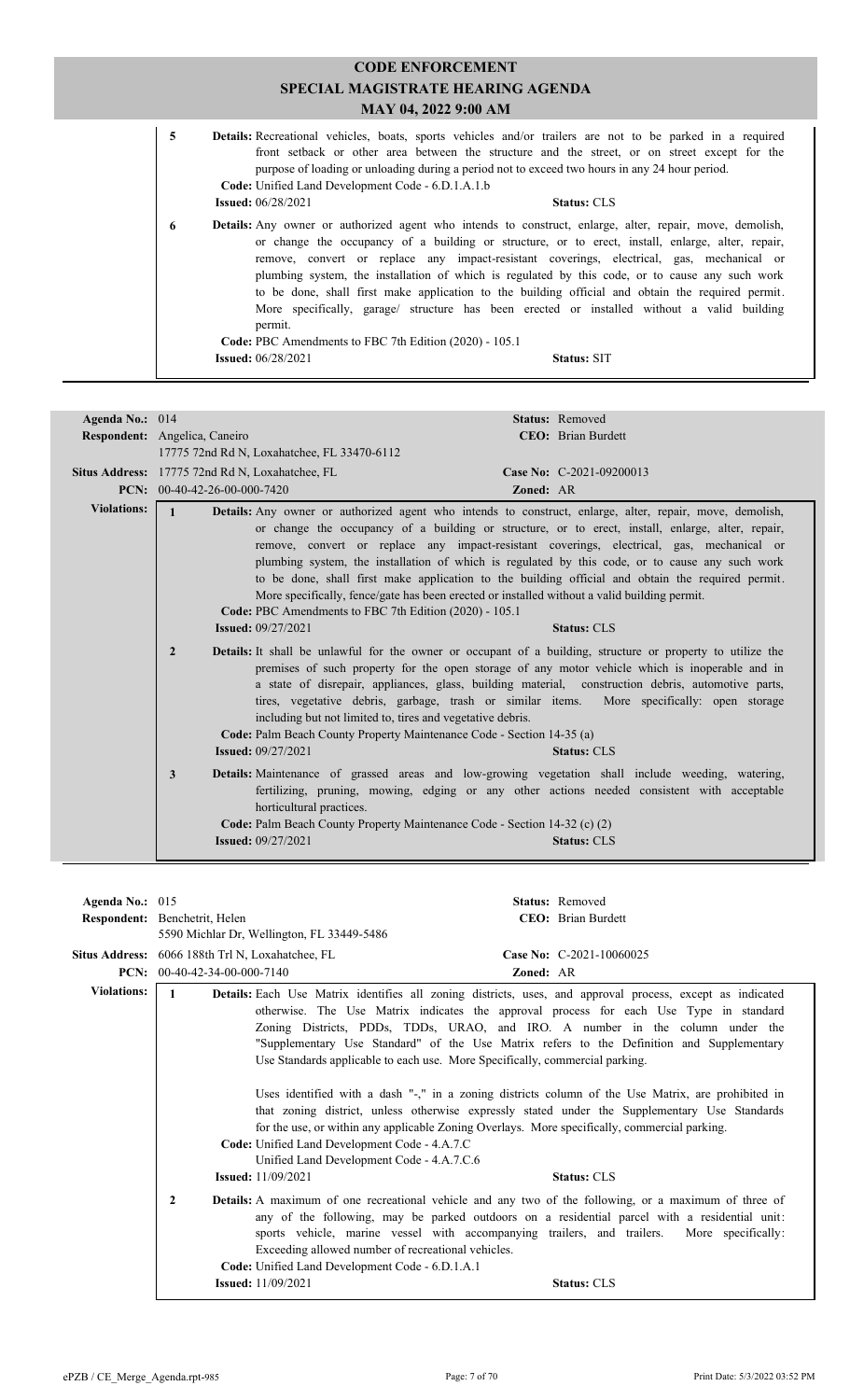|         | <b>SPECIAL MAGISTRATE HEARING AGENDA</b>                 |                                                                                                                                                                                                                                                                                                                                                                                                                                                                                                                                                                                                                                                                                                                                                                                                                                                                                                                                                                                                                                                                                        |
|---------|----------------------------------------------------------|----------------------------------------------------------------------------------------------------------------------------------------------------------------------------------------------------------------------------------------------------------------------------------------------------------------------------------------------------------------------------------------------------------------------------------------------------------------------------------------------------------------------------------------------------------------------------------------------------------------------------------------------------------------------------------------------------------------------------------------------------------------------------------------------------------------------------------------------------------------------------------------------------------------------------------------------------------------------------------------------------------------------------------------------------------------------------------------|
|         |                                                          |                                                                                                                                                                                                                                                                                                                                                                                                                                                                                                                                                                                                                                                                                                                                                                                                                                                                                                                                                                                                                                                                                        |
|         |                                                          |                                                                                                                                                                                                                                                                                                                                                                                                                                                                                                                                                                                                                                                                                                                                                                                                                                                                                                                                                                                                                                                                                        |
|         | <b>Status: CLS</b>                                       |                                                                                                                                                                                                                                                                                                                                                                                                                                                                                                                                                                                                                                                                                                                                                                                                                                                                                                                                                                                                                                                                                        |
| permit. | <b>Status: SIT</b>                                       |                                                                                                                                                                                                                                                                                                                                                                                                                                                                                                                                                                                                                                                                                                                                                                                                                                                                                                                                                                                                                                                                                        |
|         | <b>Issued:</b> $06/28/2021$<br><b>Issued:</b> 06/28/2021 | MAY 04, 2022 9:00 AM<br><b>Details:</b> Recreational vehicles, boats, sports vehicles and/or trailers are not to be parked in a required<br>front setback or other area between the structure and the street, or on street except for the<br>purpose of loading or unloading during a period not to exceed two hours in any 24 hour period.<br>Code: Unified Land Development Code - 6.D.1.A.1.b<br><b>Details:</b> Any owner or authorized agent who intends to construct, enlarge, alter, repair, move, demolish,<br>or change the occupancy of a building or structure, or to erect, install, enlarge, alter, repair,<br>remove, convert or replace any impact-resistant coverings, electrical, gas, mechanical or<br>plumbing system, the installation of which is regulated by this code, or to cause any such work<br>to be done, shall first make application to the building official and obtain the required permit.<br>More specifically, garage/ structure has been erected or installed without a valid building<br>Code: PBC Amendments to FBC 7th Edition (2020) - 105.1 |

| Agenda No.: 014    | Respondent: Angelica, Caneiro                                                                                                                                                      | <b>Status: Removed</b><br><b>CEO</b> : Brian Burdett                                                                                                                                                                                                                                                                                                                                                                                                                                                                      |
|--------------------|------------------------------------------------------------------------------------------------------------------------------------------------------------------------------------|---------------------------------------------------------------------------------------------------------------------------------------------------------------------------------------------------------------------------------------------------------------------------------------------------------------------------------------------------------------------------------------------------------------------------------------------------------------------------------------------------------------------------|
|                    | 17775 72nd Rd N, Loxahatchee, FL 33470-6112<br>Situs Address: 17775 72nd Rd N, Loxahatchee, FL                                                                                     | Case No: C-2021-09200013                                                                                                                                                                                                                                                                                                                                                                                                                                                                                                  |
|                    | PCN: $00-40-42-26-00-000-7420$                                                                                                                                                     | Zoned: AR                                                                                                                                                                                                                                                                                                                                                                                                                                                                                                                 |
| <b>Violations:</b> | $\mathbf{1}$<br>More specifically, fence/gate has been erected or installed without a valid building permit.<br>Code: PBC Amendments to FBC 7th Edition (2020) - 105.1             | <b>Details:</b> Any owner or authorized agent who intends to construct, enlarge, alter, repair, move, demolish,<br>or change the occupancy of a building or structure, or to erect, install, enlarge, alter, repair,<br>remove, convert or replace any impact-resistant coverings, electrical, gas, mechanical or<br>plumbing system, the installation of which is regulated by this code, or to cause any such work<br>to be done, shall first make application to the building official and obtain the required permit. |
|                    | <b>Issued: 09/27/2021</b>                                                                                                                                                          | <b>Status: CLS</b>                                                                                                                                                                                                                                                                                                                                                                                                                                                                                                        |
|                    | $\overline{2}$<br>including but not limited to, tires and vegetative debris.<br>Code: Palm Beach County Property Maintenance Code - Section 14-35 (a)<br><b>Issued:</b> 09/27/2021 | <b>Details:</b> It shall be unlawful for the owner or occupant of a building, structure or property to utilize the<br>premises of such property for the open storage of any motor vehicle which is inoperable and in<br>a state of disrepair, appliances, glass, building material, construction debris, automotive parts,<br>tires, vegetative debris, garbage, trash or similar items. More specifically: open storage<br><b>Status: CLS</b>                                                                            |
|                    | 3<br>horticultural practices.<br>Code: Palm Beach County Property Maintenance Code - Section 14-32 (c) (2)<br><b>Issued: 09/27/2021</b>                                            | Details: Maintenance of grassed areas and low-growing vegetation shall include weeding, watering,<br>fertilizing, pruning, mowing, edging or any other actions needed consistent with acceptable<br><b>Status: CLS</b>                                                                                                                                                                                                                                                                                                    |

| Agenda No.: $015$  |                                                                                                                                         | <b>Status:</b> Removed                                                                                                                                                                                                                                                                                                                                                                                                                                                                                                                                                                                                                                                                                                                                                                          |  |  |
|--------------------|-----------------------------------------------------------------------------------------------------------------------------------------|-------------------------------------------------------------------------------------------------------------------------------------------------------------------------------------------------------------------------------------------------------------------------------------------------------------------------------------------------------------------------------------------------------------------------------------------------------------------------------------------------------------------------------------------------------------------------------------------------------------------------------------------------------------------------------------------------------------------------------------------------------------------------------------------------|--|--|
|                    | Respondent: Benchetrit, Helen                                                                                                           | CEO: Brian Burdett                                                                                                                                                                                                                                                                                                                                                                                                                                                                                                                                                                                                                                                                                                                                                                              |  |  |
|                    | 5590 Michlar Dr, Wellington, FL 33449-5486                                                                                              |                                                                                                                                                                                                                                                                                                                                                                                                                                                                                                                                                                                                                                                                                                                                                                                                 |  |  |
|                    | Situs Address: 6066 188th Trl N, Loxahatchee, FL                                                                                        | Case No: C-2021-10060025                                                                                                                                                                                                                                                                                                                                                                                                                                                                                                                                                                                                                                                                                                                                                                        |  |  |
| PCN:               | 00-40-42-34-00-000-7140                                                                                                                 | <b>Zoned: AR</b>                                                                                                                                                                                                                                                                                                                                                                                                                                                                                                                                                                                                                                                                                                                                                                                |  |  |
| <b>Violations:</b> | $\mathbf{1}$<br>Code: Unified Land Development Code - 4.A.7.C<br>Unified Land Development Code - 4.A.7.C.6<br><b>Issued:</b> 11/09/2021 | Details: Each Use Matrix identifies all zoning districts, uses, and approval process, except as indicated<br>otherwise. The Use Matrix indicates the approval process for each Use Type in standard<br>Zoning Districts, PDDs, TDDs, URAO, and IRO. A number in the column under the<br>"Supplementary Use Standard" of the Use Matrix refers to the Definition and Supplementary<br>Use Standards applicable to each use. More Specifically, commercial parking.<br>Uses identified with a dash "-," in a zoning districts column of the Use Matrix, are prohibited in<br>that zoning district, unless otherwise expressly stated under the Supplementary Use Standards<br>for the use, or within any applicable Zoning Overlays. More specifically, commercial parking.<br><b>Status: CLS</b> |  |  |
|                    | 2<br>Code: Unified Land Development Code - 6.D.1.A.1<br><b>Issued:</b> 11/09/2021                                                       | <b>Details:</b> A maximum of one recreational vehicle and any two of the following, or a maximum of three of<br>any of the following, may be parked outdoors on a residential parcel with a residential unit:<br>sports vehicle, marine vessel with accompanying trailers, and trailers. More specifically:<br>Exceeding allowed number of recreational vehicles.<br><b>Status: CLS</b>                                                                                                                                                                                                                                                                                                                                                                                                         |  |  |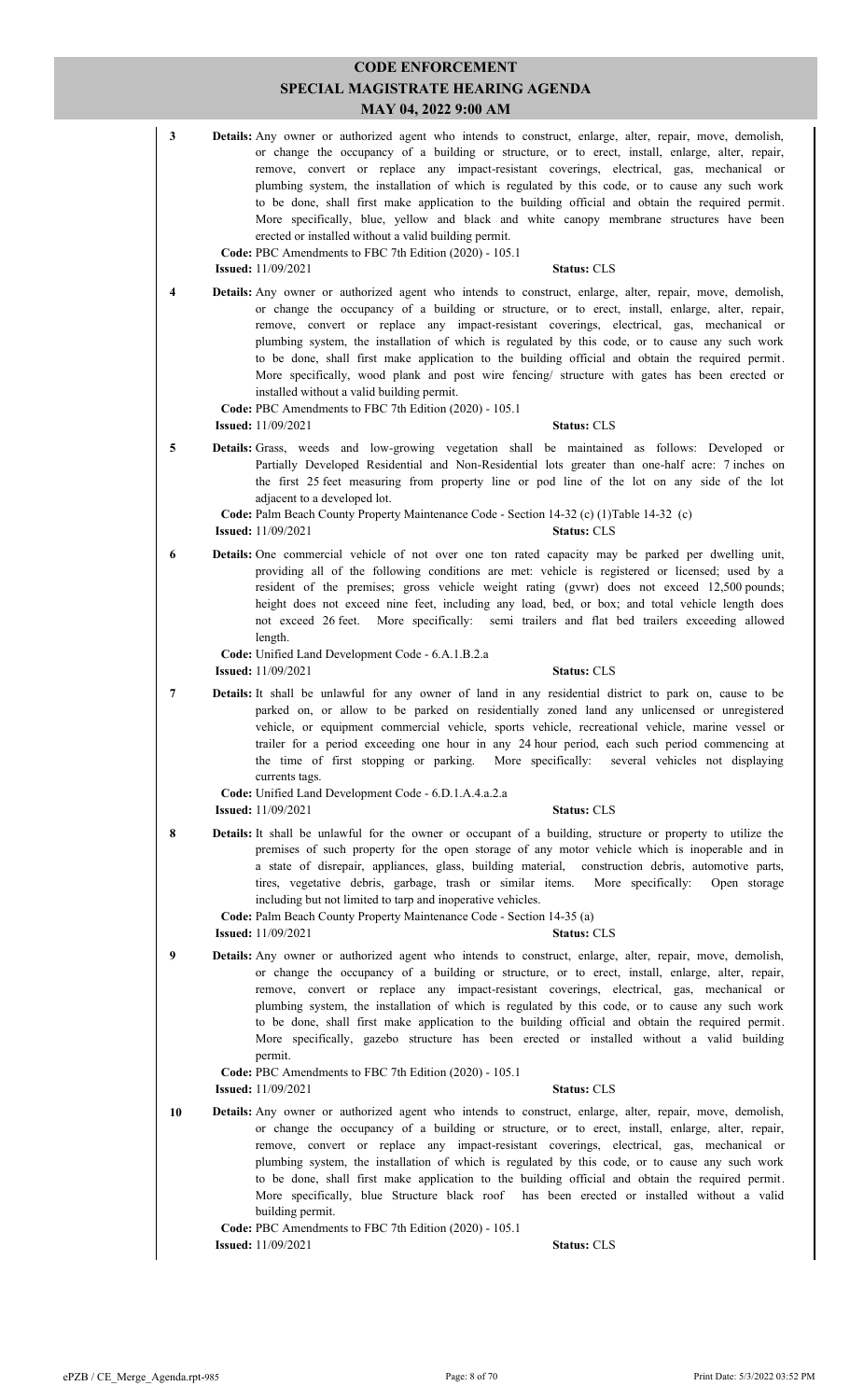| $\mathbf{3}$   | <b>Details:</b> Any owner or authorized agent who intends to construct, enlarge, alter, repair, move, demolish,<br>or change the occupancy of a building or structure, or to erect, install, enlarge, alter, repair,<br>remove, convert or replace any impact-resistant coverings, electrical, gas, mechanical or<br>plumbing system, the installation of which is regulated by this code, or to cause any such work<br>to be done, shall first make application to the building official and obtain the required permit.<br>More specifically, blue, yellow and black and white canopy membrane structures have been<br>erected or installed without a valid building permit.<br>Code: PBC Amendments to FBC 7th Edition (2020) - 105.1<br><b>Issued:</b> 11/09/2021<br><b>Status: CLS</b> |
|----------------|---------------------------------------------------------------------------------------------------------------------------------------------------------------------------------------------------------------------------------------------------------------------------------------------------------------------------------------------------------------------------------------------------------------------------------------------------------------------------------------------------------------------------------------------------------------------------------------------------------------------------------------------------------------------------------------------------------------------------------------------------------------------------------------------|
| 4              | <b>Details:</b> Any owner or authorized agent who intends to construct, enlarge, alter, repair, move, demolish,<br>or change the occupancy of a building or structure, or to erect, install, enlarge, alter, repair,<br>remove, convert or replace any impact-resistant coverings, electrical, gas, mechanical or<br>plumbing system, the installation of which is regulated by this code, or to cause any such work<br>to be done, shall first make application to the building official and obtain the required permit.<br>More specifically, wood plank and post wire fencing/ structure with gates has been erected or<br>installed without a valid building permit.<br>Code: PBC Amendments to FBC 7th Edition (2020) - 105.1<br><b>Issued:</b> 11/09/2021<br><b>Status: CLS</b>       |
| 5              | Details: Grass, weeds and low-growing vegetation shall be maintained as follows: Developed or<br>Partially Developed Residential and Non-Residential lots greater than one-half acre: 7 inches on<br>the first 25 feet measuring from property line or pod line of the lot on any side of the lot<br>adjacent to a developed lot.<br>Code: Palm Beach County Property Maintenance Code - Section 14-32 (c) (1)Table 14-32 (c)<br><b>Issued:</b> 11/09/2021<br><b>Status: CLS</b>                                                                                                                                                                                                                                                                                                            |
| 6              | Details: One commercial vehicle of not over one ton rated capacity may be parked per dwelling unit,<br>providing all of the following conditions are met: vehicle is registered or licensed; used by a<br>resident of the premises; gross vehicle weight rating (gywr) does not exceed 12,500 pounds;<br>height does not exceed nine feet, including any load, bed, or box; and total vehicle length does<br>not exceed 26 feet. More specifically: semi-trailers and flat bed trailers exceeding allowed<br>length.                                                                                                                                                                                                                                                                        |
|                | Code: Unified Land Development Code - 6.A.1.B.2.a<br><b>Issued:</b> 11/09/2021<br><b>Status: CLS</b>                                                                                                                                                                                                                                                                                                                                                                                                                                                                                                                                                                                                                                                                                        |
| $\overline{7}$ | Details: It shall be unlawful for any owner of land in any residential district to park on, cause to be<br>parked on, or allow to be parked on residentially zoned land any unlicensed or unregistered<br>vehicle, or equipment commercial vehicle, sports vehicle, recreational vehicle, marine vessel or<br>trailer for a period exceeding one hour in any 24 hour period, each such period commencing at<br>the time of first stopping or parking.<br>More specifically:<br>several vehicles not displaying<br>currents tags.                                                                                                                                                                                                                                                            |
|                | Code: Unified Land Development Code - 6.D.1.A.4.a.2.a<br><b>Status: CLS</b><br><b>Issued:</b> 11/09/2021                                                                                                                                                                                                                                                                                                                                                                                                                                                                                                                                                                                                                                                                                    |
| 8              | Details: It shall be unlawful for the owner or occupant of a building, structure or property to utilize the<br>premises of such property for the open storage of any motor vehicle which is inoperable and in<br>a state of disrepair, appliances, glass, building material,<br>construction debris, automotive parts,<br>tires, vegetative debris, garbage, trash or similar items.<br>More specifically:<br>Open storage<br>including but not limited to tarp and inoperative vehicles.<br>Code: Palm Beach County Property Maintenance Code - Section 14-35 (a)                                                                                                                                                                                                                          |
|                | <b>Issued:</b> 11/09/2021<br><b>Status: CLS</b>                                                                                                                                                                                                                                                                                                                                                                                                                                                                                                                                                                                                                                                                                                                                             |
| 9              | Details: Any owner or authorized agent who intends to construct, enlarge, alter, repair, move, demolish,<br>or change the occupancy of a building or structure, or to erect, install, enlarge, alter, repair,<br>remove, convert or replace any impact-resistant coverings, electrical, gas, mechanical or<br>plumbing system, the installation of which is regulated by this code, or to cause any such work<br>to be done, shall first make application to the building official and obtain the required permit.<br>More specifically, gazebo structure has been erected or installed without a valid building<br>permit.<br>Code: PBC Amendments to FBC 7th Edition (2020) - 105.1<br><b>Status: CLS</b><br><b>Issued:</b> 11/09/2021                                                    |
| 10             | Details: Any owner or authorized agent who intends to construct, enlarge, alter, repair, move, demolish,<br>or change the occupancy of a building or structure, or to erect, install, enlarge, alter, repair,<br>remove, convert or replace any impact-resistant coverings, electrical, gas, mechanical or<br>plumbing system, the installation of which is regulated by this code, or to cause any such work<br>to be done, shall first make application to the building official and obtain the required permit.<br>More specifically, blue Structure black roof has been erected or installed without a valid<br>building permit.                                                                                                                                                        |
|                | Code: PBC Amendments to FBC 7th Edition (2020) - 105.1<br><b>Issued:</b> 11/09/2021<br><b>Status: CLS</b>                                                                                                                                                                                                                                                                                                                                                                                                                                                                                                                                                                                                                                                                                   |
|                |                                                                                                                                                                                                                                                                                                                                                                                                                                                                                                                                                                                                                                                                                                                                                                                             |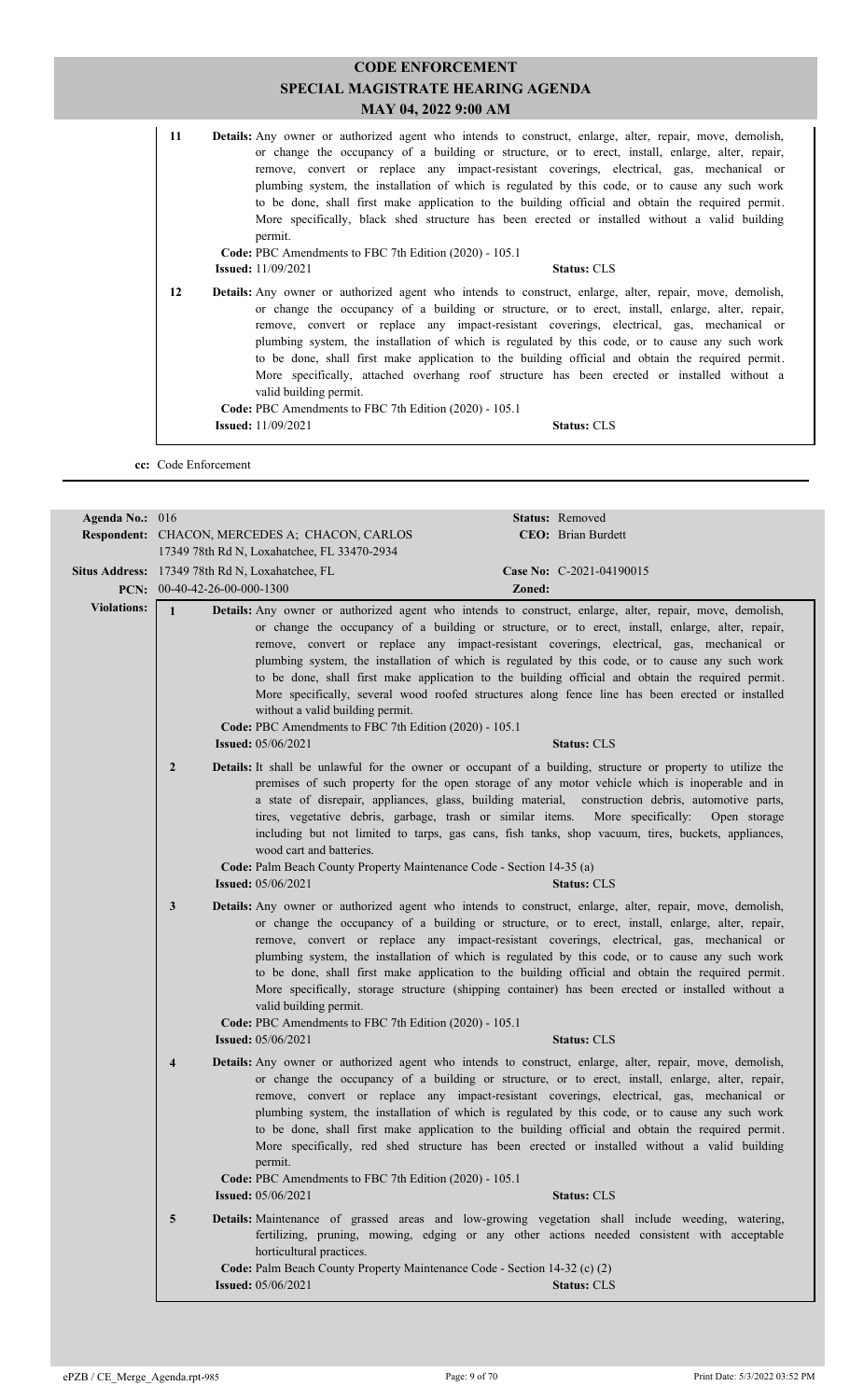| 11 | <b>Details:</b> Any owner or authorized agent who intends to construct, enlarge, alter, repair, move, demolish,<br>or change the occupancy of a building or structure, or to erect, install, enlarge, alter, repair,<br>remove, convert or replace any impact-resistant coverings, electrical, gas, mechanical or<br>plumbing system, the installation of which is regulated by this code, or to cause any such work<br>to be done, shall first make application to the building official and obtain the required permit.<br>More specifically, black shed structure has been erected or installed without a valid building<br>permit.<br>Code: PBC Amendments to FBC 7th Edition (2020) - 105.1             |
|----|--------------------------------------------------------------------------------------------------------------------------------------------------------------------------------------------------------------------------------------------------------------------------------------------------------------------------------------------------------------------------------------------------------------------------------------------------------------------------------------------------------------------------------------------------------------------------------------------------------------------------------------------------------------------------------------------------------------|
|    | <b>Issued:</b> 11/09/2021<br><b>Status: CLS</b>                                                                                                                                                                                                                                                                                                                                                                                                                                                                                                                                                                                                                                                              |
| 12 | <b>Details:</b> Any owner or authorized agent who intends to construct, enlarge, alter, repair, move, demolish,<br>or change the occupancy of a building or structure, or to erect, install, enlarge, alter, repair,<br>remove, convert or replace any impact-resistant coverings, electrical, gas, mechanical or<br>plumbing system, the installation of which is regulated by this code, or to cause any such work<br>to be done, shall first make application to the building official and obtain the required permit.<br>More specifically, attached overhang roof structure has been erected or installed without a<br>valid building permit.<br>Code: PBC Amendments to FBC 7th Edition (2020) - 105.1 |
|    | <b>Issued:</b> 11/09/2021<br><b>Status: CLS</b>                                                                                                                                                                                                                                                                                                                                                                                                                                                                                                                                                                                                                                                              |

**cc:** Code Enforcement

| Agenda No.: 016    | Status: Removed                                                                                                                                                                                                                                                                                                                                         |                                                                                                                                                                                                                                                                                                                                                                                                                                                                                                                                                    |
|--------------------|---------------------------------------------------------------------------------------------------------------------------------------------------------------------------------------------------------------------------------------------------------------------------------------------------------------------------------------------------------|----------------------------------------------------------------------------------------------------------------------------------------------------------------------------------------------------------------------------------------------------------------------------------------------------------------------------------------------------------------------------------------------------------------------------------------------------------------------------------------------------------------------------------------------------|
|                    | Respondent: CHACON, MERCEDES A; CHACON, CARLOS                                                                                                                                                                                                                                                                                                          | CEO: Brian Burdett                                                                                                                                                                                                                                                                                                                                                                                                                                                                                                                                 |
|                    | 17349 78th Rd N, Loxahatchee, FL 33470-2934                                                                                                                                                                                                                                                                                                             |                                                                                                                                                                                                                                                                                                                                                                                                                                                                                                                                                    |
|                    | Situs Address: 17349 78th Rd N, Loxahatchee, FL                                                                                                                                                                                                                                                                                                         | Case No: C-2021-04190015                                                                                                                                                                                                                                                                                                                                                                                                                                                                                                                           |
|                    | PCN: $00-40-42-26-00-000-1300$                                                                                                                                                                                                                                                                                                                          | Zoned:                                                                                                                                                                                                                                                                                                                                                                                                                                                                                                                                             |
| <b>Violations:</b> | $\mathbf{1}$<br>Details: Any owner or authorized agent who intends to construct, enlarge, alter, repair, move, demolish,<br>without a valid building permit.<br>Code: PBC Amendments to FBC 7th Edition (2020) - 105.1<br><b>Issued:</b> 05/06/2021                                                                                                     | or change the occupancy of a building or structure, or to erect, install, enlarge, alter, repair,<br>remove, convert or replace any impact-resistant coverings, electrical, gas, mechanical or<br>plumbing system, the installation of which is regulated by this code, or to cause any such work<br>to be done, shall first make application to the building official and obtain the required permit.<br>More specifically, several wood roofed structures along fence line has been erected or installed<br><b>Status: CLS</b>                   |
|                    | $\overline{2}$<br><b>Details:</b> It shall be unlawful for the owner or occupant of a building, structure or property to utilize the<br>tires, vegetative debris, garbage, trash or similar items. More specifically:<br>wood cart and batteries.<br>Code: Palm Beach County Property Maintenance Code - Section 14-35 (a)<br><b>Issued:</b> 05/06/2021 | premises of such property for the open storage of any motor vehicle which is inoperable and in<br>a state of disrepair, appliances, glass, building material, construction debris, automotive parts,<br>Open storage<br>including but not limited to tarps, gas cans, fish tanks, shop vacuum, tires, buckets, appliances,<br><b>Status: CLS</b>                                                                                                                                                                                                   |
|                    | Details: Any owner or authorized agent who intends to construct, enlarge, alter, repair, move, demolish,<br>$\mathbf{3}$<br>valid building permit.<br>Code: PBC Amendments to FBC 7th Edition (2020) - 105.1                                                                                                                                            | or change the occupancy of a building or structure, or to erect, install, enlarge, alter, repair,<br>remove, convert or replace any impact-resistant coverings, electrical, gas, mechanical or<br>plumbing system, the installation of which is regulated by this code, or to cause any such work<br>to be done, shall first make application to the building official and obtain the required permit.<br>More specifically, storage structure (shipping container) has been erected or installed without a                                        |
|                    | <b>Issued:</b> 05/06/2021<br><b>Details:</b> Any owner or authorized agent who intends to construct, enlarge, alter, repair, move, demolish,<br>$\overline{4}$<br>permit.<br>Code: PBC Amendments to FBC 7th Edition (2020) - 105.1<br><b>Issued:</b> 05/06/2021                                                                                        | <b>Status: CLS</b><br>or change the occupancy of a building or structure, or to erect, install, enlarge, alter, repair,<br>remove, convert or replace any impact-resistant coverings, electrical, gas, mechanical or<br>plumbing system, the installation of which is regulated by this code, or to cause any such work<br>to be done, shall first make application to the building official and obtain the required permit.<br>More specifically, red shed structure has been erected or installed without a valid building<br><b>Status: CLS</b> |
|                    | Details: Maintenance of grassed areas and low-growing vegetation shall include weeding, watering,<br>5<br>horticultural practices.<br>Code: Palm Beach County Property Maintenance Code - Section 14-32 (c) (2)<br><b>Issued:</b> 05/06/2021                                                                                                            | fertilizing, pruning, mowing, edging or any other actions needed consistent with acceptable<br><b>Status: CLS</b>                                                                                                                                                                                                                                                                                                                                                                                                                                  |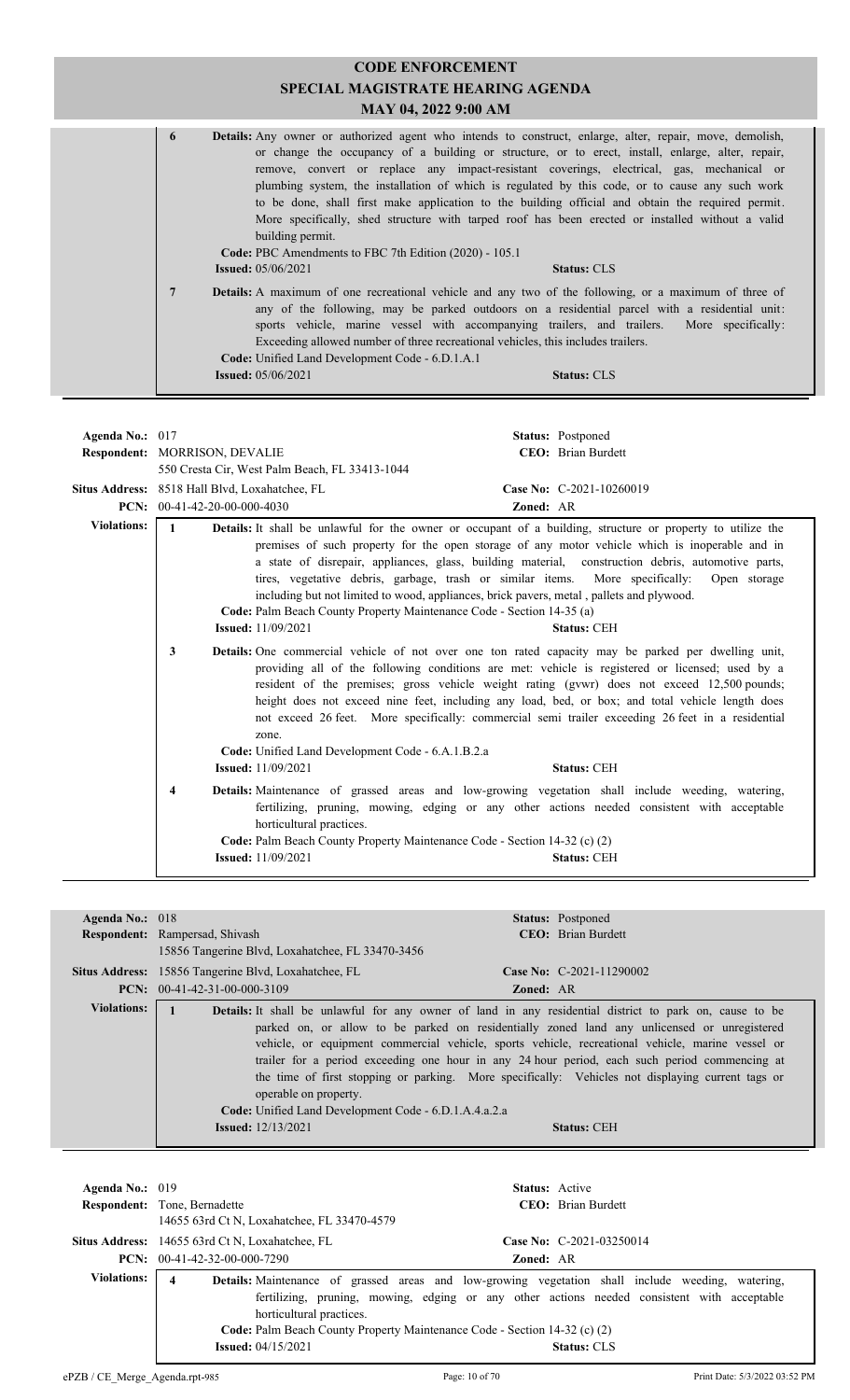| <b>CODE ENFORCEMENT</b><br><b>SPECIAL MAGISTRATE HEARING AGENDA</b><br>MAY 04, 2022 9:00 AM |                |                                                                                                                                                                                                                                                                                                                                                                                                                                                                                                                                                                                                                                                                                                                                          |                    |
|---------------------------------------------------------------------------------------------|----------------|------------------------------------------------------------------------------------------------------------------------------------------------------------------------------------------------------------------------------------------------------------------------------------------------------------------------------------------------------------------------------------------------------------------------------------------------------------------------------------------------------------------------------------------------------------------------------------------------------------------------------------------------------------------------------------------------------------------------------------------|--------------------|
|                                                                                             | 6              | <b>Details:</b> Any owner or authorized agent who intends to construct, enlarge, alter, repair, move, demolish,<br>or change the occupancy of a building or structure, or to erect, install, enlarge, alter, repair,<br>remove, convert or replace any impact-resistant coverings, electrical, gas, mechanical or<br>plumbing system, the installation of which is regulated by this code, or to cause any such work<br>to be done, shall first make application to the building official and obtain the required permit.<br>More specifically, shed structure with tarped roof has been erected or installed without a valid<br>building permit.<br>Code: PBC Amendments to FBC 7th Edition (2020) - 105.1<br><b>Issued:</b> 05/06/2021 | <b>Status: CLS</b> |
|                                                                                             | $\overline{7}$ | <b>Details:</b> A maximum of one recreational vehicle and any two of the following, or a maximum of three of<br>any of the following, may be parked outdoors on a residential parcel with a residential unit:<br>sports vehicle, marine vessel with accompanying trailers, and trailers. More specifically:<br>Exceeding allowed number of three recreational vehicles, this includes trailers.<br><b>Code:</b> Unified Land Development Code - 6.D.1.A.1<br><b>Issued:</b> 05/06/2021                                                                                                                                                                                                                                                   | <b>Status: CLS</b> |

| Agenda No.: 017    | Respondent: MORRISON, DEVALIE                                                                                                                                                                                                                                                                                                                                                                                                                                                                                                                                                                                                                     | <b>Status:</b> Postponed<br><b>CEO</b> : Brian Burdett                                                                                                                                                                                                                                                                                                                                                                                                                                                                                      |
|--------------------|---------------------------------------------------------------------------------------------------------------------------------------------------------------------------------------------------------------------------------------------------------------------------------------------------------------------------------------------------------------------------------------------------------------------------------------------------------------------------------------------------------------------------------------------------------------------------------------------------------------------------------------------------|---------------------------------------------------------------------------------------------------------------------------------------------------------------------------------------------------------------------------------------------------------------------------------------------------------------------------------------------------------------------------------------------------------------------------------------------------------------------------------------------------------------------------------------------|
|                    | 550 Cresta Cir, West Palm Beach, FL 33413-1044                                                                                                                                                                                                                                                                                                                                                                                                                                                                                                                                                                                                    |                                                                                                                                                                                                                                                                                                                                                                                                                                                                                                                                             |
|                    | Situs Address: 8518 Hall Blvd, Loxahatchee, FL<br><b>PCN:</b> $00-41-42-20-00-000-4030$                                                                                                                                                                                                                                                                                                                                                                                                                                                                                                                                                           | Case No: C-2021-10260019<br>Zoned: AR                                                                                                                                                                                                                                                                                                                                                                                                                                                                                                       |
| <b>Violations:</b> | Details: It shall be unlawful for the owner or occupant of a building, structure or property to utilize the<br>1<br>premises of such property for the open storage of any motor vehicle which is inoperable and in<br>a state of disrepair, appliances, glass, building material, construction debris, automotive parts,<br>tires, vegetative debris, garbage, trash or similar items. More specifically:<br>Open storage<br>including but not limited to wood, appliances, brick pavers, metal, pallets and plywood.<br>Code: Palm Beach County Property Maintenance Code - Section 14-35 (a)<br><b>Issued:</b> 11/09/2021<br><b>Status: CEH</b> |                                                                                                                                                                                                                                                                                                                                                                                                                                                                                                                                             |
|                    | 3<br>zone.<br>Code: Unified Land Development Code - 6.A.1.B.2.a<br><b>Issued:</b> 11/09/2021                                                                                                                                                                                                                                                                                                                                                                                                                                                                                                                                                      | <b>Details:</b> One commercial vehicle of not over one ton rated capacity may be parked per dwelling unit,<br>providing all of the following conditions are met: vehicle is registered or licensed; used by a<br>resident of the premises; gross vehicle weight rating (gvwr) does not exceed 12,500 pounds;<br>height does not exceed nine feet, including any load, bed, or box; and total vehicle length does<br>not exceed 26 feet. More specifically: commercial semi-trailer exceeding 26 feet in a residential<br><b>Status: CEH</b> |
|                    | 4<br>horticultural practices.<br><b>Issued:</b> 11/09/2021                                                                                                                                                                                                                                                                                                                                                                                                                                                                                                                                                                                        | <b>Details:</b> Maintenance of grassed areas and low-growing vegetation shall include weeding, watering,<br>fertilizing, pruning, mowing, edging or any other actions needed consistent with acceptable<br>Code: Palm Beach County Property Maintenance Code - Section 14-32 (c) (2)<br><b>Status: CEH</b>                                                                                                                                                                                                                                  |

| Agenda No.: $018$ | <b>Status:</b> Postponed                                                                                                                                                                                                                                                                                                                                                                                                                                                                                                                                                                                                                                     |  |
|-------------------|--------------------------------------------------------------------------------------------------------------------------------------------------------------------------------------------------------------------------------------------------------------------------------------------------------------------------------------------------------------------------------------------------------------------------------------------------------------------------------------------------------------------------------------------------------------------------------------------------------------------------------------------------------------|--|
|                   | <b>CEO</b> : Brian Burdett<br><b>Respondent:</b> Rampersad, Shivash                                                                                                                                                                                                                                                                                                                                                                                                                                                                                                                                                                                          |  |
|                   | 15856 Tangerine Blvd, Loxahatchee, FL 33470-3456                                                                                                                                                                                                                                                                                                                                                                                                                                                                                                                                                                                                             |  |
|                   | <b>Situs Address:</b> 15856 Tangerine Blvd, Loxahatchee, FL<br>Case No: $C-2021-11290002$                                                                                                                                                                                                                                                                                                                                                                                                                                                                                                                                                                    |  |
|                   | <b>PCN:</b> $00-41-42-31-00-000-3109$<br><b>Zoned: AR</b>                                                                                                                                                                                                                                                                                                                                                                                                                                                                                                                                                                                                    |  |
| Violations:       | <b>Details:</b> It shall be unlawful for any owner of land in any residential district to park on, cause to be<br>parked on, or allow to be parked on residentially zoned land any unlicensed or unregistered<br>vehicle, or equipment commercial vehicle, sports vehicle, recreational vehicle, marine vessel or<br>trailer for a period exceeding one hour in any 24 hour period, each such period commencing at<br>the time of first stopping or parking. More specifically: Vehicles not displaying current tags or<br>operable on property.<br>Code: Unified Land Development Code - 6.D.1.A.4.a.2.a<br><b>Issued:</b> 12/13/2021<br><b>Status: CEH</b> |  |

| Agenda No.: $019$  | <b>Respondent:</b> Tone, Bernadette<br>14655 63rd Ct N, Loxahatchee, FL 33470-4579                                      | <b>Status:</b> Active<br>CEO: Brian Burdett    |
|--------------------|-------------------------------------------------------------------------------------------------------------------------|------------------------------------------------|
|                    | Situs Address: 14655 63rd Ct N, Loxahatchee, FL<br><b>PCN:</b> $00-41-42-32-00-000-7290$                                | Case No: $C-2021-03250014$<br><b>Zoned: AR</b> |
| <b>Violations:</b> | Details: Maintenance of grassed areas and low-growing vegetation shall include weeding, watering,<br>4                  |                                                |
|                    | fertilizing, pruning, mowing, edging or any other actions needed consistent with acceptable<br>horticultural practices. |                                                |
|                    | Code: Palm Beach County Property Maintenance Code - Section 14-32 (c) (2)<br><b>Issued:</b> $04/15/2021$                | <b>Status: CLS</b>                             |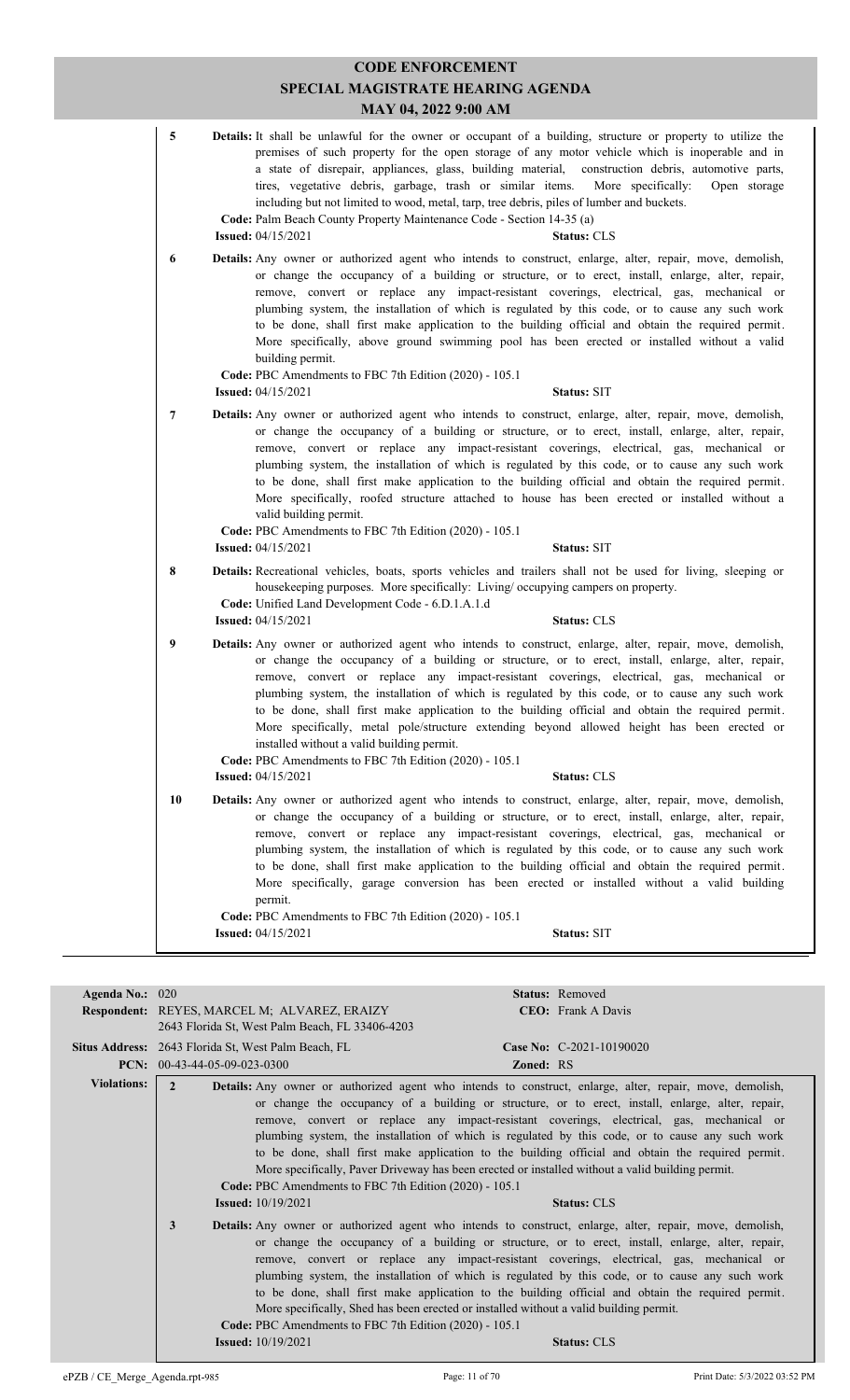|    | SPECIAL MAGISTRATE HEARING AGENDA<br>MAY 04, 2022 9:00 AM                                                                                                                                                                                                                                                                                                                                                                                                                                                                                                                                                                                                                                                                                                                    |
|----|------------------------------------------------------------------------------------------------------------------------------------------------------------------------------------------------------------------------------------------------------------------------------------------------------------------------------------------------------------------------------------------------------------------------------------------------------------------------------------------------------------------------------------------------------------------------------------------------------------------------------------------------------------------------------------------------------------------------------------------------------------------------------|
| 5  | Details: It shall be unlawful for the owner or occupant of a building, structure or property to utilize the<br>premises of such property for the open storage of any motor vehicle which is inoperable and in<br>a state of disrepair, appliances, glass, building material, construction debris, automotive parts,<br>tires, vegetative debris, garbage, trash or similar items.<br>More specifically:<br>Open storage<br>including but not limited to wood, metal, tarp, tree debris, piles of lumber and buckets.<br>Code: Palm Beach County Property Maintenance Code - Section 14-35 (a)<br><b>Issued:</b> 04/15/2021<br><b>Status: CLS</b>                                                                                                                             |
| 6  | Details: Any owner or authorized agent who intends to construct, enlarge, alter, repair, move, demolish,<br>or change the occupancy of a building or structure, or to erect, install, enlarge, alter, repair,<br>remove, convert or replace any impact-resistant coverings, electrical, gas, mechanical or<br>plumbing system, the installation of which is regulated by this code, or to cause any such work<br>to be done, shall first make application to the building official and obtain the required permit.<br>More specifically, above ground swimming pool has been erected or installed without a valid<br>building permit.<br>Code: PBC Amendments to FBC 7th Edition (2020) - 105.1<br><b>Issued:</b> 04/15/2021<br><b>Status: SIT</b>                           |
| 7  | Details: Any owner or authorized agent who intends to construct, enlarge, alter, repair, move, demolish,<br>or change the occupancy of a building or structure, or to erect, install, enlarge, alter, repair,<br>remove, convert or replace any impact-resistant coverings, electrical, gas, mechanical or<br>plumbing system, the installation of which is regulated by this code, or to cause any such work<br>to be done, shall first make application to the building official and obtain the required permit.<br>More specifically, roofed structure attached to house has been erected or installed without a<br>valid building permit.<br>Code: PBC Amendments to FBC 7th Edition (2020) - 105.1<br>Status: SIT<br><b>Issued:</b> $04/15/2021$                        |
| 8  | Details: Recreational vehicles, boats, sports vehicles and trailers shall not be used for living, sleeping or<br>housekeeping purposes. More specifically: Living/occupying campers on property.<br>Code: Unified Land Development Code - 6.D.1.A.1.d<br><b>Issued:</b> 04/15/2021<br><b>Status: CLS</b>                                                                                                                                                                                                                                                                                                                                                                                                                                                                     |
| 9  | Details: Any owner or authorized agent who intends to construct, enlarge, alter, repair, move, demolish,<br>or change the occupancy of a building or structure, or to erect, install, enlarge, alter, repair,<br>remove, convert or replace any impact-resistant coverings, electrical, gas, mechanical or<br>plumbing system, the installation of which is regulated by this code, or to cause any such work<br>to be done, shall first make application to the building official and obtain the required permit.<br>More specifically, metal pole/structure extending beyond allowed height has been erected or<br>installed without a valid building permit.<br>Code: PBC Amendments to FBC 7th Edition (2020) - 105.1<br><b>Issued: 04/15/2021</b><br><b>Status: CLS</b> |
| 10 | <b>Details:</b> Any owner or authorized agent who intends to construct, enlarge, alter, repair, move, demolish,<br>or change the occupancy of a building or structure, or to erect, install, enlarge, alter, repair,<br>remove, convert or replace any impact-resistant coverings, electrical, gas, mechanical or<br>plumbing system, the installation of which is regulated by this code, or to cause any such work<br>to be done, shall first make application to the building official and obtain the required permit.<br>More specifically, garage conversion has been erected or installed without a valid building<br>permit.                                                                                                                                          |
|    | Code: PBC Amendments to FBC 7th Edition (2020) - 105.1<br>Status: SIT<br><b>Issued:</b> 04/15/2021                                                                                                                                                                                                                                                                                                                                                                                                                                                                                                                                                                                                                                                                           |

**CODE ENFORCEMENT**

| Agenda No.: $020$  |                                                            | <b>Status:</b> Removed                                                                                                                                                                                                                                                                                                                                                                                                                                                                                                                                                                                              |
|--------------------|------------------------------------------------------------|---------------------------------------------------------------------------------------------------------------------------------------------------------------------------------------------------------------------------------------------------------------------------------------------------------------------------------------------------------------------------------------------------------------------------------------------------------------------------------------------------------------------------------------------------------------------------------------------------------------------|
|                    | <b>Respondent:</b> REYES, MARCEL M; ALVAREZ, ERAIZY        | <b>CEO:</b> Frank A Davis                                                                                                                                                                                                                                                                                                                                                                                                                                                                                                                                                                                           |
|                    | 2643 Florida St, West Palm Beach, FL 33406-4203            |                                                                                                                                                                                                                                                                                                                                                                                                                                                                                                                                                                                                                     |
|                    | <b>Situs Address:</b> 2643 Florida St, West Palm Beach, FL | Case No: C-2021-10190020                                                                                                                                                                                                                                                                                                                                                                                                                                                                                                                                                                                            |
|                    | PCN: $00-43-44-05-09-023-0300$                             | <b>Zoned: RS</b>                                                                                                                                                                                                                                                                                                                                                                                                                                                                                                                                                                                                    |
| <b>Violations:</b> | $\mathcal{L}$                                              | <b>Details:</b> Any owner or authorized agent who intends to construct, enlarge, alter, repair, move, demolish,                                                                                                                                                                                                                                                                                                                                                                                                                                                                                                     |
|                    |                                                            | or change the occupancy of a building or structure, or to erect, install, enlarge, alter, repair,<br>remove, convert or replace any impact-resistant coverings, electrical, gas, mechanical or<br>plumbing system, the installation of which is regulated by this code, or to cause any such work                                                                                                                                                                                                                                                                                                                   |
|                    |                                                            | to be done, shall first make application to the building official and obtain the required permit.<br>More specifically, Paver Driveway has been erected or installed without a valid building permit.                                                                                                                                                                                                                                                                                                                                                                                                               |
|                    | Code: PBC Amendments to FBC 7th Edition (2020) - 105.1     |                                                                                                                                                                                                                                                                                                                                                                                                                                                                                                                                                                                                                     |
|                    | <b>Issued:</b> $10/19/2021$                                | <b>Status: CLS</b>                                                                                                                                                                                                                                                                                                                                                                                                                                                                                                                                                                                                  |
|                    | 3                                                          | <b>Details:</b> Any owner or authorized agent who intends to construct, enlarge, alter, repair, move, demolish,<br>or change the occupancy of a building or structure, or to erect, install, enlarge, alter, repair,<br>remove, convert or replace any impact-resistant coverings, electrical, gas, mechanical or<br>plumbing system, the installation of which is regulated by this code, or to cause any such work<br>to be done, shall first make application to the building official and obtain the required permit.<br>More specifically, Shed has been erected or installed without a valid building permit. |
|                    | Code: PBC Amendments to FBC 7th Edition (2020) - 105.1     |                                                                                                                                                                                                                                                                                                                                                                                                                                                                                                                                                                                                                     |
|                    | <b>Issued:</b> 10/19/2021                                  | <b>Status: CLS</b>                                                                                                                                                                                                                                                                                                                                                                                                                                                                                                                                                                                                  |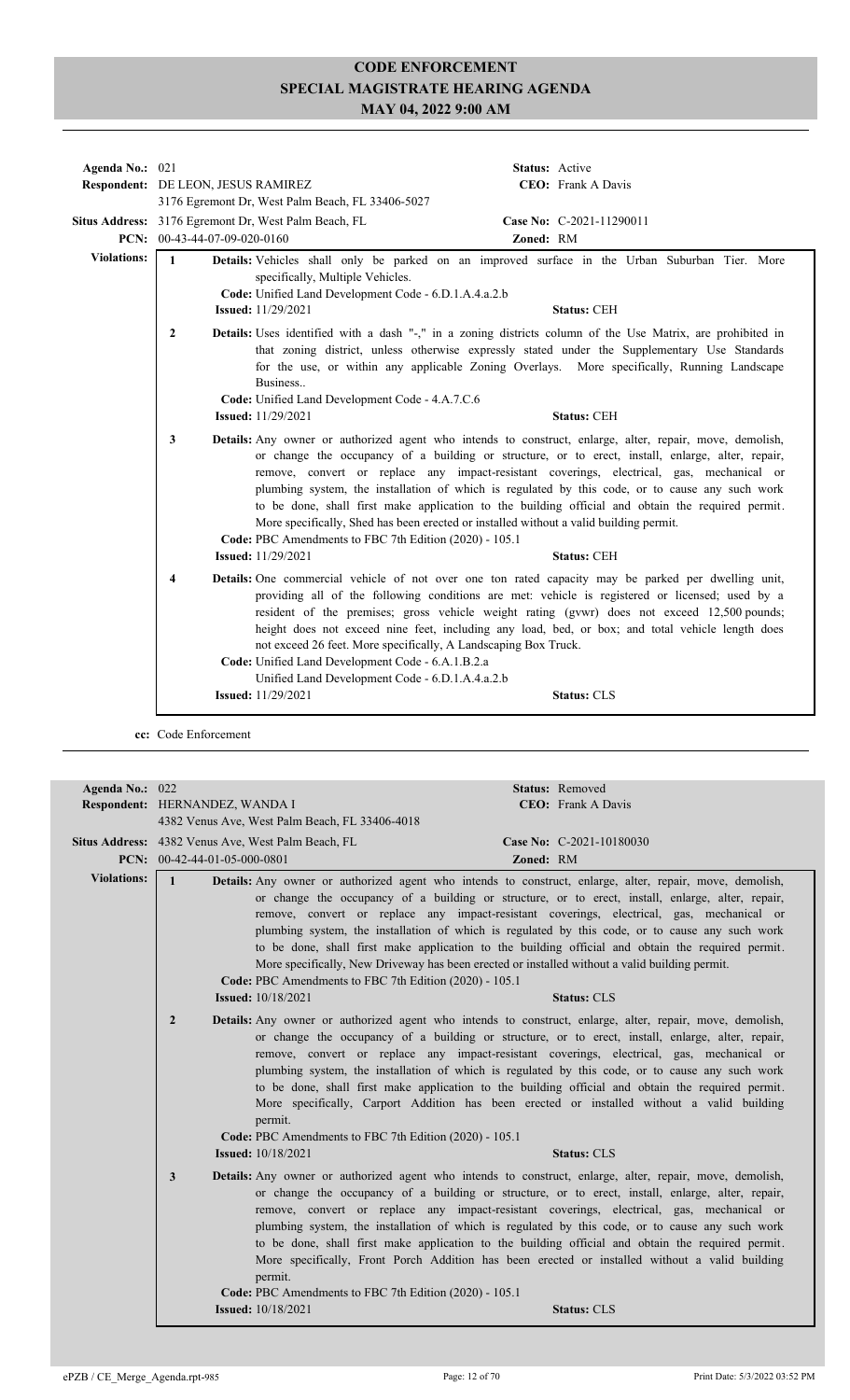| Agenda No.: 021    |                                                                                                                                                                                                           | Status: Active                                                                                                                                                                                                                                                                                                                                                                                                                                                                                                                                                                                                                     |
|--------------------|-----------------------------------------------------------------------------------------------------------------------------------------------------------------------------------------------------------|------------------------------------------------------------------------------------------------------------------------------------------------------------------------------------------------------------------------------------------------------------------------------------------------------------------------------------------------------------------------------------------------------------------------------------------------------------------------------------------------------------------------------------------------------------------------------------------------------------------------------------|
|                    | Respondent: DE LEON, JESUS RAMIREZ                                                                                                                                                                        | <b>CEO</b> : Frank A Davis                                                                                                                                                                                                                                                                                                                                                                                                                                                                                                                                                                                                         |
|                    | 3176 Egremont Dr, West Palm Beach, FL 33406-5027                                                                                                                                                          |                                                                                                                                                                                                                                                                                                                                                                                                                                                                                                                                                                                                                                    |
|                    | Situs Address: 3176 Egremont Dr, West Palm Beach, FL                                                                                                                                                      | Case No: C-2021-11290011                                                                                                                                                                                                                                                                                                                                                                                                                                                                                                                                                                                                           |
|                    | PCN: $00-43-44-07-09-020-0160$                                                                                                                                                                            | Zoned: RM                                                                                                                                                                                                                                                                                                                                                                                                                                                                                                                                                                                                                          |
| <b>Violations:</b> | $\mathbf{1}$<br>specifically, Multiple Vehicles.<br>Code: Unified Land Development Code - 6.D.1.A.4.a.2.b<br><b>Issued:</b> 11/29/2021                                                                    | Details: Vehicles shall only be parked on an improved surface in the Urban Suburban Tier. More<br><b>Status: CEH</b>                                                                                                                                                                                                                                                                                                                                                                                                                                                                                                               |
|                    | $\mathbf{2}$<br>Business<br>Code: Unified Land Development Code - 4.A.7.C.6<br><b>Issued:</b> 11/29/2021                                                                                                  | Details: Uses identified with a dash "-," in a zoning districts column of the Use Matrix, are prohibited in<br>that zoning district, unless otherwise expressly stated under the Supplementary Use Standards<br>for the use, or within any applicable Zoning Overlays. More specifically, Running Landscape<br><b>Status: CEH</b>                                                                                                                                                                                                                                                                                                  |
|                    |                                                                                                                                                                                                           |                                                                                                                                                                                                                                                                                                                                                                                                                                                                                                                                                                                                                                    |
|                    | 3<br>Code: PBC Amendments to FBC 7th Edition (2020) - 105.1<br><b>Issued:</b> 11/29/2021                                                                                                                  | Details: Any owner or authorized agent who intends to construct, enlarge, alter, repair, move, demolish,<br>or change the occupancy of a building or structure, or to erect, install, enlarge, alter, repair,<br>remove, convert or replace any impact-resistant coverings, electrical, gas, mechanical or<br>plumbing system, the installation of which is regulated by this code, or to cause any such work<br>to be done, shall first make application to the building official and obtain the required permit.<br>More specifically, Shed has been erected or installed without a valid building permit.<br><b>Status: CEH</b> |
|                    | 4<br>not exceed 26 feet. More specifically, A Landscaping Box Truck.<br>Code: Unified Land Development Code - 6.A.1.B.2.a<br>Unified Land Development Code - 6.D.1.A.4.a.2.b<br><b>Issued:</b> 11/29/2021 | Details: One commercial vehicle of not over one ton rated capacity may be parked per dwelling unit,<br>providing all of the following conditions are met: vehicle is registered or licensed; used by a<br>resident of the premises; gross vehicle weight rating (gywr) does not exceed 12,500 pounds;<br>height does not exceed nine feet, including any load, bed, or box; and total vehicle length does<br><b>Status: CLS</b>                                                                                                                                                                                                    |
|                    |                                                                                                                                                                                                           |                                                                                                                                                                                                                                                                                                                                                                                                                                                                                                                                                                                                                                    |

**cc:** Code Enforcement

| Agenda No.: 022    |                                                                                                                                                                                                                                                                                                                                  | Status: Removed                                                                                                                                                                                                                                                                                                                                                                                                                                                                                                                                                                                                                                                                                                                                                                                                                                                                                                                                                                                                                                                                                                                                                                                                                                                                                                                                                                                                                                                                                                                                                                                                                                                                                                                                                                                                                                                                                                                                  |
|--------------------|----------------------------------------------------------------------------------------------------------------------------------------------------------------------------------------------------------------------------------------------------------------------------------------------------------------------------------|--------------------------------------------------------------------------------------------------------------------------------------------------------------------------------------------------------------------------------------------------------------------------------------------------------------------------------------------------------------------------------------------------------------------------------------------------------------------------------------------------------------------------------------------------------------------------------------------------------------------------------------------------------------------------------------------------------------------------------------------------------------------------------------------------------------------------------------------------------------------------------------------------------------------------------------------------------------------------------------------------------------------------------------------------------------------------------------------------------------------------------------------------------------------------------------------------------------------------------------------------------------------------------------------------------------------------------------------------------------------------------------------------------------------------------------------------------------------------------------------------------------------------------------------------------------------------------------------------------------------------------------------------------------------------------------------------------------------------------------------------------------------------------------------------------------------------------------------------------------------------------------------------------------------------------------------------|
|                    | Respondent: HERNANDEZ, WANDA I                                                                                                                                                                                                                                                                                                   | <b>CEO:</b> Frank A Davis                                                                                                                                                                                                                                                                                                                                                                                                                                                                                                                                                                                                                                                                                                                                                                                                                                                                                                                                                                                                                                                                                                                                                                                                                                                                                                                                                                                                                                                                                                                                                                                                                                                                                                                                                                                                                                                                                                                        |
|                    | 4382 Venus Ave, West Palm Beach, FL 33406-4018                                                                                                                                                                                                                                                                                   |                                                                                                                                                                                                                                                                                                                                                                                                                                                                                                                                                                                                                                                                                                                                                                                                                                                                                                                                                                                                                                                                                                                                                                                                                                                                                                                                                                                                                                                                                                                                                                                                                                                                                                                                                                                                                                                                                                                                                  |
|                    | Situs Address: 4382 Venus Ave, West Palm Beach, FL                                                                                                                                                                                                                                                                               | Case No: C-2021-10180030                                                                                                                                                                                                                                                                                                                                                                                                                                                                                                                                                                                                                                                                                                                                                                                                                                                                                                                                                                                                                                                                                                                                                                                                                                                                                                                                                                                                                                                                                                                                                                                                                                                                                                                                                                                                                                                                                                                         |
|                    | PCN: $00-42-44-01-05-000-0801$                                                                                                                                                                                                                                                                                                   | Zoned: RM                                                                                                                                                                                                                                                                                                                                                                                                                                                                                                                                                                                                                                                                                                                                                                                                                                                                                                                                                                                                                                                                                                                                                                                                                                                                                                                                                                                                                                                                                                                                                                                                                                                                                                                                                                                                                                                                                                                                        |
| <b>Violations:</b> | $\mathbf{1}$<br>Code: PBC Amendments to FBC 7th Edition (2020) - 105.1<br><b>Issued:</b> $10/18/2021$<br>$\overline{2}$<br>permit.<br>Code: PBC Amendments to FBC 7th Edition (2020) - 105.1<br><b>Issued:</b> 10/18/2021<br>3<br>permit.<br>Code: PBC Amendments to FBC 7th Edition (2020) - 105.1<br><b>Issued:</b> 10/18/2021 | <b>Details:</b> Any owner or authorized agent who intends to construct, enlarge, alter, repair, move, demolish,<br>or change the occupancy of a building or structure, or to erect, install, enlarge, alter, repair,<br>remove, convert or replace any impact-resistant coverings, electrical, gas, mechanical or<br>plumbing system, the installation of which is regulated by this code, or to cause any such work<br>to be done, shall first make application to the building official and obtain the required permit.<br>More specifically, New Driveway has been erected or installed without a valid building permit.<br><b>Status: CLS</b><br><b>Details:</b> Any owner or authorized agent who intends to construct, enlarge, alter, repair, move, demolish,<br>or change the occupancy of a building or structure, or to erect, install, enlarge, alter, repair,<br>remove, convert or replace any impact-resistant coverings, electrical, gas, mechanical or<br>plumbing system, the installation of which is regulated by this code, or to cause any such work<br>to be done, shall first make application to the building official and obtain the required permit.<br>More specifically, Carport Addition has been erected or installed without a valid building<br><b>Status: CLS</b><br>Details: Any owner or authorized agent who intends to construct, enlarge, alter, repair, move, demolish,<br>or change the occupancy of a building or structure, or to erect, install, enlarge, alter, repair,<br>remove, convert or replace any impact-resistant coverings, electrical, gas, mechanical or<br>plumbing system, the installation of which is regulated by this code, or to cause any such work<br>to be done, shall first make application to the building official and obtain the required permit.<br>More specifically, Front Porch Addition has been erected or installed without a valid building<br><b>Status: CLS</b> |
|                    |                                                                                                                                                                                                                                                                                                                                  |                                                                                                                                                                                                                                                                                                                                                                                                                                                                                                                                                                                                                                                                                                                                                                                                                                                                                                                                                                                                                                                                                                                                                                                                                                                                                                                                                                                                                                                                                                                                                                                                                                                                                                                                                                                                                                                                                                                                                  |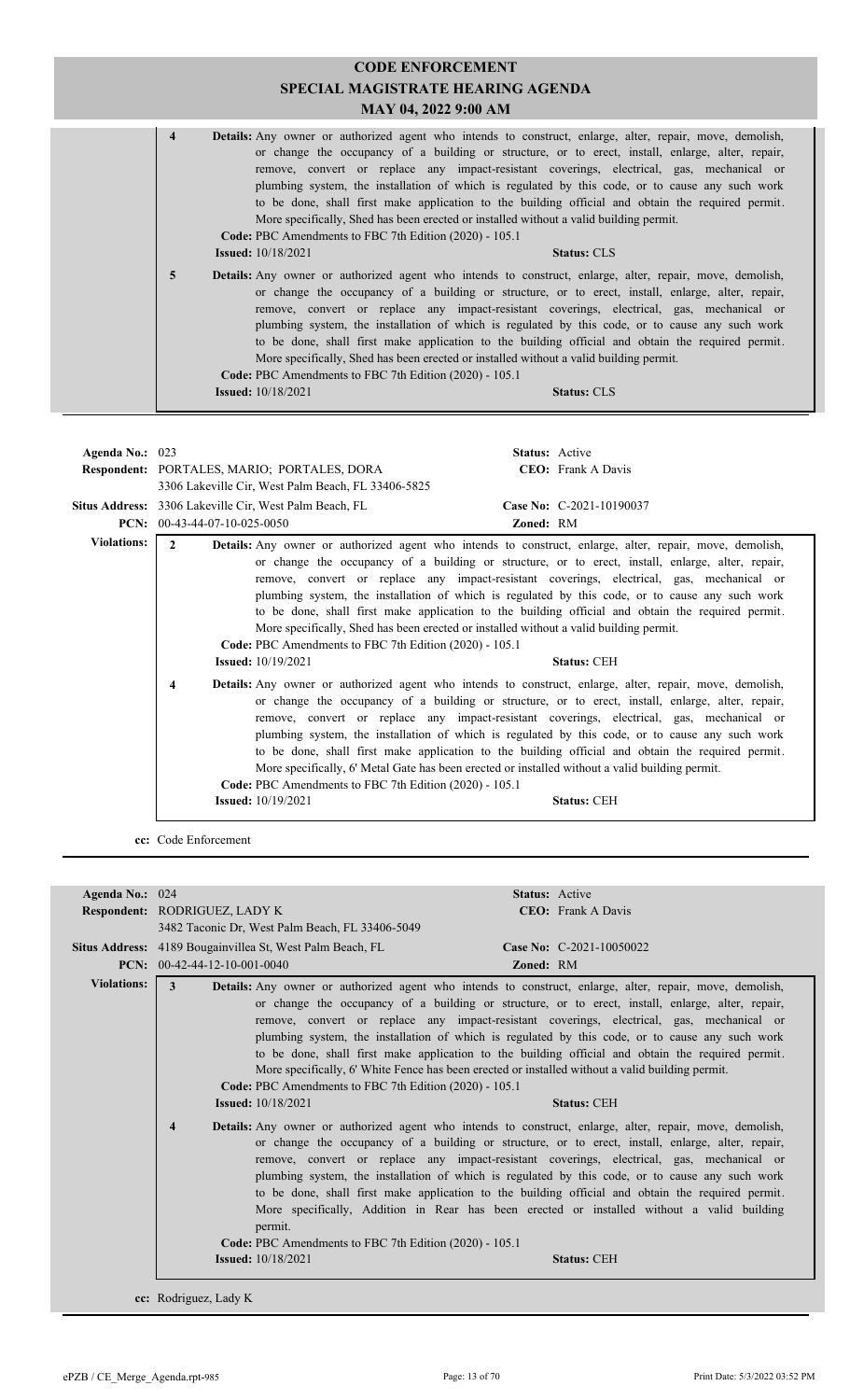| <b>CODE ENFORCEMENT</b><br><b>SPECIAL MAGISTRATE HEARING AGENDA</b><br>MAY 04, 2022 9:00 AM |                                                                                     |                                                                                                                                                                                                                                                                                                                                                                                                                                                                                                                                                                                                                                           |  |
|---------------------------------------------------------------------------------------------|-------------------------------------------------------------------------------------|-------------------------------------------------------------------------------------------------------------------------------------------------------------------------------------------------------------------------------------------------------------------------------------------------------------------------------------------------------------------------------------------------------------------------------------------------------------------------------------------------------------------------------------------------------------------------------------------------------------------------------------------|--|
| $\overline{\mathbf{4}}$                                                                     | Code: PBC Amendments to FBC 7th Edition (2020) - 105.1<br><b>Issued:</b> 10/18/2021 | Details: Any owner or authorized agent who intends to construct, enlarge, alter, repair, move, demolish,<br>or change the occupancy of a building or structure, or to erect, install, enlarge, alter, repair,<br>remove, convert or replace any impact-resistant coverings, electrical, gas, mechanical or<br>plumbing system, the installation of which is regulated by this code, or to cause any such work<br>to be done, shall first make application to the building official and obtain the required permit.<br>More specifically, Shed has been erected or installed without a valid building permit.<br><b>Status: CLS</b>        |  |
| 5                                                                                           | Code: PBC Amendments to FBC 7th Edition (2020) - 105.1<br><b>Issued:</b> 10/18/2021 | <b>Details:</b> Any owner or authorized agent who intends to construct, enlarge, alter, repair, move, demolish,<br>or change the occupancy of a building or structure, or to erect, install, enlarge, alter, repair,<br>remove, convert or replace any impact-resistant coverings, electrical, gas, mechanical or<br>plumbing system, the installation of which is regulated by this code, or to cause any such work<br>to be done, shall first make application to the building official and obtain the required permit.<br>More specifically, Shed has been erected or installed without a valid building permit.<br><b>Status: CLS</b> |  |

| Agenda No.: $023$  |                                                                                          | <b>Status:</b> Active                                                                                                                                                                                                                                                                                                                                                                                                                                                                                                                                                                                                                              |
|--------------------|------------------------------------------------------------------------------------------|----------------------------------------------------------------------------------------------------------------------------------------------------------------------------------------------------------------------------------------------------------------------------------------------------------------------------------------------------------------------------------------------------------------------------------------------------------------------------------------------------------------------------------------------------------------------------------------------------------------------------------------------------|
|                    | Respondent: PORTALES, MARIO; PORTALES, DORA                                              | <b>CEO:</b> Frank A Davis                                                                                                                                                                                                                                                                                                                                                                                                                                                                                                                                                                                                                          |
|                    | 3306 Lakeville Cir, West Palm Beach, FL 33406-5825                                       |                                                                                                                                                                                                                                                                                                                                                                                                                                                                                                                                                                                                                                                    |
|                    | Situs Address: 3306 Lakeville Cir, West Palm Beach, FL                                   | Case No: C-2021-10190037                                                                                                                                                                                                                                                                                                                                                                                                                                                                                                                                                                                                                           |
|                    | PCN: $00-43-44-07-10-025-0050$                                                           | Zoned: RM                                                                                                                                                                                                                                                                                                                                                                                                                                                                                                                                                                                                                                          |
| <b>Violations:</b> | $\mathbf{2}$                                                                             | Details: Any owner or authorized agent who intends to construct, enlarge, alter, repair, move, demolish,                                                                                                                                                                                                                                                                                                                                                                                                                                                                                                                                           |
|                    | Code: PBC Amendments to FBC 7th Edition (2020) - 105.1<br><b>Issued:</b> $10/19/2021$    | or change the occupancy of a building or structure, or to erect, install, enlarge, alter, repair,<br>remove, convert or replace any impact-resistant coverings, electrical, gas, mechanical or<br>plumbing system, the installation of which is regulated by this code, or to cause any such work<br>to be done, shall first make application to the building official and obtain the required permit.<br>More specifically, Shed has been erected or installed without a valid building permit.<br><b>Status: CEH</b>                                                                                                                             |
|                    | 4<br>Code: PBC Amendments to FBC 7th Edition (2020) - 105.1<br><b>Issued:</b> 10/19/2021 | <b>Details:</b> Any owner or authorized agent who intends to construct, enlarge, alter, repair, move, demolish,<br>or change the occupancy of a building or structure, or to erect, install, enlarge, alter, repair,<br>remove, convert or replace any impact-resistant coverings, electrical, gas, mechanical or<br>plumbing system, the installation of which is regulated by this code, or to cause any such work<br>to be done, shall first make application to the building official and obtain the required permit.<br>More specifically, 6' Metal Gate has been erected or installed without a valid building permit.<br><b>Status: CEH</b> |

**cc:** Code Enforcement

| Agenda No.: 024    |                                                                                                                                                                                                                       | <b>Status:</b> Active                                                                                                                                                                                                                                                                                                                                                                                                                                                                                                                                                                                                                                                                                                                                                                                                                                                                                                                                                                                                                                                                                                                                                                                                                                                                         |  |
|--------------------|-----------------------------------------------------------------------------------------------------------------------------------------------------------------------------------------------------------------------|-----------------------------------------------------------------------------------------------------------------------------------------------------------------------------------------------------------------------------------------------------------------------------------------------------------------------------------------------------------------------------------------------------------------------------------------------------------------------------------------------------------------------------------------------------------------------------------------------------------------------------------------------------------------------------------------------------------------------------------------------------------------------------------------------------------------------------------------------------------------------------------------------------------------------------------------------------------------------------------------------------------------------------------------------------------------------------------------------------------------------------------------------------------------------------------------------------------------------------------------------------------------------------------------------|--|
|                    | Respondent: RODRIGUEZ, LADY K                                                                                                                                                                                         | <b>CEO</b> : Frank A Davis                                                                                                                                                                                                                                                                                                                                                                                                                                                                                                                                                                                                                                                                                                                                                                                                                                                                                                                                                                                                                                                                                                                                                                                                                                                                    |  |
|                    | 3482 Taconic Dr. West Palm Beach, FL 33406-5049                                                                                                                                                                       |                                                                                                                                                                                                                                                                                                                                                                                                                                                                                                                                                                                                                                                                                                                                                                                                                                                                                                                                                                                                                                                                                                                                                                                                                                                                                               |  |
|                    | Situs Address: 4189 Bougainvillea St, West Palm Beach, FL                                                                                                                                                             | Case No: C-2021-10050022                                                                                                                                                                                                                                                                                                                                                                                                                                                                                                                                                                                                                                                                                                                                                                                                                                                                                                                                                                                                                                                                                                                                                                                                                                                                      |  |
|                    | <b>PCN:</b> $00-42-44-12-10-001-0040$                                                                                                                                                                                 | <b>Zoned: RM</b>                                                                                                                                                                                                                                                                                                                                                                                                                                                                                                                                                                                                                                                                                                                                                                                                                                                                                                                                                                                                                                                                                                                                                                                                                                                                              |  |
| <b>Violations:</b> | 3<br>Code: PBC Amendments to FBC 7th Edition (2020) - 105.1<br><b>Issued:</b> 10/18/2021<br>$\overline{\mathbf{4}}$<br>permit.<br>Code: PBC Amendments to FBC 7th Edition (2020) - 105.1<br><b>Issued:</b> 10/18/2021 | Details: Any owner or authorized agent who intends to construct, enlarge, alter, repair, move, demolish,<br>or change the occupancy of a building or structure, or to erect, install, enlarge, alter, repair,<br>remove, convert or replace any impact-resistant coverings, electrical, gas, mechanical or<br>plumbing system, the installation of which is regulated by this code, or to cause any such work<br>to be done, shall first make application to the building official and obtain the required permit.<br>More specifically, 6' White Fence has been erected or installed without a valid building permit.<br><b>Status: CEH</b><br><b>Details:</b> Any owner or authorized agent who intends to construct, enlarge, alter, repair, move, demolish,<br>or change the occupancy of a building or structure, or to erect, install, enlarge, alter, repair,<br>remove, convert or replace any impact-resistant coverings, electrical, gas, mechanical or<br>plumbing system, the installation of which is regulated by this code, or to cause any such work<br>to be done, shall first make application to the building official and obtain the required permit.<br>More specifically, Addition in Rear has been erected or installed without a valid building<br><b>Status: CEH</b> |  |
|                    | cc: Rodriguez, Lady K                                                                                                                                                                                                 |                                                                                                                                                                                                                                                                                                                                                                                                                                                                                                                                                                                                                                                                                                                                                                                                                                                                                                                                                                                                                                                                                                                                                                                                                                                                                               |  |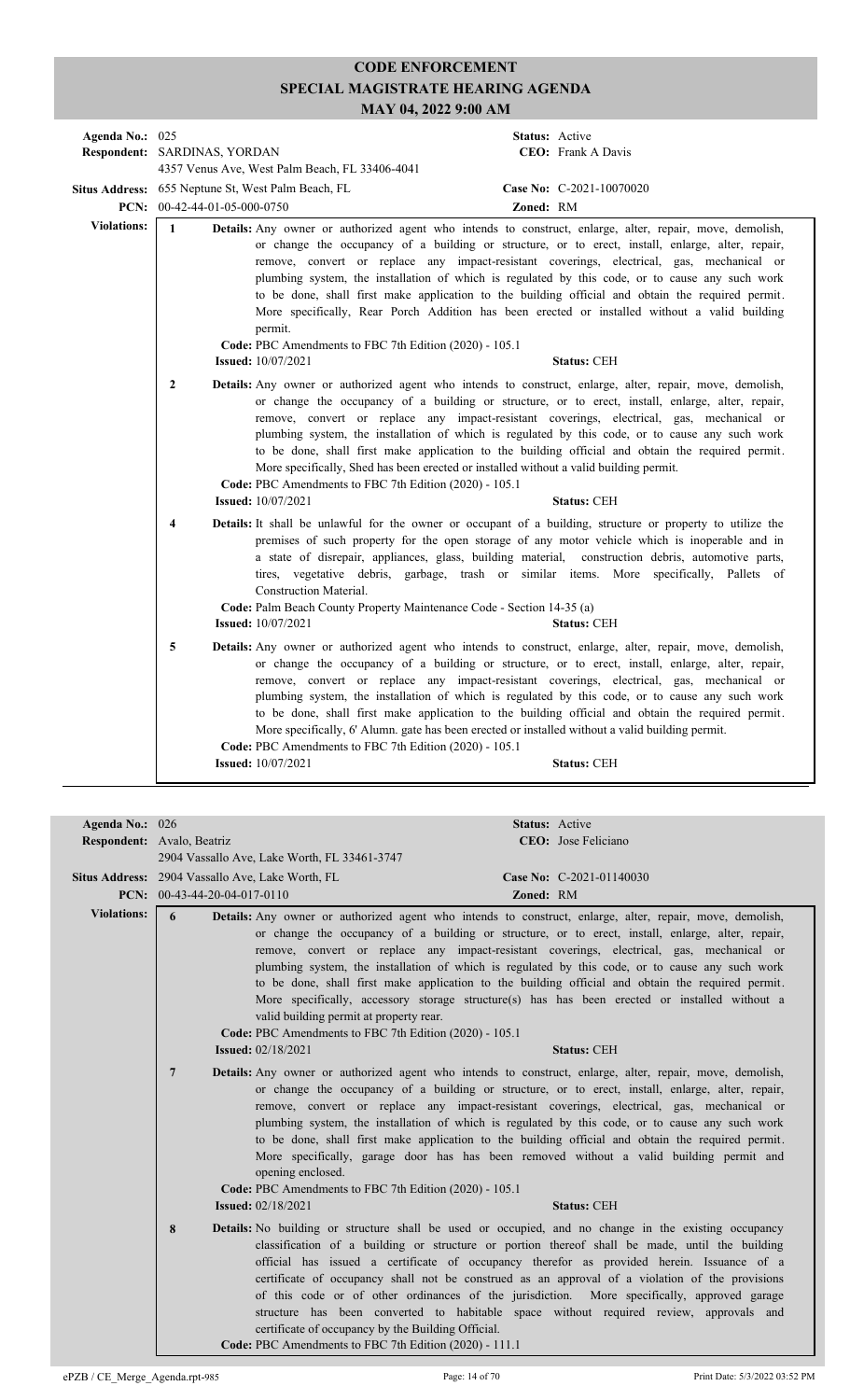| Agenda No.: 025    | Respondent: SARDINAS, YORDAN                                                                                                                                                                                                                                                                                                                                                                                                                                                                                                                                                                                                                                                                             | 4357 Venus Ave, West Palm Beach, FL 33406-4041                                                                                                                                                                                                                                                                                                                                                                                                                                                                                                                                                                                                                                                                                   | <b>Status:</b> Active<br><b>CEO:</b> Frank A Davis |  |
|--------------------|----------------------------------------------------------------------------------------------------------------------------------------------------------------------------------------------------------------------------------------------------------------------------------------------------------------------------------------------------------------------------------------------------------------------------------------------------------------------------------------------------------------------------------------------------------------------------------------------------------------------------------------------------------------------------------------------------------|----------------------------------------------------------------------------------------------------------------------------------------------------------------------------------------------------------------------------------------------------------------------------------------------------------------------------------------------------------------------------------------------------------------------------------------------------------------------------------------------------------------------------------------------------------------------------------------------------------------------------------------------------------------------------------------------------------------------------------|----------------------------------------------------|--|
|                    | PCN: 00-42-44-01-05-000-0750                                                                                                                                                                                                                                                                                                                                                                                                                                                                                                                                                                                                                                                                             | Situs Address: 655 Neptune St, West Palm Beach, FL                                                                                                                                                                                                                                                                                                                                                                                                                                                                                                                                                                                                                                                                               | Case No: C-2021-10070020<br>Zoned: RM              |  |
| <b>Violations:</b> | $\mathbf{1}$<br>Details: Any owner or authorized agent who intends to construct, enlarge, alter, repair, move, demolish,<br>or change the occupancy of a building or structure, or to erect, install, enlarge, alter, repair,<br>remove, convert or replace any impact-resistant coverings, electrical, gas, mechanical or<br>plumbing system, the installation of which is regulated by this code, or to cause any such work<br>to be done, shall first make application to the building official and obtain the required permit.<br>More specifically, Rear Porch Addition has been erected or installed without a valid building<br>permit.<br>Code: PBC Amendments to FBC 7th Edition (2020) - 105.1 |                                                                                                                                                                                                                                                                                                                                                                                                                                                                                                                                                                                                                                                                                                                                  |                                                    |  |
|                    | $\overline{2}$                                                                                                                                                                                                                                                                                                                                                                                                                                                                                                                                                                                                                                                                                           | <b>Issued:</b> 10/07/2021<br>Details: Any owner or authorized agent who intends to construct, enlarge, alter, repair, move, demolish,<br>or change the occupancy of a building or structure, or to erect, install, enlarge, alter, repair,<br>remove, convert or replace any impact-resistant coverings, electrical, gas, mechanical or<br>plumbing system, the installation of which is regulated by this code, or to cause any such work<br>to be done, shall first make application to the building official and obtain the required permit.<br>More specifically, Shed has been erected or installed without a valid building permit.<br>Code: PBC Amendments to FBC 7th Edition (2020) - 105.1<br><b>Issued:</b> 10/07/2021 | <b>Status: CEH</b><br><b>Status: CEH</b>           |  |
|                    | $\overline{\mathbf{4}}$                                                                                                                                                                                                                                                                                                                                                                                                                                                                                                                                                                                                                                                                                  | Details: It shall be unlawful for the owner or occupant of a building, structure or property to utilize the<br>premises of such property for the open storage of any motor vehicle which is inoperable and in<br>a state of disrepair, appliances, glass, building material, construction debris, automotive parts,<br>tires, vegetative debris, garbage, trash or similar items. More specifically, Pallets of<br>Construction Material.<br>Code: Palm Beach County Property Maintenance Code - Section 14-35 (a)<br><b>Issued:</b> 10/07/2021                                                                                                                                                                                  | <b>Status: CEH</b>                                 |  |
|                    | 5                                                                                                                                                                                                                                                                                                                                                                                                                                                                                                                                                                                                                                                                                                        | Details: Any owner or authorized agent who intends to construct, enlarge, alter, repair, move, demolish,<br>or change the occupancy of a building or structure, or to erect, install, enlarge, alter, repair,<br>remove, convert or replace any impact-resistant coverings, electrical, gas, mechanical or<br>plumbing system, the installation of which is regulated by this code, or to cause any such work<br>to be done, shall first make application to the building official and obtain the required permit.<br>More specifically, 6' Alumn. gate has been erected or installed without a valid building permit.<br>Code: PBC Amendments to FBC 7th Edition (2020) - 105.1<br><b>Issued:</b> 10/07/2021                    | <b>Status: CEH</b>                                 |  |

| Agenda No.: 026    | <b>Respondent:</b> Avalo, Beatriz<br>2904 Vassallo Ave, Lake Worth, FL 33461-3747                                                   | Status: Active<br>CEO: Jose Feliciano                                                                                                                                                                                                                                                                                                                                                                                                                                                                                                                                                                                                            |
|--------------------|-------------------------------------------------------------------------------------------------------------------------------------|--------------------------------------------------------------------------------------------------------------------------------------------------------------------------------------------------------------------------------------------------------------------------------------------------------------------------------------------------------------------------------------------------------------------------------------------------------------------------------------------------------------------------------------------------------------------------------------------------------------------------------------------------|
|                    | Situs Address: 2904 Vassallo Ave, Lake Worth, FL<br>PCN: $00-43-44-20-04-017-0110$                                                  | Case No: C-2021-01140030<br>Zoned: RM                                                                                                                                                                                                                                                                                                                                                                                                                                                                                                                                                                                                            |
| <b>Violations:</b> | 6<br>valid building permit at property rear.<br>Code: PBC Amendments to FBC 7th Edition (2020) - 105.1<br><b>Issued:</b> 02/18/2021 | <b>Details:</b> Any owner or authorized agent who intends to construct, enlarge, alter, repair, move, demolish,<br>or change the occupancy of a building or structure, or to erect, install, enlarge, alter, repair,<br>remove, convert or replace any impact-resistant coverings, electrical, gas, mechanical or<br>plumbing system, the installation of which is regulated by this code, or to cause any such work<br>to be done, shall first make application to the building official and obtain the required permit.<br>More specifically, accessory storage structure(s) has has been erected or installed without a<br><b>Status: CEH</b> |
|                    | $\overline{7}$<br>opening enclosed.<br>Code: PBC Amendments to FBC 7th Edition (2020) - 105.1<br><b>Issued: 02/18/2021</b>          | Details: Any owner or authorized agent who intends to construct, enlarge, alter, repair, move, demolish,<br>or change the occupancy of a building or structure, or to erect, install, enlarge, alter, repair,<br>remove, convert or replace any impact-resistant coverings, electrical, gas, mechanical or<br>plumbing system, the installation of which is regulated by this code, or to cause any such work<br>to be done, shall first make application to the building official and obtain the required permit.<br>More specifically, garage door has has been removed without a valid building permit and<br><b>Status: CEH</b>              |
|                    | 8<br>certificate of occupancy by the Building Official.<br>Code: PBC Amendments to FBC 7th Edition (2020) - 111.1                   | <b>Details:</b> No building or structure shall be used or occupied, and no change in the existing occupancy<br>classification of a building or structure or portion thereof shall be made, until the building<br>official has issued a certificate of occupancy therefor as provided herein. Issuance of a<br>certificate of occupancy shall not be construed as an approval of a violation of the provisions<br>of this code or of other ordinances of the jurisdiction. More specifically, approved garage<br>structure has been converted to habitable space without required review, approvals and                                           |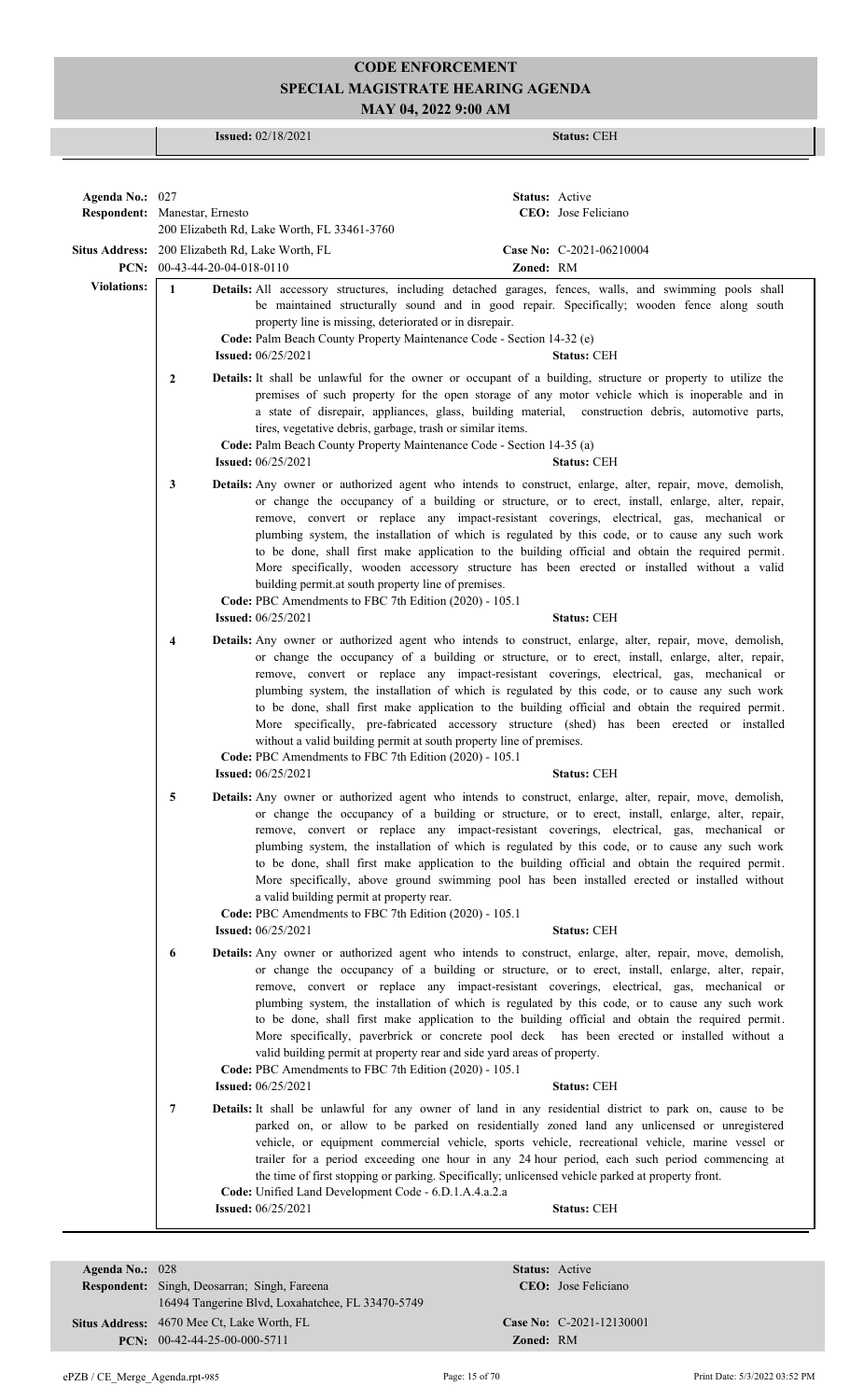**Issued:** 02/18/2021 **Status:** CEH

| Agenda No.: 027    |                                                 |                                                                                                                                                                                                                                                                                                                                                                                                                                                                                                                                                                                                                                                                                                                                                                                     | <b>Status:</b> Active |                          |
|--------------------|-------------------------------------------------|-------------------------------------------------------------------------------------------------------------------------------------------------------------------------------------------------------------------------------------------------------------------------------------------------------------------------------------------------------------------------------------------------------------------------------------------------------------------------------------------------------------------------------------------------------------------------------------------------------------------------------------------------------------------------------------------------------------------------------------------------------------------------------------|-----------------------|--------------------------|
|                    | Respondent: Manestar, Ernesto                   | 200 Elizabeth Rd, Lake Worth, FL 33461-3760                                                                                                                                                                                                                                                                                                                                                                                                                                                                                                                                                                                                                                                                                                                                         |                       | CEO: Jose Feliciano      |
|                    | Situs Address: 200 Elizabeth Rd, Lake Worth, FL |                                                                                                                                                                                                                                                                                                                                                                                                                                                                                                                                                                                                                                                                                                                                                                                     |                       | Case No: C-2021-06210004 |
|                    | PCN: 00-43-44-20-04-018-0110                    |                                                                                                                                                                                                                                                                                                                                                                                                                                                                                                                                                                                                                                                                                                                                                                                     | Zoned: RM             |                          |
| <b>Violations:</b> | $\mathbf{1}$                                    | Details: All accessory structures, including detached garages, fences, walls, and swimming pools shall<br>be maintained structurally sound and in good repair. Specifically; wooden fence along south<br>property line is missing, deteriorated or in disrepair.<br>Code: Palm Beach County Property Maintenance Code - Section 14-32 (e)<br><b>Issued:</b> 06/25/2021                                                                                                                                                                                                                                                                                                                                                                                                              |                       | <b>Status: CEH</b>       |
|                    | $\overline{2}$                                  | Details: It shall be unlawful for the owner or occupant of a building, structure or property to utilize the<br>premises of such property for the open storage of any motor vehicle which is inoperable and in<br>a state of disrepair, appliances, glass, building material, construction debris, automotive parts,<br>tires, vegetative debris, garbage, trash or similar items.<br>Code: Palm Beach County Property Maintenance Code - Section 14-35 (a)<br><b>Issued:</b> 06/25/2021                                                                                                                                                                                                                                                                                             |                       | <b>Status: CEH</b>       |
|                    | 3                                               | <b>Details:</b> Any owner or authorized agent who intends to construct, enlarge, alter, repair, move, demolish,<br>or change the occupancy of a building or structure, or to erect, install, enlarge, alter, repair,<br>remove, convert or replace any impact-resistant coverings, electrical, gas, mechanical or<br>plumbing system, the installation of which is regulated by this code, or to cause any such work<br>to be done, shall first make application to the building official and obtain the required permit.<br>More specifically, wooden accessory structure has been erected or installed without a valid<br>building permit.at south property line of premises.<br>Code: PBC Amendments to FBC 7th Edition (2020) - 105.1<br><b>Issued: 06/25/2021</b>              |                       | <b>Status: CEH</b>       |
|                    |                                                 |                                                                                                                                                                                                                                                                                                                                                                                                                                                                                                                                                                                                                                                                                                                                                                                     |                       |                          |
|                    | 4                                               | Details: Any owner or authorized agent who intends to construct, enlarge, alter, repair, move, demolish,<br>or change the occupancy of a building or structure, or to erect, install, enlarge, alter, repair,<br>remove, convert or replace any impact-resistant coverings, electrical, gas, mechanical or<br>plumbing system, the installation of which is regulated by this code, or to cause any such work<br>to be done, shall first make application to the building official and obtain the required permit.<br>More specifically, pre-fabricated accessory structure (shed) has been erected or installed<br>without a valid building permit at south property line of premises.<br>Code: PBC Amendments to FBC 7th Edition (2020) - 105.1<br><b>Issued:</b> $06/25/2021$    |                       | <b>Status: CEH</b>       |
|                    | 5                                               | Details: Any owner or authorized agent who intends to construct, enlarge, alter, repair, move, demolish,                                                                                                                                                                                                                                                                                                                                                                                                                                                                                                                                                                                                                                                                            |                       |                          |
|                    |                                                 | or change the occupancy of a building or structure, or to erect, install, enlarge, alter, repair,<br>remove, convert or replace any impact-resistant coverings, electrical, gas, mechanical or<br>plumbing system, the installation of which is regulated by this code, or to cause any such work<br>to be done, shall first make application to the building official and obtain the required permit.<br>More specifically, above ground swimming pool has been installed erected or installed without<br>a valid building permit at property rear.<br>Code: PBC Amendments to FBC 7th Edition (2020) - 105.1                                                                                                                                                                      |                       |                          |
|                    |                                                 | <b>Issued:</b> 06/25/2021                                                                                                                                                                                                                                                                                                                                                                                                                                                                                                                                                                                                                                                                                                                                                           |                       | <b>Status: CEH</b>       |
|                    | 6                                               | Details: Any owner or authorized agent who intends to construct, enlarge, alter, repair, move, demolish,<br>or change the occupancy of a building or structure, or to erect, install, enlarge, alter, repair,<br>remove, convert or replace any impact-resistant coverings, electrical, gas, mechanical or<br>plumbing system, the installation of which is regulated by this code, or to cause any such work<br>to be done, shall first make application to the building official and obtain the required permit.<br>More specifically, paverbrick or concrete pool deck has been erected or installed without a<br>valid building permit at property rear and side yard areas of property.<br>Code: PBC Amendments to FBC 7th Edition (2020) - 105.1<br><b>Issued:</b> 06/25/2021 |                       | <b>Status: CEH</b>       |
|                    | 7                                               | Details: It shall be unlawful for any owner of land in any residential district to park on, cause to be<br>parked on, or allow to be parked on residentially zoned land any unlicensed or unregistered<br>vehicle, or equipment commercial vehicle, sports vehicle, recreational vehicle, marine vessel or<br>trailer for a period exceeding one hour in any 24 hour period, each such period commencing at<br>the time of first stopping or parking. Specifically; unlicensed vehicle parked at property front.<br>Code: Unified Land Development Code - 6.D.1.A.4.a.2.a                                                                                                                                                                                                           |                       |                          |
|                    |                                                 | <b>Issued: 06/25/2021</b>                                                                                                                                                                                                                                                                                                                                                                                                                                                                                                                                                                                                                                                                                                                                                           |                       | <b>Status: CEH</b>       |
|                    |                                                 |                                                                                                                                                                                                                                                                                                                                                                                                                                                                                                                                                                                                                                                                                                                                                                                     |                       |                          |

| Agenda No.: $028$ |                                                     | Status:         |
|-------------------|-----------------------------------------------------|-----------------|
|                   | <b>Respondent:</b> Singh, Deosarran; Singh, Fareena | CEO:            |
|                   | 16494 Tangerine Blvd, Loxahatchee, FL 33470-5749    |                 |
|                   | <b>Situs Address:</b> 4670 Mee Ct, Lake Worth, FL   | <b>Case No:</b> |
|                   | $PCN: 00-42-44-25-00-000-5711$                      | Zoned:          |

**Case No:** C-2021-12130001 **Zoned:** RM

**Status:** Active CEO: Jose Feliciano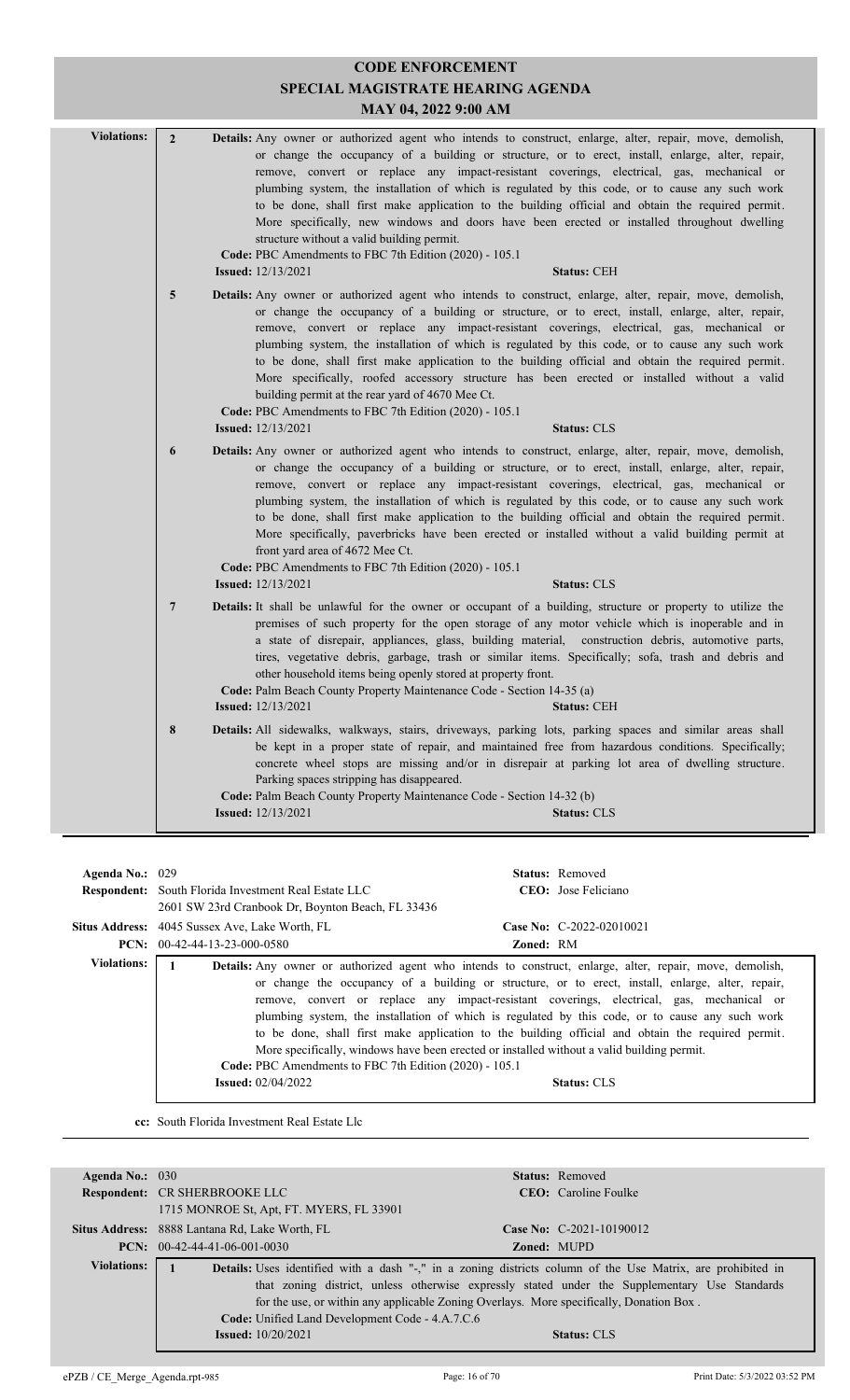|                                                                                                                                                                    | <b>CODE ENFORCEMENT</b>           |                                                                                                                                                                                                                                                                                                                                                                                                                                                                                                                                                                                                                                                                                                                                                                                           |  |  |  |
|--------------------------------------------------------------------------------------------------------------------------------------------------------------------|-----------------------------------|-------------------------------------------------------------------------------------------------------------------------------------------------------------------------------------------------------------------------------------------------------------------------------------------------------------------------------------------------------------------------------------------------------------------------------------------------------------------------------------------------------------------------------------------------------------------------------------------------------------------------------------------------------------------------------------------------------------------------------------------------------------------------------------------|--|--|--|
|                                                                                                                                                                    | SPECIAL MAGISTRATE HEARING AGENDA |                                                                                                                                                                                                                                                                                                                                                                                                                                                                                                                                                                                                                                                                                                                                                                                           |  |  |  |
|                                                                                                                                                                    | MAY 04, 2022 9:00 AM              |                                                                                                                                                                                                                                                                                                                                                                                                                                                                                                                                                                                                                                                                                                                                                                                           |  |  |  |
| <b>Violations:</b><br>$\overline{2}$<br>structure without a valid building permit.<br>Code: PBC Amendments to FBC 7th Edition (2020) - 105.1<br><b>Status: CEH</b> |                                   | Details: Any owner or authorized agent who intends to construct, enlarge, alter, repair, move, demolish,<br>or change the occupancy of a building or structure, or to erect, install, enlarge, alter, repair,<br>remove, convert or replace any impact-resistant coverings, electrical, gas, mechanical or<br>plumbing system, the installation of which is regulated by this code, or to cause any such work<br>to be done, shall first make application to the building official and obtain the required permit.<br>More specifically, new windows and doors have been erected or installed throughout dwelling<br><b>Issued:</b> 12/13/2021                                                                                                                                            |  |  |  |
|                                                                                                                                                                    | 5                                 | <b>Details:</b> Any owner or authorized agent who intends to construct, enlarge, alter, repair, move, demolish,<br>or change the occupancy of a building or structure, or to erect, install, enlarge, alter, repair,<br>remove, convert or replace any impact-resistant coverings, electrical, gas, mechanical or<br>plumbing system, the installation of which is regulated by this code, or to cause any such work<br>to be done, shall first make application to the building official and obtain the required permit.<br>More specifically, roofed accessory structure has been erected or installed without a valid<br>building permit at the rear yard of 4670 Mee Ct.<br>Code: PBC Amendments to FBC 7th Edition (2020) - 105.1<br><b>Issued:</b> 12/13/2021<br><b>Status: CLS</b> |  |  |  |
|                                                                                                                                                                    | 6                                 | Details: Any owner or authorized agent who intends to construct, enlarge, alter, repair, move, demolish,<br>or change the occupancy of a building or structure, or to erect, install, enlarge, alter, repair,<br>remove, convert or replace any impact-resistant coverings, electrical, gas, mechanical or<br>plumbing system, the installation of which is regulated by this code, or to cause any such work<br>to be done, shall first make application to the building official and obtain the required permit.<br>More specifically, paverbricks have been erected or installed without a valid building permit at<br>front yard area of 4672 Mee Ct.<br>Code: PBC Amendments to FBC 7th Edition (2020) - 105.1<br><b>Issued:</b> 12/13/2021<br><b>Status: CLS</b>                    |  |  |  |
|                                                                                                                                                                    | 7                                 | Details: It shall be unlawful for the owner or occupant of a building, structure or property to utilize the<br>premises of such property for the open storage of any motor vehicle which is inoperable and in<br>a state of disrepair, appliances, glass, building material, construction debris, automotive parts,<br>tires, vegetative debris, garbage, trash or similar items. Specifically; sofa, trash and debris and<br>other household items being openly stored at property front.<br>Code: Palm Beach County Property Maintenance Code - Section 14-35 (a)<br><b>Issued:</b> 12/13/2021<br><b>Status: CEH</b>                                                                                                                                                                    |  |  |  |
|                                                                                                                                                                    | $8\phantom{1}$                    | Details: All sidewalks, walkways, stairs, driveways, parking lots, parking spaces and similar areas shall<br>be kept in a proper state of repair, and maintained free from hazardous conditions. Specifically;<br>concrete wheel stops are missing and/or in disrepair at parking lot area of dwelling structure.<br>Parking spaces stripping has disappeared.<br>Code: Palm Beach County Property Maintenance Code - Section 14-32 (b)<br><b>Issued:</b> 12/13/2021<br><b>Status: CLS</b>                                                                                                                                                                                                                                                                                                |  |  |  |

| Agenda No.: $029$  | <b>Respondent:</b> South Florida Investment Real Estate LLC<br>2601 SW 23rd Cranbook Dr, Boynton Beach, FL 33436 | <b>Status:</b> Removed<br>CEO: Jose Feliciano                                                                                                                                                                                                                                                                                                                                                                                                                                                                                                                                                                                                 |  |
|--------------------|------------------------------------------------------------------------------------------------------------------|-----------------------------------------------------------------------------------------------------------------------------------------------------------------------------------------------------------------------------------------------------------------------------------------------------------------------------------------------------------------------------------------------------------------------------------------------------------------------------------------------------------------------------------------------------------------------------------------------------------------------------------------------|--|
|                    | <b>Situs Address:</b> 4045 Sussex Ave, Lake Worth, FL<br><b>PCN:</b> $00-42-44-13-23-000-0580$                   | Case No: $C-2022-02010021$<br><b>Zoned: RM</b>                                                                                                                                                                                                                                                                                                                                                                                                                                                                                                                                                                                                |  |
| <b>Violations:</b> | Code: PBC Amendments to FBC 7th Edition (2020) - 105.1<br><b>Issued:</b> $02/04/2022$                            | <b>Details:</b> Any owner or authorized agent who intends to construct, enlarge, alter, repair, move, demolish,<br>or change the occupancy of a building or structure, or to erect, install, enlarge, alter, repair,<br>remove, convert or replace any impact-resistant coverings, electrical, gas, mechanical or<br>plumbing system, the installation of which is regulated by this code, or to cause any such work<br>to be done, shall first make application to the building official and obtain the required permit.<br>More specifically, windows have been erected or installed without a valid building permit.<br><b>Status: CLS</b> |  |

**cc:** South Florida Investment Real Estate Llc

| Agenda No.: $030$  |                                                                                                                    |  | <b>Status:</b> Removed                                                                        |
|--------------------|--------------------------------------------------------------------------------------------------------------------|--|-----------------------------------------------------------------------------------------------|
|                    | <b>Respondent: CR SHERBROOKE LLC</b>                                                                               |  | <b>CEO</b> : Caroline Foulke                                                                  |
|                    | 1715 MONROE St, Apt, FT. MYERS, FL 33901                                                                           |  |                                                                                               |
|                    | Situs Address: 8888 Lantana Rd, Lake Worth, FL                                                                     |  | Case No: $C-2021-10190012$                                                                    |
|                    | $PCN: 00-42-44-41-06-001-0030$                                                                                     |  | <b>Zoned: MUPD</b>                                                                            |
| <b>Violations:</b> | <b>Details:</b> Uses identified with a dash "-," in a zoning districts column of the Use Matrix, are prohibited in |  |                                                                                               |
|                    |                                                                                                                    |  | that zoning district, unless otherwise expressly stated under the Supplementary Use Standards |
|                    | for the use, or within any applicable Zoning Overlays. More specifically, Donation Box.                            |  |                                                                                               |
|                    | Code: Unified Land Development Code - 4.A.7.C.6                                                                    |  |                                                                                               |
|                    | <b>Issued:</b> 10/20/2021                                                                                          |  | <b>Status: CLS</b>                                                                            |
|                    |                                                                                                                    |  |                                                                                               |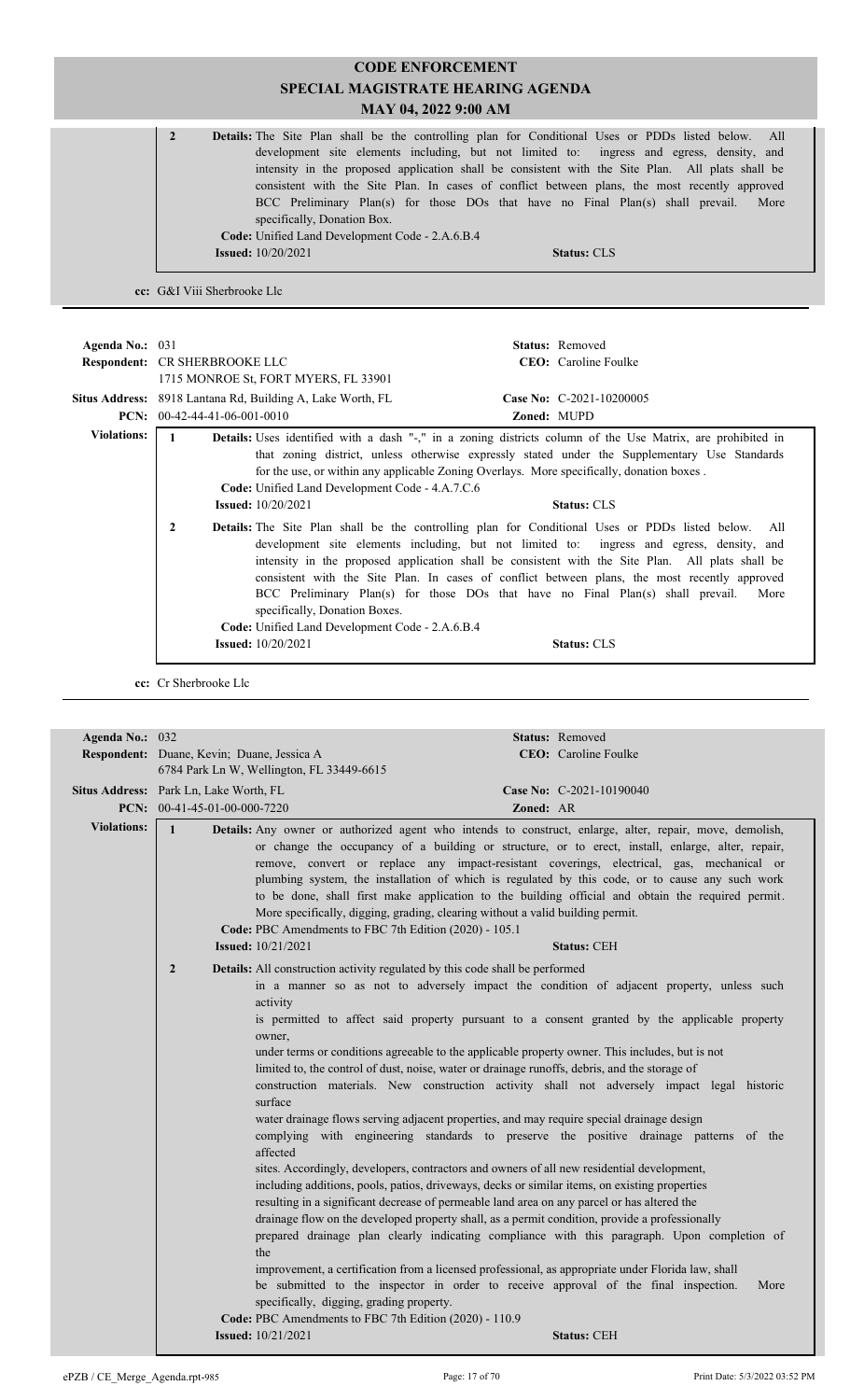| $\mathbf{2}$ | <b>Details:</b> The Site Plan shall be the controlling plan for Conditional Uses or PDDs listed below. All |
|--------------|------------------------------------------------------------------------------------------------------------|
|              | development site elements including, but not limited to: ingress and egress, density, and                  |
|              | intensity in the proposed application shall be consistent with the Site Plan. All plats shall be           |
|              | consistent with the Site Plan. In cases of conflict between plans, the most recently approved              |
|              | BCC Preliminary Plan(s) for those DOs that have no Final Plan(s) shall prevail.<br>More                    |
|              | specifically, Donation Box.                                                                                |
|              | <b>Code:</b> Unified Land Development Code - 2.A.6.B.4                                                     |
|              | <b>Issued:</b> $10/20/2021$<br><b>Status: CLS</b>                                                          |
|              |                                                                                                            |

**cc:** G&I Viii Sherbrooke Llc

| Agenda No.: $031$  | <b>Respondent: CR SHERBROOKE LLC</b>  | 1715 MONROE St, FORT MYERS, FL 33901                                                                                                                                                              |                    | <b>Status:</b> Removed<br><b>CEO</b> : Caroline Foulke                                                                                                                                                                                                                                                                                                                                                                                                                                                                                                                                                                                                                                                                                                                                                                                                           |
|--------------------|---------------------------------------|---------------------------------------------------------------------------------------------------------------------------------------------------------------------------------------------------|--------------------|------------------------------------------------------------------------------------------------------------------------------------------------------------------------------------------------------------------------------------------------------------------------------------------------------------------------------------------------------------------------------------------------------------------------------------------------------------------------------------------------------------------------------------------------------------------------------------------------------------------------------------------------------------------------------------------------------------------------------------------------------------------------------------------------------------------------------------------------------------------|
|                    |                                       | Situs Address: 8918 Lantana Rd, Building A, Lake Worth, FL                                                                                                                                        |                    | Case No: C-2021-10200005                                                                                                                                                                                                                                                                                                                                                                                                                                                                                                                                                                                                                                                                                                                                                                                                                                         |
|                    | <b>PCN:</b> $00-42-44-41-06-001-0010$ |                                                                                                                                                                                                   | <b>Zoned: MUPD</b> |                                                                                                                                                                                                                                                                                                                                                                                                                                                                                                                                                                                                                                                                                                                                                                                                                                                                  |
| <b>Violations:</b> | 1<br>$\mathbf{2}$                     | Code: Unified Land Development Code - 4.A.7.C.6<br><b>Issued:</b> $10/20/2021$<br>specifically, Donation Boxes.<br>Code: Unified Land Development Code - 2.A.6.B.4<br><b>Issued:</b> $10/20/2021$ |                    | <b>Details:</b> Uses identified with a dash "-," in a zoning districts column of the Use Matrix, are prohibited in<br>that zoning district, unless otherwise expressly stated under the Supplementary Use Standards<br>for the use, or within any applicable Zoning Overlays. More specifically, donation boxes.<br><b>Status: CLS</b><br>Details: The Site Plan shall be the controlling plan for Conditional Uses or PDDs listed below. All<br>development site elements including, but not limited to: ingress and egress, density, and<br>intensity in the proposed application shall be consistent with the Site Plan. All plats shall be<br>consistent with the Site Plan. In cases of conflict between plans, the most recently approved<br>BCC Preliminary Plan(s) for those DOs that have no Final Plan(s) shall prevail.<br>More<br><b>Status: CLS</b> |

**cc:** Cr Sherbrooke Llc

| Agenda No.: 032    | Status: Removed                                                                                                                                                                                                                                                                                                                                                                                                                                                                                                                                                                                                                                                                                                                                                                                                                                                                                                                                                                                                                                                                                                                                                                                                                                                                                                                                                                                                                                                                                                                                                                                                                                                                                  |      |
|--------------------|--------------------------------------------------------------------------------------------------------------------------------------------------------------------------------------------------------------------------------------------------------------------------------------------------------------------------------------------------------------------------------------------------------------------------------------------------------------------------------------------------------------------------------------------------------------------------------------------------------------------------------------------------------------------------------------------------------------------------------------------------------------------------------------------------------------------------------------------------------------------------------------------------------------------------------------------------------------------------------------------------------------------------------------------------------------------------------------------------------------------------------------------------------------------------------------------------------------------------------------------------------------------------------------------------------------------------------------------------------------------------------------------------------------------------------------------------------------------------------------------------------------------------------------------------------------------------------------------------------------------------------------------------------------------------------------------------|------|
|                    | CEO: Caroline Foulke<br>Respondent: Duane, Kevin; Duane, Jessica A                                                                                                                                                                                                                                                                                                                                                                                                                                                                                                                                                                                                                                                                                                                                                                                                                                                                                                                                                                                                                                                                                                                                                                                                                                                                                                                                                                                                                                                                                                                                                                                                                               |      |
|                    | 6784 Park Ln W, Wellington, FL 33449-6615                                                                                                                                                                                                                                                                                                                                                                                                                                                                                                                                                                                                                                                                                                                                                                                                                                                                                                                                                                                                                                                                                                                                                                                                                                                                                                                                                                                                                                                                                                                                                                                                                                                        |      |
|                    | Situs Address: Park Ln, Lake Worth, FL<br>Case No: C-2021-10190040                                                                                                                                                                                                                                                                                                                                                                                                                                                                                                                                                                                                                                                                                                                                                                                                                                                                                                                                                                                                                                                                                                                                                                                                                                                                                                                                                                                                                                                                                                                                                                                                                               |      |
|                    | PCN: $00-41-45-01-00-000-7220$<br>Zoned: AR                                                                                                                                                                                                                                                                                                                                                                                                                                                                                                                                                                                                                                                                                                                                                                                                                                                                                                                                                                                                                                                                                                                                                                                                                                                                                                                                                                                                                                                                                                                                                                                                                                                      |      |
| <b>Violations:</b> | $\mathbf{1}$<br>Details: Any owner or authorized agent who intends to construct, enlarge, alter, repair, move, demolish,<br>or change the occupancy of a building or structure, or to erect, install, enlarge, alter, repair,<br>remove, convert or replace any impact-resistant coverings, electrical, gas, mechanical or<br>plumbing system, the installation of which is regulated by this code, or to cause any such work<br>to be done, shall first make application to the building official and obtain the required permit.<br>More specifically, digging, grading, clearing without a valid building permit.<br>Code: PBC Amendments to FBC 7th Edition (2020) - 105.1<br><b>Issued:</b> 10/21/2021<br><b>Status: CEH</b>                                                                                                                                                                                                                                                                                                                                                                                                                                                                                                                                                                                                                                                                                                                                                                                                                                                                                                                                                                |      |
|                    | $\overline{2}$<br>Details: All construction activity regulated by this code shall be performed<br>in a manner so as not to adversely impact the condition of adjacent property, unless such<br>activity<br>is permitted to affect said property pursuant to a consent granted by the applicable property<br>owner,<br>under terms or conditions agreeable to the applicable property owner. This includes, but is not<br>limited to, the control of dust, noise, water or drainage runoffs, debris, and the storage of<br>construction materials. New construction activity shall not adversely impact legal historic<br>surface<br>water drainage flows serving adjacent properties, and may require special drainage design<br>complying with engineering standards to preserve the positive drainage patterns of the<br>affected<br>sites. Accordingly, developers, contractors and owners of all new residential development,<br>including additions, pools, patios, driveways, decks or similar items, on existing properties<br>resulting in a significant decrease of permeable land area on any parcel or has altered the<br>drainage flow on the developed property shall, as a permit condition, provide a professionally<br>prepared drainage plan clearly indicating compliance with this paragraph. Upon completion of<br>the<br>improvement, a certification from a licensed professional, as appropriate under Florida law, shall<br>be submitted to the inspector in order to receive approval of the final inspection.<br>specifically, digging, grading property.<br>Code: PBC Amendments to FBC 7th Edition (2020) - 110.9<br><b>Issued:</b> 10/21/2021<br><b>Status: CEH</b> | More |
|                    |                                                                                                                                                                                                                                                                                                                                                                                                                                                                                                                                                                                                                                                                                                                                                                                                                                                                                                                                                                                                                                                                                                                                                                                                                                                                                                                                                                                                                                                                                                                                                                                                                                                                                                  |      |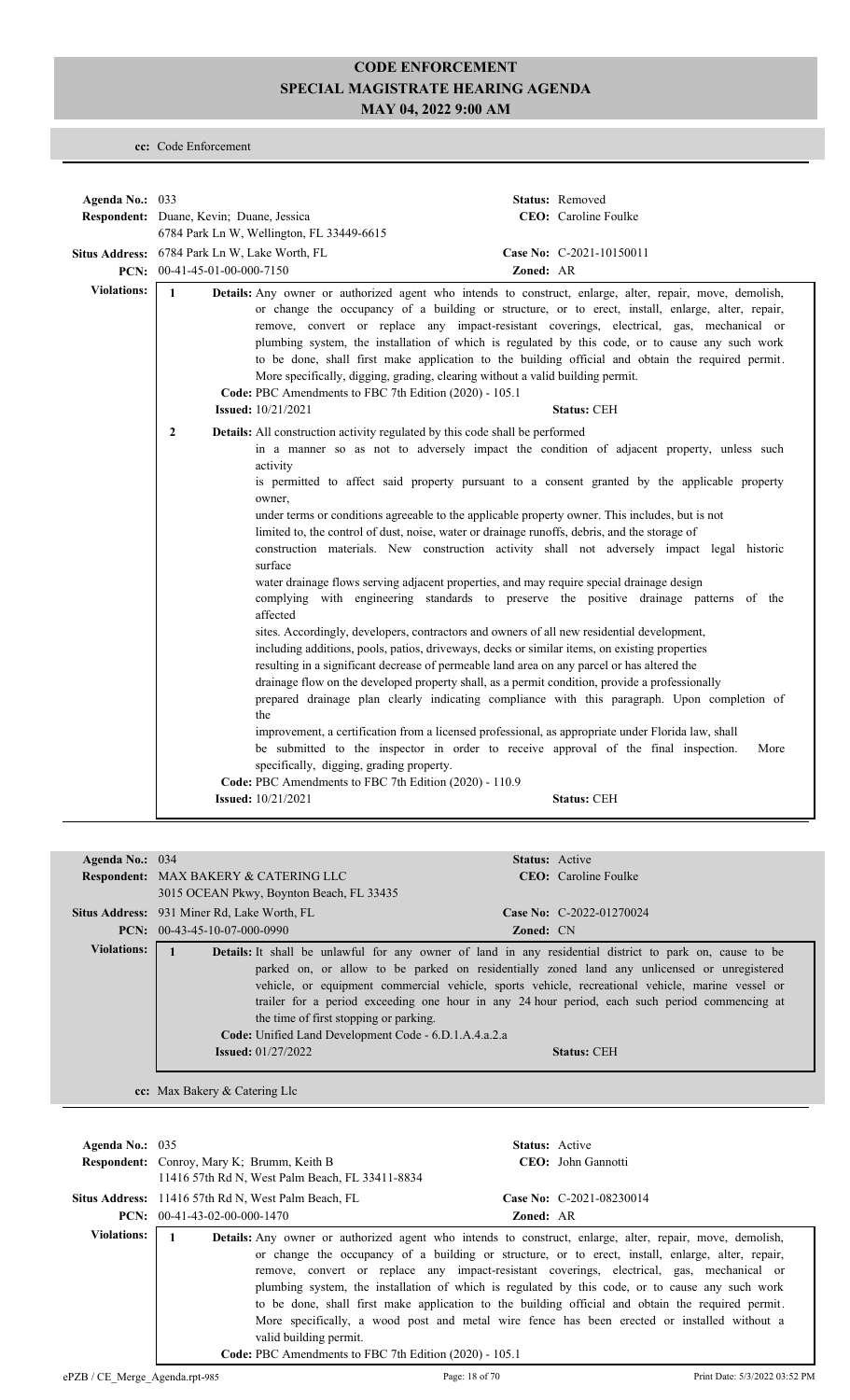**cc:** Code Enforcement

| Agenda No.: 033    |                                               |                                                                                                                                                                                                                                                                                                                                                                                                                                                                                                                                                                                                                                                                                                                                                                                                                                                                                                                                                                                                                                                                                                                                                                                                                                                                    |           | Status: Removed                                                                                                                                                                                                                                                                                                                                                                                                              |
|--------------------|-----------------------------------------------|--------------------------------------------------------------------------------------------------------------------------------------------------------------------------------------------------------------------------------------------------------------------------------------------------------------------------------------------------------------------------------------------------------------------------------------------------------------------------------------------------------------------------------------------------------------------------------------------------------------------------------------------------------------------------------------------------------------------------------------------------------------------------------------------------------------------------------------------------------------------------------------------------------------------------------------------------------------------------------------------------------------------------------------------------------------------------------------------------------------------------------------------------------------------------------------------------------------------------------------------------------------------|-----------|------------------------------------------------------------------------------------------------------------------------------------------------------------------------------------------------------------------------------------------------------------------------------------------------------------------------------------------------------------------------------------------------------------------------------|
|                    | Respondent: Duane, Kevin; Duane, Jessica      |                                                                                                                                                                                                                                                                                                                                                                                                                                                                                                                                                                                                                                                                                                                                                                                                                                                                                                                                                                                                                                                                                                                                                                                                                                                                    |           | CEO: Caroline Foulke                                                                                                                                                                                                                                                                                                                                                                                                         |
|                    |                                               | 6784 Park Ln W, Wellington, FL 33449-6615                                                                                                                                                                                                                                                                                                                                                                                                                                                                                                                                                                                                                                                                                                                                                                                                                                                                                                                                                                                                                                                                                                                                                                                                                          |           |                                                                                                                                                                                                                                                                                                                                                                                                                              |
|                    | Situs Address: 6784 Park Ln W, Lake Worth, FL |                                                                                                                                                                                                                                                                                                                                                                                                                                                                                                                                                                                                                                                                                                                                                                                                                                                                                                                                                                                                                                                                                                                                                                                                                                                                    |           | Case No: C-2021-10150011                                                                                                                                                                                                                                                                                                                                                                                                     |
|                    | PCN: $00-41-45-01-00-000-7150$                |                                                                                                                                                                                                                                                                                                                                                                                                                                                                                                                                                                                                                                                                                                                                                                                                                                                                                                                                                                                                                                                                                                                                                                                                                                                                    | Zoned: AR |                                                                                                                                                                                                                                                                                                                                                                                                                              |
| <b>Violations:</b> | $\mathbf{1}$                                  | Details: Any owner or authorized agent who intends to construct, enlarge, alter, repair, move, demolish,<br>More specifically, digging, grading, clearing without a valid building permit.<br>Code: PBC Amendments to FBC 7th Edition (2020) - 105.1<br><b>Issued:</b> 10/21/2021                                                                                                                                                                                                                                                                                                                                                                                                                                                                                                                                                                                                                                                                                                                                                                                                                                                                                                                                                                                  |           | or change the occupancy of a building or structure, or to erect, install, enlarge, alter, repair,<br>remove, convert or replace any impact-resistant coverings, electrical, gas, mechanical or<br>plumbing system, the installation of which is regulated by this code, or to cause any such work<br>to be done, shall first make application to the building official and obtain the required permit.<br><b>Status: CEH</b> |
|                    | $\overline{2}$                                | Details: All construction activity regulated by this code shall be performed<br>activity<br>is permitted to affect said property pursuant to a consent granted by the applicable property<br>owner,<br>under terms or conditions agreeable to the applicable property owner. This includes, but is not<br>limited to, the control of dust, noise, water or drainage runoffs, debris, and the storage of<br>surface<br>water drainage flows serving adjacent properties, and may require special drainage design<br>affected<br>sites. Accordingly, developers, contractors and owners of all new residential development,<br>including additions, pools, patios, driveways, decks or similar items, on existing properties<br>resulting in a significant decrease of permeable land area on any parcel or has altered the<br>drainage flow on the developed property shall, as a permit condition, provide a professionally<br>the<br>improvement, a certification from a licensed professional, as appropriate under Florida law, shall<br>be submitted to the inspector in order to receive approval of the final inspection.<br>specifically, digging, grading property.<br>Code: PBC Amendments to FBC 7th Edition (2020) - 110.9<br><b>Issued:</b> 10/21/2021 |           | in a manner so as not to adversely impact the condition of adjacent property, unless such<br>construction materials. New construction activity shall not adversely impact legal historic<br>complying with engineering standards to preserve the positive drainage patterns of the<br>prepared drainage plan clearly indicating compliance with this paragraph. Upon completion of<br>More<br><b>Status: CEH</b>             |

| Agenda No.: $034$  |                                                                                                                                | <b>Status:</b> Active                                                                                                                                                                                                                                                                                                                                                                                                                    |
|--------------------|--------------------------------------------------------------------------------------------------------------------------------|------------------------------------------------------------------------------------------------------------------------------------------------------------------------------------------------------------------------------------------------------------------------------------------------------------------------------------------------------------------------------------------------------------------------------------------|
|                    | Respondent: MAX BAKERY & CATERING LLC                                                                                          | <b>CEO</b> : Caroline Foulke                                                                                                                                                                                                                                                                                                                                                                                                             |
|                    | 3015 OCEAN Pkwy, Boynton Beach, FL 33435                                                                                       |                                                                                                                                                                                                                                                                                                                                                                                                                                          |
|                    | <b>Situs Address:</b> 931 Miner Rd, Lake Worth, FL                                                                             | Case No: C-2022-01270024                                                                                                                                                                                                                                                                                                                                                                                                                 |
|                    | $PCN: 00-43-45-10-07-000-0990$                                                                                                 | <b>Zoned:</b> CN                                                                                                                                                                                                                                                                                                                                                                                                                         |
| <b>Violations:</b> | the time of first stopping or parking.<br>Code: Unified Land Development Code - 6.D.1.A.4.a.2.a<br><b>Issued:</b> $01/27/2022$ | <b>Details:</b> It shall be unlawful for any owner of land in any residential district to park on, cause to be<br>parked on, or allow to be parked on residentially zoned land any unlicensed or unregistered<br>vehicle, or equipment commercial vehicle, sports vehicle, recreational vehicle, marine vessel or<br>trailer for a period exceeding one hour in any 24 hour period, each such period commencing at<br><b>Status: CEH</b> |

**cc:** Max Bakery & Catering Llc

| Agenda No.: $035$                                                                                                                                                                                                                                                                                                                                                                                                                                                                                                                                                                                                                                                                                                           | <b>Respondent:</b> Conroy, Mary K; Brumm, Keith B<br>11416 57th Rd N, West Palm Beach, FL 33411-8834 |                  | <b>Status:</b> Active<br>CEO: John Gannotti |
|-----------------------------------------------------------------------------------------------------------------------------------------------------------------------------------------------------------------------------------------------------------------------------------------------------------------------------------------------------------------------------------------------------------------------------------------------------------------------------------------------------------------------------------------------------------------------------------------------------------------------------------------------------------------------------------------------------------------------------|------------------------------------------------------------------------------------------------------|------------------|---------------------------------------------|
|                                                                                                                                                                                                                                                                                                                                                                                                                                                                                                                                                                                                                                                                                                                             | Situs Address: 11416 57th Rd N, West Palm Beach, FL                                                  |                  | Case No: C-2021-08230014                    |
|                                                                                                                                                                                                                                                                                                                                                                                                                                                                                                                                                                                                                                                                                                                             | <b>PCN:</b> $00-41-43-02-00-000-1470$                                                                | <b>Zoned: AR</b> |                                             |
| <b>Violations:</b><br>Details: Any owner or authorized agent who intends to construct, enlarge, alter, repair, move, demolish,<br>or change the occupancy of a building or structure, or to erect, install, enlarge, alter, repair,<br>remove, convert or replace any impact-resistant coverings, electrical, gas, mechanical or<br>plumbing system, the installation of which is regulated by this code, or to cause any such work<br>to be done, shall first make application to the building official and obtain the required permit.<br>More specifically, a wood post and metal wire fence has been erected or installed without a<br>valid building permit.<br>Code: PBC Amendments to FBC 7th Edition (2020) - 105.1 |                                                                                                      |                  |                                             |
| ePZB / CE Merge Agenda.rpt-985                                                                                                                                                                                                                                                                                                                                                                                                                                                                                                                                                                                                                                                                                              |                                                                                                      | Page: 18 of 70   | Print Date: 5/3/2022 03:52 PM               |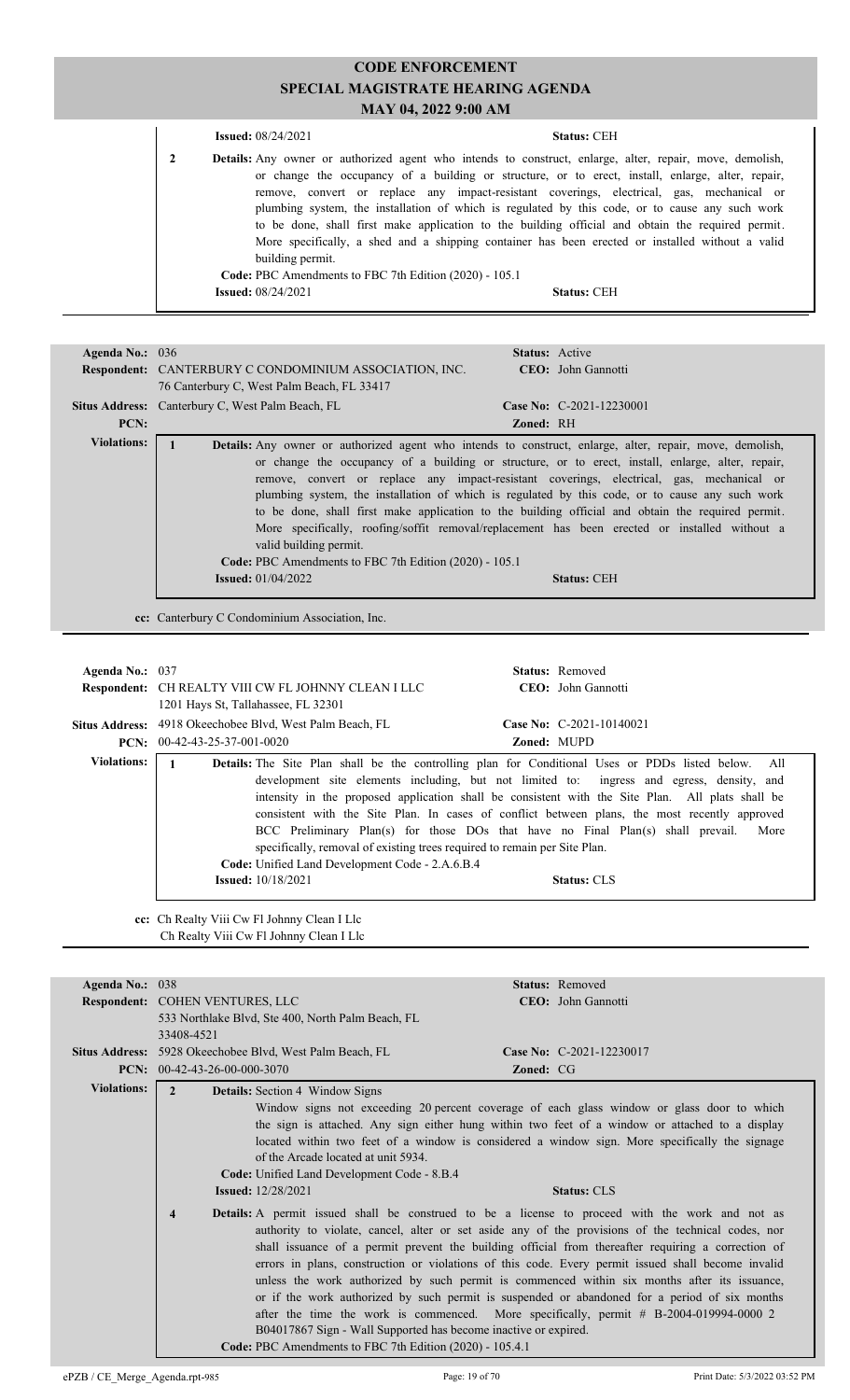|   | <b>Issued:</b> $08/24/2021$                            | <b>Status: CEH</b>                                                                                                                                                                                                                                                                                                                                                                                                                                                                                                                                                                                                            |  |
|---|--------------------------------------------------------|-------------------------------------------------------------------------------------------------------------------------------------------------------------------------------------------------------------------------------------------------------------------------------------------------------------------------------------------------------------------------------------------------------------------------------------------------------------------------------------------------------------------------------------------------------------------------------------------------------------------------------|--|
| 2 | building permit.                                       | <b>Details:</b> Any owner or authorized agent who intends to construct, enlarge, alter, repair, move, demolish,<br>or change the occupancy of a building or structure, or to erect, install, enlarge, alter, repair,<br>remove, convert or replace any impact-resistant coverings, electrical, gas, mechanical or<br>plumbing system, the installation of which is regulated by this code, or to cause any such work<br>to be done, shall first make application to the building official and obtain the required permit.<br>More specifically, a shed and a shipping container has been erected or installed without a valid |  |
|   | Code: PBC Amendments to FBC 7th Edition (2020) - 105.1 |                                                                                                                                                                                                                                                                                                                                                                                                                                                                                                                                                                                                                               |  |
|   | <b>Issued:</b> 08/24/2021                              | <b>Status: CEH</b>                                                                                                                                                                                                                                                                                                                                                                                                                                                                                                                                                                                                            |  |
|   |                                                        |                                                                                                                                                                                                                                                                                                                                                                                                                                                                                                                                                                                                                               |  |

| Agenda No.: $036$  | <b>Respondent:</b> CANTERBURY C CONDOMINIUM ASSOCIATION, INC.<br>76 Canterbury C, West Palm Beach, FL 33417 | <b>Status:</b> Active<br>CEO: John Gannotti                                                                                                                                                                                                                                                                                                                                                                                                                                                                                                                                                                                |
|--------------------|-------------------------------------------------------------------------------------------------------------|----------------------------------------------------------------------------------------------------------------------------------------------------------------------------------------------------------------------------------------------------------------------------------------------------------------------------------------------------------------------------------------------------------------------------------------------------------------------------------------------------------------------------------------------------------------------------------------------------------------------------|
|                    | Situs Address: Canterbury C, West Palm Beach, FL                                                            | Case No: C-2021-12230001                                                                                                                                                                                                                                                                                                                                                                                                                                                                                                                                                                                                   |
| PCN:               |                                                                                                             | Zoned: RH                                                                                                                                                                                                                                                                                                                                                                                                                                                                                                                                                                                                                  |
| <b>Violations:</b> | valid building permit.<br>Code: PBC Amendments to FBC 7th Edition (2020) - 105.1                            | <b>Details:</b> Any owner or authorized agent who intends to construct, enlarge, alter, repair, move, demolish,<br>or change the occupancy of a building or structure, or to erect, install, enlarge, alter, repair,<br>remove, convert or replace any impact-resistant coverings, electrical, gas, mechanical or<br>plumbing system, the installation of which is regulated by this code, or to cause any such work<br>to be done, shall first make application to the building official and obtain the required permit.<br>More specifically, roofing/soffit removal/replacement has been erected or installed without a |
|                    | <b>Issued:</b> $01/04/2022$                                                                                 | <b>Status: CEH</b>                                                                                                                                                                                                                                                                                                                                                                                                                                                                                                                                                                                                         |
|                    | cc: Canterbury C Condominium Association, Inc.                                                              |                                                                                                                                                                                                                                                                                                                                                                                                                                                                                                                                                                                                                            |
|                    | $\sim$ $\sim$ $\sim$                                                                                        |                                                                                                                                                                                                                                                                                                                                                                                                                                                                                                                                                                                                                            |

| Agenda No.: 037    |                                                                                                                                                           | <b>Status:</b> Removed                                                                                                                                                                                                                                                                                                                                                                                                                                                                                                        |
|--------------------|-----------------------------------------------------------------------------------------------------------------------------------------------------------|-------------------------------------------------------------------------------------------------------------------------------------------------------------------------------------------------------------------------------------------------------------------------------------------------------------------------------------------------------------------------------------------------------------------------------------------------------------------------------------------------------------------------------|
|                    | Respondent: CH REALTY VIII CW FL JOHNNY CLEAN I LLC                                                                                                       | CEO: John Gannotti                                                                                                                                                                                                                                                                                                                                                                                                                                                                                                            |
|                    | 1201 Hays St, Tallahassee, FL 32301                                                                                                                       |                                                                                                                                                                                                                                                                                                                                                                                                                                                                                                                               |
|                    | Situs Address: 4918 Okeechobee Blvd, West Palm Beach, FL                                                                                                  | Case No: $C-2021-10140021$                                                                                                                                                                                                                                                                                                                                                                                                                                                                                                    |
|                    | <b>PCN:</b> $00-42-43-25-37-001-0020$                                                                                                                     | <b>Zoned: MUPD</b>                                                                                                                                                                                                                                                                                                                                                                                                                                                                                                            |
| <b>Violations:</b> | specifically, removal of existing trees required to remain per Site Plan.<br>Code: Unified Land Development Code - 2.A.6.B.4<br><b>Issued:</b> 10/18/2021 | <b>Details:</b> The Site Plan shall be the controlling plan for Conditional Uses or PDDs listed below. All<br>development site elements including, but not limited to: ingress and egress, density, and<br>intensity in the proposed application shall be consistent with the Site Plan. All plats shall be<br>consistent with the Site Plan. In cases of conflict between plans, the most recently approved<br>BCC Preliminary Plan(s) for those DOs that have no Final Plan(s) shall prevail.<br>More<br><b>Status: CLS</b> |

**cc:** Ch Realty Viii Cw Fl Johnny Clean I Llc Ch Realty Viii Cw Fl Johnny Clean I Llc

| Agenda No.: 038    |                                                                                                                                                        |                  | <b>Status:</b> Removed                                                                                                                                                                                                                                                                                                                                                                                                                                                                                                                                                                                                                                                                                              |
|--------------------|--------------------------------------------------------------------------------------------------------------------------------------------------------|------------------|---------------------------------------------------------------------------------------------------------------------------------------------------------------------------------------------------------------------------------------------------------------------------------------------------------------------------------------------------------------------------------------------------------------------------------------------------------------------------------------------------------------------------------------------------------------------------------------------------------------------------------------------------------------------------------------------------------------------|
|                    | Respondent: COHEN VENTURES, LLC                                                                                                                        |                  | CEO: John Gannotti                                                                                                                                                                                                                                                                                                                                                                                                                                                                                                                                                                                                                                                                                                  |
|                    | 533 Northlake Blvd, Ste 400, North Palm Beach, FL                                                                                                      |                  |                                                                                                                                                                                                                                                                                                                                                                                                                                                                                                                                                                                                                                                                                                                     |
|                    | 33408-4521                                                                                                                                             |                  |                                                                                                                                                                                                                                                                                                                                                                                                                                                                                                                                                                                                                                                                                                                     |
|                    | Situs Address: 5928 Okeechobee Blvd, West Palm Beach, FL                                                                                               |                  | Case No: C-2021-12230017                                                                                                                                                                                                                                                                                                                                                                                                                                                                                                                                                                                                                                                                                            |
|                    | <b>PCN:</b> $00-42-43-26-00-000-3070$                                                                                                                  | <b>Zoned: CG</b> |                                                                                                                                                                                                                                                                                                                                                                                                                                                                                                                                                                                                                                                                                                                     |
| <b>Violations:</b> | $\mathfrak{D}$<br><b>Details:</b> Section 4 Window Signs                                                                                               |                  |                                                                                                                                                                                                                                                                                                                                                                                                                                                                                                                                                                                                                                                                                                                     |
|                    |                                                                                                                                                        |                  | Window signs not exceeding 20 percent coverage of each glass window or glass door to which                                                                                                                                                                                                                                                                                                                                                                                                                                                                                                                                                                                                                          |
|                    |                                                                                                                                                        |                  | the sign is attached. Any sign either hung within two feet of a window or attached to a display                                                                                                                                                                                                                                                                                                                                                                                                                                                                                                                                                                                                                     |
|                    |                                                                                                                                                        |                  | located within two feet of a window is considered a window sign. More specifically the signage                                                                                                                                                                                                                                                                                                                                                                                                                                                                                                                                                                                                                      |
|                    | of the Arcade located at unit 5934.                                                                                                                    |                  |                                                                                                                                                                                                                                                                                                                                                                                                                                                                                                                                                                                                                                                                                                                     |
|                    | Code: Unified Land Development Code - 8.B.4                                                                                                            |                  |                                                                                                                                                                                                                                                                                                                                                                                                                                                                                                                                                                                                                                                                                                                     |
|                    | <b>Issued:</b> 12/28/2021                                                                                                                              |                  | <b>Status: CLS</b>                                                                                                                                                                                                                                                                                                                                                                                                                                                                                                                                                                                                                                                                                                  |
|                    | $\overline{\mathbf{4}}$<br>B04017867 Sign - Wall Supported has become inactive or expired.<br>Code: PBC Amendments to FBC 7th Edition (2020) - 105.4.1 |                  | <b>Details:</b> A permit issued shall be construed to be a license to proceed with the work and not as<br>authority to violate, cancel, alter or set aside any of the provisions of the technical codes, nor<br>shall issuance of a permit prevent the building official from thereafter requiring a correction of<br>errors in plans, construction or violations of this code. Every permit issued shall become invalid<br>unless the work authorized by such permit is commenced within six months after its issuance,<br>or if the work authorized by such permit is suspended or abandoned for a period of six months<br>after the time the work is commenced. More specifically, permit # B-2004-019994-0000 2 |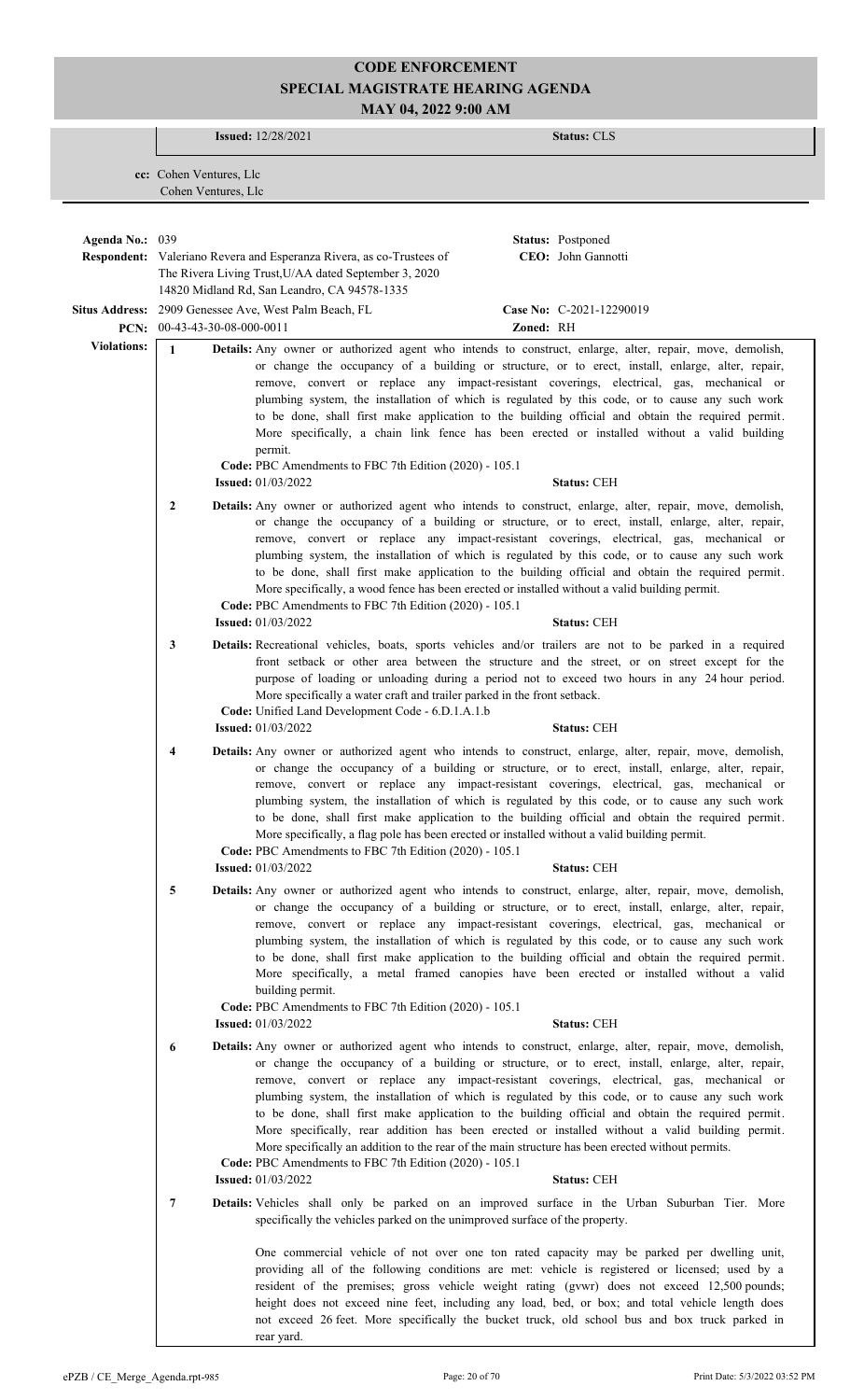**Issued:** 12/28/2021 **Status:** CLS **cc:** Cohen Ventures, Llc Cohen Ventures, Llc **Respondent:** Valeriano Revera and Esperanza Rivera, as co-Trustees of The Rivera Living Trust,U/AA dated September 3, 2020 **Agenda No.:** 039 **Status:** Postponed CEO: John Gannotti 14820 Midland Rd, San Leandro, CA 94578-1335 Situs Address: 2909 Genessee Ave, West Palm Beach, FL **Case No:** C-2021-12290019 **PCN:** 00-43-43-30-08-000-0011 **Zoned:** RH **Violations:** 1 **Details:** Any owner or authorized agent who intends to construct, enlarge, alter, repair, move, demolish, or change the occupancy of a building or structure, or to erect, install, enlarge, alter, repair, remove, convert or replace any impact-resistant coverings, electrical, gas, mechanical or plumbing system, the installation of which is regulated by this code, or to cause any such work to be done, shall first make application to the building official and obtain the required permit. More specifically, a chain link fence has been erected or installed without a valid building permit. **Code:** PBC Amendments to FBC 7th Edition (2020) - 105.1 **Issued:** 01/03/2022 **Status:** CEH 2 **Details:** Any owner or authorized agent who intends to construct, enlarge, alter, repair, move, demolish, or change the occupancy of a building or structure, or to erect, install, enlarge, alter, repair, remove, convert or replace any impact-resistant coverings, electrical, gas, mechanical or plumbing system, the installation of which is regulated by this code, or to cause any such work to be done, shall first make application to the building official and obtain the required permit. More specifically, a wood fence has been erected or installed without a valid building permit. **Code:** PBC Amendments to FBC 7th Edition (2020) - 105.1 **Issued:** 01/03/2022 **Status:** CEH **3 Details:** Recreational vehicles, boats, sports vehicles and/or trailers are not to be parked in a required front setback or other area between the structure and the street, or on street except for the purpose of loading or unloading during a period not to exceed two hours in any 24 hour period. More specifically a water craft and trailer parked in the front setback. **Code:** Unified Land Development Code - 6.D.1.A.1.b **Issued:** 01/03/2022 **Status:** CEH **4 Details:** Any owner or authorized agent who intends to construct, enlarge, alter, repair, move, demolish, or change the occupancy of a building or structure, or to erect, install, enlarge, alter, repair, remove, convert or replace any impact-resistant coverings, electrical, gas, mechanical or plumbing system, the installation of which is regulated by this code, or to cause any such work to be done, shall first make application to the building official and obtain the required permit. More specifically, a flag pole has been erected or installed without a valid building permit. **Code:** PBC Amendments to FBC 7th Edition (2020) - 105.1 **Issued:** 01/03/2022 **Status:** CEH **5 Details:** Any owner or authorized agent who intends to construct, enlarge, alter, repair, move, demolish, or change the occupancy of a building or structure, or to erect, install, enlarge, alter, repair, remove, convert or replace any impact-resistant coverings, electrical, gas, mechanical or plumbing system, the installation of which is regulated by this code, or to cause any such work to be done, shall first make application to the building official and obtain the required permit. More specifically, a metal framed canopies have been erected or installed without a valid building permit. **Code:** PBC Amendments to FBC 7th Edition (2020) - 105.1 **Issued:** 01/03/2022 **Status:** CEH Any owner or authorized agent who intends to construct, enlarge, alter, repair, move, demolish,  **6 Details:** or change the occupancy of a building or structure, or to erect, install, enlarge, alter, repair, remove, convert or replace any impact-resistant coverings, electrical, gas, mechanical or plumbing system, the installation of which is regulated by this code, or to cause any such work to be done, shall first make application to the building official and obtain the required permit. More specifically, rear addition has been erected or installed without a valid building permit. More specifically an addition to the rear of the main structure has been erected without permits. **Code:** PBC Amendments to FBC 7th Edition (2020) - 105.1 **Issued:** 01/03/2022 **Status:** CEH Vehicles shall only be parked on an improved surface in the Urban Suburban Tier. More  **7 Details:** specifically the vehicles parked on the unimproved surface of the property. One commercial vehicle of not over one ton rated capacity may be parked per dwelling unit, providing all of the following conditions are met: vehicle is registered or licensed; used by a resident of the premises; gross vehicle weight rating (gvwr) does not exceed 12,500 pounds; height does not exceed nine feet, including any load, bed, or box; and total vehicle length does not exceed 26 feet. More specifically the bucket truck, old school bus and box truck parked in rear yard.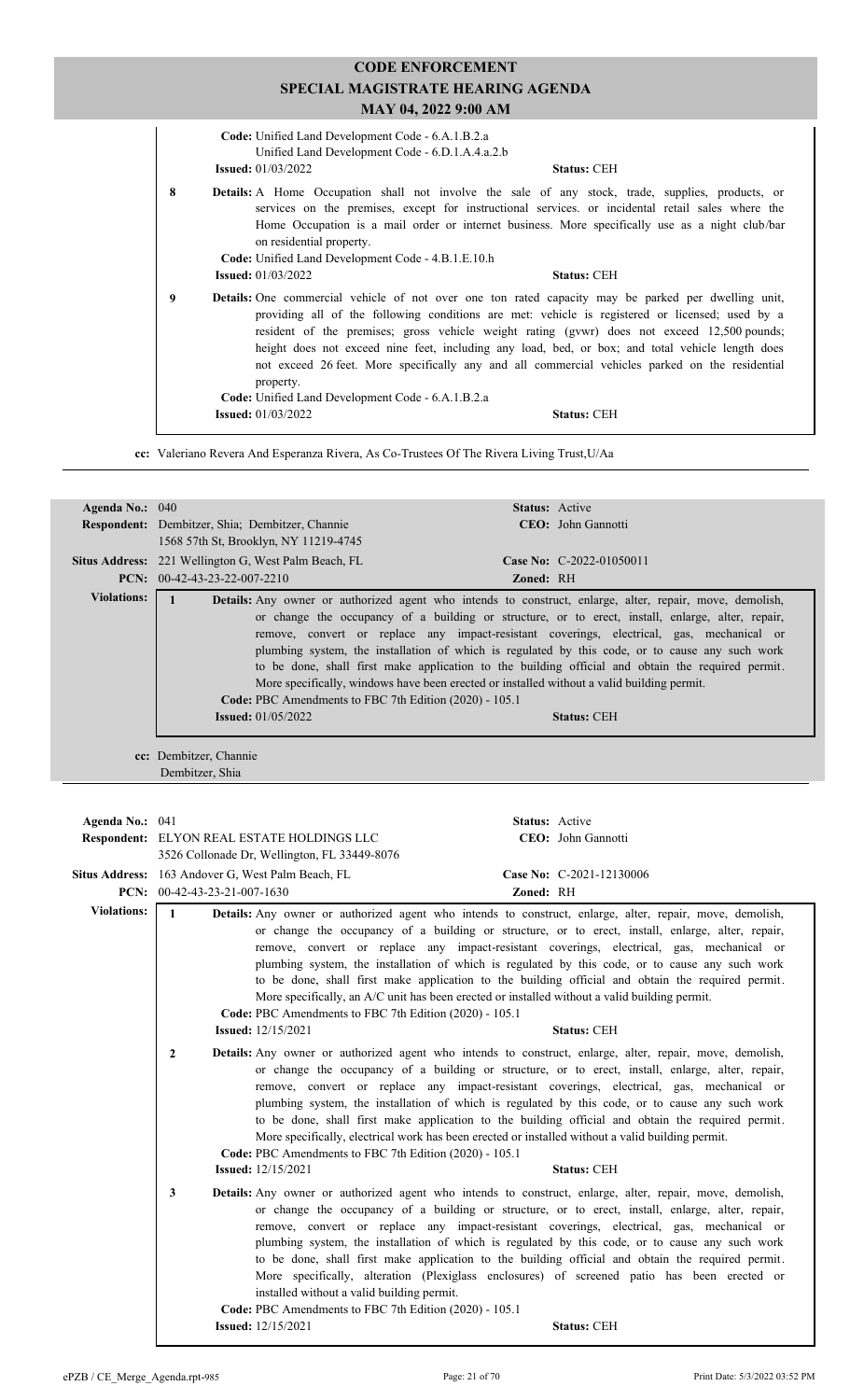| SPECIAL MAGISTRATE HEARING AGENDA<br>MAY 04, 2022 9:00 AM |                                                                                                                                     |                                                                                                                                                                                                                                                                                                                                                                                                                                                                                                                                           |
|-----------------------------------------------------------|-------------------------------------------------------------------------------------------------------------------------------------|-------------------------------------------------------------------------------------------------------------------------------------------------------------------------------------------------------------------------------------------------------------------------------------------------------------------------------------------------------------------------------------------------------------------------------------------------------------------------------------------------------------------------------------------|
|                                                           | Code: Unified Land Development Code - 6.A.1.B.2.a<br>Unified Land Development Code - 6.D.1.A.4.a.2.b<br><b>Issued:</b> $01/03/2022$ | <b>Status: CEH</b>                                                                                                                                                                                                                                                                                                                                                                                                                                                                                                                        |
| 8                                                         | on residential property.<br>Code: Unified Land Development Code - 4.B.1.E.10.h                                                      | <b>Details:</b> A Home Occupation shall not involve the sale of any stock, trade, supplies, products, or<br>services on the premises, except for instructional services. or incidental retail sales where the<br>Home Occupation is a mail order or internet business. More specifically use as a night club/bar                                                                                                                                                                                                                          |
| 9                                                         | <b>Issued:</b> 01/03/2022<br>property.<br>Code: Unified Land Development Code - 6.A.1.B.2.a                                         | <b>Status: CEH</b><br><b>Details:</b> One commercial vehicle of not over one ton rated capacity may be parked per dwelling unit,<br>providing all of the following conditions are met: vehicle is registered or licensed; used by a<br>resident of the premises; gross vehicle weight rating (gywr) does not exceed 12,500 pounds;<br>height does not exceed nine feet, including any load, bed, or box; and total vehicle length does<br>not exceed 26 feet. More specifically any and all commercial vehicles parked on the residential |
|                                                           | <b>Issued:</b> 01/03/2022                                                                                                           | <b>Status: CEH</b>                                                                                                                                                                                                                                                                                                                                                                                                                                                                                                                        |

**CODE ENFORCEMENT**

**cc:** Valeriano Revera And Esperanza Rivera, As Co-Trustees Of The Rivera Living Trust,U/Aa

| Agenda No.: 040    | Status: Active                                                                                                                                                                                                                                                                                                                                                                                                                                                                                                                                                                                                                                                                                                                                       |
|--------------------|------------------------------------------------------------------------------------------------------------------------------------------------------------------------------------------------------------------------------------------------------------------------------------------------------------------------------------------------------------------------------------------------------------------------------------------------------------------------------------------------------------------------------------------------------------------------------------------------------------------------------------------------------------------------------------------------------------------------------------------------------|
|                    | CEO: John Gannotti<br>Respondent: Dembitzer, Shia; Dembitzer, Channie<br>1568 57th St, Brooklyn, NY 11219-4745                                                                                                                                                                                                                                                                                                                                                                                                                                                                                                                                                                                                                                       |
|                    | Situs Address: 221 Wellington G, West Palm Beach, FL<br>Case No: C-2022-01050011                                                                                                                                                                                                                                                                                                                                                                                                                                                                                                                                                                                                                                                                     |
|                    | PCN: 00-42-43-23-22-007-2210<br>Zoned: RH                                                                                                                                                                                                                                                                                                                                                                                                                                                                                                                                                                                                                                                                                                            |
| <b>Violations:</b> |                                                                                                                                                                                                                                                                                                                                                                                                                                                                                                                                                                                                                                                                                                                                                      |
|                    | $\mathbf{1}$<br>Details: Any owner or authorized agent who intends to construct, enlarge, alter, repair, move, demolish,<br>or change the occupancy of a building or structure, or to erect, install, enlarge, alter, repair,<br>remove, convert or replace any impact-resistant coverings, electrical, gas, mechanical or<br>plumbing system, the installation of which is regulated by this code, or to cause any such work<br>to be done, shall first make application to the building official and obtain the required permit.<br>More specifically, windows have been erected or installed without a valid building permit.<br>Code: PBC Amendments to FBC 7th Edition (2020) - 105.1<br><b>Issued:</b> 01/05/2022<br><b>Status: CEH</b>        |
|                    | cc: Dembitzer, Channie<br>Dembitzer, Shia                                                                                                                                                                                                                                                                                                                                                                                                                                                                                                                                                                                                                                                                                                            |
|                    |                                                                                                                                                                                                                                                                                                                                                                                                                                                                                                                                                                                                                                                                                                                                                      |
| Agenda No.: 041    | Status: Active                                                                                                                                                                                                                                                                                                                                                                                                                                                                                                                                                                                                                                                                                                                                       |
|                    | CEO: John Gannotti<br>Respondent: ELYON REAL ESTATE HOLDINGS LLC<br>3526 Collonade Dr, Wellington, FL 33449-8076                                                                                                                                                                                                                                                                                                                                                                                                                                                                                                                                                                                                                                     |
|                    | Case No: C-2021-12130006<br>Situs Address: 163 Andover G, West Palm Beach, FL                                                                                                                                                                                                                                                                                                                                                                                                                                                                                                                                                                                                                                                                        |
|                    | PCN: $00-42-43-23-21-007-1630$<br>Zoned: RH                                                                                                                                                                                                                                                                                                                                                                                                                                                                                                                                                                                                                                                                                                          |
| <b>Violations:</b> | $\mathbf{1}$<br>Details: Any owner or authorized agent who intends to construct, enlarge, alter, repair, move, demolish,<br>or change the occupancy of a building or structure, or to erect, install, enlarge, alter, repair,<br>remove, convert or replace any impact-resistant coverings, electrical, gas, mechanical or<br>plumbing system, the installation of which is regulated by this code, or to cause any such work<br>to be done, shall first make application to the building official and obtain the required permit.<br>More specifically, an A/C unit has been erected or installed without a valid building permit.<br>Code: PBC Amendments to FBC 7th Edition (2020) - 105.1                                                        |
|                    | <b>Issued:</b> 12/15/2021<br><b>Status: CEH</b>                                                                                                                                                                                                                                                                                                                                                                                                                                                                                                                                                                                                                                                                                                      |
|                    | Details: Any owner or authorized agent who intends to construct, enlarge, alter, repair, move, demolish,<br>$\mathbf{2}$<br>or change the occupancy of a building or structure, or to erect, install, enlarge, alter, repair,<br>remove, convert or replace any impact-resistant coverings, electrical, gas, mechanical or<br>plumbing system, the installation of which is regulated by this code, or to cause any such work<br>to be done, shall first make application to the building official and obtain the required permit.<br>More specifically, electrical work has been erected or installed without a valid building permit.<br>Code: PBC Amendments to FBC 7th Edition (2020) - 105.1<br><b>Issued:</b> 12/15/2021<br><b>Status: CEH</b> |
|                    | 3<br>Details: Any owner or authorized agent who intends to construct, enlarge, alter, repair, move, demolish,                                                                                                                                                                                                                                                                                                                                                                                                                                                                                                                                                                                                                                        |
|                    | or change the occupancy of a building or structure, or to erect, install, enlarge, alter, repair,<br>remove, convert or replace any impact-resistant coverings, electrical, gas, mechanical or<br>plumbing system, the installation of which is regulated by this code, or to cause any such work<br>to be done, shall first make application to the building official and obtain the required permit.<br>More specifically, alteration (Plexiglass enclosures) of screened patio has been erected or<br>installed without a valid building permit.<br>Code: PBC Amendments to FBC 7th Edition (2020) - 105.1<br><b>Issued:</b> 12/15/2021<br>Status: CEH                                                                                            |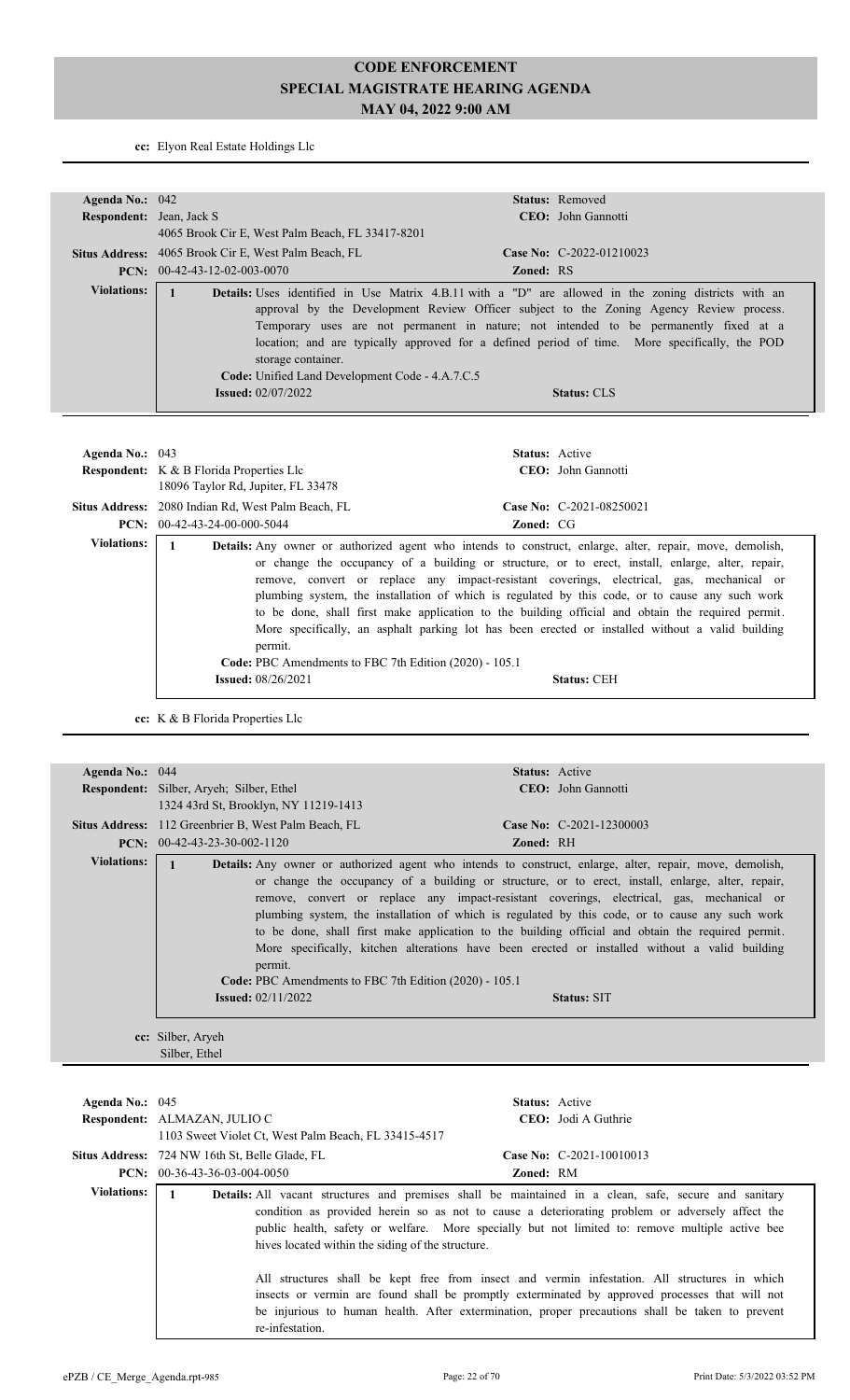**cc:** Elyon Real Estate Holdings Llc

| Agenda No.: 042          |                                                                                                                    | Status: Removed                                                                                                                                                                                                                                                                                                                                                                                                                                                                                                                                                                                                               |
|--------------------------|--------------------------------------------------------------------------------------------------------------------|-------------------------------------------------------------------------------------------------------------------------------------------------------------------------------------------------------------------------------------------------------------------------------------------------------------------------------------------------------------------------------------------------------------------------------------------------------------------------------------------------------------------------------------------------------------------------------------------------------------------------------|
| Respondent: Jean, Jack S |                                                                                                                    | CEO: John Gannotti                                                                                                                                                                                                                                                                                                                                                                                                                                                                                                                                                                                                            |
|                          | 4065 Brook Cir E, West Palm Beach, FL 33417-8201                                                                   |                                                                                                                                                                                                                                                                                                                                                                                                                                                                                                                                                                                                                               |
|                          | Situs Address: 4065 Brook Cir E, West Palm Beach, FL                                                               | Case No: C-2022-01210023                                                                                                                                                                                                                                                                                                                                                                                                                                                                                                                                                                                                      |
|                          | <b>PCN:</b> $00-42-43-12-02-003-0070$                                                                              | Zoned: RS                                                                                                                                                                                                                                                                                                                                                                                                                                                                                                                                                                                                                     |
| <b>Violations:</b>       | $\mathbf{1}$<br>storage container.<br>Code: Unified Land Development Code - 4.A.7.C.5<br><b>Issued:</b> 02/07/2022 | Details: Uses identified in Use Matrix 4.B.11 with a "D" are allowed in the zoning districts with an<br>approval by the Development Review Officer subject to the Zoning Agency Review process.<br>Temporary uses are not permanent in nature; not intended to be permanently fixed at a<br>location; and are typically approved for a defined period of time. More specifically, the POD<br><b>Status: CLS</b>                                                                                                                                                                                                               |
| Agenda No.: 043          |                                                                                                                    | Status: Active                                                                                                                                                                                                                                                                                                                                                                                                                                                                                                                                                                                                                |
|                          | Respondent: K & B Florida Properties Llc<br>18096 Taylor Rd, Jupiter, FL 33478                                     | CEO: John Gannotti                                                                                                                                                                                                                                                                                                                                                                                                                                                                                                                                                                                                            |
|                          | Situs Address: 2080 Indian Rd, West Palm Beach, FL                                                                 | Case No: C-2021-08250021                                                                                                                                                                                                                                                                                                                                                                                                                                                                                                                                                                                                      |
|                          | PCN: 00-42-43-24-00-000-5044                                                                                       | Zoned: CG                                                                                                                                                                                                                                                                                                                                                                                                                                                                                                                                                                                                                     |
| <b>Violations:</b>       | $\mathbf{1}$<br>permit.                                                                                            | <b>Details:</b> Any owner or authorized agent who intends to construct, enlarge, alter, repair, move, demolish,<br>or change the occupancy of a building or structure, or to erect, install, enlarge, alter, repair,<br>remove, convert or replace any impact-resistant coverings, electrical, gas, mechanical or<br>plumbing system, the installation of which is regulated by this code, or to cause any such work<br>to be done, shall first make application to the building official and obtain the required permit.<br>More specifically, an asphalt parking lot has been erected or installed without a valid building |
|                          | <b>Issued:</b> 08/26/2021                                                                                          | <b>Status: CEH</b>                                                                                                                                                                                                                                                                                                                                                                                                                                                                                                                                                                                                            |
|                          | Code: PBC Amendments to FBC 7th Edition (2020) - 105.1                                                             |                                                                                                                                                                                                                                                                                                                                                                                                                                                                                                                                                                                                                               |

| Agenda No.: 044    |                                                                                                  | <b>Status:</b> Active                                                                                                                                                                                                                                                                                                                                                                                                                                                                                                                                                                                                                             |
|--------------------|--------------------------------------------------------------------------------------------------|---------------------------------------------------------------------------------------------------------------------------------------------------------------------------------------------------------------------------------------------------------------------------------------------------------------------------------------------------------------------------------------------------------------------------------------------------------------------------------------------------------------------------------------------------------------------------------------------------------------------------------------------------|
|                    | <b>Respondent:</b> Silber, Aryeh; Silber, Ethel                                                  | CEO: John Gannotti                                                                                                                                                                                                                                                                                                                                                                                                                                                                                                                                                                                                                                |
|                    | 1324 43rd St, Brooklyn, NY 11219-1413                                                            |                                                                                                                                                                                                                                                                                                                                                                                                                                                                                                                                                                                                                                                   |
|                    | Situs Address: 112 Greenbrier B, West Palm Beach, FL                                             | Case No: C-2021-12300003                                                                                                                                                                                                                                                                                                                                                                                                                                                                                                                                                                                                                          |
|                    | <b>PCN:</b> $00-42-43-23-30-002-1120$                                                            | <b>Zoned: RH</b>                                                                                                                                                                                                                                                                                                                                                                                                                                                                                                                                                                                                                                  |
| <b>Violations:</b> | permit.<br>Code: PBC Amendments to FBC 7th Edition (2020) - 105.1<br><b>Issued:</b> $02/11/2022$ | <b>Details:</b> Any owner or authorized agent who intends to construct, enlarge, alter, repair, move, demolish,<br>or change the occupancy of a building or structure, or to erect, install, enlarge, alter, repair,<br>remove, convert or replace any impact-resistant coverings, electrical, gas, mechanical or<br>plumbing system, the installation of which is regulated by this code, or to cause any such work<br>to be done, shall first make application to the building official and obtain the required permit.<br>More specifically, kitchen alterations have been erected or installed without a valid building<br><b>Status: SIT</b> |
|                    |                                                                                                  |                                                                                                                                                                                                                                                                                                                                                                                                                                                                                                                                                                                                                                                   |
|                    | cc: Silber, Aryeh                                                                                |                                                                                                                                                                                                                                                                                                                                                                                                                                                                                                                                                                                                                                                   |

Silber, Ethel

| Agenda No.: $045$  | <b>Status:</b> Active<br>Respondent: ALMAZAN, JULIO C<br><b>CEO</b> : Jodi A Guthrie<br>1103 Sweet Violet Ct, West Palm Beach, FL 33415-4517                                                                                                                                                                                                                                                                                                                                                                                                                                                                                                                                                     |
|--------------------|--------------------------------------------------------------------------------------------------------------------------------------------------------------------------------------------------------------------------------------------------------------------------------------------------------------------------------------------------------------------------------------------------------------------------------------------------------------------------------------------------------------------------------------------------------------------------------------------------------------------------------------------------------------------------------------------------|
|                    | Case No: $C-2021-10010013$<br><b>Situs Address:</b> 724 NW 16th St, Belle Glade, FL<br><b>PCN:</b> $00-36-43-36-03-004-0050$<br><b>Zoned: RM</b>                                                                                                                                                                                                                                                                                                                                                                                                                                                                                                                                                 |
| <b>Violations:</b> | <b>Details:</b> All vacant structures and premises shall be maintained in a clean, safe, secure and sanitary<br>condition as provided herein so as not to cause a deteriorating problem or adversely affect the<br>public health, safety or welfare. More specially but not limited to: remove multiple active bee<br>hives located within the siding of the structure.<br>All structures shall be kept free from insect and vermin infestation. All structures in which<br>insects or vermin are found shall be promptly exterminated by approved processes that will not<br>be injurious to human health. After extermination, proper precautions shall be taken to prevent<br>re-infestation. |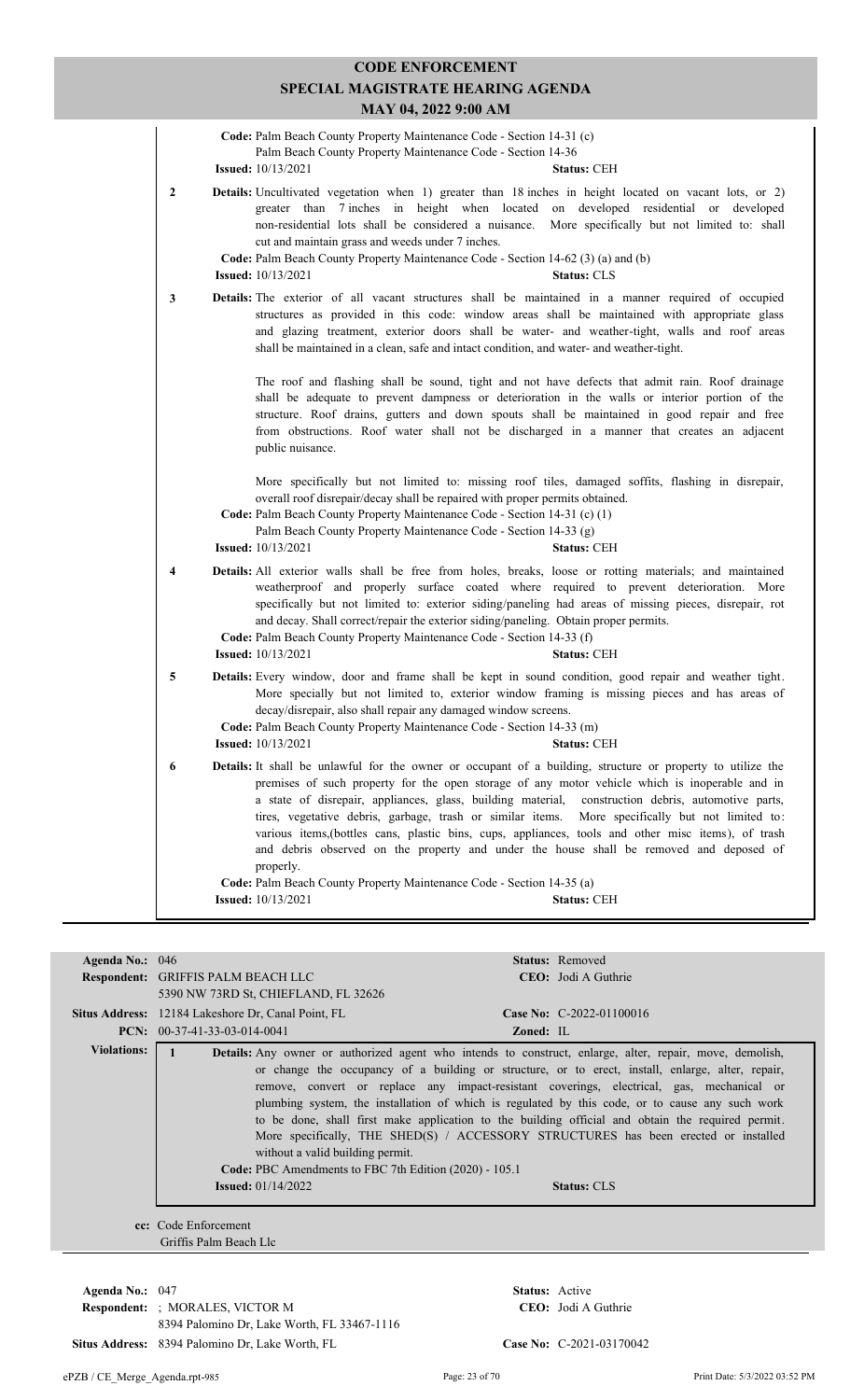|                  | Code: Palm Beach County Property Maintenance Code - Section 14-31 (c)<br>Palm Beach County Property Maintenance Code - Section 14-36<br><b>Issued:</b> 10/13/2021<br><b>Status: CEH</b>                                                                                                                                                                                                                                                                                                                                                                                                                                                       |
|------------------|-----------------------------------------------------------------------------------------------------------------------------------------------------------------------------------------------------------------------------------------------------------------------------------------------------------------------------------------------------------------------------------------------------------------------------------------------------------------------------------------------------------------------------------------------------------------------------------------------------------------------------------------------|
| $\boldsymbol{2}$ | Details: Uncultivated vegetation when 1) greater than 18 inches in height located on vacant lots, or 2)<br>greater than 7 inches in height when located on developed residential or developed<br>non-residential lots shall be considered a nuisance. More specifically but not limited to: shall<br>cut and maintain grass and weeds under 7 inches.<br>Code: Palm Beach County Property Maintenance Code - Section 14-62 (3) (a) and (b)<br><b>Issued:</b> 10/13/2021<br><b>Status: CLS</b>                                                                                                                                                 |
| 3                | <b>Details:</b> The exterior of all vacant structures shall be maintained in a manner required of occupied<br>structures as provided in this code: window areas shall be maintained with appropriate glass<br>and glazing treatment, exterior doors shall be water- and weather-tight, walls and roof areas<br>shall be maintained in a clean, safe and intact condition, and water- and weather-tight.                                                                                                                                                                                                                                       |
|                  | The roof and flashing shall be sound, tight and not have defects that admit rain. Roof drainage<br>shall be adequate to prevent dampness or deterioration in the walls or interior portion of the<br>structure. Roof drains, gutters and down spouts shall be maintained in good repair and free<br>from obstructions. Roof water shall not be discharged in a manner that creates an adjacent<br>public nuisance.                                                                                                                                                                                                                            |
|                  | More specifically but not limited to: missing roof tiles, damaged soffits, flashing in disrepair,<br>overall roof disrepair/decay shall be repaired with proper permits obtained.<br>Code: Palm Beach County Property Maintenance Code - Section 14-31 (c) (1)<br>Palm Beach County Property Maintenance Code - Section 14-33 (g)<br><b>Issued:</b> 10/13/2021<br><b>Status: CEH</b>                                                                                                                                                                                                                                                          |
| 4                | Details: All exterior walls shall be free from holes, breaks, loose or rotting materials; and maintained<br>weatherproof and properly surface coated where required to prevent deterioration. More<br>specifically but not limited to: exterior siding/paneling had areas of missing pieces, disrepair, rot<br>and decay. Shall correct/repair the exterior siding/paneling. Obtain proper permits.<br>Code: Palm Beach County Property Maintenance Code - Section 14-33 (f)<br><b>Issued:</b> 10/13/2021<br><b>Status: CEH</b>                                                                                                               |
| 5                | <b>Details:</b> Every window, door and frame shall be kept in sound condition, good repair and weather tight.<br>More specially but not limited to, exterior window framing is missing pieces and has areas of<br>decay/disrepair, also shall repair any damaged window screens.<br>Code: Palm Beach County Property Maintenance Code - Section 14-33 (m)<br><b>Issued:</b> 10/13/2021<br><b>Status: CEH</b>                                                                                                                                                                                                                                  |
| 6                | <b>Details:</b> It shall be unlawful for the owner or occupant of a building, structure or property to utilize the<br>premises of such property for the open storage of any motor vehicle which is inoperable and in<br>a state of disrepair, appliances, glass, building material, construction debris, automotive parts,<br>tires, vegetative debris, garbage, trash or similar items. More specifically but not limited to:<br>various items, (bottles cans, plastic bins, cups, appliances, tools and other misc items), of trash<br>and debris observed on the property and under the house shall be removed and deposed of<br>properly. |
|                  | Code: Palm Beach County Property Maintenance Code - Section 14-35 (a)                                                                                                                                                                                                                                                                                                                                                                                                                                                                                                                                                                         |
|                  | <b>Issued:</b> 10/13/2021<br><b>Status: CEH</b>                                                                                                                                                                                                                                                                                                                                                                                                                                                                                                                                                                                               |

| Agenda No.: 046    |                                                                                                                           |                       | Status: Removed                                                                                                                                                                                                                                                                                                                                                                                                                                                                                                     |
|--------------------|---------------------------------------------------------------------------------------------------------------------------|-----------------------|---------------------------------------------------------------------------------------------------------------------------------------------------------------------------------------------------------------------------------------------------------------------------------------------------------------------------------------------------------------------------------------------------------------------------------------------------------------------------------------------------------------------|
|                    | Respondent: GRIFFIS PALM BEACH LLC                                                                                        |                       | <b>CEO</b> : Jodi A Guthrie                                                                                                                                                                                                                                                                                                                                                                                                                                                                                         |
|                    | 5390 NW 73RD St, CHIEFLAND, FL 32626                                                                                      |                       |                                                                                                                                                                                                                                                                                                                                                                                                                                                                                                                     |
|                    | Situs Address: 12184 Lakeshore Dr, Canal Point, FL                                                                        |                       | Case No: C-2022-01100016                                                                                                                                                                                                                                                                                                                                                                                                                                                                                            |
|                    | <b>PCN:</b> $00-37-41-33-03-014-0041$                                                                                     | Zoned: IL             |                                                                                                                                                                                                                                                                                                                                                                                                                                                                                                                     |
| <b>Violations:</b> |                                                                                                                           |                       | <b>Details:</b> Any owner or authorized agent who intends to construct, enlarge, alter, repair, move, demolish,                                                                                                                                                                                                                                                                                                                                                                                                     |
|                    | without a valid building permit.<br>Code: PBC Amendments to FBC 7th Edition (2020) - 105.1<br><b>Issued:</b> $01/14/2022$ |                       | or change the occupancy of a building or structure, or to erect, install, enlarge, alter, repair,<br>remove, convert or replace any impact-resistant coverings, electrical, gas, mechanical or<br>plumbing system, the installation of which is regulated by this code, or to cause any such work<br>to be done, shall first make application to the building official and obtain the required permit.<br>More specifically, THE SHED(S) / ACCESSORY STRUCTURES has been erected or installed<br><b>Status: CLS</b> |
|                    | cc: Code Enforcement<br>Griffis Palm Beach Llc                                                                            |                       |                                                                                                                                                                                                                                                                                                                                                                                                                                                                                                                     |
| Agenda No.: 047    |                                                                                                                           | <b>Status:</b> Active |                                                                                                                                                                                                                                                                                                                                                                                                                                                                                                                     |

 $Respondent:$ ; MORALES, VICTOR M 8394 Palomino Dr, Lake Worth, FL 33467-1116 Situs Address: 8394 Palomino Dr, Lake Worth, FL **Case No:** C-2021-03170042

CEO: Jodi A Guthrie

ePZB / CE\_Merge\_Agenda.rpt-985 Page: 23 of 70 Print Date: 5/3/2022 03:52 PM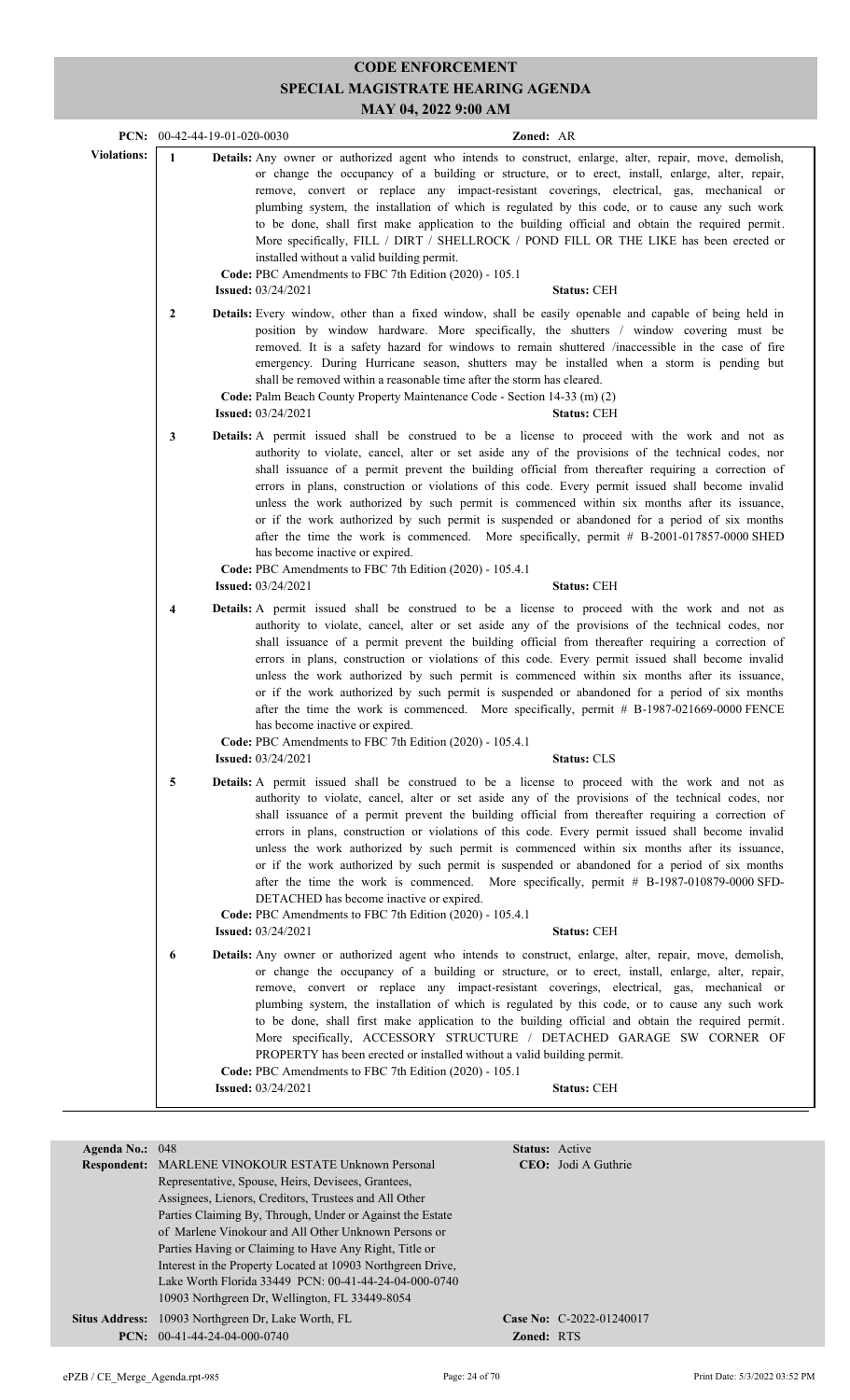|                    |                         | PCN: $00-42-44-19-01-020-0030$<br>Zoned: AR                                                                                                                                                                                                                                                                                                                                                                                                                                                                                                                                                                                                                                                                                                                                                                                                                |
|--------------------|-------------------------|------------------------------------------------------------------------------------------------------------------------------------------------------------------------------------------------------------------------------------------------------------------------------------------------------------------------------------------------------------------------------------------------------------------------------------------------------------------------------------------------------------------------------------------------------------------------------------------------------------------------------------------------------------------------------------------------------------------------------------------------------------------------------------------------------------------------------------------------------------|
| <b>Violations:</b> | $\mathbf{1}$            | <b>Details:</b> Any owner or authorized agent who intends to construct, enlarge, alter, repair, move, demolish,<br>or change the occupancy of a building or structure, or to erect, install, enlarge, alter, repair,<br>remove, convert or replace any impact-resistant coverings, electrical, gas, mechanical or<br>plumbing system, the installation of which is regulated by this code, or to cause any such work<br>to be done, shall first make application to the building official and obtain the required permit.<br>More specifically, FILL / DIRT / SHELLROCK / POND FILL OR THE LIKE has been erected or<br>installed without a valid building permit.<br>Code: PBC Amendments to FBC 7th Edition (2020) - 105.1<br><b>Issued:</b> 03/24/2021<br><b>Status: CEH</b>                                                                             |
|                    | 2                       | <b>Details:</b> Every window, other than a fixed window, shall be easily openable and capable of being held in<br>position by window hardware. More specifically, the shutters / window covering must be<br>removed. It is a safety hazard for windows to remain shuttered /inaccessible in the case of fire<br>emergency. During Hurricane season, shutters may be installed when a storm is pending but<br>shall be removed within a reasonable time after the storm has cleared.<br>Code: Palm Beach County Property Maintenance Code - Section 14-33 (m) (2)<br><b>Issued:</b> 03/24/2021<br><b>Status: CEH</b>                                                                                                                                                                                                                                        |
|                    | 3                       | Details: A permit issued shall be construed to be a license to proceed with the work and not as<br>authority to violate, cancel, alter or set aside any of the provisions of the technical codes, nor<br>shall issuance of a permit prevent the building official from thereafter requiring a correction of<br>errors in plans, construction or violations of this code. Every permit issued shall become invalid<br>unless the work authorized by such permit is commenced within six months after its issuance,<br>or if the work authorized by such permit is suspended or abandoned for a period of six months<br>after the time the work is commenced. More specifically, permit # B-2001-017857-0000 SHED<br>has become inactive or expired.<br>Code: PBC Amendments to FBC 7th Edition (2020) - 105.4.1<br><b>Issued:</b> 03/24/2021<br>Status: CEH |
|                    | $\overline{\mathbf{4}}$ | <b>Details:</b> A permit issued shall be construed to be a license to proceed with the work and not as<br>authority to violate, cancel, alter or set aside any of the provisions of the technical codes, nor<br>shall issuance of a permit prevent the building official from thereafter requiring a correction of<br>errors in plans, construction or violations of this code. Every permit issued shall become invalid<br>unless the work authorized by such permit is commenced within six months after its issuance,<br>or if the work authorized by such permit is suspended or abandoned for a period of six months<br>after the time the work is commenced. More specifically, permit # B-1987-021669-0000 FENCE<br>has become inactive or expired.<br>Code: PBC Amendments to FBC 7th Edition (2020) - 105.4.1                                     |
|                    |                         | <b>Issued:</b> 03/24/2021<br><b>Status: CLS</b>                                                                                                                                                                                                                                                                                                                                                                                                                                                                                                                                                                                                                                                                                                                                                                                                            |
|                    | 5                       | Details: A permit issued shall be construed to be a license to proceed with the work and not as<br>authority to violate, cancel, alter or set aside any of the provisions of the technical codes, nor<br>shall issuance of a permit prevent the building official from thereafter requiring a correction of<br>errors in plans, construction or violations of this code. Every permit issued shall become invalid<br>unless the work authorized by such permit is commenced within six months after its issuance,<br>or if the work authorized by such permit is suspended or abandoned for a period of six months<br>after the time the work is commenced. More specifically, permit # B-1987-010879-0000 SFD-<br>DETACHED has become inactive or expired.<br>Code: PBC Amendments to FBC 7th Edition (2020) - 105.4.1                                    |
|                    |                         | <b>Issued:</b> 03/24/2021<br><b>Status: CEH</b>                                                                                                                                                                                                                                                                                                                                                                                                                                                                                                                                                                                                                                                                                                                                                                                                            |
|                    | 6                       | <b>Details:</b> Any owner or authorized agent who intends to construct, enlarge, alter, repair, move, demolish,<br>or change the occupancy of a building or structure, or to erect, install, enlarge, alter, repair,<br>remove, convert or replace any impact-resistant coverings, electrical, gas, mechanical or<br>plumbing system, the installation of which is regulated by this code, or to cause any such work<br>to be done, shall first make application to the building official and obtain the required permit.<br>More specifically, ACCESSORY STRUCTURE / DETACHED GARAGE SW CORNER OF<br>PROPERTY has been erected or installed without a valid building permit.<br>Code: PBC Amendments to FBC 7th Edition (2020) - 105.1                                                                                                                    |
|                    |                         | <b>Issued:</b> 03/24/2021<br><b>Status: CEH</b>                                                                                                                                                                                                                                                                                                                                                                                                                                                                                                                                                                                                                                                                                                                                                                                                            |
|                    |                         |                                                                                                                                                                                                                                                                                                                                                                                                                                                                                                                                                                                                                                                                                                                                                                                                                                                            |

| Agenda No.: $048$ |                                                             | <b>Status:</b> Active |                             |
|-------------------|-------------------------------------------------------------|-----------------------|-----------------------------|
|                   | <b>Respondent:</b> MARLENE VINOKOUR ESTATE Unknown Personal |                       | <b>CEO</b> : Jodi A Guthrie |
|                   | Representative, Spouse, Heirs, Devisees, Grantees,          |                       |                             |
|                   | Assignees, Lienors, Creditors, Trustees and All Other       |                       |                             |
|                   | Parties Claiming By, Through, Under or Against the Estate   |                       |                             |
|                   | of Marlene Vinokour and All Other Unknown Persons or        |                       |                             |
|                   | Parties Having or Claiming to Have Any Right, Title or      |                       |                             |
|                   | Interest in the Property Located at 10903 Northgreen Drive, |                       |                             |
|                   | Lake Worth Florida 33449 PCN: 00-41-44-24-04-000-0740       |                       |                             |
|                   | 10903 Northgreen Dr. Wellington, FL 33449-8054              |                       |                             |
|                   | Situs Address: 10903 Northgreen Dr, Lake Worth, FL          |                       | Case No: $C-2022-01240017$  |
|                   | <b>PCN:</b> $00-41-44-24-04-000-0740$                       | <b>Zoned: RTS</b>     |                             |
|                   |                                                             |                       |                             |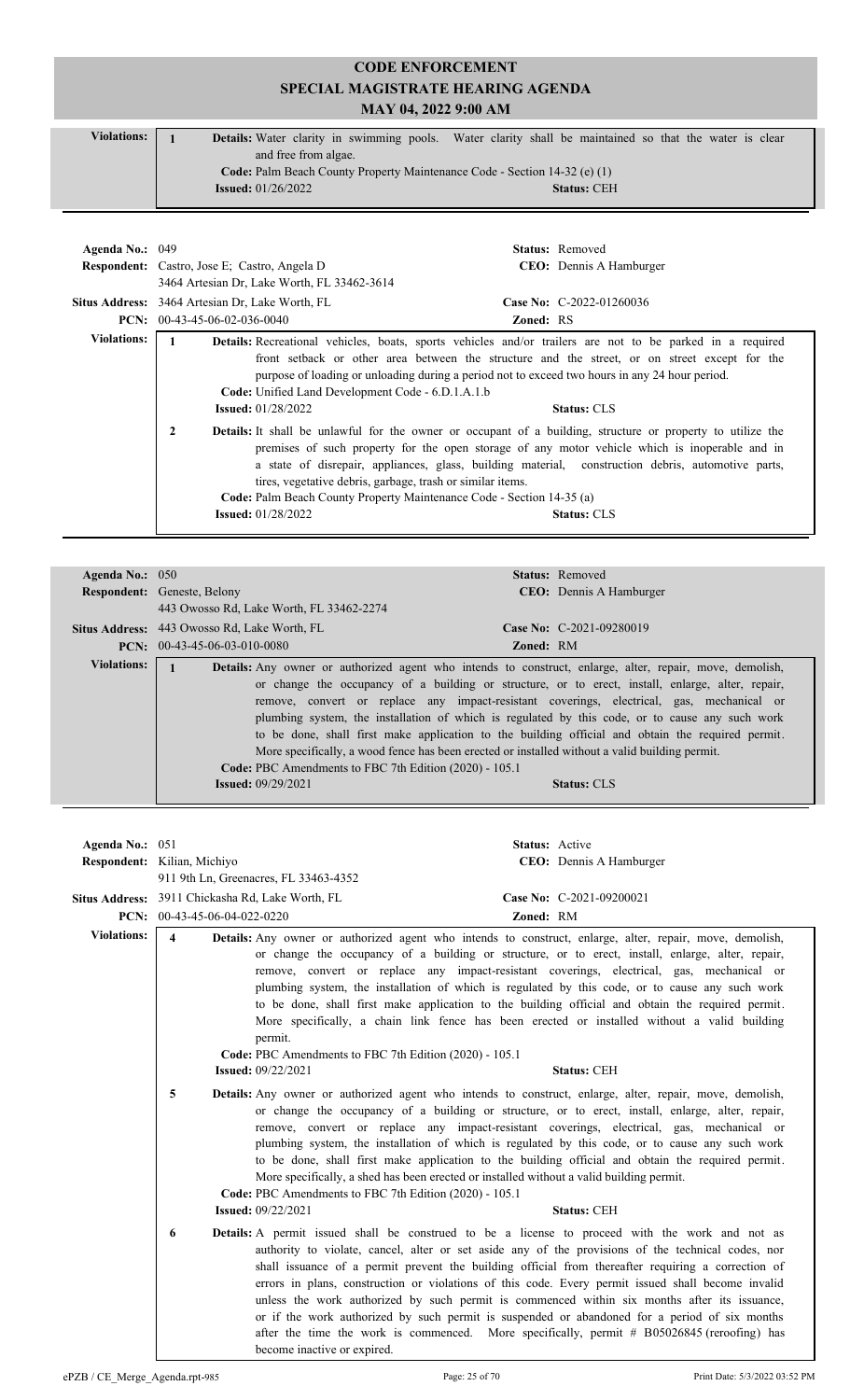| <b>Violations:</b> | <b>Details:</b> Water clarity in swimming pools. Water clarity shall be maintained so that the water is clear |
|--------------------|---------------------------------------------------------------------------------------------------------------|
|                    | and free from algae.                                                                                          |
|                    | Code: Palm Beach County Property Maintenance Code - Section 14-32 (e) (1)                                     |
|                    | <b>Issued:</b> $01/26/2022$<br><b>Status: CEH</b>                                                             |
|                    |                                                                                                               |

| Agenda No.: $049$  | <b>Respondent:</b> Castro, Jose E; Castro, Angela D<br>3464 Artesian Dr. Lake Worth, FL 33462-3614                                                                    | <b>Status:</b> Removed<br><b>CEO</b> : Dennis A Hamburger                                                                                                                                                                                                                                                                                 |
|--------------------|-----------------------------------------------------------------------------------------------------------------------------------------------------------------------|-------------------------------------------------------------------------------------------------------------------------------------------------------------------------------------------------------------------------------------------------------------------------------------------------------------------------------------------|
|                    | Situs Address: 3464 Artesian Dr, Lake Worth, FL                                                                                                                       | Case No: C-2022-01260036                                                                                                                                                                                                                                                                                                                  |
|                    | <b>PCN:</b> $00-43-45-06-02-036-0040$                                                                                                                                 | <b>Zoned: RS</b>                                                                                                                                                                                                                                                                                                                          |
| <b>Violations:</b> | Code: Unified Land Development Code - 6.D.1.A.1.b<br><b>Issued:</b> $01/28/2022$                                                                                      | Details: Recreational vehicles, boats, sports vehicles and/or trailers are not to be parked in a required<br>front setback or other area between the structure and the street, or on street except for the<br>purpose of loading or unloading during a period not to exceed two hours in any 24 hour period.<br><b>Status: CLS</b>        |
|                    | 2<br>tires, vegetative debris, garbage, trash or similar items.<br>Code: Palm Beach County Property Maintenance Code - Section 14-35 (a)<br><b>Issued:</b> 01/28/2022 | Details: It shall be unlawful for the owner or occupant of a building, structure or property to utilize the<br>premises of such property for the open storage of any motor vehicle which is inoperable and in<br>a state of disrepair, appliances, glass, building material, construction debris, automotive parts,<br><b>Status: CLS</b> |

| Agenda No.: $050$  |                                                                                       | <b>Status:</b> Removed                                                                                                                                                                                                                                                                                                                                                                                                                                                                                                                                                                                                                            |
|--------------------|---------------------------------------------------------------------------------------|---------------------------------------------------------------------------------------------------------------------------------------------------------------------------------------------------------------------------------------------------------------------------------------------------------------------------------------------------------------------------------------------------------------------------------------------------------------------------------------------------------------------------------------------------------------------------------------------------------------------------------------------------|
|                    | <b>Respondent:</b> Geneste, Belony                                                    | <b>CEO</b> : Dennis A Hamburger                                                                                                                                                                                                                                                                                                                                                                                                                                                                                                                                                                                                                   |
|                    | 443 Owosso Rd, Lake Worth, FL 33462-2274                                              |                                                                                                                                                                                                                                                                                                                                                                                                                                                                                                                                                                                                                                                   |
|                    | <b>Situs Address:</b> 443 Owosso Rd, Lake Worth, FL                                   | Case No: $C-2021-09280019$                                                                                                                                                                                                                                                                                                                                                                                                                                                                                                                                                                                                                        |
|                    | $PCN: 00-43-45-06-03-010-0080$                                                        | <b>Zoned: RM</b>                                                                                                                                                                                                                                                                                                                                                                                                                                                                                                                                                                                                                                  |
| <b>Violations:</b> | Code: PBC Amendments to FBC 7th Edition (2020) - 105.1<br><b>Issued:</b> $09/29/2021$ | <b>Details:</b> Any owner or authorized agent who intends to construct, enlarge, alter, repair, move, demolish,<br>or change the occupancy of a building or structure, or to erect, install, enlarge, alter, repair,<br>remove, convert or replace any impact-resistant coverings, electrical, gas, mechanical or<br>plumbing system, the installation of which is regulated by this code, or to cause any such work<br>to be done, shall first make application to the building official and obtain the required permit.<br>More specifically, a wood fence has been erected or installed without a valid building permit.<br><b>Status: CLS</b> |

| Agenda No.: 051    |                                                  |                                                                                                                                                    | Status: Active |                                                                                                                                                                                                                                                                                                                                                                                                                                                                                                                                                                                                                                                                                                                          |
|--------------------|--------------------------------------------------|----------------------------------------------------------------------------------------------------------------------------------------------------|----------------|--------------------------------------------------------------------------------------------------------------------------------------------------------------------------------------------------------------------------------------------------------------------------------------------------------------------------------------------------------------------------------------------------------------------------------------------------------------------------------------------------------------------------------------------------------------------------------------------------------------------------------------------------------------------------------------------------------------------------|
|                    | Respondent: Kilian, Michiyo                      |                                                                                                                                                    |                | CEO: Dennis A Hamburger                                                                                                                                                                                                                                                                                                                                                                                                                                                                                                                                                                                                                                                                                                  |
|                    |                                                  | 911 9th Ln, Greenacres, FL 33463-4352                                                                                                              |                |                                                                                                                                                                                                                                                                                                                                                                                                                                                                                                                                                                                                                                                                                                                          |
|                    | Situs Address: 3911 Chickasha Rd, Lake Worth, FL |                                                                                                                                                    |                | Case No: C-2021-09200021                                                                                                                                                                                                                                                                                                                                                                                                                                                                                                                                                                                                                                                                                                 |
|                    | PCN: $00-43-45-06-04-022-0220$                   |                                                                                                                                                    | Zoned: RM      |                                                                                                                                                                                                                                                                                                                                                                                                                                                                                                                                                                                                                                                                                                                          |
| <b>Violations:</b> | $\boldsymbol{\Delta}$                            | permit.<br>Code: PBC Amendments to FBC 7th Edition (2020) - 105.1<br><b>Issued: 09/22/2021</b>                                                     |                | Details: Any owner or authorized agent who intends to construct, enlarge, alter, repair, move, demolish,<br>or change the occupancy of a building or structure, or to erect, install, enlarge, alter, repair,<br>remove, convert or replace any impact-resistant coverings, electrical, gas, mechanical or<br>plumbing system, the installation of which is regulated by this code, or to cause any such work<br>to be done, shall first make application to the building official and obtain the required permit.<br>More specifically, a chain link fence has been erected or installed without a valid building<br><b>Status: CEH</b>                                                                                 |
|                    | 5                                                | More specifically, a shed has been erected or installed without a valid building permit.<br>Code: PBC Amendments to FBC 7th Edition (2020) - 105.1 |                | <b>Details:</b> Any owner or authorized agent who intends to construct, enlarge, alter, repair, move, demolish,<br>or change the occupancy of a building or structure, or to erect, install, enlarge, alter, repair,<br>remove, convert or replace any impact-resistant coverings, electrical, gas, mechanical or<br>plumbing system, the installation of which is regulated by this code, or to cause any such work<br>to be done, shall first make application to the building official and obtain the required permit.                                                                                                                                                                                                |
|                    |                                                  | <b>Issued: 09/22/2021</b>                                                                                                                          |                | <b>Status: CEH</b>                                                                                                                                                                                                                                                                                                                                                                                                                                                                                                                                                                                                                                                                                                       |
|                    | 6                                                | become inactive or expired.                                                                                                                        |                | <b>Details:</b> A permit issued shall be construed to be a license to proceed with the work and not as<br>authority to violate, cancel, alter or set aside any of the provisions of the technical codes, nor<br>shall issuance of a permit prevent the building official from thereafter requiring a correction of<br>errors in plans, construction or violations of this code. Every permit issued shall become invalid<br>unless the work authorized by such permit is commenced within six months after its issuance,<br>or if the work authorized by such permit is suspended or abandoned for a period of six months<br>after the time the work is commenced. More specifically, permit # B05026845 (reroofing) has |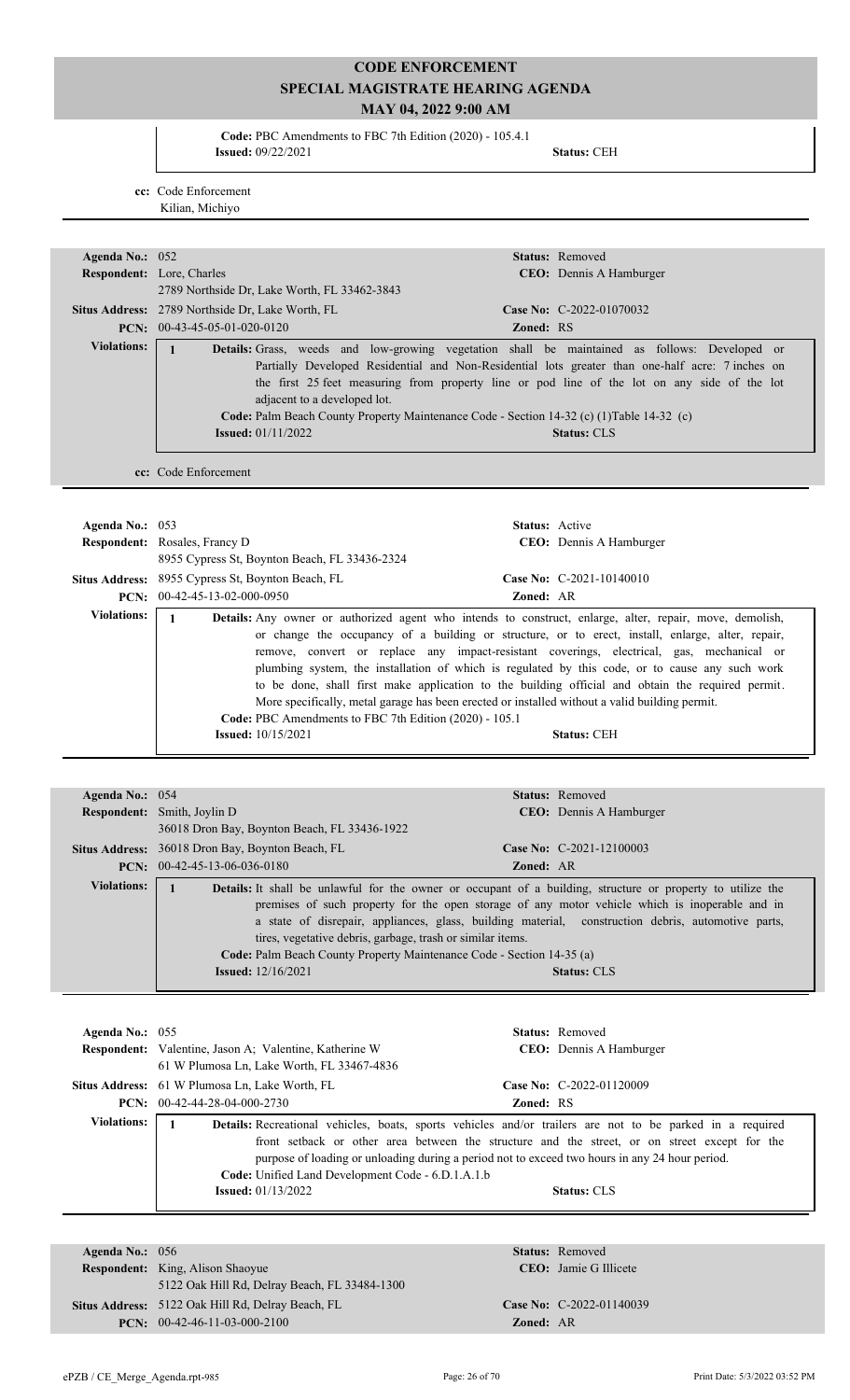**Code:** PBC Amendments to FBC 7th Edition (2020) - 105.4.1 **Issued:** 09/22/2021 **Status:** CEH

**cc:** Code Enforcement Kilian, Michiyo

| Agenda No.: 052    |                                                                                     | Status: Removed                                                                                                                                                                                                                                                                                                                                                                                                                                                                                                                                                                                                      |
|--------------------|-------------------------------------------------------------------------------------|----------------------------------------------------------------------------------------------------------------------------------------------------------------------------------------------------------------------------------------------------------------------------------------------------------------------------------------------------------------------------------------------------------------------------------------------------------------------------------------------------------------------------------------------------------------------------------------------------------------------|
|                    | Respondent: Lore, Charles                                                           | CEO: Dennis A Hamburger                                                                                                                                                                                                                                                                                                                                                                                                                                                                                                                                                                                              |
|                    | 2789 Northside Dr, Lake Worth, FL 33462-3843                                        |                                                                                                                                                                                                                                                                                                                                                                                                                                                                                                                                                                                                                      |
|                    | Situs Address: 2789 Northside Dr, Lake Worth, FL                                    | Case No: C-2022-01070032                                                                                                                                                                                                                                                                                                                                                                                                                                                                                                                                                                                             |
|                    | PCN: 00-43-45-05-01-020-0120                                                        | Zoned: RS                                                                                                                                                                                                                                                                                                                                                                                                                                                                                                                                                                                                            |
| <b>Violations:</b> | $\mathbf{1}$<br>adjacent to a developed lot.                                        | Details: Grass, weeds and low-growing vegetation shall be maintained as follows: Developed or<br>Partially Developed Residential and Non-Residential lots greater than one-half acre: 7 inches on<br>the first 25 feet measuring from property line or pod line of the lot on any side of the lot<br>Code: Palm Beach County Property Maintenance Code - Section 14-32 (c) (1)Table 14-32 (c)                                                                                                                                                                                                                        |
|                    | <b>Issued:</b> 01/11/2022                                                           | <b>Status: CLS</b>                                                                                                                                                                                                                                                                                                                                                                                                                                                                                                                                                                                                   |
|                    | cc: Code Enforcement                                                                |                                                                                                                                                                                                                                                                                                                                                                                                                                                                                                                                                                                                                      |
| Agenda No.: 053    | <b>Respondent:</b> Rosales, Francy D                                                | Status: Active<br><b>CEO</b> : Dennis A Hamburger                                                                                                                                                                                                                                                                                                                                                                                                                                                                                                                                                                    |
|                    | 8955 Cypress St, Boynton Beach, FL 33436-2324                                       |                                                                                                                                                                                                                                                                                                                                                                                                                                                                                                                                                                                                                      |
|                    | Situs Address: 8955 Cypress St, Boynton Beach, FL<br>PCN: $00-42-45-13-02-000-0950$ | Case No: C-2021-10140010<br>Zoned: AR                                                                                                                                                                                                                                                                                                                                                                                                                                                                                                                                                                                |
| <b>Violations:</b> | 1<br>Code: PBC Amendments to FBC 7th Edition (2020) - 105.1                         | Details: Any owner or authorized agent who intends to construct, enlarge, alter, repair, move, demolish,<br>or change the occupancy of a building or structure, or to erect, install, enlarge, alter, repair,<br>remove, convert or replace any impact-resistant coverings, electrical, gas, mechanical or<br>plumbing system, the installation of which is regulated by this code, or to cause any such work<br>to be done, shall first make application to the building official and obtain the required permit.<br>More specifically, metal garage has been erected or installed without a valid building permit. |
|                    | <b>Issued:</b> 10/15/2021                                                           | <b>Status: CEH</b>                                                                                                                                                                                                                                                                                                                                                                                                                                                                                                                                                                                                   |

|                    | <b>Respondent:</b> Smith, Joylin D                                                                                                                                 | <b>CEO:</b> Dennis A Hamburger                                                                                                                                                                                                                                                                                                                   |
|--------------------|--------------------------------------------------------------------------------------------------------------------------------------------------------------------|--------------------------------------------------------------------------------------------------------------------------------------------------------------------------------------------------------------------------------------------------------------------------------------------------------------------------------------------------|
|                    | 36018 Dron Bay, Boynton Beach, FL 33436-1922                                                                                                                       |                                                                                                                                                                                                                                                                                                                                                  |
|                    | <b>Situs Address:</b> 36018 Dron Bay, Boynton Beach, FL                                                                                                            | Case No: $C-2021-12100003$                                                                                                                                                                                                                                                                                                                       |
|                    | <b>PCN:</b> $00-42-45-13-06-036-0180$                                                                                                                              | <b>Zoned: AR</b>                                                                                                                                                                                                                                                                                                                                 |
| <b>Violations:</b> | tires, vegetative debris, garbage, trash or similar items.<br>Code: Palm Beach County Property Maintenance Code - Section 14-35 (a)<br><b>Issued:</b> $12/16/2021$ | <b>Details:</b> It shall be unlawful for the owner or occupant of a building, structure or property to utilize the<br>premises of such property for the open storage of any motor vehicle which is inoperable and in<br>a state of disrepair, appliances, glass, building material, construction debris, automotive parts,<br><b>Status: CLS</b> |

| Agenda No.: $055$  | <b>Respondent:</b> Valentine, Jason A; Valentine, Katherine W<br>61 W Plumosa Ln, Lake Worth, FL 33467-4836 | <b>Status:</b> Removed<br><b>CEO</b> : Dennis A Hamburger                                                                                                                                                                                                                                                                                 |  |
|--------------------|-------------------------------------------------------------------------------------------------------------|-------------------------------------------------------------------------------------------------------------------------------------------------------------------------------------------------------------------------------------------------------------------------------------------------------------------------------------------|--|
|                    | <b>Situs Address:</b> 61 W Plumosa Ln, Lake Worth, FL                                                       | Case No: $C-2022-01120009$                                                                                                                                                                                                                                                                                                                |  |
|                    | $PCN: 00-42-44-28-04-000-2730$                                                                              | <b>Zoned: RS</b>                                                                                                                                                                                                                                                                                                                          |  |
| <b>Violations:</b> | <b>Code:</b> Unified Land Development Code - 6.D.1.A.1.b<br><b>Issued:</b> 01/13/2022                       | <b>Details:</b> Recreational vehicles, boats, sports vehicles and/or trailers are not to be parked in a required<br>front setback or other area between the structure and the street, or on street except for the<br>purpose of loading or unloading during a period not to exceed two hours in any 24 hour period.<br><b>Status: CLS</b> |  |

| Agenda No.: $056$ |                                                   |                  | <b>Status:</b> Removed        |
|-------------------|---------------------------------------------------|------------------|-------------------------------|
|                   | <b>Respondent:</b> King, Alison Shaoyue           |                  | <b>CEO</b> : Jamie G Illicete |
|                   | 5122 Oak Hill Rd, Delray Beach, FL 33484-1300     |                  |                               |
|                   | Situs Address: 5122 Oak Hill Rd, Delray Beach, FL |                  | Case No: C-2022-01140039      |
|                   | <b>PCN:</b> $00-42-46-11-03-000-2100$             | <b>Zoned: AR</b> |                               |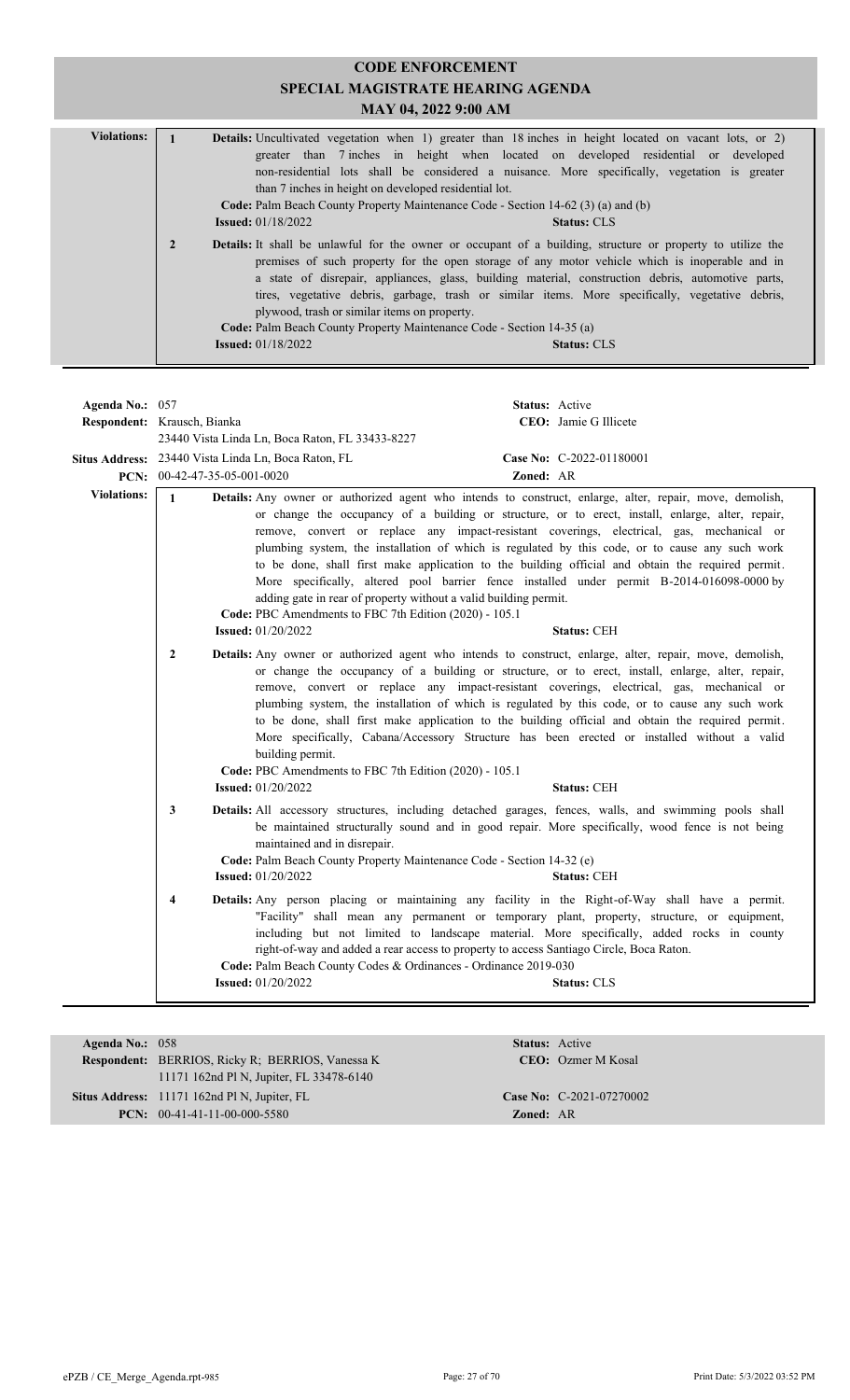| <b>CODE ENFORCEMENT</b> |                                                                                                                                                                                                                                                                                                                                                                                                                                                                                                                                                                                                                                                                                                                                                                                                                                                                                                                                                                                                                                                                                                                                          |  |  |  |  |
|-------------------------|------------------------------------------------------------------------------------------------------------------------------------------------------------------------------------------------------------------------------------------------------------------------------------------------------------------------------------------------------------------------------------------------------------------------------------------------------------------------------------------------------------------------------------------------------------------------------------------------------------------------------------------------------------------------------------------------------------------------------------------------------------------------------------------------------------------------------------------------------------------------------------------------------------------------------------------------------------------------------------------------------------------------------------------------------------------------------------------------------------------------------------------|--|--|--|--|
|                         | <b>SPECIAL MAGISTRATE HEARING AGENDA</b><br>MAY 04, 2022 9:00 AM                                                                                                                                                                                                                                                                                                                                                                                                                                                                                                                                                                                                                                                                                                                                                                                                                                                                                                                                                                                                                                                                         |  |  |  |  |
| <b>Violations:</b>      | Details: Uncultivated vegetation when 1) greater than 18 inches in height located on vacant lots, or 2)<br>$\mathbf{1}$<br>greater than 7 inches in height when located on developed residential or developed<br>non-residential lots shall be considered a nuisance. More specifically, vegetation is greater<br>than 7 inches in height on developed residential lot.<br>Code: Palm Beach County Property Maintenance Code - Section 14-62 (3) (a) and (b)<br><b>Issued:</b> 01/18/2022<br><b>Status: CLS</b><br>$\overline{2}$<br>Details: It shall be unlawful for the owner or occupant of a building, structure or property to utilize the<br>premises of such property for the open storage of any motor vehicle which is inoperable and in<br>a state of disrepair, appliances, glass, building material, construction debris, automotive parts,<br>tires, vegetative debris, garbage, trash or similar items. More specifically, vegetative debris,<br>plywood, trash or similar items on property.<br>Code: Palm Beach County Property Maintenance Code - Section 14-35 (a)<br><b>Issued: 01/18/2022</b><br><b>Status: CLS</b> |  |  |  |  |
|                         |                                                                                                                                                                                                                                                                                                                                                                                                                                                                                                                                                                                                                                                                                                                                                                                                                                                                                                                                                                                                                                                                                                                                          |  |  |  |  |
| Agenda No.: 057         | Status: Active<br>CEO: Jamie G Illicete<br>Respondent: Krausch, Bianka                                                                                                                                                                                                                                                                                                                                                                                                                                                                                                                                                                                                                                                                                                                                                                                                                                                                                                                                                                                                                                                                   |  |  |  |  |
|                         | 23440 Vista Linda Ln, Boca Raton, FL 33433-8227                                                                                                                                                                                                                                                                                                                                                                                                                                                                                                                                                                                                                                                                                                                                                                                                                                                                                                                                                                                                                                                                                          |  |  |  |  |
|                         | Case No: C-2022-01180001<br>Situs Address: 23440 Vista Linda Ln, Boca Raton, FL<br>PCN: 00-42-47-35-05-001-0020<br>Zoned: AR                                                                                                                                                                                                                                                                                                                                                                                                                                                                                                                                                                                                                                                                                                                                                                                                                                                                                                                                                                                                             |  |  |  |  |
| <b>Violations:</b>      | $\mathbf{1}$<br>Details: Any owner or authorized agent who intends to construct, enlarge, alter, repair, move, demolish,<br>or change the occupancy of a building or structure, or to erect, install, enlarge, alter, repair,<br>remove, convert or replace any impact-resistant coverings, electrical, gas, mechanical or<br>plumbing system, the installation of which is regulated by this code, or to cause any such work<br>to be done, shall first make application to the building official and obtain the required permit.<br>More specifically, altered pool barrier fence installed under permit B-2014-016098-0000 by<br>adding gate in rear of property without a valid building permit.<br>Code: PBC Amendments to FBC 7th Edition (2020) - 105.1<br><b>Issued:</b> $01/20/2022$<br><b>Status: CEH</b>                                                                                                                                                                                                                                                                                                                      |  |  |  |  |
|                         | Details: Any owner or authorized agent who intends to construct, enlarge, alter, repair, move, demolish,<br>2<br>or change the occupancy of a building or structure, or to erect, install, enlarge, alter, repair,<br>remove, convert or replace any impact-resistant coverings, electrical, gas, mechanical or<br>plumbing system, the installation of which is regulated by this code, or to cause any such work<br>to be done, shall first make application to the building official and obtain the required permit.<br>More specifically, Cabana/Accessory Structure has been erected or installed without a valid<br>building permit.<br>Code: PBC Amendments to FBC 7th Edition (2020) - 105.1<br><b>Issued:</b> 01/20/2022<br><b>Status: CEH</b>                                                                                                                                                                                                                                                                                                                                                                                  |  |  |  |  |
|                         | Details: All accessory structures, including detached garages, fences, walls, and swimming pools shall<br>3<br>be maintained structurally sound and in good repair. More specifically, wood fence is not being<br>maintained and in disrepair.<br>Code: Palm Beach County Property Maintenance Code - Section 14-32 (e)<br>Status: CEH<br><b>Issued:</b> 01/20/2022                                                                                                                                                                                                                                                                                                                                                                                                                                                                                                                                                                                                                                                                                                                                                                      |  |  |  |  |
|                         | Details: Any person placing or maintaining any facility in the Right-of-Way shall have a permit.<br>4<br>"Facility" shall mean any permanent or temporary plant, property, structure, or equipment,<br>including but not limited to landscape material. More specifically, added rocks in county<br>right-of-way and added a rear access to property to access Santiago Circle, Boca Raton.<br>Code: Palm Beach County Codes & Ordinances - Ordinance 2019-030<br><b>Issued:</b> 01/20/2022<br><b>Status: CLS</b>                                                                                                                                                                                                                                                                                                                                                                                                                                                                                                                                                                                                                        |  |  |  |  |
|                         |                                                                                                                                                                                                                                                                                                                                                                                                                                                                                                                                                                                                                                                                                                                                                                                                                                                                                                                                                                                                                                                                                                                                          |  |  |  |  |

| Agenda No.: $058$ |                                                                                       | <b>Status:</b> Active |                            |  |
|-------------------|---------------------------------------------------------------------------------------|-----------------------|----------------------------|--|
|                   | <b>Respondent:</b> BERRIOS, Ricky R; BERRIOS, Vanessa K<br><b>CEO</b> : Ozmer M Kosal |                       |                            |  |
|                   | 11171 162nd Pl N, Jupiter, FL 33478-6140                                              |                       |                            |  |
|                   | <b>Situs Address:</b> 11171 162nd Pl N, Jupiter, FL                                   |                       | Case No: $C-2021-07270002$ |  |
|                   | <b>PCN:</b> $00-41-41-11-00-000-5580$                                                 | <b>Zoned: AR</b>      |                            |  |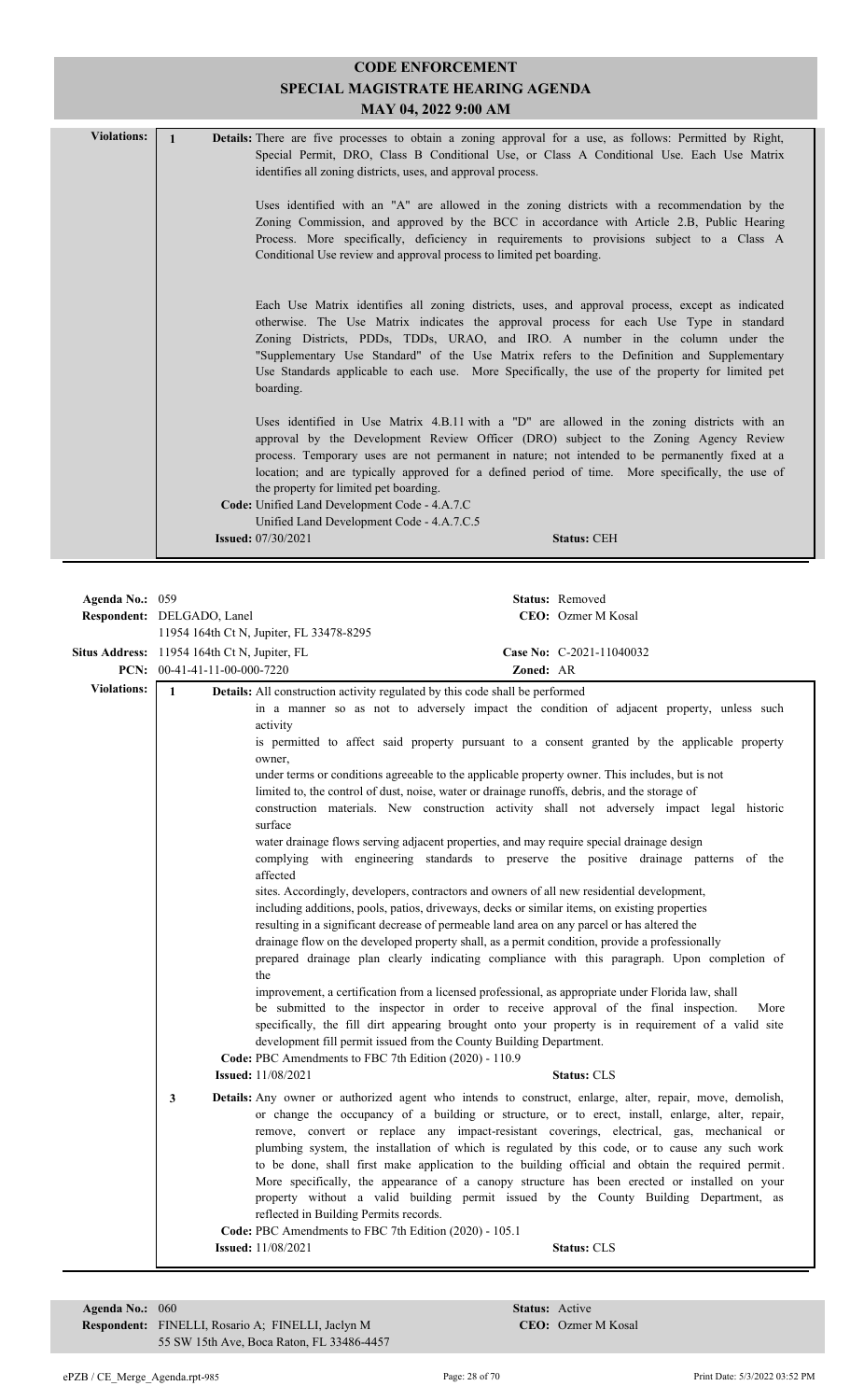| <b>Violations:</b> | <b>Details:</b> There are five processes to obtain a zoning approval for a use, as follows: Permitted by Right,<br>Special Permit, DRO, Class B Conditional Use, or Class A Conditional Use. Each Use Matrix<br>identifies all zoning districts, uses, and approval process.                                                                                                                                                                                                              |
|--------------------|-------------------------------------------------------------------------------------------------------------------------------------------------------------------------------------------------------------------------------------------------------------------------------------------------------------------------------------------------------------------------------------------------------------------------------------------------------------------------------------------|
|                    | Uses identified with an "A" are allowed in the zoning districts with a recommendation by the<br>Zoning Commission, and approved by the BCC in accordance with Article 2.B, Public Hearing<br>Process. More specifically, deficiency in requirements to provisions subject to a Class A<br>Conditional Use review and approval process to limited pet boarding.                                                                                                                            |
|                    | Each Use Matrix identifies all zoning districts, uses, and approval process, except as indicated<br>otherwise. The Use Matrix indicates the approval process for each Use Type in standard<br>Zoning Districts, PDDs, TDDs, URAO, and IRO. A number in the column under the<br>"Supplementary Use Standard" of the Use Matrix refers to the Definition and Supplementary<br>Use Standards applicable to each use. More Specifically, the use of the property for limited pet<br>boarding. |
|                    | Uses identified in Use Matrix 4.B.11 with a "D" are allowed in the zoning districts with an<br>approval by the Development Review Officer (DRO) subject to the Zoning Agency Review<br>process. Temporary uses are not permanent in nature; not intended to be permanently fixed at a<br>location; and are typically approved for a defined period of time. More specifically, the use of<br>the property for limited pet boarding.<br>Code: Unified Land Development Code - 4.A.7.C      |
|                    | Unified Land Development Code - 4.A.7.C.5<br><b>Issued:</b> 07/30/2021<br><b>Status: CEH</b>                                                                                                                                                                                                                                                                                                                                                                                              |

| Agenda No.: 059    | <b>Respondent:</b> DELGADO, Lanel                                                            | 11954 164th Ct N, Jupiter, FL 33478-8295                                                                                                                                                                                                                                                                                                                                                                                                                                                                                                                                                                                                                                                                                                                                                                                                                                                                                                                                                                                                                                                                     |           | Status: Removed<br>CEO: Ozmer M Kosal                                                                                                                                                                                                                                                                                                                                                                                                                                                                                                                                                                                                                                                                                                                                                                                                                                                                                                                                                                                                                                                                                                                                                                                                                                                                                                   |
|--------------------|----------------------------------------------------------------------------------------------|--------------------------------------------------------------------------------------------------------------------------------------------------------------------------------------------------------------------------------------------------------------------------------------------------------------------------------------------------------------------------------------------------------------------------------------------------------------------------------------------------------------------------------------------------------------------------------------------------------------------------------------------------------------------------------------------------------------------------------------------------------------------------------------------------------------------------------------------------------------------------------------------------------------------------------------------------------------------------------------------------------------------------------------------------------------------------------------------------------------|-----------|-----------------------------------------------------------------------------------------------------------------------------------------------------------------------------------------------------------------------------------------------------------------------------------------------------------------------------------------------------------------------------------------------------------------------------------------------------------------------------------------------------------------------------------------------------------------------------------------------------------------------------------------------------------------------------------------------------------------------------------------------------------------------------------------------------------------------------------------------------------------------------------------------------------------------------------------------------------------------------------------------------------------------------------------------------------------------------------------------------------------------------------------------------------------------------------------------------------------------------------------------------------------------------------------------------------------------------------------|
|                    | <b>Situs Address:</b> 11954 164th Ct N, Jupiter, FL<br><b>PCN:</b> $00-41-41-11-00-000-7220$ |                                                                                                                                                                                                                                                                                                                                                                                                                                                                                                                                                                                                                                                                                                                                                                                                                                                                                                                                                                                                                                                                                                              | Zoned: AR | Case No: C-2021-11040032                                                                                                                                                                                                                                                                                                                                                                                                                                                                                                                                                                                                                                                                                                                                                                                                                                                                                                                                                                                                                                                                                                                                                                                                                                                                                                                |
| <b>Violations:</b> | $\mathbf{1}$                                                                                 | Details: All construction activity regulated by this code shall be performed                                                                                                                                                                                                                                                                                                                                                                                                                                                                                                                                                                                                                                                                                                                                                                                                                                                                                                                                                                                                                                 |           |                                                                                                                                                                                                                                                                                                                                                                                                                                                                                                                                                                                                                                                                                                                                                                                                                                                                                                                                                                                                                                                                                                                                                                                                                                                                                                                                         |
|                    | 3                                                                                            | activity<br>owner,<br>under terms or conditions agreeable to the applicable property owner. This includes, but is not<br>limited to, the control of dust, noise, water or drainage runoffs, debris, and the storage of<br>surface<br>water drainage flows serving adjacent properties, and may require special drainage design<br>affected<br>sites. Accordingly, developers, contractors and owners of all new residential development,<br>including additions, pools, patios, driveways, decks or similar items, on existing properties<br>resulting in a significant decrease of permeable land area on any parcel or has altered the<br>drainage flow on the developed property shall, as a permit condition, provide a professionally<br>the<br>improvement, a certification from a licensed professional, as appropriate under Florida law, shall<br>be submitted to the inspector in order to receive approval of the final inspection.<br>development fill permit issued from the County Building Department.<br>Code: PBC Amendments to FBC 7th Edition (2020) - 110.9<br><b>Issued:</b> 11/08/2021 |           | in a manner so as not to adversely impact the condition of adjacent property, unless such<br>is permitted to affect said property pursuant to a consent granted by the applicable property<br>construction materials. New construction activity shall not adversely impact legal historic<br>complying with engineering standards to preserve the positive drainage patterns of the<br>prepared drainage plan clearly indicating compliance with this paragraph. Upon completion of<br>More<br>specifically, the fill dirt appearing brought onto your property is in requirement of a valid site<br><b>Status: CLS</b><br>Details: Any owner or authorized agent who intends to construct, enlarge, alter, repair, move, demolish,<br>or change the occupancy of a building or structure, or to erect, install, enlarge, alter, repair,<br>remove, convert or replace any impact-resistant coverings, electrical, gas, mechanical or<br>plumbing system, the installation of which is regulated by this code, or to cause any such work<br>to be done, shall first make application to the building official and obtain the required permit.<br>More specifically, the appearance of a canopy structure has been erected or installed on your<br>property without a valid building permit issued by the County Building Department, as |
|                    |                                                                                              | reflected in Building Permits records.<br>Code: PBC Amendments to FBC 7th Edition (2020) - 105.1<br><b>Issued:</b> 11/08/2021                                                                                                                                                                                                                                                                                                                                                                                                                                                                                                                                                                                                                                                                                                                                                                                                                                                                                                                                                                                |           | <b>Status: CLS</b>                                                                                                                                                                                                                                                                                                                                                                                                                                                                                                                                                                                                                                                                                                                                                                                                                                                                                                                                                                                                                                                                                                                                                                                                                                                                                                                      |

**Respondent:** FINELLI, Rosario A; FINELLI, Jaclyn M **CEO:** CEO: Ozmer **Agenda No.:** 060 55 SW 15th Ave, Boca Raton, FL 33486-4457

CEO: Ozmer M Kosal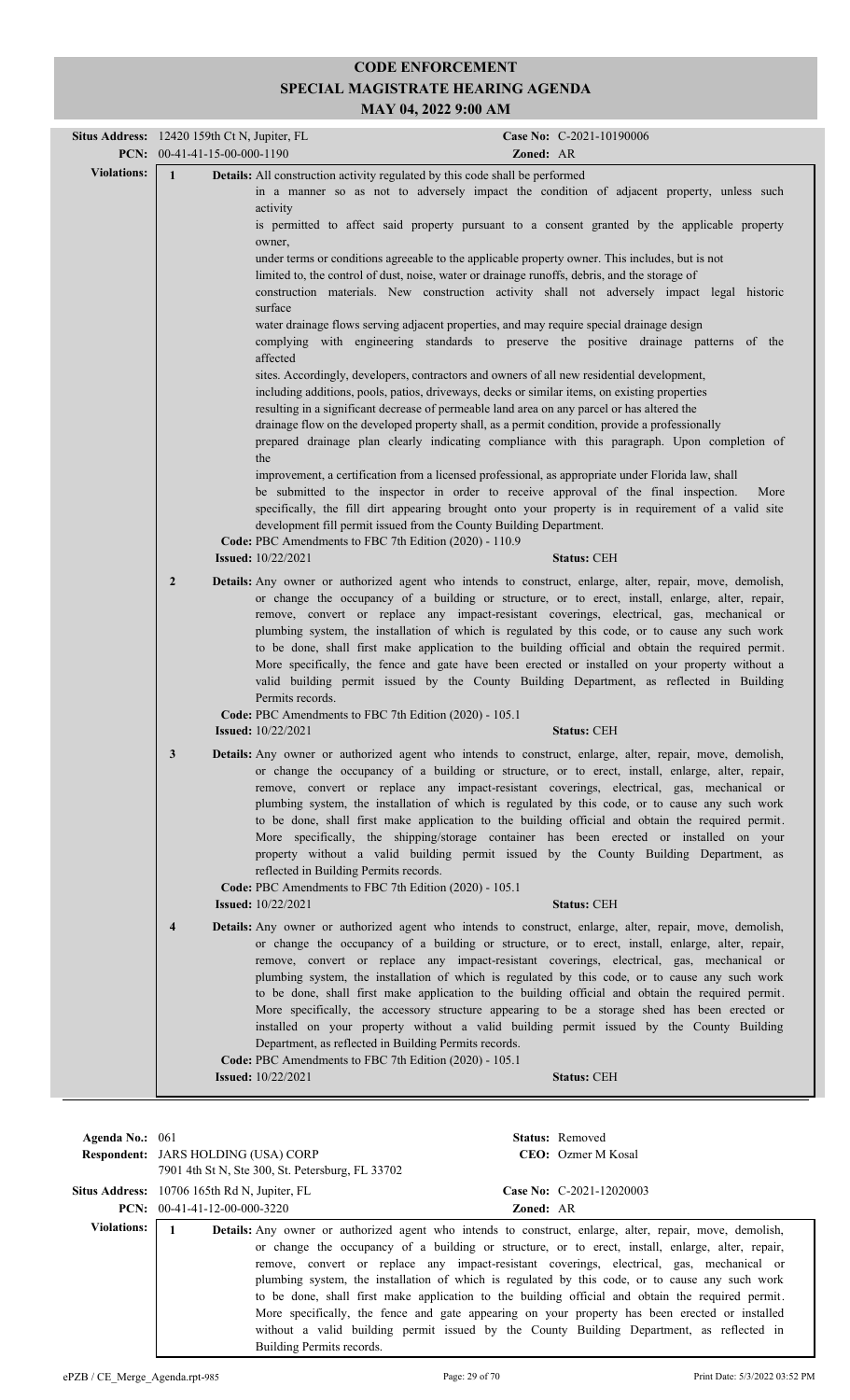|                    |                         | Situs Address: 12420 159th Ct N, Jupiter, FL                                                                                                                                                                                                                                                                                                                                                                                                                                                                                                                                                                                 |           | Case No: C-2021-10190006                                                                                                                                                                                                                                                                                                                                                                                                                                                                                                                                                                                                                                                                                                                                                                                                                                                                      |
|--------------------|-------------------------|------------------------------------------------------------------------------------------------------------------------------------------------------------------------------------------------------------------------------------------------------------------------------------------------------------------------------------------------------------------------------------------------------------------------------------------------------------------------------------------------------------------------------------------------------------------------------------------------------------------------------|-----------|-----------------------------------------------------------------------------------------------------------------------------------------------------------------------------------------------------------------------------------------------------------------------------------------------------------------------------------------------------------------------------------------------------------------------------------------------------------------------------------------------------------------------------------------------------------------------------------------------------------------------------------------------------------------------------------------------------------------------------------------------------------------------------------------------------------------------------------------------------------------------------------------------|
|                    |                         | PCN: 00-41-41-15-00-000-1190                                                                                                                                                                                                                                                                                                                                                                                                                                                                                                                                                                                                 | Zoned: AR |                                                                                                                                                                                                                                                                                                                                                                                                                                                                                                                                                                                                                                                                                                                                                                                                                                                                                               |
| <b>Violations:</b> | $\mathbf{1}$            | Details: All construction activity regulated by this code shall be performed<br>activity<br>owner,<br>limited to, the control of dust, noise, water or drainage runoffs, debris, and the storage of<br>surface<br>water drainage flows serving adjacent properties, and may require special drainage design<br>affected<br>sites. Accordingly, developers, contractors and owners of all new residential development,<br>including additions, pools, patios, driveways, decks or similar items, on existing properties<br>resulting in a significant decrease of permeable land area on any parcel or has altered the<br>the |           | in a manner so as not to adversely impact the condition of adjacent property, unless such<br>is permitted to affect said property pursuant to a consent granted by the applicable property<br>under terms or conditions agreeable to the applicable property owner. This includes, but is not<br>construction materials. New construction activity shall not adversely impact legal historic<br>complying with engineering standards to preserve the positive drainage patterns of the<br>drainage flow on the developed property shall, as a permit condition, provide a professionally<br>prepared drainage plan clearly indicating compliance with this paragraph. Upon completion of<br>improvement, a certification from a licensed professional, as appropriate under Florida law, shall<br>be submitted to the inspector in order to receive approval of the final inspection.<br>More |
|                    |                         | development fill permit issued from the County Building Department.<br>Code: PBC Amendments to FBC 7th Edition (2020) - 110.9<br><b>Issued:</b> 10/22/2021                                                                                                                                                                                                                                                                                                                                                                                                                                                                   |           | specifically, the fill dirt appearing brought onto your property is in requirement of a valid site<br><b>Status: CEH</b>                                                                                                                                                                                                                                                                                                                                                                                                                                                                                                                                                                                                                                                                                                                                                                      |
|                    |                         |                                                                                                                                                                                                                                                                                                                                                                                                                                                                                                                                                                                                                              |           |                                                                                                                                                                                                                                                                                                                                                                                                                                                                                                                                                                                                                                                                                                                                                                                                                                                                                               |
|                    | $\overline{2}$          | Permits records.<br>Code: PBC Amendments to FBC 7th Edition (2020) - 105.1                                                                                                                                                                                                                                                                                                                                                                                                                                                                                                                                                   |           | Details: Any owner or authorized agent who intends to construct, enlarge, alter, repair, move, demolish,<br>or change the occupancy of a building or structure, or to erect, install, enlarge, alter, repair,<br>remove, convert or replace any impact-resistant coverings, electrical, gas, mechanical or<br>plumbing system, the installation of which is regulated by this code, or to cause any such work<br>to be done, shall first make application to the building official and obtain the required permit.<br>More specifically, the fence and gate have been erected or installed on your property without a<br>valid building permit issued by the County Building Department, as reflected in Building                                                                                                                                                                             |
|                    |                         | <b>Issued:</b> 10/22/2021                                                                                                                                                                                                                                                                                                                                                                                                                                                                                                                                                                                                    |           | <b>Status: CEH</b>                                                                                                                                                                                                                                                                                                                                                                                                                                                                                                                                                                                                                                                                                                                                                                                                                                                                            |
|                    | 3                       | reflected in Building Permits records.<br>Code: PBC Amendments to FBC 7th Edition (2020) - 105.1                                                                                                                                                                                                                                                                                                                                                                                                                                                                                                                             |           | Details: Any owner or authorized agent who intends to construct, enlarge, alter, repair, move, demolish,<br>or change the occupancy of a building or structure, or to erect, install, enlarge, alter, repair,<br>remove, convert or replace any impact-resistant coverings, electrical, gas, mechanical or<br>plumbing system, the installation of which is regulated by this code, or to cause any such work<br>to be done, shall first make application to the building official and obtain the required permit.<br>More specifically, the shipping/storage container has been erected or installed on your<br>property without a valid building permit issued by the County Building Department, as                                                                                                                                                                                        |
|                    |                         | <b>Issued:</b> 10/22/2021                                                                                                                                                                                                                                                                                                                                                                                                                                                                                                                                                                                                    |           | <b>Status: CEH</b>                                                                                                                                                                                                                                                                                                                                                                                                                                                                                                                                                                                                                                                                                                                                                                                                                                                                            |
|                    | $\overline{\mathbf{4}}$ | Department, as reflected in Building Permits records.                                                                                                                                                                                                                                                                                                                                                                                                                                                                                                                                                                        |           | Details: Any owner or authorized agent who intends to construct, enlarge, alter, repair, move, demolish,<br>or change the occupancy of a building or structure, or to erect, install, enlarge, alter, repair,<br>remove, convert or replace any impact-resistant coverings, electrical, gas, mechanical or<br>plumbing system, the installation of which is regulated by this code, or to cause any such work<br>to be done, shall first make application to the building official and obtain the required permit.<br>More specifically, the accessory structure appearing to be a storage shed has been erected or<br>installed on your property without a valid building permit issued by the County Building                                                                                                                                                                               |
|                    |                         | Code: PBC Amendments to FBC 7th Edition (2020) - 105.1<br><b>Issued:</b> 10/22/2021                                                                                                                                                                                                                                                                                                                                                                                                                                                                                                                                          |           | <b>Status: CEH</b>                                                                                                                                                                                                                                                                                                                                                                                                                                                                                                                                                                                                                                                                                                                                                                                                                                                                            |
|                    |                         |                                                                                                                                                                                                                                                                                                                                                                                                                                                                                                                                                                                                                              |           |                                                                                                                                                                                                                                                                                                                                                                                                                                                                                                                                                                                                                                                                                                                                                                                                                                                                                               |

| Agenda No.: $061$  | <b>Respondent: JARS HOLDING (USA) CORP</b><br>7901 4th St N, Ste 300, St. Petersburg, FL 33702 | <b>Status:</b> Removed | CEO: Ozmer M Kosal                                                                                                                                                                                                                                                                                                                                                                                                                                                                                                                                                                                                                                                                                                       |
|--------------------|------------------------------------------------------------------------------------------------|------------------------|--------------------------------------------------------------------------------------------------------------------------------------------------------------------------------------------------------------------------------------------------------------------------------------------------------------------------------------------------------------------------------------------------------------------------------------------------------------------------------------------------------------------------------------------------------------------------------------------------------------------------------------------------------------------------------------------------------------------------|
|                    | <b>Situs Address:</b> 10706 165th Rd N, Jupiter, FL<br>$PCN: 00-41-41-12-00-000-3220$          | <b>Zoned: AR</b>       | Case No: C-2021-12020003                                                                                                                                                                                                                                                                                                                                                                                                                                                                                                                                                                                                                                                                                                 |
| <b>Violations:</b> | Building Permits records.                                                                      |                        | <b>Details:</b> Any owner or authorized agent who intends to construct, enlarge, alter, repair, move, demolish,<br>or change the occupancy of a building or structure, or to erect, install, enlarge, alter, repair,<br>remove, convert or replace any impact-resistant coverings, electrical, gas, mechanical or<br>plumbing system, the installation of which is regulated by this code, or to cause any such work<br>to be done, shall first make application to the building official and obtain the required permit.<br>More specifically, the fence and gate appearing on your property has been erected or installed<br>without a valid building permit issued by the County Building Department, as reflected in |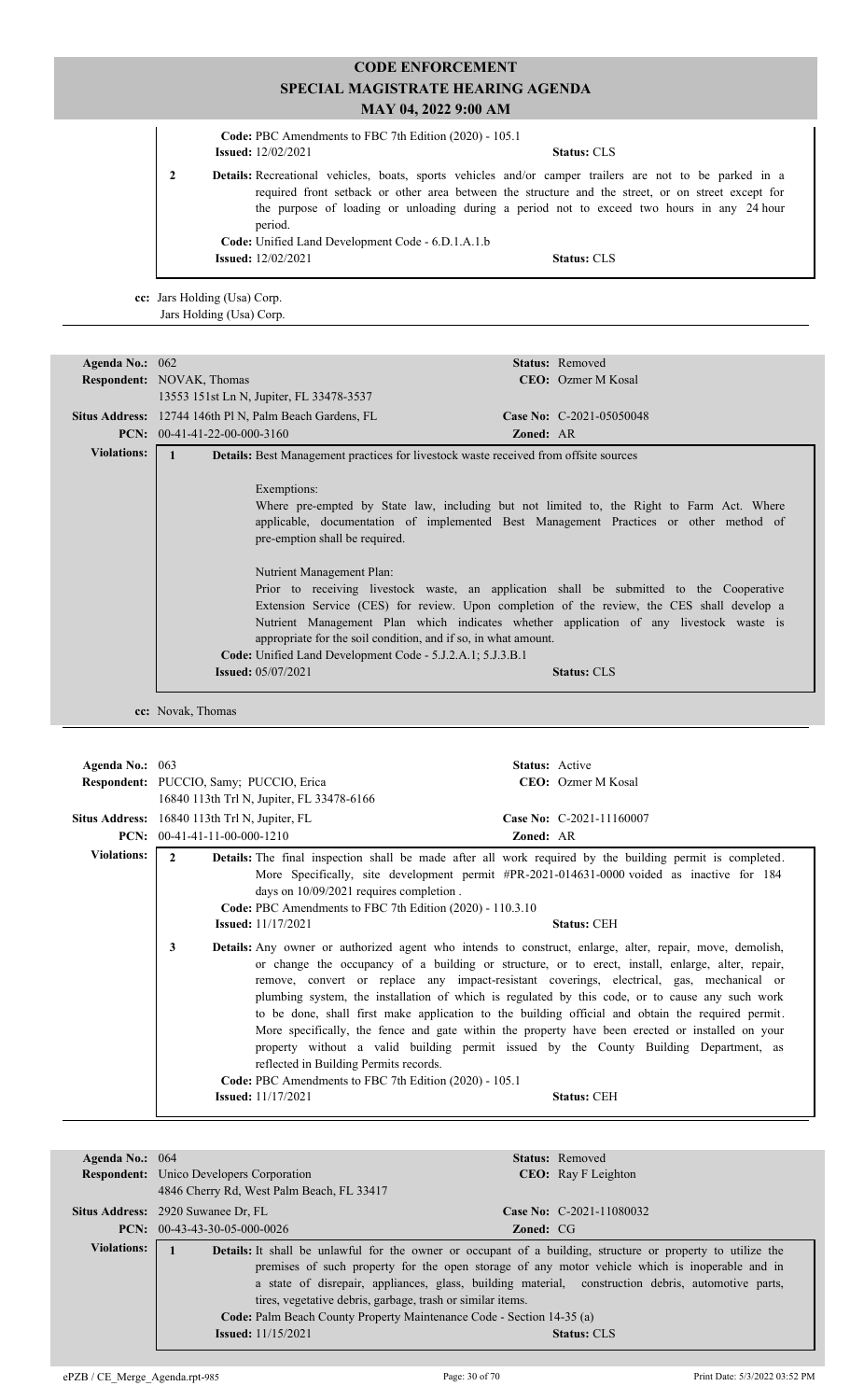| Code: PBC Amendments to FBC 7th Edition (2020) - 105.1                                                                                                                                |                                                                                                                                                                                                  |  |
|---------------------------------------------------------------------------------------------------------------------------------------------------------------------------------------|--------------------------------------------------------------------------------------------------------------------------------------------------------------------------------------------------|--|
| <b>Issued:</b> 12/02/2021                                                                                                                                                             | <b>Status: CLS</b>                                                                                                                                                                               |  |
| <b>Details:</b> Recreational vehicles, boats, sports vehicles and/or camper trailers are not to be parked in a<br>period.<br><b>Code:</b> Unified Land Development Code - 6.D.1.A.1.b | required front setback or other area between the structure and the street, or on street except for<br>the purpose of loading or unloading during a period not to exceed two hours in any 24 hour |  |
| <b>Issued:</b> 12/02/2021                                                                                                                                                             | <b>Status: CLS</b>                                                                                                                                                                               |  |

**cc:** Jars Holding (Usa) Corp. Jars Holding (Usa) Corp.

| Agenda No.: $062$  |                                                                                                                                                                                                                                                                                                                                                                                                                                                                                                                                                                                                                                                                                                                          |                  | <b>Status:</b> Removed     |
|--------------------|--------------------------------------------------------------------------------------------------------------------------------------------------------------------------------------------------------------------------------------------------------------------------------------------------------------------------------------------------------------------------------------------------------------------------------------------------------------------------------------------------------------------------------------------------------------------------------------------------------------------------------------------------------------------------------------------------------------------------|------------------|----------------------------|
|                    | <b>Respondent:</b> NOVAK, Thomas                                                                                                                                                                                                                                                                                                                                                                                                                                                                                                                                                                                                                                                                                         |                  | <b>CEO</b> : Ozmer M Kosal |
|                    | 13553 151st Ln N, Jupiter, FL 33478-3537                                                                                                                                                                                                                                                                                                                                                                                                                                                                                                                                                                                                                                                                                 |                  |                            |
|                    | Situs Address: 12744 146th Pl N, Palm Beach Gardens, FL                                                                                                                                                                                                                                                                                                                                                                                                                                                                                                                                                                                                                                                                  |                  | Case No: C-2021-05050048   |
|                    | <b>PCN:</b> $00-41-41-22-00-000-3160$                                                                                                                                                                                                                                                                                                                                                                                                                                                                                                                                                                                                                                                                                    | <b>Zoned: AR</b> |                            |
| <b>Violations:</b> | <b>Details:</b> Best Management practices for livestock waste received from offsite sources                                                                                                                                                                                                                                                                                                                                                                                                                                                                                                                                                                                                                              |                  |                            |
|                    | Exemptions:<br>Where pre-empted by State law, including but not limited to, the Right to Farm Act. Where<br>applicable, documentation of implemented Best Management Practices or other method of<br>pre-emption shall be required.<br>Nutrient Management Plan:<br>Prior to receiving livestock waste, an application shall be submitted to the Cooperative<br>Extension Service (CES) for review. Upon completion of the review, the CES shall develop a<br>Nutrient Management Plan which indicates whether application of any livestock waste is<br>appropriate for the soil condition, and if so, in what amount.<br><b>Code:</b> Unified Land Development Code - 5.J.2.A.1; 5.J.3.B.1<br><b>Issued:</b> 05/07/2021 |                  | <b>Status: CLS</b>         |

**cc:** Novak, Thomas

| Agenda No.: 063    | Respondent: PUCCIO, Samy; PUCCIO, Erica<br>16840 113th Trl N, Jupiter, FL 33478-6166                                                                                                                                                                                                    | <b>Status:</b> Active<br>CEO: Ozmer M Kosal                                                                                                                                                                                                                                                                                                                                                                                                                                                                                                                                                                                                                                                                                                                                                                                                                                                                                                                                         |
|--------------------|-----------------------------------------------------------------------------------------------------------------------------------------------------------------------------------------------------------------------------------------------------------------------------------------|-------------------------------------------------------------------------------------------------------------------------------------------------------------------------------------------------------------------------------------------------------------------------------------------------------------------------------------------------------------------------------------------------------------------------------------------------------------------------------------------------------------------------------------------------------------------------------------------------------------------------------------------------------------------------------------------------------------------------------------------------------------------------------------------------------------------------------------------------------------------------------------------------------------------------------------------------------------------------------------|
|                    | Situs Address: 16840 113th Trl N, Jupiter, FL<br><b>PCN:</b> $00-41-41-11-00-000-1210$                                                                                                                                                                                                  | Case No: C-2021-11160007<br><b>Zoned: AR</b>                                                                                                                                                                                                                                                                                                                                                                                                                                                                                                                                                                                                                                                                                                                                                                                                                                                                                                                                        |
| <b>Violations:</b> | $\mathbf{2}$<br>days on 10/09/2021 requires completion.<br>Code: PBC Amendments to FBC 7th Edition (2020) - 110.3.10<br><b>Issued:</b> 11/17/2021<br>3<br>reflected in Building Permits records.<br>Code: PBC Amendments to FBC 7th Edition (2020) - 105.1<br><b>Issued:</b> 11/17/2021 | <b>Details:</b> The final inspection shall be made after all work required by the building permit is completed.<br>More Specifically, site development permit #PR-2021-014631-0000 voided as inactive for 184<br><b>Status: CEH</b><br><b>Details:</b> Any owner or authorized agent who intends to construct, enlarge, alter, repair, move, demolish,<br>or change the occupancy of a building or structure, or to erect, install, enlarge, alter, repair,<br>remove, convert or replace any impact-resistant coverings, electrical, gas, mechanical or<br>plumbing system, the installation of which is regulated by this code, or to cause any such work<br>to be done, shall first make application to the building official and obtain the required permit.<br>More specifically, the fence and gate within the property have been erected or installed on your<br>property without a valid building permit issued by the County Building Department, as<br><b>Status: CEH</b> |

| Agenda No.: $064$  |                                                                                                                    |                  | <b>Status:</b> Removed      |  |
|--------------------|--------------------------------------------------------------------------------------------------------------------|------------------|-----------------------------|--|
|                    | <b>Respondent:</b> Unico Developers Corporation                                                                    |                  | <b>CEO</b> : Ray F Leighton |  |
|                    | 4846 Cherry Rd, West Palm Beach, FL 33417                                                                          |                  |                             |  |
|                    | <b>Situs Address:</b> 2920 Suwanee Dr. FL                                                                          |                  | Case No: $C-2021-11080032$  |  |
|                    | $PCN: 00-43-43-30-05-000-0026$                                                                                     | <b>Zoned:</b> CG |                             |  |
| <b>Violations:</b> | <b>Details:</b> It shall be unlawful for the owner or occupant of a building, structure or property to utilize the |                  |                             |  |
|                    | premises of such property for the open storage of any motor vehicle which is inoperable and in                     |                  |                             |  |
|                    | a state of disrepair, appliances, glass, building material, construction debris, automotive parts,                 |                  |                             |  |
|                    | tires, vegetative debris, garbage, trash or similar items.                                                         |                  |                             |  |
|                    | Code: Palm Beach County Property Maintenance Code - Section 14-35 (a)                                              |                  |                             |  |
|                    | <b>Issued:</b> $11/15/2021$                                                                                        |                  | <b>Status: CLS</b>          |  |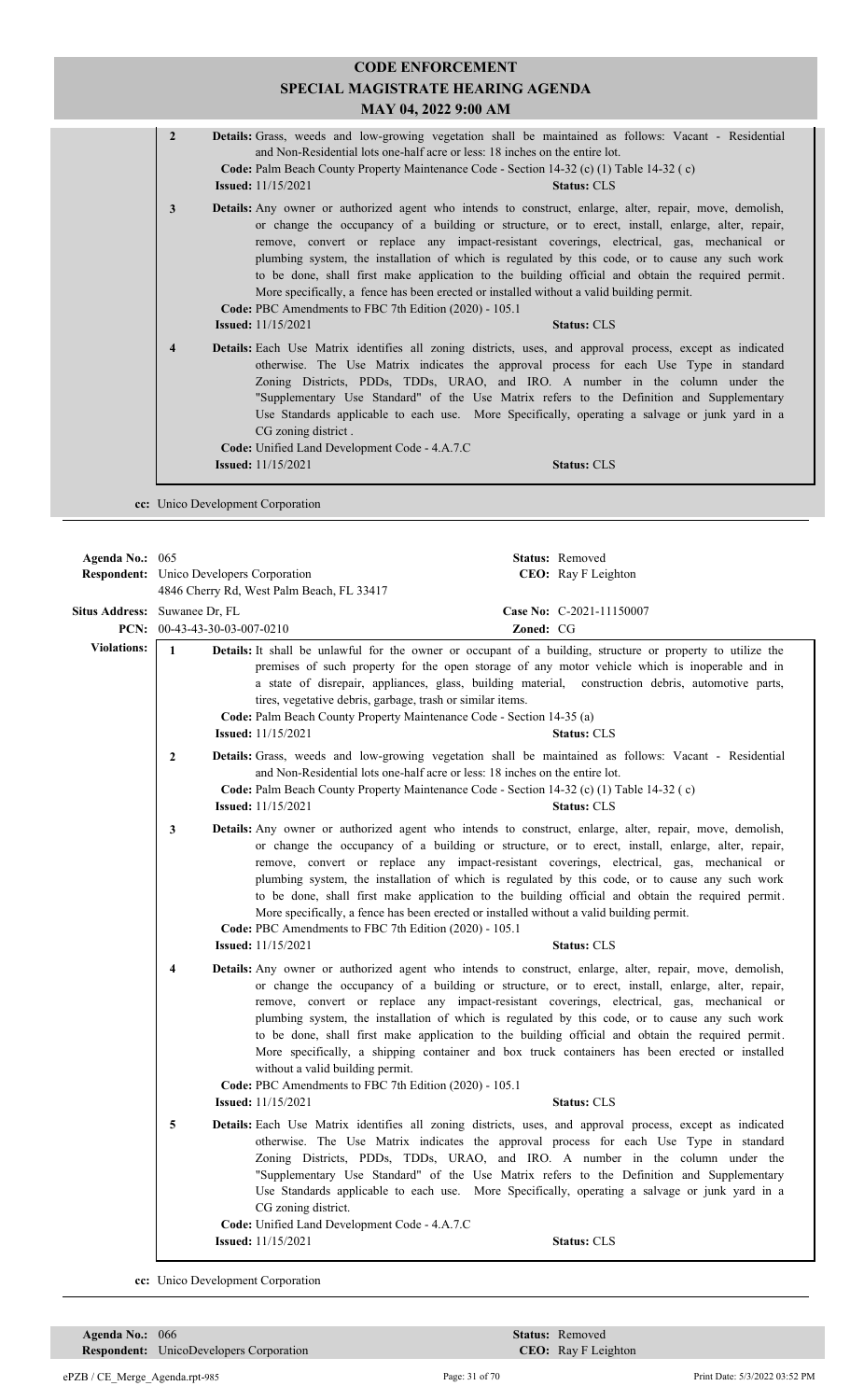| $\overline{2}$          | <b>Issued:</b> $11/15/2021$ | Details: Grass, weeds and low-growing vegetation shall be maintained as follows: Vacant - Residential<br>and Non-Residential lots one-half acre or less: 18 inches on the entire lot.<br>Code: Palm Beach County Property Maintenance Code - Section 14-32 (c) (1) Table 14-32 (c)<br><b>Status: CLS</b>                                                                                                                                                                                                                                                                                                                                                                         |
|-------------------------|-----------------------------|----------------------------------------------------------------------------------------------------------------------------------------------------------------------------------------------------------------------------------------------------------------------------------------------------------------------------------------------------------------------------------------------------------------------------------------------------------------------------------------------------------------------------------------------------------------------------------------------------------------------------------------------------------------------------------|
| 3                       |                             | <b>Details:</b> Any owner or authorized agent who intends to construct, enlarge, alter, repair, move, demolish,<br>or change the occupancy of a building or structure, or to erect, install, enlarge, alter, repair,<br>remove, convert or replace any impact-resistant coverings, electrical, gas, mechanical or<br>plumbing system, the installation of which is regulated by this code, or to cause any such work<br>to be done, shall first make application to the building official and obtain the required permit.<br>More specifically, a fence has been erected or installed without a valid building permit.<br>Code: PBC Amendments to FBC 7th Edition (2020) - 105.1 |
|                         | <b>Issued:</b> $11/15/2021$ | <b>Status: CLS</b>                                                                                                                                                                                                                                                                                                                                                                                                                                                                                                                                                                                                                                                               |
| $\overline{\mathbf{4}}$ |                             | <b>Details:</b> Each Use Matrix identifies all zoning districts, uses, and approval process, except as indicated<br>otherwise. The Use Matrix indicates the approval process for each Use Type in standard<br>Zoning Districts, PDDs, TDDs, URAO, and IRO. A number in the column under the<br>"Supplementary Use Standard" of the Use Matrix refers to the Definition and Supplementary<br>Use Standards applicable to each use. More Specifically, operating a salvage or junk yard in a<br>CG zoning district.<br><b>Code:</b> Unified Land Development Code - 4.A.7.C                                                                                                        |
|                         |                             |                                                                                                                                                                                                                                                                                                                                                                                                                                                                                                                                                                                                                                                                                  |

**cc:** Unico Development Corporation

**Respondent:** Unico Developers Corporation **Agenda No.:** 065 **Status:** Removed CEO: Ray F Leighton 4846 Cherry Rd, West Palm Beach, FL 33417 **Situs Address:** Suwanee Dr, FL **Case No:** C-2021-11150007 **PCN:** 00-43-43-30-03-007-0210 **Zoned:** CG **Violations:** 1 **Details:** It shall be unlawful for the owner or occupant of a building, structure or property to utilize the premises of such property for the open storage of any motor vehicle which is inoperable and in a state of disrepair, appliances, glass, building material, construction debris, automotive parts, tires, vegetative debris, garbage, trash or similar items. **Code:** Palm Beach County Property Maintenance Code - Section 14-35 (a) **Issued:** 11/15/2021 **Status:** CLS 2 **Details:** Grass, weeds and low-growing vegetation shall be maintained as follows: Vacant - Residential and Non-Residential lots one-half acre or less: 18 inches on the entire lot. **Code:** Palm Beach County Property Maintenance Code - Section 14-32 (c) (1) Table 14-32 ( c) **Issued:** 11/15/2021 **Status:** CLS Any owner or authorized agent who intends to construct, enlarge, alter, repair, move, demolish,  **3 Details:** or change the occupancy of a building or structure, or to erect, install, enlarge, alter, repair, remove, convert or replace any impact-resistant coverings, electrical, gas, mechanical or plumbing system, the installation of which is regulated by this code, or to cause any such work to be done, shall first make application to the building official and obtain the required permit. More specifically, a fence has been erected or installed without a valid building permit. **Code:** PBC Amendments to FBC 7th Edition (2020) - 105.1 **Issued:** 11/15/2021 **Status:** CLS **4 Details:** Any owner or authorized agent who intends to construct, enlarge, alter, repair, move, demolish, or change the occupancy of a building or structure, or to erect, install, enlarge, alter, repair, remove, convert or replace any impact-resistant coverings, electrical, gas, mechanical or plumbing system, the installation of which is regulated by this code, or to cause any such work to be done, shall first make application to the building official and obtain the required permit. More specifically, a shipping container and box truck containers has been erected or installed without a valid building permit. **Code:** PBC Amendments to FBC 7th Edition (2020) - 105.1 **Issued:** 11/15/2021 **Status:** CLS Each Use Matrix identifies all zoning districts, uses, and approval process, except as indicated  **5 Details:** otherwise. The Use Matrix indicates the approval process for each Use Type in standard Zoning Districts, PDDs, TDDs, URAO, and IRO. A number in the column under the "Supplementary Use Standard" of the Use Matrix refers to the Definition and Supplementary Use Standards applicable to each use. More Specifically, operating a salvage or junk yard in a CG zoning district. **Code:** Unified Land Development Code - 4.A.7.C **Issued:** 11/15/2021 **Status:** CLS

**cc:** Unico Development Corporation

**Respondent:** UnicoDevelopers Corporation **Agenda No.:** 066 **Status:** Removed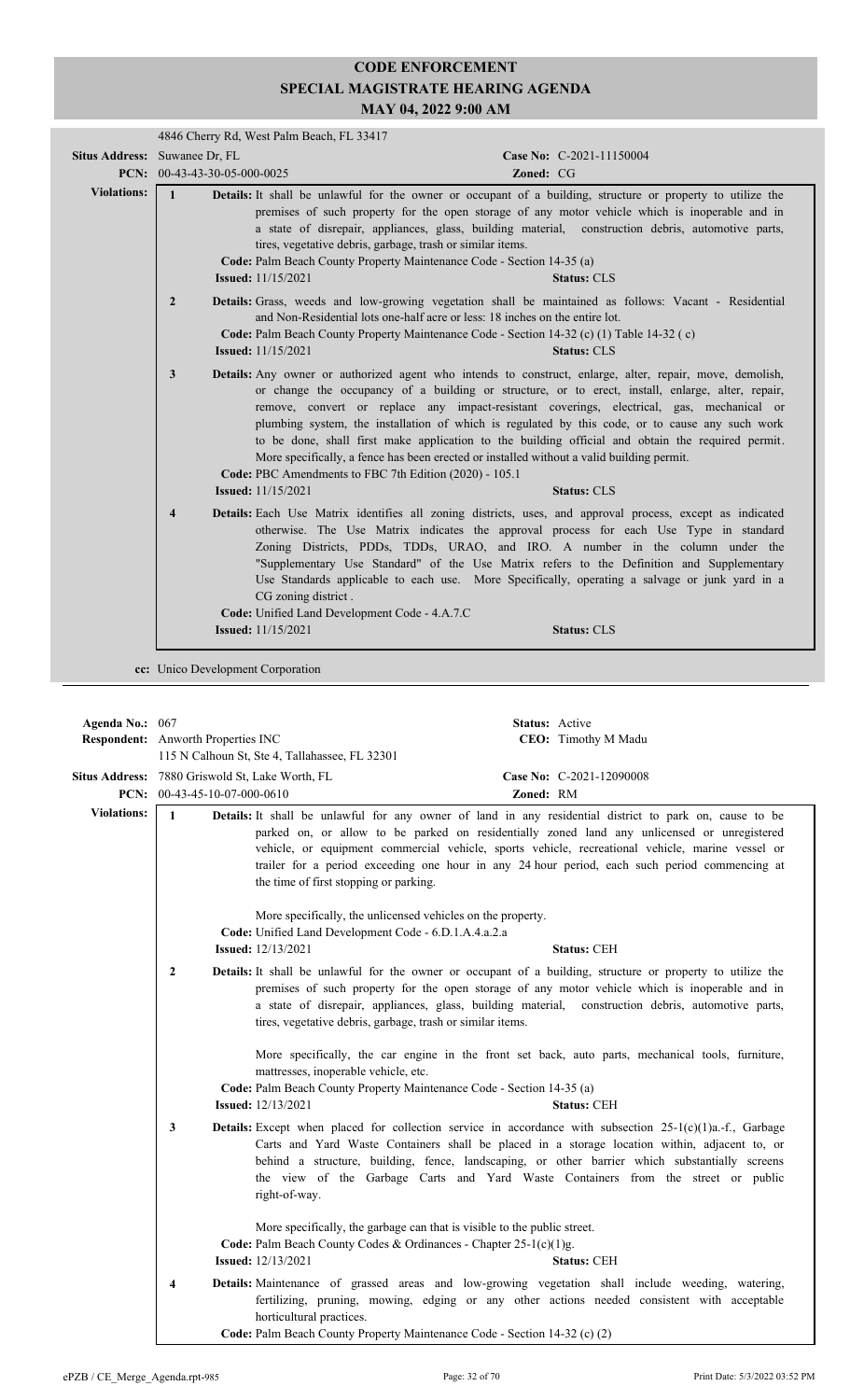| Situs Address: Suwanee Dr, FL<br>PCN: 00-43-43-30-05-000-0025 |                         | Case No: C-2021-11150004                                                                                                                                                                                                                                                                                                                                                                                                                                                                                                                                                                                                                                                                                                            |
|---------------------------------------------------------------|-------------------------|-------------------------------------------------------------------------------------------------------------------------------------------------------------------------------------------------------------------------------------------------------------------------------------------------------------------------------------------------------------------------------------------------------------------------------------------------------------------------------------------------------------------------------------------------------------------------------------------------------------------------------------------------------------------------------------------------------------------------------------|
|                                                               |                         | Zoned: CG                                                                                                                                                                                                                                                                                                                                                                                                                                                                                                                                                                                                                                                                                                                           |
| <b>Violations:</b>                                            | $\mathbf{1}$            | Details: It shall be unlawful for the owner or occupant of a building, structure or property to utilize the<br>premises of such property for the open storage of any motor vehicle which is inoperable and in<br>a state of disrepair, appliances, glass, building material, construction debris, automotive parts,<br>tires, vegetative debris, garbage, trash or similar items.<br>Code: Palm Beach County Property Maintenance Code - Section 14-35 (a)<br><b>Issued:</b> 11/15/2021<br><b>Status: CLS</b>                                                                                                                                                                                                                       |
|                                                               | $\overline{2}$          | Details: Grass, weeds and low-growing vegetation shall be maintained as follows: Vacant - Residential<br>and Non-Residential lots one-half acre or less: 18 inches on the entire lot.<br>Code: Palm Beach County Property Maintenance Code - Section 14-32 (c) (1) Table 14-32 (c)<br><b>Issued:</b> $11/15/2021$<br><b>Status: CLS</b>                                                                                                                                                                                                                                                                                                                                                                                             |
|                                                               | $\mathbf{3}$            | <b>Details:</b> Any owner or authorized agent who intends to construct, enlarge, alter, repair, move, demolish,<br>or change the occupancy of a building or structure, or to erect, install, enlarge, alter, repair,<br>remove, convert or replace any impact-resistant coverings, electrical, gas, mechanical or<br>plumbing system, the installation of which is regulated by this code, or to cause any such work<br>to be done, shall first make application to the building official and obtain the required permit.<br>More specifically, a fence has been erected or installed without a valid building permit.<br>Code: PBC Amendments to FBC 7th Edition (2020) - 105.1<br><b>Issued:</b> 11/15/2021<br><b>Status: CLS</b> |
|                                                               | $\overline{\mathbf{4}}$ | <b>Details:</b> Each Use Matrix identifies all zoning districts, uses, and approval process, except as indicated<br>otherwise. The Use Matrix indicates the approval process for each Use Type in standard<br>Zoning Districts, PDDs, TDDs, URAO, and IRO. A number in the column under the<br>"Supplementary Use Standard" of the Use Matrix refers to the Definition and Supplementary<br>Use Standards applicable to each use. More Specifically, operating a salvage or junk yard in a<br>CG zoning district.<br>Code: Unified Land Development Code - 4.A.7.C                                                                                                                                                                  |
|                                                               |                         | <b>Issued:</b> 11/15/2021<br><b>Status: CLS</b>                                                                                                                                                                                                                                                                                                                                                                                                                                                                                                                                                                                                                                                                                     |

| Agenda No.: 067                           |                                                                                                                                                                                                                                                                                                                                                                                                                                                                       |                                                                                                                                                                                                                                                                                                                                                                                                                              | Status: Active |                          |
|-------------------------------------------|-----------------------------------------------------------------------------------------------------------------------------------------------------------------------------------------------------------------------------------------------------------------------------------------------------------------------------------------------------------------------------------------------------------------------------------------------------------------------|------------------------------------------------------------------------------------------------------------------------------------------------------------------------------------------------------------------------------------------------------------------------------------------------------------------------------------------------------------------------------------------------------------------------------|----------------|--------------------------|
| <b>Respondent:</b> Anworth Properties INC |                                                                                                                                                                                                                                                                                                                                                                                                                                                                       |                                                                                                                                                                                                                                                                                                                                                                                                                              |                | CEO: Timothy M Madu      |
|                                           |                                                                                                                                                                                                                                                                                                                                                                                                                                                                       | 115 N Calhoun St, Ste 4, Tallahassee, FL 32301                                                                                                                                                                                                                                                                                                                                                                               |                |                          |
|                                           |                                                                                                                                                                                                                                                                                                                                                                                                                                                                       | Situs Address: 7880 Griswold St, Lake Worth, FL                                                                                                                                                                                                                                                                                                                                                                              |                | Case No: C-2021-12090008 |
|                                           |                                                                                                                                                                                                                                                                                                                                                                                                                                                                       | PCN: 00-43-45-10-07-000-0610                                                                                                                                                                                                                                                                                                                                                                                                 | Zoned: RM      |                          |
| <b>Violations:</b>                        | $\mathbf{1}$<br>Details: It shall be unlawful for any owner of land in any residential district to park on, cause to be<br>parked on, or allow to be parked on residentially zoned land any unlicensed or unregistered<br>vehicle, or equipment commercial vehicle, sports vehicle, recreational vehicle, marine vessel or<br>trailer for a period exceeding one hour in any 24 hour period, each such period commencing at<br>the time of first stopping or parking. |                                                                                                                                                                                                                                                                                                                                                                                                                              |                |                          |
|                                           |                                                                                                                                                                                                                                                                                                                                                                                                                                                                       | More specifically, the unlicensed vehicles on the property.                                                                                                                                                                                                                                                                                                                                                                  |                |                          |
|                                           |                                                                                                                                                                                                                                                                                                                                                                                                                                                                       | Code: Unified Land Development Code - 6.D.1.A.4.a.2.a                                                                                                                                                                                                                                                                                                                                                                        |                |                          |
|                                           |                                                                                                                                                                                                                                                                                                                                                                                                                                                                       | <b>Issued:</b> 12/13/2021                                                                                                                                                                                                                                                                                                                                                                                                    |                | <b>Status: CEH</b>       |
|                                           | $\overline{2}$                                                                                                                                                                                                                                                                                                                                                                                                                                                        | Details: It shall be unlawful for the owner or occupant of a building, structure or property to utilize the<br>premises of such property for the open storage of any motor vehicle which is inoperable and in<br>a state of disrepair, appliances, glass, building material, construction debris, automotive parts,<br>tires, vegetative debris, garbage, trash or similar items.                                            |                |                          |
|                                           |                                                                                                                                                                                                                                                                                                                                                                                                                                                                       | More specifically, the car engine in the front set back, auto parts, mechanical tools, furniture,<br>mattresses, inoperable vehicle, etc.<br>Code: Palm Beach County Property Maintenance Code - Section 14-35 (a)<br><b>Issued:</b> 12/13/2021                                                                                                                                                                              |                | <b>Status: CEH</b>       |
|                                           | 3                                                                                                                                                                                                                                                                                                                                                                                                                                                                     | <b>Details:</b> Except when placed for collection service in accordance with subsection $25-1(c)(1)a$ .-f., Garbage<br>Carts and Yard Waste Containers shall be placed in a storage location within, adjacent to, or<br>behind a structure, building, fence, landscaping, or other barrier which substantially screens<br>the view of the Garbage Carts and Yard Waste Containers from the street or public<br>right-of-way. |                |                          |
|                                           |                                                                                                                                                                                                                                                                                                                                                                                                                                                                       | More specifically, the garbage can that is visible to the public street.<br>Code: Palm Beach County Codes & Ordinances - Chapter 25-1(c)(1)g.<br><b>Issued:</b> 12/13/2021                                                                                                                                                                                                                                                   |                | <b>Status: CEH</b>       |
|                                           | 4                                                                                                                                                                                                                                                                                                                                                                                                                                                                     | Details: Maintenance of grassed areas and low-growing vegetation shall include weeding, watering,<br>fertilizing, pruning, mowing, edging or any other actions needed consistent with acceptable<br>horticultural practices.<br>Code: Palm Beach County Property Maintenance Code - Section 14-32 (c) (2)                                                                                                                    |                |                          |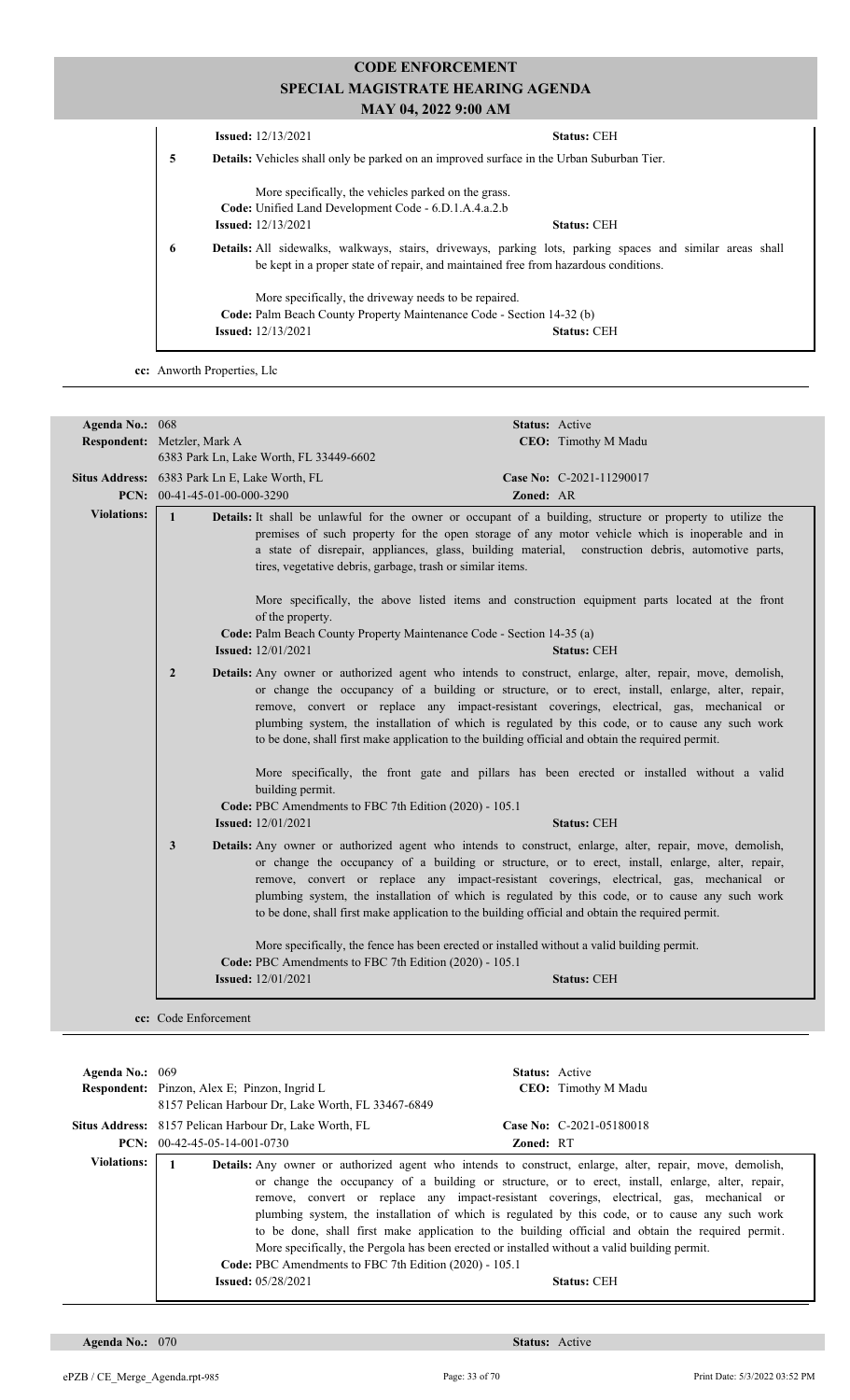|   | <b>Issued:</b> $12/13/2021$                                                         | <b>Status: CEH</b>                                                                                               |  |  |
|---|-------------------------------------------------------------------------------------|------------------------------------------------------------------------------------------------------------------|--|--|
| 5 |                                                                                     | <b>Details:</b> Vehicles shall only be parked on an improved surface in the Urban Suburban Tier.                 |  |  |
|   | More specifically, the vehicles parked on the grass.                                |                                                                                                                  |  |  |
|   | Code: Unified Land Development Code - 6.D.1.A.4.a.2.b                               |                                                                                                                  |  |  |
|   | <b>Issued:</b> 12/13/2021                                                           | <b>Status: CEH</b>                                                                                               |  |  |
| 6 | be kept in a proper state of repair, and maintained free from hazardous conditions. | <b>Details:</b> All sidewalks, walkways, stairs, driveways, parking lots, parking spaces and similar areas shall |  |  |
|   | More specifically, the driveway needs to be repaired.                               |                                                                                                                  |  |  |
|   | <b>Code:</b> Palm Beach County Property Maintenance Code - Section 14-32 (b)        |                                                                                                                  |  |  |
|   | <b>Issued:</b> $12/13/2021$                                                         | <b>Status: CEH</b>                                                                                               |  |  |
|   |                                                                                     |                                                                                                                  |  |  |

**cc:** Anworth Properties, Llc

| Agenda No.: 068    |                                                                                                    | Status: Active                                                                                                                                                                                                                                                                                                                                                                                                                                                                                                     |
|--------------------|----------------------------------------------------------------------------------------------------|--------------------------------------------------------------------------------------------------------------------------------------------------------------------------------------------------------------------------------------------------------------------------------------------------------------------------------------------------------------------------------------------------------------------------------------------------------------------------------------------------------------------|
|                    | Respondent: Metzler, Mark A                                                                        | CEO: Timothy M Madu                                                                                                                                                                                                                                                                                                                                                                                                                                                                                                |
|                    | 6383 Park Ln, Lake Worth, FL 33449-6602                                                            |                                                                                                                                                                                                                                                                                                                                                                                                                                                                                                                    |
|                    | Situs Address: 6383 Park Ln E, Lake Worth, FL                                                      | Case No: C-2021-11290017                                                                                                                                                                                                                                                                                                                                                                                                                                                                                           |
|                    | PCN: 00-41-45-01-00-000-3290                                                                       | Zoned: AR                                                                                                                                                                                                                                                                                                                                                                                                                                                                                                          |
| <b>Violations:</b> | $\mathbf{1}$<br>tires, vegetative debris, garbage, trash or similar items.                         | Details: It shall be unlawful for the owner or occupant of a building, structure or property to utilize the<br>premises of such property for the open storage of any motor vehicle which is inoperable and in<br>a state of disrepair, appliances, glass, building material, construction debris, automotive parts,                                                                                                                                                                                                |
|                    | of the property.                                                                                   | More specifically, the above listed items and construction equipment parts located at the front                                                                                                                                                                                                                                                                                                                                                                                                                    |
|                    | Code: Palm Beach County Property Maintenance Code - Section 14-35 (a)<br><b>Issued:</b> 12/01/2021 | <b>Status: CEH</b>                                                                                                                                                                                                                                                                                                                                                                                                                                                                                                 |
|                    | $\overline{2}$                                                                                     | Details: Any owner or authorized agent who intends to construct, enlarge, alter, repair, move, demolish,<br>or change the occupancy of a building or structure, or to erect, install, enlarge, alter, repair,<br>remove, convert or replace any impact-resistant coverings, electrical, gas, mechanical or<br>plumbing system, the installation of which is regulated by this code, or to cause any such work<br>to be done, shall first make application to the building official and obtain the required permit. |
|                    | building permit.                                                                                   | More specifically, the front gate and pillars has been erected or installed without a valid                                                                                                                                                                                                                                                                                                                                                                                                                        |
|                    | Code: PBC Amendments to FBC 7th Edition (2020) - 105.1                                             |                                                                                                                                                                                                                                                                                                                                                                                                                                                                                                                    |
|                    | <b>Issued:</b> 12/01/2021                                                                          | <b>Status: CEH</b>                                                                                                                                                                                                                                                                                                                                                                                                                                                                                                 |
|                    | 3                                                                                                  | Details: Any owner or authorized agent who intends to construct, enlarge, alter, repair, move, demolish,<br>or change the occupancy of a building or structure, or to erect, install, enlarge, alter, repair,<br>remove, convert or replace any impact-resistant coverings, electrical, gas, mechanical or<br>plumbing system, the installation of which is regulated by this code, or to cause any such work<br>to be done, shall first make application to the building official and obtain the required permit. |
|                    | Code: PBC Amendments to FBC 7th Edition (2020) - 105.1                                             | More specifically, the fence has been erected or installed without a valid building permit.                                                                                                                                                                                                                                                                                                                                                                                                                        |
|                    | <b>Issued:</b> 12/01/2021                                                                          | <b>Status: CEH</b>                                                                                                                                                                                                                                                                                                                                                                                                                                                                                                 |
|                    |                                                                                                    |                                                                                                                                                                                                                                                                                                                                                                                                                                                                                                                    |

| Agenda No.: $069$ | <b>Respondent:</b> Pinzon, Alex E; Pinzon, Ingrid L<br>8157 Pelican Harbour Dr. Lake Worth, FL 33467-6849 | <b>Status:</b> Active<br><b>CEO:</b> Timothy M Madu                                                                                                                                                                                                                                                                                                                                                                                                                                                                                                                                                                                              |
|-------------------|-----------------------------------------------------------------------------------------------------------|--------------------------------------------------------------------------------------------------------------------------------------------------------------------------------------------------------------------------------------------------------------------------------------------------------------------------------------------------------------------------------------------------------------------------------------------------------------------------------------------------------------------------------------------------------------------------------------------------------------------------------------------------|
|                   | Situs Address: 8157 Pelican Harbour Dr, Lake Worth, FL<br>$PCN: 00-42-45-05-14-001-0730$                  | Case No: C-2021-05180018<br><b>Zoned: RT</b>                                                                                                                                                                                                                                                                                                                                                                                                                                                                                                                                                                                                     |
| Violations:       | 1.<br>Code: PBC Amendments to FBC 7th Edition (2020) - 105.1<br><b>Issued:</b> 05/28/2021                 | <b>Details:</b> Any owner or authorized agent who intends to construct, enlarge, alter, repair, move, demolish,<br>or change the occupancy of a building or structure, or to erect, install, enlarge, alter, repair,<br>remove, convert or replace any impact-resistant coverings, electrical, gas, mechanical or<br>plumbing system, the installation of which is regulated by this code, or to cause any such work<br>to be done, shall first make application to the building official and obtain the required permit.<br>More specifically, the Pergola has been erected or installed without a valid building permit.<br><b>Status: CEH</b> |

**Agenda No.:** 070 **Status:** Active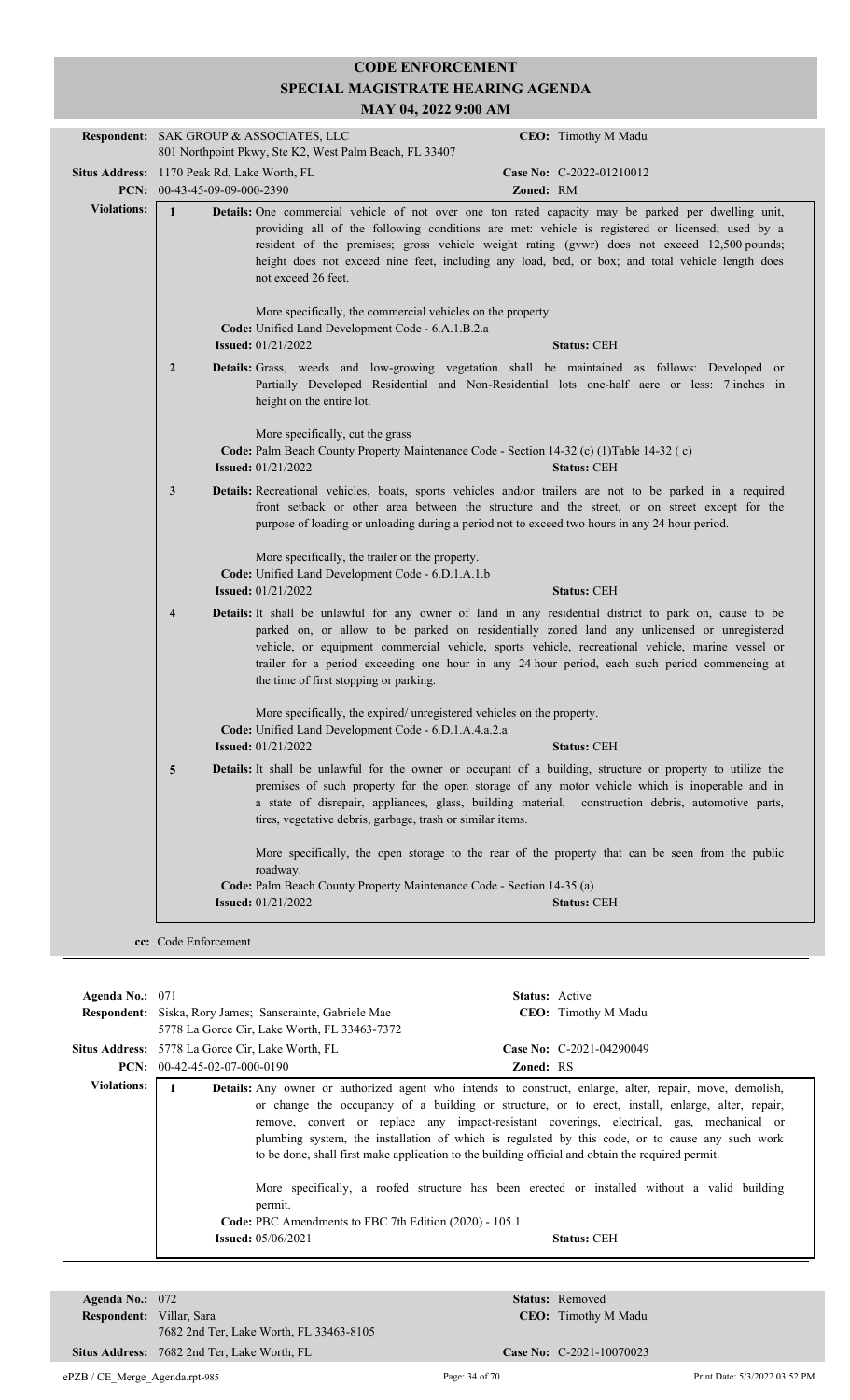|                    |                                                                                                                                                                                                                                                                                                                                                                                                                                                  | Respondent: SAK GROUP & ASSOCIATES, LLC                                                                                                                    |                                                                        | CEO: Timothy M Madu                                                                                                                                                                                                                                                                                                                                                                                         |
|--------------------|--------------------------------------------------------------------------------------------------------------------------------------------------------------------------------------------------------------------------------------------------------------------------------------------------------------------------------------------------------------------------------------------------------------------------------------------------|------------------------------------------------------------------------------------------------------------------------------------------------------------|------------------------------------------------------------------------|-------------------------------------------------------------------------------------------------------------------------------------------------------------------------------------------------------------------------------------------------------------------------------------------------------------------------------------------------------------------------------------------------------------|
|                    | 801 Northpoint Pkwy, Ste K2, West Palm Beach, FL 33407                                                                                                                                                                                                                                                                                                                                                                                           |                                                                                                                                                            |                                                                        |                                                                                                                                                                                                                                                                                                                                                                                                             |
|                    |                                                                                                                                                                                                                                                                                                                                                                                                                                                  | Situs Address: 1170 Peak Rd, Lake Worth, FL                                                                                                                |                                                                        | Case No: C-2022-01210012                                                                                                                                                                                                                                                                                                                                                                                    |
|                    | PCN: 00-43-45-09-09-000-2390                                                                                                                                                                                                                                                                                                                                                                                                                     |                                                                                                                                                            |                                                                        | Zoned: RM                                                                                                                                                                                                                                                                                                                                                                                                   |
| <b>Violations:</b> | $\mathbf{1}$<br>Details: One commercial vehicle of not over one ton rated capacity may be parked per dwelling unit,<br>providing all of the following conditions are met: vehicle is registered or licensed; used by a<br>resident of the premises; gross vehicle weight rating (gvwr) does not exceed 12,500 pounds;<br>height does not exceed nine feet, including any load, bed, or box; and total vehicle length does<br>not exceed 26 feet. |                                                                                                                                                            |                                                                        |                                                                                                                                                                                                                                                                                                                                                                                                             |
|                    | More specifically, the commercial vehicles on the property.<br>Code: Unified Land Development Code - 6.A.1.B.2.a<br><b>Issued: 01/21/2022</b><br><b>Status: CEH</b>                                                                                                                                                                                                                                                                              |                                                                                                                                                            |                                                                        |                                                                                                                                                                                                                                                                                                                                                                                                             |
|                    | $\overline{2}$                                                                                                                                                                                                                                                                                                                                                                                                                                   | height on the entire lot.                                                                                                                                  |                                                                        | <b>Details:</b> Grass, weeds and low-growing vegetation shall be maintained as follows: Developed or<br>Partially Developed Residential and Non-Residential lots one-half acre or less: 7 inches in                                                                                                                                                                                                         |
|                    |                                                                                                                                                                                                                                                                                                                                                                                                                                                  | More specifically, cut the grass<br>Code: Palm Beach County Property Maintenance Code - Section 14-32 (c) (1) Table 14-32 (c)<br><b>Issued:</b> 01/21/2022 |                                                                        | <b>Status: CEH</b>                                                                                                                                                                                                                                                                                                                                                                                          |
|                    | 3                                                                                                                                                                                                                                                                                                                                                                                                                                                |                                                                                                                                                            |                                                                        | Details: Recreational vehicles, boats, sports vehicles and/or trailers are not to be parked in a required<br>front setback or other area between the structure and the street, or on street except for the<br>purpose of loading or unloading during a period not to exceed two hours in any 24 hour period.                                                                                                |
|                    |                                                                                                                                                                                                                                                                                                                                                                                                                                                  | More specifically, the trailer on the property.<br>Code: Unified Land Development Code - 6.D.1.A.1.b<br><b>Issued:</b> 01/21/2022                          |                                                                        | <b>Status: CEH</b>                                                                                                                                                                                                                                                                                                                                                                                          |
|                    | $\overline{4}$                                                                                                                                                                                                                                                                                                                                                                                                                                   | the time of first stopping or parking.                                                                                                                     |                                                                        | Details: It shall be unlawful for any owner of land in any residential district to park on, cause to be<br>parked on, or allow to be parked on residentially zoned land any unlicensed or unregistered<br>vehicle, or equipment commercial vehicle, sports vehicle, recreational vehicle, marine vessel or<br>trailer for a period exceeding one hour in any 24 hour period, each such period commencing at |
|                    |                                                                                                                                                                                                                                                                                                                                                                                                                                                  | Code: Unified Land Development Code - 6.D.1.A.4.a.2.a<br><b>Issued:</b> 01/21/2022                                                                         | More specifically, the expired/ unregistered vehicles on the property. | <b>Status: CEH</b>                                                                                                                                                                                                                                                                                                                                                                                          |
|                    | 5                                                                                                                                                                                                                                                                                                                                                                                                                                                | tires, vegetative debris, garbage, trash or similar items.                                                                                                 |                                                                        | <b>Details:</b> It shall be unlawful for the owner or occupant of a building, structure or property to utilize the<br>premises of such property for the open storage of any motor vehicle which is inoperable and in<br>a state of disrepair, appliances, glass, building material, construction debris, automotive parts,                                                                                  |
|                    |                                                                                                                                                                                                                                                                                                                                                                                                                                                  | roadway.<br>Code: Palm Beach County Property Maintenance Code - Section 14-35 (a)                                                                          |                                                                        | More specifically, the open storage to the rear of the property that can be seen from the public                                                                                                                                                                                                                                                                                                            |
|                    |                                                                                                                                                                                                                                                                                                                                                                                                                                                  | <b>Issued:</b> 01/21/2022                                                                                                                                  |                                                                        | <b>Status: CEH</b>                                                                                                                                                                                                                                                                                                                                                                                          |
|                    |                                                                                                                                                                                                                                                                                                                                                                                                                                                  |                                                                                                                                                            |                                                                        |                                                                                                                                                                                                                                                                                                                                                                                                             |
|                    | cc: Code Enforcement                                                                                                                                                                                                                                                                                                                                                                                                                             |                                                                                                                                                            |                                                                        |                                                                                                                                                                                                                                                                                                                                                                                                             |

| Agenda No.: 071    |                                                                                                |                  | <b>Status:</b> Active                                                                                                                                                                                                                                                                                                                                                                                                                                                                                                                                                                                                                           |
|--------------------|------------------------------------------------------------------------------------------------|------------------|-------------------------------------------------------------------------------------------------------------------------------------------------------------------------------------------------------------------------------------------------------------------------------------------------------------------------------------------------------------------------------------------------------------------------------------------------------------------------------------------------------------------------------------------------------------------------------------------------------------------------------------------------|
|                    | <b>Respondent:</b> Siska, Rory James; Sanscrainte, Gabriele Mae                                |                  | CEO: Timothy M Madu                                                                                                                                                                                                                                                                                                                                                                                                                                                                                                                                                                                                                             |
|                    | 5778 La Gorce Cir, Lake Worth, FL 33463-7372                                                   |                  |                                                                                                                                                                                                                                                                                                                                                                                                                                                                                                                                                                                                                                                 |
|                    | Situs Address: 5778 La Gorce Cir, Lake Worth, FL                                               |                  | Case No: $C-2021-04290049$                                                                                                                                                                                                                                                                                                                                                                                                                                                                                                                                                                                                                      |
|                    | <b>PCN:</b> $00-42-45-02-07-000-0190$                                                          | <b>Zoned: RS</b> |                                                                                                                                                                                                                                                                                                                                                                                                                                                                                                                                                                                                                                                 |
| <b>Violations:</b> | permit.<br>Code: PBC Amendments to FBC 7th Edition (2020) - 105.1<br><b>Issued:</b> 05/06/2021 |                  | <b>Details:</b> Any owner or authorized agent who intends to construct, enlarge, alter, repair, move, demolish,<br>or change the occupancy of a building or structure, or to erect, install, enlarge, alter, repair,<br>remove, convert or replace any impact-resistant coverings, electrical, gas, mechanical or<br>plumbing system, the installation of which is regulated by this code, or to cause any such work<br>to be done, shall first make application to the building official and obtain the required permit.<br>More specifically, a roofed structure has been erected or installed without a valid building<br><b>Status: CEH</b> |

| Agenda No.: $072$               |                                             | <b>Status:</b> Removed     |
|---------------------------------|---------------------------------------------|----------------------------|
| <b>Respondent:</b> Villar, Sara |                                             | <b>CEO:</b> Timothy M Madu |
|                                 | 7682 2nd Ter, Lake Worth, FL 33463-8105     |                            |
|                                 | Situs Address: 7682 2nd Ter, Lake Worth, FL | Case No: C-2021-10070023   |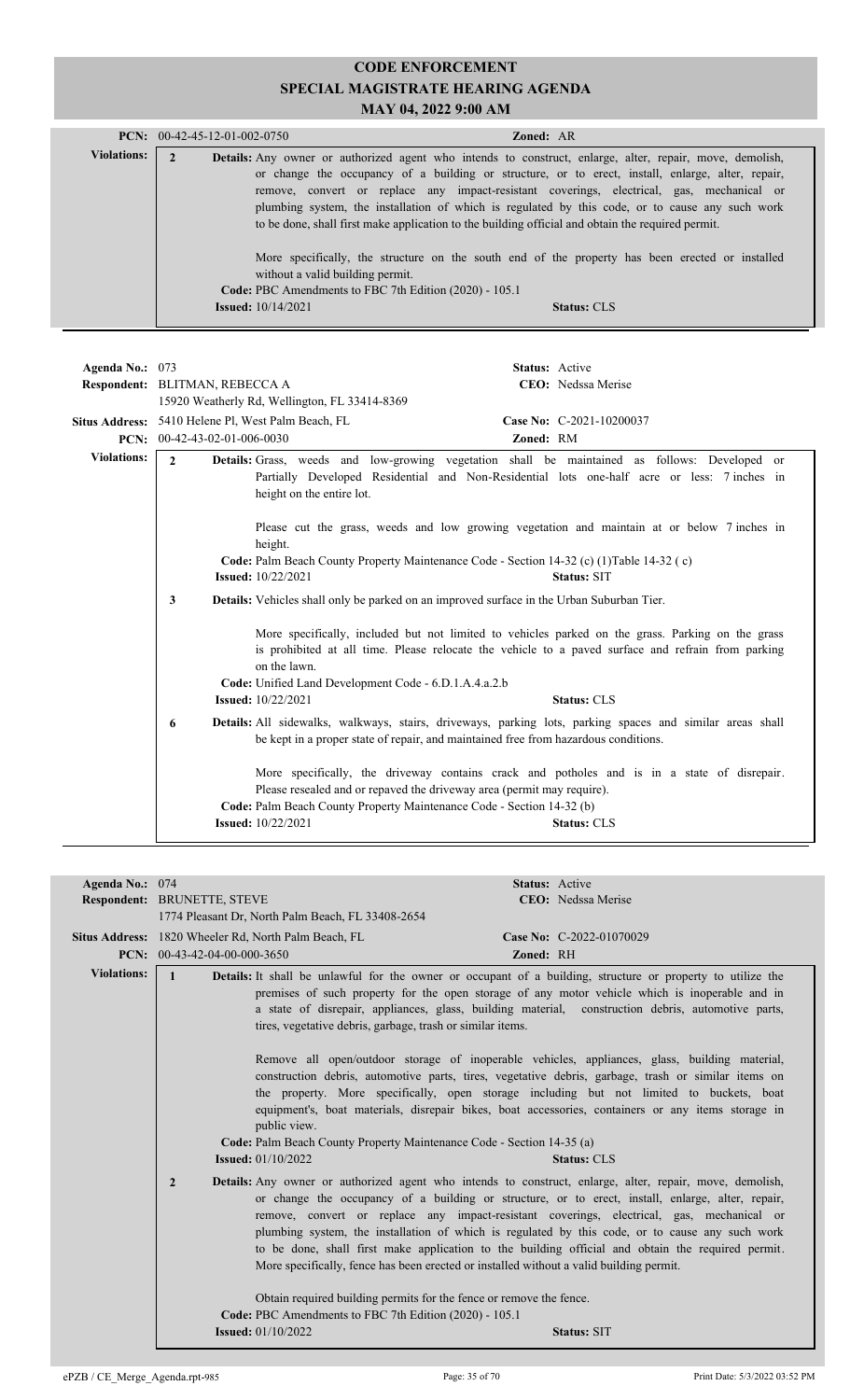|                    | <b>PCN:</b> $00-42-45-12-01-002-0750$                                                      | <b>Zoned: AR</b>                                                                                                                                                                                                                                                                                                                                                                                                                                                                                                                                                                                                             |
|--------------------|--------------------------------------------------------------------------------------------|------------------------------------------------------------------------------------------------------------------------------------------------------------------------------------------------------------------------------------------------------------------------------------------------------------------------------------------------------------------------------------------------------------------------------------------------------------------------------------------------------------------------------------------------------------------------------------------------------------------------------|
| <b>Violations:</b> | without a valid building permit.<br>Code: PBC Amendments to FBC 7th Edition (2020) - 105.1 | <b>Details:</b> Any owner or authorized agent who intends to construct, enlarge, alter, repair, move, demolish,<br>or change the occupancy of a building or structure, or to erect, install, enlarge, alter, repair,<br>remove, convert or replace any impact-resistant coverings, electrical, gas, mechanical or<br>plumbing system, the installation of which is regulated by this code, or to cause any such work<br>to be done, shall first make application to the building official and obtain the required permit.<br>More specifically, the structure on the south end of the property has been erected or installed |
|                    | <b>Issued:</b> $10/14/2021$                                                                | Status: CLS                                                                                                                                                                                                                                                                                                                                                                                                                                                                                                                                                                                                                  |

| Agenda No.: 073                                                                                                                                                                                                         | Respondent: BLITMAN, REBECCA A                                                                                                                                                                        |                                                                                                                                                 |           | Status: Active<br>CEO: Nedssa Merise                                                                                                                                                                |
|-------------------------------------------------------------------------------------------------------------------------------------------------------------------------------------------------------------------------|-------------------------------------------------------------------------------------------------------------------------------------------------------------------------------------------------------|-------------------------------------------------------------------------------------------------------------------------------------------------|-----------|-----------------------------------------------------------------------------------------------------------------------------------------------------------------------------------------------------|
|                                                                                                                                                                                                                         | <b>PCN:</b> $00-42-43-02-01-006-0030$                                                                                                                                                                 | 15920 Weatherly Rd, Wellington, FL 33414-8369<br>Situs Address: 5410 Helene Pl, West Palm Beach, FL                                             | Zoned: RM | Case No: C-2021-10200037                                                                                                                                                                            |
| <b>Violations:</b>                                                                                                                                                                                                      | $\mathbf{2}$                                                                                                                                                                                          | height on the entire lot.                                                                                                                       |           | <b>Details:</b> Grass, weeds and low-growing vegetation shall be maintained as follows: Developed or<br>Partially Developed Residential and Non-Residential lots one-half acre or less: 7 inches in |
|                                                                                                                                                                                                                         |                                                                                                                                                                                                       | height.                                                                                                                                         |           | Please cut the grass, weeds and low growing vegetation and maintain at or below 7 inches in                                                                                                         |
|                                                                                                                                                                                                                         |                                                                                                                                                                                                       | Code: Palm Beach County Property Maintenance Code - Section 14-32 (c) (1) Table 14-32 (c)<br><b>Issued:</b> 10/22/2021                          |           | <b>Status: SIT</b>                                                                                                                                                                                  |
|                                                                                                                                                                                                                         | 3                                                                                                                                                                                                     | <b>Details:</b> Vehicles shall only be parked on an improved surface in the Urban Suburban Tier.                                                |           |                                                                                                                                                                                                     |
| More specifically, included but not limited to vehicles parked on the grass. Parking on the grass<br>is prohibited at all time. Please relocate the vehicle to a paved surface and refrain from parking<br>on the lawn. |                                                                                                                                                                                                       |                                                                                                                                                 |           |                                                                                                                                                                                                     |
|                                                                                                                                                                                                                         |                                                                                                                                                                                                       | Code: Unified Land Development Code - 6.D.1.A.4.a.2.b<br><b>Issued:</b> 10/22/2021                                                              |           | <b>Status: CLS</b>                                                                                                                                                                                  |
|                                                                                                                                                                                                                         | Details: All sidewalks, walkways, stairs, driveways, parking lots, parking spaces and similar areas shall<br>6<br>be kept in a proper state of repair, and maintained free from hazardous conditions. |                                                                                                                                                 |           |                                                                                                                                                                                                     |
|                                                                                                                                                                                                                         |                                                                                                                                                                                                       | Please resealed and or repaved the driveway area (permit may require).<br>Code: Palm Beach County Property Maintenance Code - Section 14-32 (b) |           | More specifically, the driveway contains crack and potholes and is in a state of disrepair.                                                                                                         |
|                                                                                                                                                                                                                         |                                                                                                                                                                                                       | <b>Issued:</b> $10/22/2021$                                                                                                                     |           | <b>Status: CLS</b>                                                                                                                                                                                  |

| Agenda No.: 074    |                                                                                                         | Status: Active                                                                                                                                                                                                                                                                                                                                                                                                                                                                                                                                                                                                                                                                                                    |
|--------------------|---------------------------------------------------------------------------------------------------------|-------------------------------------------------------------------------------------------------------------------------------------------------------------------------------------------------------------------------------------------------------------------------------------------------------------------------------------------------------------------------------------------------------------------------------------------------------------------------------------------------------------------------------------------------------------------------------------------------------------------------------------------------------------------------------------------------------------------|
|                    | Respondent: BRUNETTE, STEVE                                                                             | CEO: Nedssa Merise                                                                                                                                                                                                                                                                                                                                                                                                                                                                                                                                                                                                                                                                                                |
|                    | 1774 Pleasant Dr, North Palm Beach, FL 33408-2654                                                       |                                                                                                                                                                                                                                                                                                                                                                                                                                                                                                                                                                                                                                                                                                                   |
|                    | Situs Address: 1820 Wheeler Rd, North Palm Beach, FL                                                    | Case No: C-2022-01070029                                                                                                                                                                                                                                                                                                                                                                                                                                                                                                                                                                                                                                                                                          |
|                    | PCN: $00-43-42-04-00-000-3650$                                                                          | Zoned: RH                                                                                                                                                                                                                                                                                                                                                                                                                                                                                                                                                                                                                                                                                                         |
| <b>Violations:</b> |                                                                                                         | <b>Details:</b> It shall be unlawful for the owner or occupant of a building, structure or property to utilize the                                                                                                                                                                                                                                                                                                                                                                                                                                                                                                                                                                                                |
|                    | tires, vegetative debris, garbage, trash or similar items.<br>public view.<br><b>Issued:</b> 01/10/2022 | premises of such property for the open storage of any motor vehicle which is inoperable and in<br>a state of disrepair, appliances, glass, building material, construction debris, automotive parts,<br>Remove all open/outdoor storage of inoperable vehicles, appliances, glass, building material,<br>construction debris, automotive parts, tires, vegetative debris, garbage, trash or similar items on<br>the property. More specifically, open storage including but not limited to buckets, boat<br>equipment's, boat materials, disrepair bikes, boat accessories, containers or any items storage in<br>Code: Palm Beach County Property Maintenance Code - Section 14-35 (a)<br><b>Status: CLS</b>     |
|                    | $\overline{2}$<br>Code: PBC Amendments to FBC 7th Edition (2020) - 105.1<br><b>Issued:</b> $01/10/2022$ | <b>Details:</b> Any owner or authorized agent who intends to construct, enlarge, alter, repair, move, demolish,<br>or change the occupancy of a building or structure, or to erect, install, enlarge, alter, repair,<br>remove, convert or replace any impact-resistant coverings, electrical, gas, mechanical or<br>plumbing system, the installation of which is regulated by this code, or to cause any such work<br>to be done, shall first make application to the building official and obtain the required permit.<br>More specifically, fence has been erected or installed without a valid building permit.<br>Obtain required building permits for the fence or remove the fence.<br><b>Status: SIT</b> |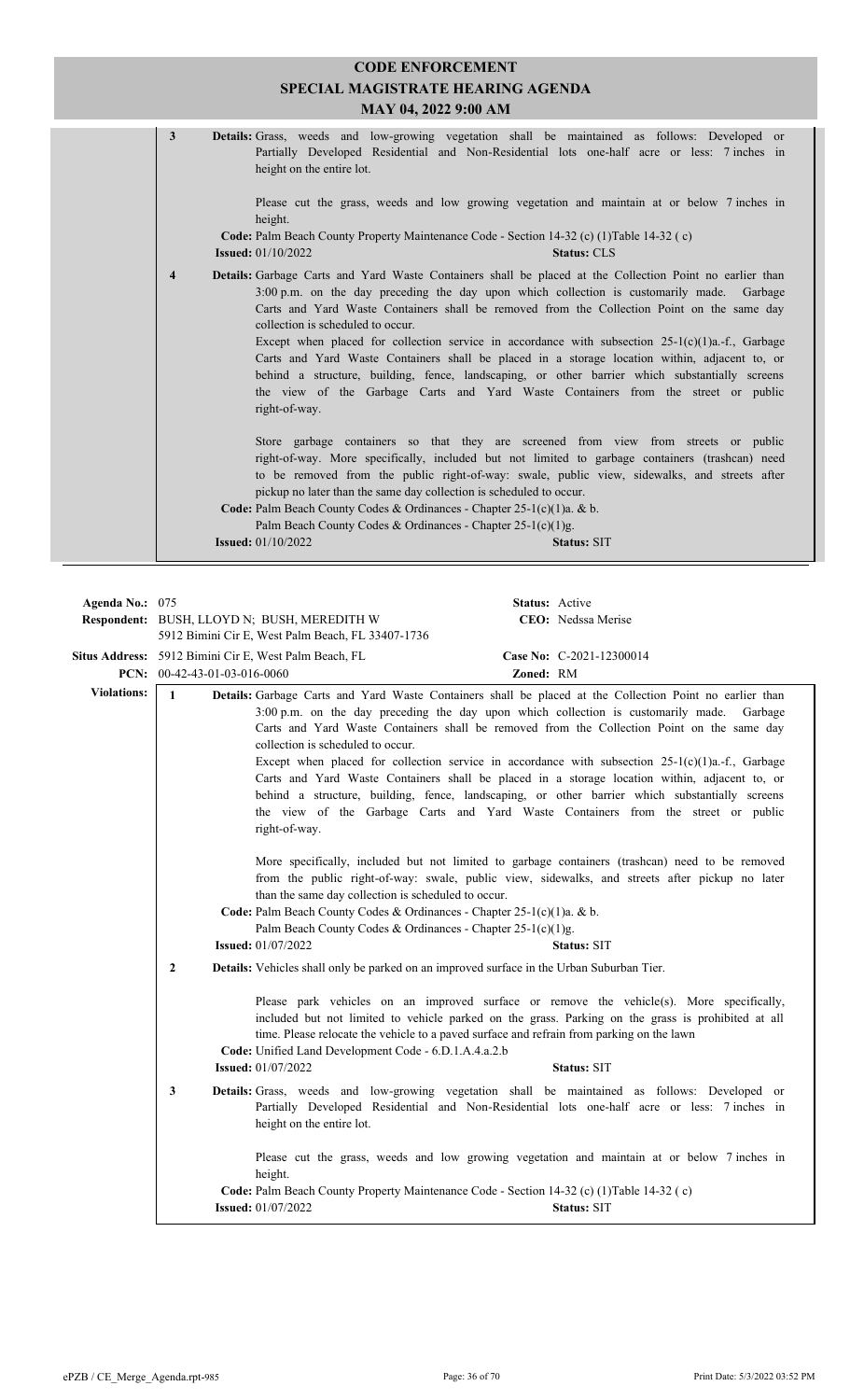| <b>CODE ENFORCEMENT</b><br><b>SPECIAL MAGISTRATE HEARING AGENDA</b><br>MAY 04, 2022 9:00 AM |                                                                                                                                                                                                                                                                                                                                                                                                                                                                                                                                                                                                                                                                                                                                                          |  |  |  |
|---------------------------------------------------------------------------------------------|----------------------------------------------------------------------------------------------------------------------------------------------------------------------------------------------------------------------------------------------------------------------------------------------------------------------------------------------------------------------------------------------------------------------------------------------------------------------------------------------------------------------------------------------------------------------------------------------------------------------------------------------------------------------------------------------------------------------------------------------------------|--|--|--|
| $\mathbf{3}$                                                                                | Details: Grass, weeds and low-growing vegetation shall be maintained as follows: Developed or<br>Partially Developed Residential and Non-Residential lots one-half acre or less: 7 inches in<br>height on the entire lot.                                                                                                                                                                                                                                                                                                                                                                                                                                                                                                                                |  |  |  |
|                                                                                             | Please cut the grass, weeds and low growing vegetation and maintain at or below 7 inches in<br>height.<br>Code: Palm Beach County Property Maintenance Code - Section 14-32 (c) (1) Table 14-32 (c)<br><b>Issued:</b> 01/10/2022<br><b>Status: CLS</b>                                                                                                                                                                                                                                                                                                                                                                                                                                                                                                   |  |  |  |
| $\overline{\mathbf{4}}$                                                                     | Details: Garbage Carts and Yard Waste Containers shall be placed at the Collection Point no earlier than<br>3:00 p.m. on the day preceding the day upon which collection is customarily made. Garbage<br>Carts and Yard Waste Containers shall be removed from the Collection Point on the same day<br>collection is scheduled to occur.<br>Except when placed for collection service in accordance with subsection $25-1(c)(1)a$ . f., Garbage<br>Carts and Yard Waste Containers shall be placed in a storage location within, adjacent to, or<br>behind a structure, building, fence, landscaping, or other barrier which substantially screens<br>the view of the Garbage Carts and Yard Waste Containers from the street or public<br>right-of-way. |  |  |  |
|                                                                                             | Store garbage containers so that they are screened from view from streets or public<br>right-of-way. More specifically, included but not limited to garbage containers (trashcan) need<br>to be removed from the public right-of-way: swale, public view, sidewalks, and streets after<br>pickup no later than the same day collection is scheduled to occur.<br>Code: Palm Beach County Codes & Ordinances - Chapter 25-1(c)(1)a. & b.<br>Palm Beach County Codes & Ordinances - Chapter 25-1(c)(1)g.                                                                                                                                                                                                                                                   |  |  |  |
|                                                                                             | <b>Issued:</b> 01/10/2022<br><b>Status: SIT</b>                                                                                                                                                                                                                                                                                                                                                                                                                                                                                                                                                                                                                                                                                                          |  |  |  |

| Agenda No.: 075    |                                |                                                                                                                                                                                                                              | <b>Status:</b> Active |                                                                                                                                                                                                                                                                                                                                                                                                                                                                                                                                                                                                                  |
|--------------------|--------------------------------|------------------------------------------------------------------------------------------------------------------------------------------------------------------------------------------------------------------------------|-----------------------|------------------------------------------------------------------------------------------------------------------------------------------------------------------------------------------------------------------------------------------------------------------------------------------------------------------------------------------------------------------------------------------------------------------------------------------------------------------------------------------------------------------------------------------------------------------------------------------------------------------|
|                    |                                | Respondent: BUSH, LLOYD N; BUSH, MEREDITH W                                                                                                                                                                                  |                       | CEO: Nedssa Merise                                                                                                                                                                                                                                                                                                                                                                                                                                                                                                                                                                                               |
|                    |                                | 5912 Bimini Cir E, West Palm Beach, FL 33407-1736                                                                                                                                                                            |                       |                                                                                                                                                                                                                                                                                                                                                                                                                                                                                                                                                                                                                  |
|                    |                                | Situs Address: 5912 Bimini Cir E, West Palm Beach, FL                                                                                                                                                                        |                       | Case No: C-2021-12300014                                                                                                                                                                                                                                                                                                                                                                                                                                                                                                                                                                                         |
|                    | PCN: $00-42-43-01-03-016-0060$ |                                                                                                                                                                                                                              | Zoned: RM             |                                                                                                                                                                                                                                                                                                                                                                                                                                                                                                                                                                                                                  |
| <b>Violations:</b> | $\mathbf{1}$                   | 3:00 p.m. on the day preceding the day upon which collection is customarily made.<br>collection is scheduled to occur.<br>right-of-way.                                                                                      |                       | Details: Garbage Carts and Yard Waste Containers shall be placed at the Collection Point no earlier than<br>Garbage<br>Carts and Yard Waste Containers shall be removed from the Collection Point on the same day<br>Except when placed for collection service in accordance with subsection $25-1(c)(1)a$ .-f., Garbage<br>Carts and Yard Waste Containers shall be placed in a storage location within, adjacent to, or<br>behind a structure, building, fence, landscaping, or other barrier which substantially screens<br>the view of the Garbage Carts and Yard Waste Containers from the street or public |
|                    |                                | than the same day collection is scheduled to occur.<br>Code: Palm Beach County Codes & Ordinances - Chapter 25-1(c)(1)a. & b.<br>Palm Beach County Codes & Ordinances - Chapter $25-1(c)(1)g$ .<br><b>Issued:</b> 01/07/2022 |                       | More specifically, included but not limited to garbage containers (trashcan) need to be removed<br>from the public right-of-way: swale, public view, sidewalks, and streets after pickup no later<br><b>Status: SIT</b>                                                                                                                                                                                                                                                                                                                                                                                          |
|                    | $\overline{2}$                 | Details: Vehicles shall only be parked on an improved surface in the Urban Suburban Tier.                                                                                                                                    |                       |                                                                                                                                                                                                                                                                                                                                                                                                                                                                                                                                                                                                                  |
|                    |                                | time. Please relocate the vehicle to a paved surface and refrain from parking on the lawn<br>Code: Unified Land Development Code - 6.D.1.A.4.a.2.b<br><b>Issued:</b> 01/07/2022                                              |                       | Please park vehicles on an improved surface or remove the vehicle(s). More specifically,<br>included but not limited to vehicle parked on the grass. Parking on the grass is prohibited at all<br>Status: SIT                                                                                                                                                                                                                                                                                                                                                                                                    |
|                    | 3                              | height on the entire lot.                                                                                                                                                                                                    |                       | Details: Grass, weeds and low-growing vegetation shall be maintained as follows: Developed or<br>Partially Developed Residential and Non-Residential lots one-half acre or less: 7 inches in                                                                                                                                                                                                                                                                                                                                                                                                                     |
|                    |                                | height.                                                                                                                                                                                                                      |                       | Please cut the grass, weeds and low growing vegetation and maintain at or below 7 inches in                                                                                                                                                                                                                                                                                                                                                                                                                                                                                                                      |
|                    |                                | Code: Palm Beach County Property Maintenance Code - Section 14-32 (c) (1) Table 14-32 (c)<br><b>Issued:</b> 01/07/2022                                                                                                       |                       | Status: SIT                                                                                                                                                                                                                                                                                                                                                                                                                                                                                                                                                                                                      |
|                    |                                |                                                                                                                                                                                                                              |                       |                                                                                                                                                                                                                                                                                                                                                                                                                                                                                                                                                                                                                  |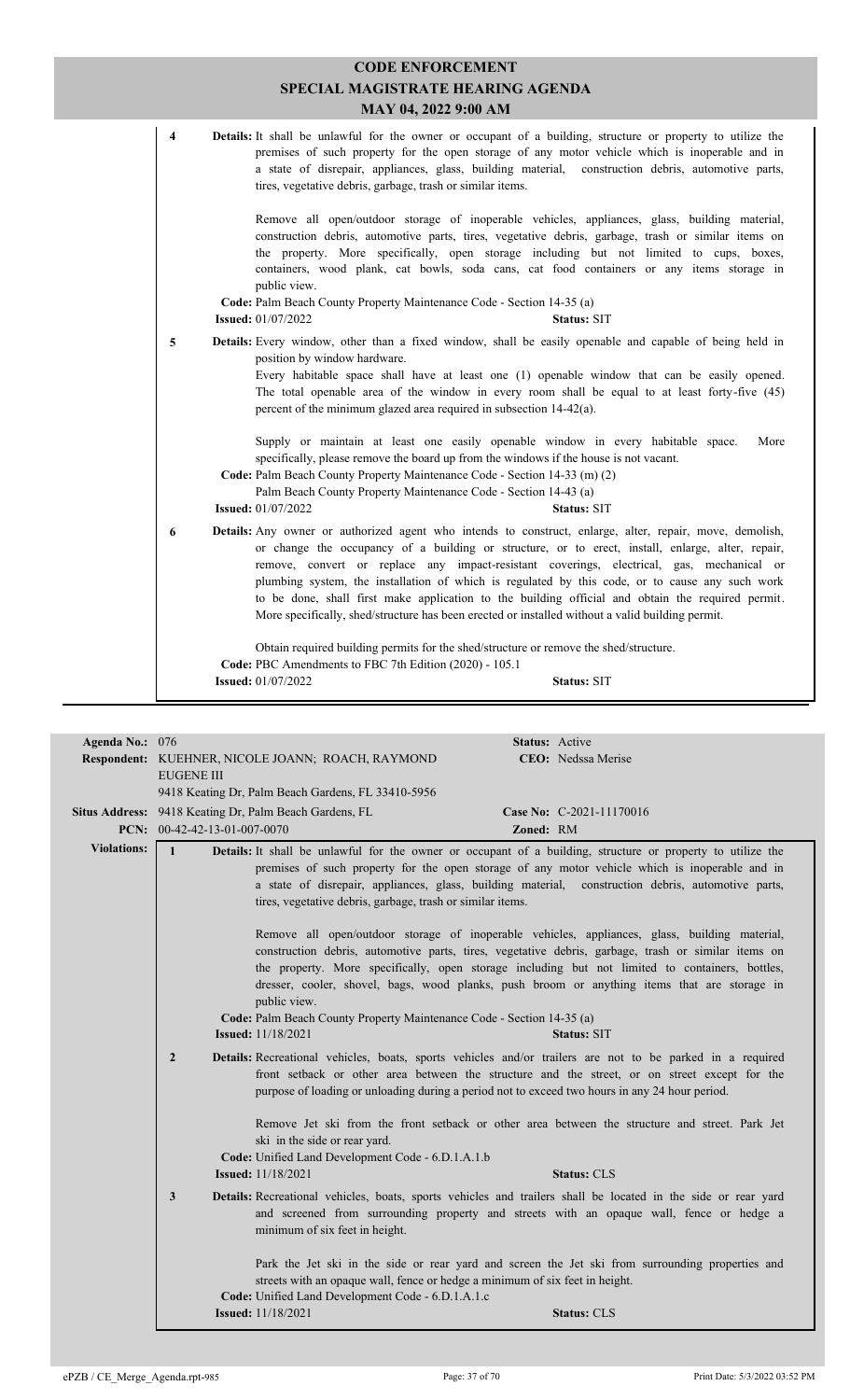|                         | <b>CODE ENFORCEMENT</b><br>SPECIAL MAGISTRATE HEARING AGENDA<br>MAY 04, 2022 9:00 AM                                                                                                                                                                                                                                                                                                                                                                                                                                                                                                                                   |
|-------------------------|------------------------------------------------------------------------------------------------------------------------------------------------------------------------------------------------------------------------------------------------------------------------------------------------------------------------------------------------------------------------------------------------------------------------------------------------------------------------------------------------------------------------------------------------------------------------------------------------------------------------|
| $\overline{\mathbf{4}}$ | Details: It shall be unlawful for the owner or occupant of a building, structure or property to utilize the<br>premises of such property for the open storage of any motor vehicle which is inoperable and in<br>a state of disrepair, appliances, glass, building material, construction debris, automotive parts,<br>tires, vegetative debris, garbage, trash or similar items.                                                                                                                                                                                                                                      |
|                         | Remove all open/outdoor storage of inoperable vehicles, appliances, glass, building material,<br>construction debris, automotive parts, tires, vegetative debris, garbage, trash or similar items on<br>the property. More specifically, open storage including but not limited to cups, boxes,<br>containers, wood plank, cat bowls, soda cans, cat food containers or any items storage in<br>public view.<br>Code: Palm Beach County Property Maintenance Code - Section 14-35 (a)<br><b>Issued:</b> 01/07/2022<br><b>Status: SIT</b>                                                                               |
| 5                       | Details: Every window, other than a fixed window, shall be easily openable and capable of being held in<br>position by window hardware.<br>Every habitable space shall have at least one (1) openable window that can be easily opened.<br>The total openable area of the window in every room shall be equal to at least forty-five (45)<br>percent of the minimum glazed area required in subsection 14-42(a).                                                                                                                                                                                                       |
|                         | Supply or maintain at least one easily openable window in every habitable space.<br>More<br>specifically, please remove the board up from the windows if the house is not vacant.<br>Code: Palm Beach County Property Maintenance Code - Section 14-33 (m) (2)<br>Palm Beach County Property Maintenance Code - Section 14-43 (a)<br><b>Issued:</b> 01/07/2022<br><b>Status: SIT</b>                                                                                                                                                                                                                                   |
| 6                       | Details: Any owner or authorized agent who intends to construct, enlarge, alter, repair, move, demolish,<br>or change the occupancy of a building or structure, or to erect, install, enlarge, alter, repair,<br>remove, convert or replace any impact-resistant coverings, electrical, gas, mechanical or<br>plumbing system, the installation of which is regulated by this code, or to cause any such work<br>to be done, shall first make application to the building official and obtain the required permit.<br>More specifically, shed/structure has been erected or installed without a valid building permit. |
|                         | Obtain required building permits for the shed/structure or remove the shed/structure.<br>Code: PBC Amendments to FBC 7th Edition (2020) - 105.1<br><b>Issued:</b> 01/07/2022<br><b>Status: SIT</b>                                                                                                                                                                                                                                                                                                                                                                                                                     |

|                    |                              | Respondent: KUEHNER, NICOLE JOANN; ROACH, RAYMOND                                                                                                                                                                                                                                                                                                                                                                       |           | CEO: Nedssa Merise       |
|--------------------|------------------------------|-------------------------------------------------------------------------------------------------------------------------------------------------------------------------------------------------------------------------------------------------------------------------------------------------------------------------------------------------------------------------------------------------------------------------|-----------|--------------------------|
|                    | <b>EUGENE III</b>            |                                                                                                                                                                                                                                                                                                                                                                                                                         |           |                          |
|                    |                              | 9418 Keating Dr, Palm Beach Gardens, FL 33410-5956                                                                                                                                                                                                                                                                                                                                                                      |           |                          |
|                    |                              | Situs Address: 9418 Keating Dr, Palm Beach Gardens, FL                                                                                                                                                                                                                                                                                                                                                                  |           | Case No: C-2021-11170016 |
|                    | PCN: 00-42-42-13-01-007-0070 |                                                                                                                                                                                                                                                                                                                                                                                                                         | Zoned: RM |                          |
| <b>Violations:</b> | $\mathbf{1}$                 | Details: It shall be unlawful for the owner or occupant of a building, structure or property to utilize the<br>premises of such property for the open storage of any motor vehicle which is inoperable and in<br>a state of disrepair, appliances, glass, building material, construction debris, automotive parts,<br>tires, vegetative debris, garbage, trash or similar items.                                       |           |                          |
|                    |                              | Remove all open/outdoor storage of inoperable vehicles, appliances, glass, building material,<br>construction debris, automotive parts, tires, vegetative debris, garbage, trash or similar items on<br>the property. More specifically, open storage including but not limited to containers, bottles,<br>dresser, cooler, shovel, bags, wood planks, push broom or anything items that are storage in<br>public view. |           |                          |
|                    |                              | Code: Palm Beach County Property Maintenance Code - Section 14-35 (a)                                                                                                                                                                                                                                                                                                                                                   |           |                          |
|                    |                              | <b>Issued:</b> 11/18/2021                                                                                                                                                                                                                                                                                                                                                                                               |           | <b>Status: SIT</b>       |
|                    | $\overline{2}$               | <b>Details:</b> Recreational vehicles, boats, sports vehicles and/or trailers are not to be parked in a required<br>front setback or other area between the structure and the street, or on street except for the<br>purpose of loading or unloading during a period not to exceed two hours in any 24 hour period.                                                                                                     |           |                          |
|                    |                              | Remove Jet ski from the front setback or other area between the structure and street. Park Jet<br>ski in the side or rear yard.<br>Code: Unified Land Development Code - 6.D.1.A.1.b<br><b>Issued:</b> 11/18/2021                                                                                                                                                                                                       |           | <b>Status: CLS</b>       |
|                    | 3                            |                                                                                                                                                                                                                                                                                                                                                                                                                         |           |                          |
|                    |                              | Details: Recreational vehicles, boats, sports vehicles and trailers shall be located in the side or rear yard<br>and screened from surrounding property and streets with an opaque wall, fence or hedge a<br>minimum of six feet in height.                                                                                                                                                                             |           |                          |
|                    |                              | Park the Jet ski in the side or rear yard and screen the Jet ski from surrounding properties and<br>streets with an opaque wall, fence or hedge a minimum of six feet in height.<br>Code: Unified Land Development Code - 6.D.1.A.1.c                                                                                                                                                                                   |           |                          |
|                    |                              | <b>Issued:</b> 11/18/2021                                                                                                                                                                                                                                                                                                                                                                                               |           | <b>Status: CLS</b>       |
|                    |                              |                                                                                                                                                                                                                                                                                                                                                                                                                         |           |                          |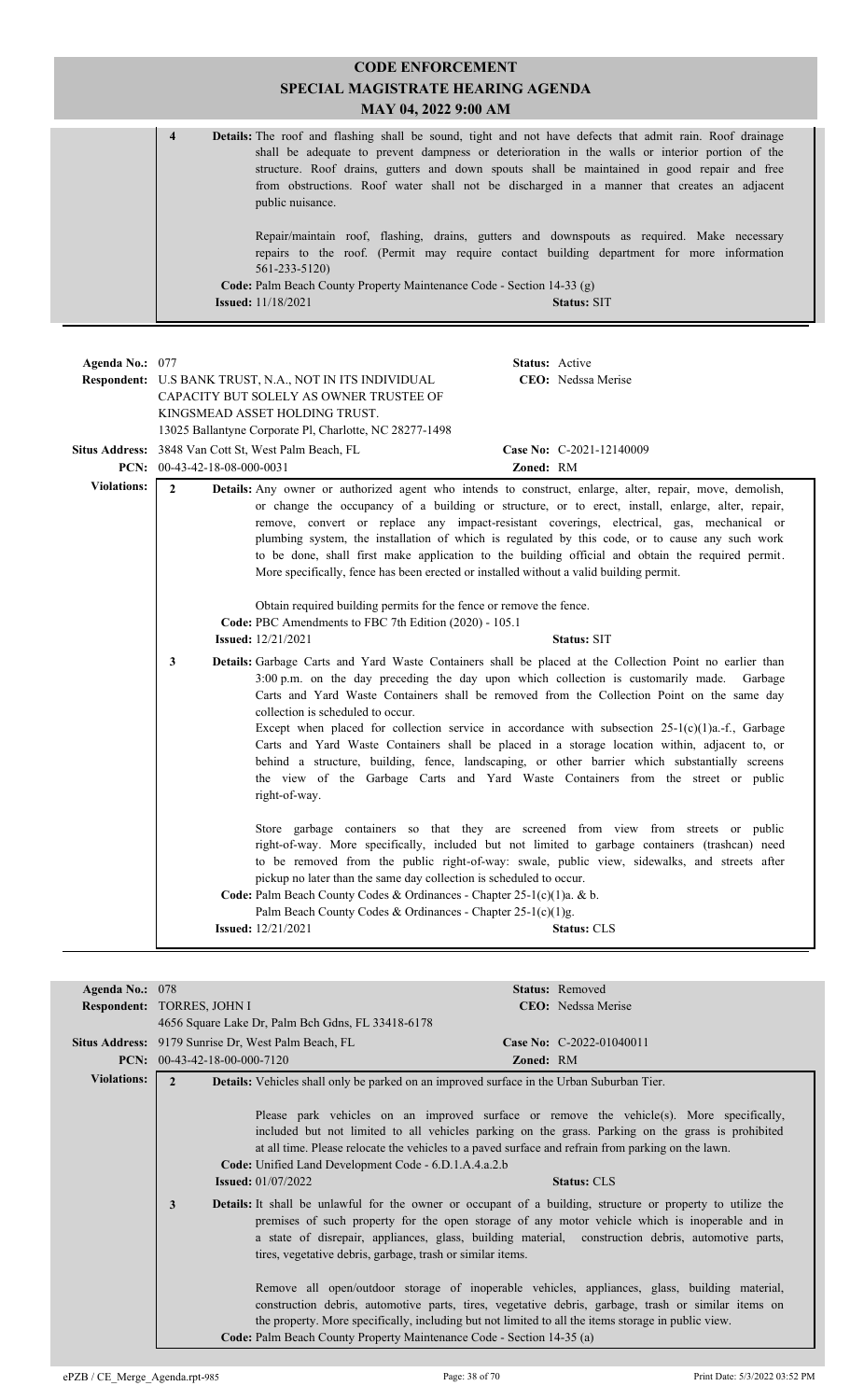|                    | <b>CODE ENFORCEMENT</b>                                                                                                                                                                                                                                                                                                                                                                                                                                                                                                                                                                                                                                                                                                                                  |  |  |
|--------------------|----------------------------------------------------------------------------------------------------------------------------------------------------------------------------------------------------------------------------------------------------------------------------------------------------------------------------------------------------------------------------------------------------------------------------------------------------------------------------------------------------------------------------------------------------------------------------------------------------------------------------------------------------------------------------------------------------------------------------------------------------------|--|--|
|                    | SPECIAL MAGISTRATE HEARING AGENDA                                                                                                                                                                                                                                                                                                                                                                                                                                                                                                                                                                                                                                                                                                                        |  |  |
|                    | MAY 04, 2022 9:00 AM                                                                                                                                                                                                                                                                                                                                                                                                                                                                                                                                                                                                                                                                                                                                     |  |  |
|                    | Details: The roof and flashing shall be sound, tight and not have defects that admit rain. Roof drainage<br>$\overline{4}$<br>shall be adequate to prevent dampness or deterioration in the walls or interior portion of the<br>structure. Roof drains, gutters and down spouts shall be maintained in good repair and free<br>from obstructions. Roof water shall not be discharged in a manner that creates an adjacent<br>public nuisance.<br>Repair/maintain roof, flashing, drains, gutters and downspouts as required. Make necessary<br>repairs to the roof. (Permit may require contact building department for more information<br>561-233-5120)                                                                                                |  |  |
|                    |                                                                                                                                                                                                                                                                                                                                                                                                                                                                                                                                                                                                                                                                                                                                                          |  |  |
|                    | Code: Palm Beach County Property Maintenance Code - Section 14-33 (g)                                                                                                                                                                                                                                                                                                                                                                                                                                                                                                                                                                                                                                                                                    |  |  |
|                    | <b>Issued:</b> 11/18/2021<br><b>Status: SIT</b>                                                                                                                                                                                                                                                                                                                                                                                                                                                                                                                                                                                                                                                                                                          |  |  |
| Agenda No.: 077    | Status: Active<br>CEO: Nedssa Merise<br>Respondent: U.S BANK TRUST, N.A., NOT IN ITS INDIVIDUAL<br>CAPACITY BUT SOLELY AS OWNER TRUSTEE OF<br>KINGSMEAD ASSET HOLDING TRUST.<br>13025 Ballantyne Corporate Pl, Charlotte, NC 28277-1498                                                                                                                                                                                                                                                                                                                                                                                                                                                                                                                  |  |  |
|                    | Situs Address: 3848 Van Cott St, West Palm Beach, FL<br>Case No: C-2021-12140009                                                                                                                                                                                                                                                                                                                                                                                                                                                                                                                                                                                                                                                                         |  |  |
|                    | <b>PCN:</b> $00-43-42-18-08-000-0031$<br>Zoned: RM                                                                                                                                                                                                                                                                                                                                                                                                                                                                                                                                                                                                                                                                                                       |  |  |
| <b>Violations:</b> | $\overline{2}$<br>Details: Any owner or authorized agent who intends to construct, enlarge, alter, repair, move, demolish,<br>or change the occupancy of a building or structure, or to erect, install, enlarge, alter, repair,<br>remove, convert or replace any impact-resistant coverings, electrical, gas, mechanical or<br>plumbing system, the installation of which is regulated by this code, or to cause any such work<br>to be done, shall first make application to the building official and obtain the required permit.<br>More specifically, fence has been erected or installed without a valid building permit.                                                                                                                          |  |  |
|                    | Obtain required building permits for the fence or remove the fence.                                                                                                                                                                                                                                                                                                                                                                                                                                                                                                                                                                                                                                                                                      |  |  |
|                    | Code: PBC Amendments to FBC 7th Edition (2020) - 105.1                                                                                                                                                                                                                                                                                                                                                                                                                                                                                                                                                                                                                                                                                                   |  |  |
|                    | <b>Issued:</b> 12/21/2021<br><b>Status: SIT</b>                                                                                                                                                                                                                                                                                                                                                                                                                                                                                                                                                                                                                                                                                                          |  |  |
|                    | Details: Garbage Carts and Yard Waste Containers shall be placed at the Collection Point no earlier than<br>3:00 p.m. on the day preceding the day upon which collection is customarily made. Garbage<br>Carts and Yard Waste Containers shall be removed from the Collection Point on the same day<br>collection is scheduled to occur.<br>Except when placed for collection service in accordance with subsection $25-1(c)(1)a$ .-f., Garbage<br>Carts and Yard Waste Containers shall be placed in a storage location within, adjacent to, or<br>behind a structure, building, fence, landscaping, or other barrier which substantially screens<br>the view of the Garbage Carts and Yard Waste Containers from the street or public<br>right-of-way. |  |  |
|                    | Store garbage containers so that they are screened from view from streets or public<br>right-of-way. More specifically, included but not limited to garbage containers (trashcan) need<br>to be removed from the public right-of-way: swale, public view, sidewalks, and streets after<br>pickup no later than the same day collection is scheduled to occur.<br>Code: Palm Beach County Codes & Ordinances - Chapter 25-1(c)(1)a. & b.                                                                                                                                                                                                                                                                                                                  |  |  |

Palm Beach County Codes & Ordinances - Chapter 25-1(c)(1)g.<br>d: 12/21/2021 **Status:** CLS **Issued:** 12/21/2021

| Agenda No.: 078    |                                                                                                                                                                                                                                                                                                                                                                                                                                                                                                                                                                                                                                                                                                                                                                                                                                                                                                                                                                                                                                                                                                                                                                                    |                  | <b>Status:</b> Removed     |
|--------------------|------------------------------------------------------------------------------------------------------------------------------------------------------------------------------------------------------------------------------------------------------------------------------------------------------------------------------------------------------------------------------------------------------------------------------------------------------------------------------------------------------------------------------------------------------------------------------------------------------------------------------------------------------------------------------------------------------------------------------------------------------------------------------------------------------------------------------------------------------------------------------------------------------------------------------------------------------------------------------------------------------------------------------------------------------------------------------------------------------------------------------------------------------------------------------------|------------------|----------------------------|
|                    | Respondent: TORRES, JOHN I                                                                                                                                                                                                                                                                                                                                                                                                                                                                                                                                                                                                                                                                                                                                                                                                                                                                                                                                                                                                                                                                                                                                                         |                  | <b>CEO</b> : Nedssa Merise |
|                    | 4656 Square Lake Dr, Palm Bch Gdns, FL 33418-6178                                                                                                                                                                                                                                                                                                                                                                                                                                                                                                                                                                                                                                                                                                                                                                                                                                                                                                                                                                                                                                                                                                                                  |                  |                            |
|                    | Situs Address: 9179 Sunrise Dr, West Palm Beach, FL                                                                                                                                                                                                                                                                                                                                                                                                                                                                                                                                                                                                                                                                                                                                                                                                                                                                                                                                                                                                                                                                                                                                |                  | Case No: C-2022-01040011   |
|                    | PCN: $00-43-42-18-00-000-7120$                                                                                                                                                                                                                                                                                                                                                                                                                                                                                                                                                                                                                                                                                                                                                                                                                                                                                                                                                                                                                                                                                                                                                     | <b>Zoned: RM</b> |                            |
| <b>Violations:</b> | $\mathfrak{D}$<br><b>Details:</b> Vehicles shall only be parked on an improved surface in the Urban Suburban Tier.                                                                                                                                                                                                                                                                                                                                                                                                                                                                                                                                                                                                                                                                                                                                                                                                                                                                                                                                                                                                                                                                 |                  |                            |
|                    | Please park vehicles on an improved surface or remove the vehicle(s). More specifically,<br>included but not limited to all vehicles parking on the grass. Parking on the grass is prohibited<br>at all time. Please relocate the vehicles to a paved surface and refrain from parking on the lawn.<br>Code: Unified Land Development Code - 6.D.1.A.4.a.2.b<br><b>Issued:</b> 01/07/2022<br><b>Details:</b> It shall be unlawful for the owner or occupant of a building, structure or property to utilize the<br>3<br>premises of such property for the open storage of any motor vehicle which is inoperable and in<br>a state of disrepair, appliances, glass, building material, construction debris, automotive parts,<br>tires, vegetative debris, garbage, trash or similar items.<br>Remove all open/outdoor storage of inoperable vehicles, appliances, glass, building material,<br>construction debris, automotive parts, tires, vegetative debris, garbage, trash or similar items on<br>the property. More specifically, including but not limited to all the items storage in public view.<br>Code: Palm Beach County Property Maintenance Code - Section 14-35 (a) |                  | <b>Status: CLS</b>         |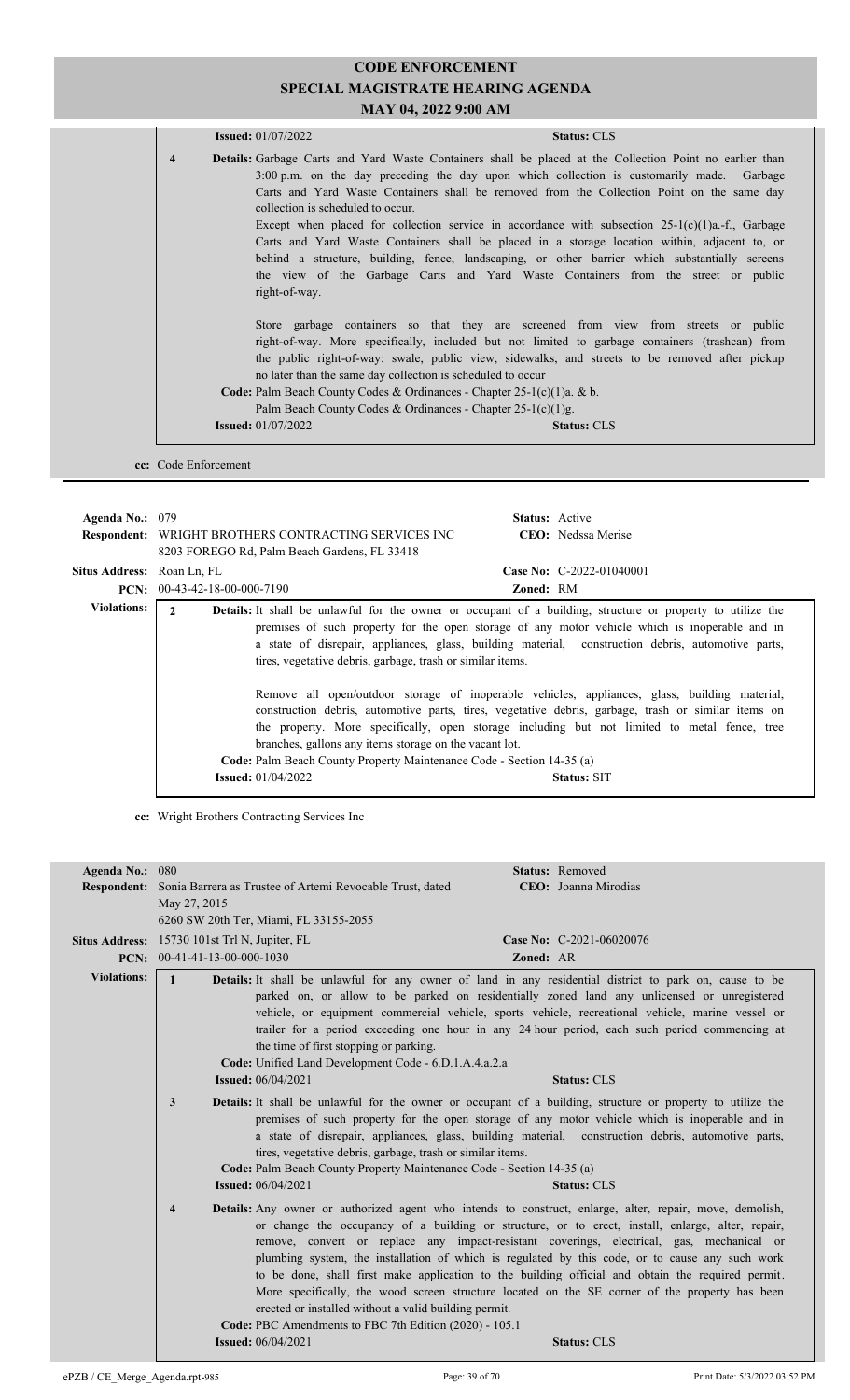|                         | <b>Issued:</b> $01/07/2022$                                 | <b>Status: CLS</b>                                                                                                                                                                                                                                                                                                                                                                                                                                                                                                                                                                                                                                                                                      |
|-------------------------|-------------------------------------------------------------|---------------------------------------------------------------------------------------------------------------------------------------------------------------------------------------------------------------------------------------------------------------------------------------------------------------------------------------------------------------------------------------------------------------------------------------------------------------------------------------------------------------------------------------------------------------------------------------------------------------------------------------------------------------------------------------------------------|
| $\overline{\mathbf{4}}$ | collection is scheduled to occur<br>right-of-way.           | <b>Details:</b> Garbage Carts and Yard Waste Containers shall be placed at the Collection Point no earlier than<br>3:00 p.m. on the day preceding the day upon which collection is customarily made. Garbage<br>Carts and Yard Waste Containers shall be removed from the Collection Point on the same day<br>Except when placed for collection service in accordance with subsection $25-1(c)(1)a-f$ , Garbage<br>Carts and Yard Waste Containers shall be placed in a storage location within, adjacent to, or<br>behind a structure, building, fence, landscaping, or other barrier which substantially screens<br>the view of the Garbage Carts and Yard Waste Containers from the street or public |
|                         | no later than the same day collection is scheduled to occur | Store garbage containers so that they are screened from view from streets or public<br>right-of-way. More specifically, included but not limited to garbage containers (trashcan) from<br>the public right-of-way: swale, public view, sidewalks, and streets to be removed after pickup<br><b>Code:</b> Palm Beach County Codes & Ordinances - Chapter 25-1(c)(1)a. & b.<br>Palm Beach County Codes & Ordinances - Chapter $25-1(c)(1)g$ .                                                                                                                                                                                                                                                             |
|                         | <b>Issued:</b> 01/07/2022                                   | <b>Status: CLS</b>                                                                                                                                                                                                                                                                                                                                                                                                                                                                                                                                                                                                                                                                                      |

| Agenda No.: $079$                 | <b>Status:</b> Active<br><b>Respondent:</b> WRIGHT BROTHERS CONTRACTING SERVICES INC<br><b>CEO</b> : Nedssa Merise<br>8203 FOREGO Rd, Palm Beach Gardens, FL 33418                                                                                                                                                                                                                                                                                                                                                                                                                                                                                                                                                                                                                                                                                                                                              |
|-----------------------------------|-----------------------------------------------------------------------------------------------------------------------------------------------------------------------------------------------------------------------------------------------------------------------------------------------------------------------------------------------------------------------------------------------------------------------------------------------------------------------------------------------------------------------------------------------------------------------------------------------------------------------------------------------------------------------------------------------------------------------------------------------------------------------------------------------------------------------------------------------------------------------------------------------------------------|
| <b>Situs Address:</b> Roan Ln, FL | Case No: C-2022-01040001                                                                                                                                                                                                                                                                                                                                                                                                                                                                                                                                                                                                                                                                                                                                                                                                                                                                                        |
|                                   | <b>PCN:</b> $00-43-42-18-00-000-7190$<br>Zoned: RM                                                                                                                                                                                                                                                                                                                                                                                                                                                                                                                                                                                                                                                                                                                                                                                                                                                              |
| <b>Violations:</b>                | $\mathbf{2}$<br><b>Details:</b> It shall be unlawful for the owner or occupant of a building, structure or property to utilize the<br>premises of such property for the open storage of any motor vehicle which is inoperable and in<br>a state of disrepair, appliances, glass, building material, construction debris, automotive parts,<br>tires, vegetative debris, garbage, trash or similar items.<br>Remove all open/outdoor storage of inoperable vehicles, appliances, glass, building material,<br>construction debris, automotive parts, tires, vegetative debris, garbage, trash or similar items on<br>the property. More specifically, open storage including but not limited to metal fence, tree<br>branches, gallons any items storage on the vacant lot.<br><b>Code:</b> Palm Beach County Property Maintenance Code - Section 14-35 (a)<br><b>Issued:</b> $01/04/2022$<br><b>Status: SIT</b> |

**cc:** Wright Brothers Contracting Services Inc

| Agenda No.: 080    |                                                                                                                                                                         | <b>Status: Removed</b>                                                                                                                                                                                                                                                                                                                                                                                                                                                                                                                                                                                                                            |
|--------------------|-------------------------------------------------------------------------------------------------------------------------------------------------------------------------|---------------------------------------------------------------------------------------------------------------------------------------------------------------------------------------------------------------------------------------------------------------------------------------------------------------------------------------------------------------------------------------------------------------------------------------------------------------------------------------------------------------------------------------------------------------------------------------------------------------------------------------------------|
|                    | Respondent: Sonia Barrera as Trustee of Artemi Revocable Trust, dated                                                                                                   | CEO: Joanna Mirodias                                                                                                                                                                                                                                                                                                                                                                                                                                                                                                                                                                                                                              |
|                    | May 27, 2015                                                                                                                                                            |                                                                                                                                                                                                                                                                                                                                                                                                                                                                                                                                                                                                                                                   |
|                    | 6260 SW 20th Ter, Miami, FL 33155-2055                                                                                                                                  |                                                                                                                                                                                                                                                                                                                                                                                                                                                                                                                                                                                                                                                   |
|                    | Situs Address: 15730 101st Trl N, Jupiter, FL                                                                                                                           | Case No: C-2021-06020076                                                                                                                                                                                                                                                                                                                                                                                                                                                                                                                                                                                                                          |
|                    | <b>PCN:</b> $00-41-41-13-00-000-1030$                                                                                                                                   | Zoned: AR                                                                                                                                                                                                                                                                                                                                                                                                                                                                                                                                                                                                                                         |
| <b>Violations:</b> | $\mathbf{1}$<br>the time of first stopping or parking.<br>Code: Unified Land Development Code - 6.D.1.A.4.a.2.a                                                         | <b>Details:</b> It shall be unlawful for any owner of land in any residential district to park on, cause to be<br>parked on, or allow to be parked on residentially zoned land any unlicensed or unregistered<br>vehicle, or equipment commercial vehicle, sports vehicle, recreational vehicle, marine vessel or<br>trailer for a period exceeding one hour in any 24 hour period, each such period commencing at                                                                                                                                                                                                                                |
|                    | <b>Issued:</b> 06/04/2021                                                                                                                                               | <b>Status: CLS</b>                                                                                                                                                                                                                                                                                                                                                                                                                                                                                                                                                                                                                                |
|                    | 3<br>tires, vegetative debris, garbage, trash or similar items.<br>Code: Palm Beach County Property Maintenance Code - Section 14-35 (a)<br><b>Issued:</b> 06/04/2021   | <b>Details:</b> It shall be unlawful for the owner or occupant of a building, structure or property to utilize the<br>premises of such property for the open storage of any motor vehicle which is inoperable and in<br>a state of disrepair, appliances, glass, building material, construction debris, automotive parts,<br><b>Status: CLS</b>                                                                                                                                                                                                                                                                                                  |
|                    | $\overline{\mathbf{4}}$<br>erected or installed without a valid building permit.<br>Code: PBC Amendments to FBC 7th Edition (2020) - 105.1<br><b>Issued:</b> 06/04/2021 | <b>Details:</b> Any owner or authorized agent who intends to construct, enlarge, alter, repair, move, demolish,<br>or change the occupancy of a building or structure, or to erect, install, enlarge, alter, repair,<br>remove, convert or replace any impact-resistant coverings, electrical, gas, mechanical or<br>plumbing system, the installation of which is regulated by this code, or to cause any such work<br>to be done, shall first make application to the building official and obtain the required permit.<br>More specifically, the wood screen structure located on the SE corner of the property has been<br><b>Status: CLS</b> |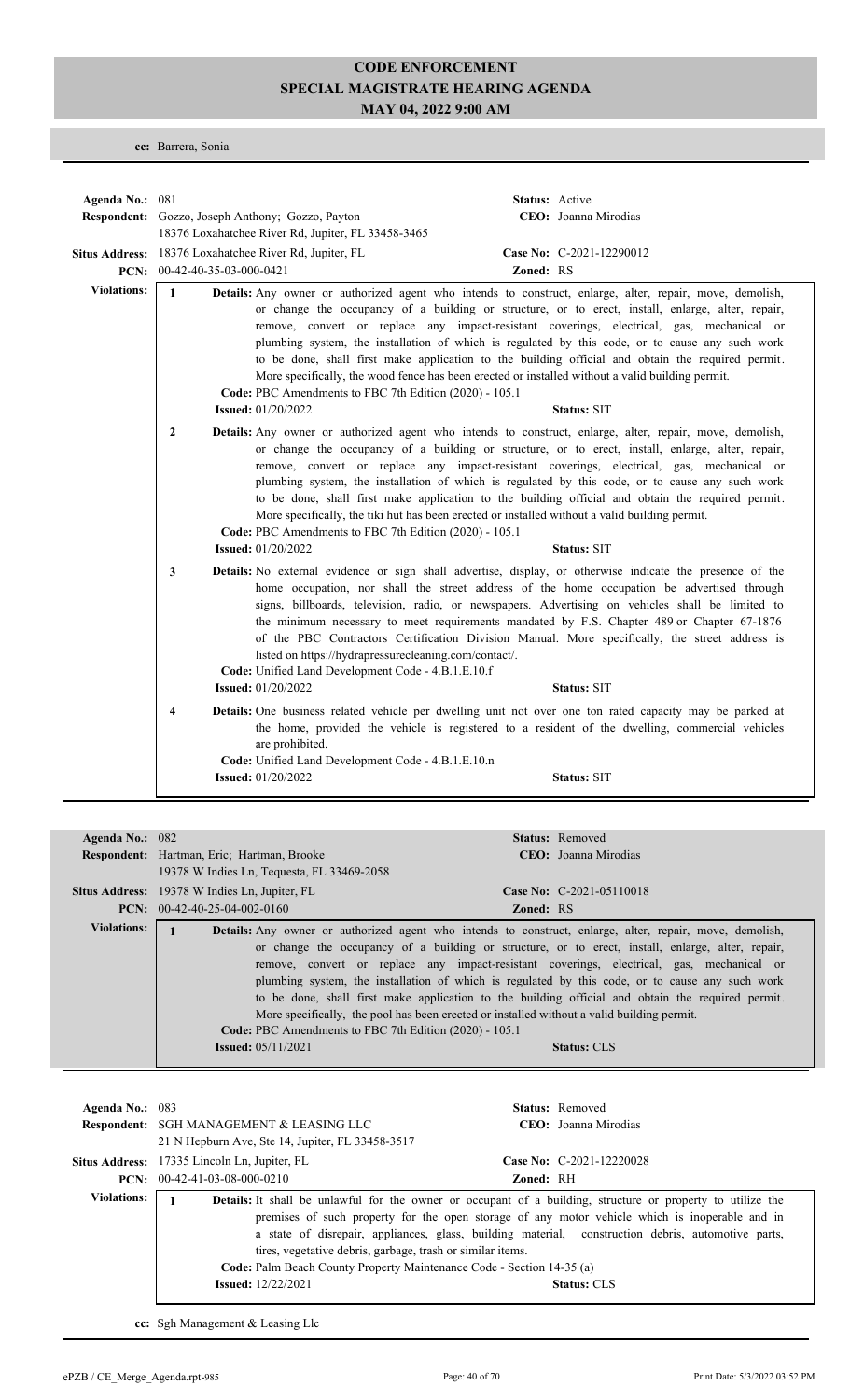**cc:** Barrera, Sonia

| Agenda No.: 081    |                                                                                                                                               | <b>Status:</b> Active                                                                                                                                                                                                                                                                                                                                                                                                                                                                                                                                                                                                                 |
|--------------------|-----------------------------------------------------------------------------------------------------------------------------------------------|---------------------------------------------------------------------------------------------------------------------------------------------------------------------------------------------------------------------------------------------------------------------------------------------------------------------------------------------------------------------------------------------------------------------------------------------------------------------------------------------------------------------------------------------------------------------------------------------------------------------------------------|
|                    | Respondent: Gozzo, Joseph Anthony; Gozzo, Payton<br>18376 Loxahatchee River Rd, Jupiter, FL 33458-3465                                        | CEO: Joanna Mirodias                                                                                                                                                                                                                                                                                                                                                                                                                                                                                                                                                                                                                  |
|                    | Situs Address: 18376 Loxahatchee River Rd, Jupiter, FL<br>PCN: $00-42-40-35-03-000-0421$                                                      | Case No: C-2021-12290012<br>Zoned: RS                                                                                                                                                                                                                                                                                                                                                                                                                                                                                                                                                                                                 |
| <b>Violations:</b> | $\mathbf{1}$<br>Code: PBC Amendments to FBC 7th Edition (2020) - 105.1<br><b>Issued:</b> 01/20/2022                                           | Details: Any owner or authorized agent who intends to construct, enlarge, alter, repair, move, demolish,<br>or change the occupancy of a building or structure, or to erect, install, enlarge, alter, repair,<br>remove, convert or replace any impact-resistant coverings, electrical, gas, mechanical or<br>plumbing system, the installation of which is regulated by this code, or to cause any such work<br>to be done, shall first make application to the building official and obtain the required permit.<br>More specifically, the wood fence has been erected or installed without a valid building permit.<br>Status: SIT |
|                    | $\overline{2}$<br>Code: PBC Amendments to FBC 7th Edition (2020) - 105.1<br><b>Issued:</b> 01/20/2022                                         | Details: Any owner or authorized agent who intends to construct, enlarge, alter, repair, move, demolish,<br>or change the occupancy of a building or structure, or to erect, install, enlarge, alter, repair,<br>remove, convert or replace any impact-resistant coverings, electrical, gas, mechanical or<br>plumbing system, the installation of which is regulated by this code, or to cause any such work<br>to be done, shall first make application to the building official and obtain the required permit.<br>More specifically, the tiki hut has been erected or installed without a valid building permit.<br>Status: SIT   |
|                    | 3<br>listed on https://hydrapressurecleaning.com/contact/.<br>Code: Unified Land Development Code - 4.B.1.E.10.f<br><b>Issued:</b> 01/20/2022 | Details: No external evidence or sign shall advertise, display, or otherwise indicate the presence of the<br>home occupation, nor shall the street address of the home occupation be advertised through<br>signs, billboards, television, radio, or newspapers. Advertising on vehicles shall be limited to<br>the minimum necessary to meet requirements mandated by F.S. Chapter 489 or Chapter 67-1876<br>of the PBC Contractors Certification Division Manual. More specifically, the street address is<br><b>Status: SIT</b>                                                                                                     |
|                    | $\overline{\mathbf{4}}$<br>are prohibited.<br>Code: Unified Land Development Code - 4.B.1.E.10.n<br><b>Issued:</b> 01/20/2022                 | Details: One business related vehicle per dwelling unit not over one ton rated capacity may be parked at<br>the home, provided the vehicle is registered to a resident of the dwelling, commercial vehicles<br><b>Status: SIT</b>                                                                                                                                                                                                                                                                                                                                                                                                     |

| Agenda No.: $082$  |                                                        | <b>Status:</b> Removed                                                                                                                                                                                                                                                                                                                                                                                                                                                                               |
|--------------------|--------------------------------------------------------|------------------------------------------------------------------------------------------------------------------------------------------------------------------------------------------------------------------------------------------------------------------------------------------------------------------------------------------------------------------------------------------------------------------------------------------------------------------------------------------------------|
|                    | Respondent: Hartman, Eric; Hartman, Brooke             | CEO: Joanna Mirodias                                                                                                                                                                                                                                                                                                                                                                                                                                                                                 |
|                    | 19378 W Indies Ln, Tequesta, FL 33469-2058             |                                                                                                                                                                                                                                                                                                                                                                                                                                                                                                      |
|                    | <b>Situs Address:</b> 19378 W Indies Ln, Jupiter, FL   | Case No: $C-2021-05110018$                                                                                                                                                                                                                                                                                                                                                                                                                                                                           |
|                    | <b>PCN:</b> $00-42-40-25-04-002-0160$                  | <b>Zoned: RS</b>                                                                                                                                                                                                                                                                                                                                                                                                                                                                                     |
| <b>Violations:</b> |                                                        | Details: Any owner or authorized agent who intends to construct, enlarge, alter, repair, move, demolish,                                                                                                                                                                                                                                                                                                                                                                                             |
|                    | Code: PBC Amendments to FBC 7th Edition (2020) - 105.1 | or change the occupancy of a building or structure, or to erect, install, enlarge, alter, repair,<br>remove, convert or replace any impact-resistant coverings, electrical, gas, mechanical or<br>plumbing system, the installation of which is regulated by this code, or to cause any such work<br>to be done, shall first make application to the building official and obtain the required permit.<br>More specifically, the pool has been erected or installed without a valid building permit. |
|                    | <b>Issued:</b> $05/11/2021$                            | <b>Status: CLS</b>                                                                                                                                                                                                                                                                                                                                                                                                                                                                                   |

| Agenda No.: 083    | <b>Respondent: SGH MANAGEMENT &amp; LEASING LLC</b><br>21 N Hepburn Ave, Ste 14, Jupiter, FL 33458-3517                                                                 |                  | <b>Status:</b> Removed<br>CEO: Joanna Mirodias                                                                                                                                                                                                                                                                                                   |
|--------------------|-------------------------------------------------------------------------------------------------------------------------------------------------------------------------|------------------|--------------------------------------------------------------------------------------------------------------------------------------------------------------------------------------------------------------------------------------------------------------------------------------------------------------------------------------------------|
|                    | <b>Situs Address:</b> 17335 Lincoln Ln, Jupiter, FL<br>$PCN: 00-42-41-03-08-000-0210$                                                                                   | <b>Zoned: RH</b> | Case No: $C-2021-12220028$                                                                                                                                                                                                                                                                                                                       |
| <b>Violations:</b> | tires, vegetative debris, garbage, trash or similar items.<br><b>Code:</b> Palm Beach County Property Maintenance Code - Section 14-35 (a)<br><b>Issued:</b> 12/22/2021 |                  | <b>Details:</b> It shall be unlawful for the owner or occupant of a building, structure or property to utilize the<br>premises of such property for the open storage of any motor vehicle which is inoperable and in<br>a state of disrepair, appliances, glass, building material, construction debris, automotive parts,<br><b>Status: CLS</b> |

**cc:** Sgh Management & Leasing Llc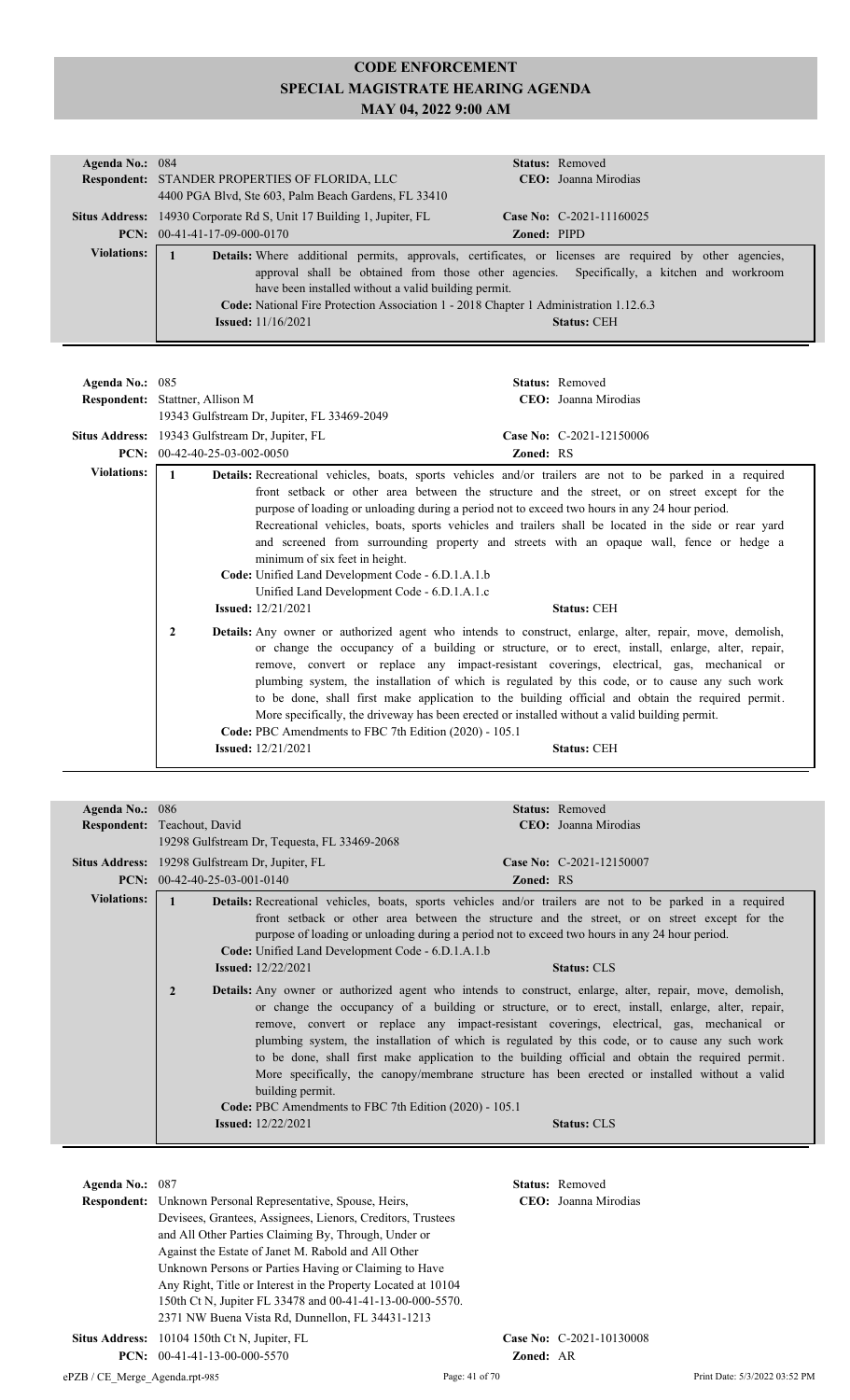| Agenda No.: 084    | <b>Status:</b> Removed                                                                                         |  |  |  |  |  |
|--------------------|----------------------------------------------------------------------------------------------------------------|--|--|--|--|--|
|                    | <b>Respondent: STANDER PROPERTIES OF FLORIDA, LLC</b><br>CEO: Joanna Mirodias                                  |  |  |  |  |  |
|                    | 4400 PGA Blvd, Ste 603, Palm Beach Gardens, FL 33410                                                           |  |  |  |  |  |
|                    | Case No: C-2021-11160025<br><b>Situs Address:</b> 14930 Corporate Rd S, Unit 17 Building 1, Jupiter, FL        |  |  |  |  |  |
|                    | <b>PCN:</b> $00-41-41-17-09-000-0170$<br><b>Zoned: PIPD</b>                                                    |  |  |  |  |  |
| <b>Violations:</b> | <b>Details:</b> Where additional permits, approvals, certificates, or licenses are required by other agencies, |  |  |  |  |  |
|                    | approval shall be obtained from those other agencies. Specifically, a kitchen and workroom                     |  |  |  |  |  |
|                    | have been installed without a valid building permit.                                                           |  |  |  |  |  |
|                    | Code: National Fire Protection Association 1 - 2018 Chapter 1 Administration 1.12.6.3                          |  |  |  |  |  |
|                    | <b>Issued:</b> 11/16/2021<br><b>Status: CEH</b>                                                                |  |  |  |  |  |
|                    |                                                                                                                |  |  |  |  |  |

| Agenda No.: 085    |                                                                                                                                                                   | Status: Removed                                                                                                                                                                                                                                                                                                                                                                                                                                                                                                                                                                                                                                   |
|--------------------|-------------------------------------------------------------------------------------------------------------------------------------------------------------------|---------------------------------------------------------------------------------------------------------------------------------------------------------------------------------------------------------------------------------------------------------------------------------------------------------------------------------------------------------------------------------------------------------------------------------------------------------------------------------------------------------------------------------------------------------------------------------------------------------------------------------------------------|
|                    | <b>Respondent:</b> Stattner, Allison M                                                                                                                            | CEO: Joanna Mirodias                                                                                                                                                                                                                                                                                                                                                                                                                                                                                                                                                                                                                              |
|                    | 19343 Gulfstream Dr. Jupiter, FL 33469-2049                                                                                                                       |                                                                                                                                                                                                                                                                                                                                                                                                                                                                                                                                                                                                                                                   |
| Situs Address:     | 19343 Gulfstream Dr. Jupiter, FL                                                                                                                                  | Case No: C-2021-12150006                                                                                                                                                                                                                                                                                                                                                                                                                                                                                                                                                                                                                          |
| PCN:               | 00-42-40-25-03-002-0050                                                                                                                                           | <b>Zoned: RS</b>                                                                                                                                                                                                                                                                                                                                                                                                                                                                                                                                                                                                                                  |
| <b>Violations:</b> | minimum of six feet in height.<br>Code: Unified Land Development Code - 6.D.1.A.1.b<br>Unified Land Development Code - 6.D.1.A.1.c<br><b>Issued:</b> $12/21/2021$ | Details: Recreational vehicles, boats, sports vehicles and/or trailers are not to be parked in a required<br>front setback or other area between the structure and the street, or on street except for the<br>purpose of loading or unloading during a period not to exceed two hours in any 24 hour period.<br>Recreational vehicles, boats, sports vehicles and trailers shall be located in the side or rear yard<br>and screened from surrounding property and streets with an opaque wall, fence or hedge a<br><b>Status: CEH</b>                                                                                                            |
|                    | 2<br>Code: PBC Amendments to FBC 7th Edition (2020) - 105.1<br><b>Issued:</b> 12/21/2021                                                                          | <b>Details:</b> Any owner or authorized agent who intends to construct, enlarge, alter, repair, move, demolish,<br>or change the occupancy of a building or structure, or to erect, install, enlarge, alter, repair,<br>remove, convert or replace any impact-resistant coverings, electrical, gas, mechanical or<br>plumbing system, the installation of which is regulated by this code, or to cause any such work<br>to be done, shall first make application to the building official and obtain the required permit.<br>More specifically, the driveway has been erected or installed without a valid building permit.<br><b>Status: CEH</b> |

| Agenda No.: 086    |                                                                                              | <b>Status:</b> Removed                                                                                                                                                                                                                                                                                                                                                                                                                                                                                                                                                                                                      |  |
|--------------------|----------------------------------------------------------------------------------------------|-----------------------------------------------------------------------------------------------------------------------------------------------------------------------------------------------------------------------------------------------------------------------------------------------------------------------------------------------------------------------------------------------------------------------------------------------------------------------------------------------------------------------------------------------------------------------------------------------------------------------------|--|
|                    | Respondent: Teachout, David                                                                  | <b>CEO</b> : Joanna Mirodias                                                                                                                                                                                                                                                                                                                                                                                                                                                                                                                                                                                                |  |
|                    | 19298 Gulfstream Dr. Tequesta, FL 33469-2068                                                 |                                                                                                                                                                                                                                                                                                                                                                                                                                                                                                                                                                                                                             |  |
|                    | Situs Address: 19298 Gulfstream Dr. Jupiter, FL                                              | Case No: C-2021-12150007                                                                                                                                                                                                                                                                                                                                                                                                                                                                                                                                                                                                    |  |
|                    | $PCN: 00-42-40-25-03-001-0140$                                                               | <b>Zoned: RS</b>                                                                                                                                                                                                                                                                                                                                                                                                                                                                                                                                                                                                            |  |
| <b>Violations:</b> |                                                                                              | <b>Details:</b> Recreational vehicles, boats, sports vehicles and/or trailers are not to be parked in a required                                                                                                                                                                                                                                                                                                                                                                                                                                                                                                            |  |
|                    |                                                                                              | front setback or other area between the structure and the street, or on street except for the<br>purpose of loading or unloading during a period not to exceed two hours in any 24 hour period.                                                                                                                                                                                                                                                                                                                                                                                                                             |  |
|                    | <b>Code:</b> Unified Land Development Code - 6.D.1.A.1.b                                     |                                                                                                                                                                                                                                                                                                                                                                                                                                                                                                                                                                                                                             |  |
|                    | <b>Issued:</b> $12/22/2021$                                                                  | <b>Status: CLS</b>                                                                                                                                                                                                                                                                                                                                                                                                                                                                                                                                                                                                          |  |
|                    | $\overline{2}$<br>building permit.<br>Code: PBC Amendments to FBC 7th Edition (2020) - 105.1 | <b>Details:</b> Any owner or authorized agent who intends to construct, enlarge, alter, repair, move, demolish,<br>or change the occupancy of a building or structure, or to erect, install, enlarge, alter, repair,<br>remove, convert or replace any impact-resistant coverings, electrical, gas, mechanical or<br>plumbing system, the installation of which is regulated by this code, or to cause any such work<br>to be done, shall first make application to the building official and obtain the required permit.<br>More specifically, the canopy/membrane structure has been erected or installed without a valid |  |
|                    | <b>Issued:</b> 12/22/2021                                                                    | <b>Status: CLS</b>                                                                                                                                                                                                                                                                                                                                                                                                                                                                                                                                                                                                          |  |
|                    |                                                                                              |                                                                                                                                                                                                                                                                                                                                                                                                                                                                                                                                                                                                                             |  |

| Agenda No.: 087 |                                                                    |                  | <b>Status:</b> Removed   |  |  |
|-----------------|--------------------------------------------------------------------|------------------|--------------------------|--|--|
|                 | <b>Respondent:</b> Unknown Personal Representative, Spouse, Heirs, |                  | CEO: Joanna Mirodias     |  |  |
|                 | Devisees, Grantees, Assignees, Lienors, Creditors, Trustees        |                  |                          |  |  |
|                 | and All Other Parties Claiming By, Through, Under or               |                  |                          |  |  |
|                 | Against the Estate of Janet M. Rabold and All Other                |                  |                          |  |  |
|                 | Unknown Persons or Parties Having or Claiming to Have              |                  |                          |  |  |
|                 | Any Right, Title or Interest in the Property Located at 10104      |                  |                          |  |  |
|                 | 150th Ct N, Jupiter FL 33478 and 00-41-41-13-00-000-5570.          |                  |                          |  |  |
|                 | 2371 NW Buena Vista Rd, Dunnellon, FL 34431-1213                   |                  |                          |  |  |
|                 | <b>Situs Address:</b> 10104 150th Ct N, Jupiter, FL                |                  | Case No: C-2021-10130008 |  |  |
|                 | <b>PCN:</b> $00-41-41-13-00-000-5570$                              | <b>Zoned: AR</b> |                          |  |  |
|                 |                                                                    |                  |                          |  |  |

ePZB / CE\_Merge\_Agenda.rpt-985 Page: 41 of 70 Print Date: 5/3/2022 03:52 PM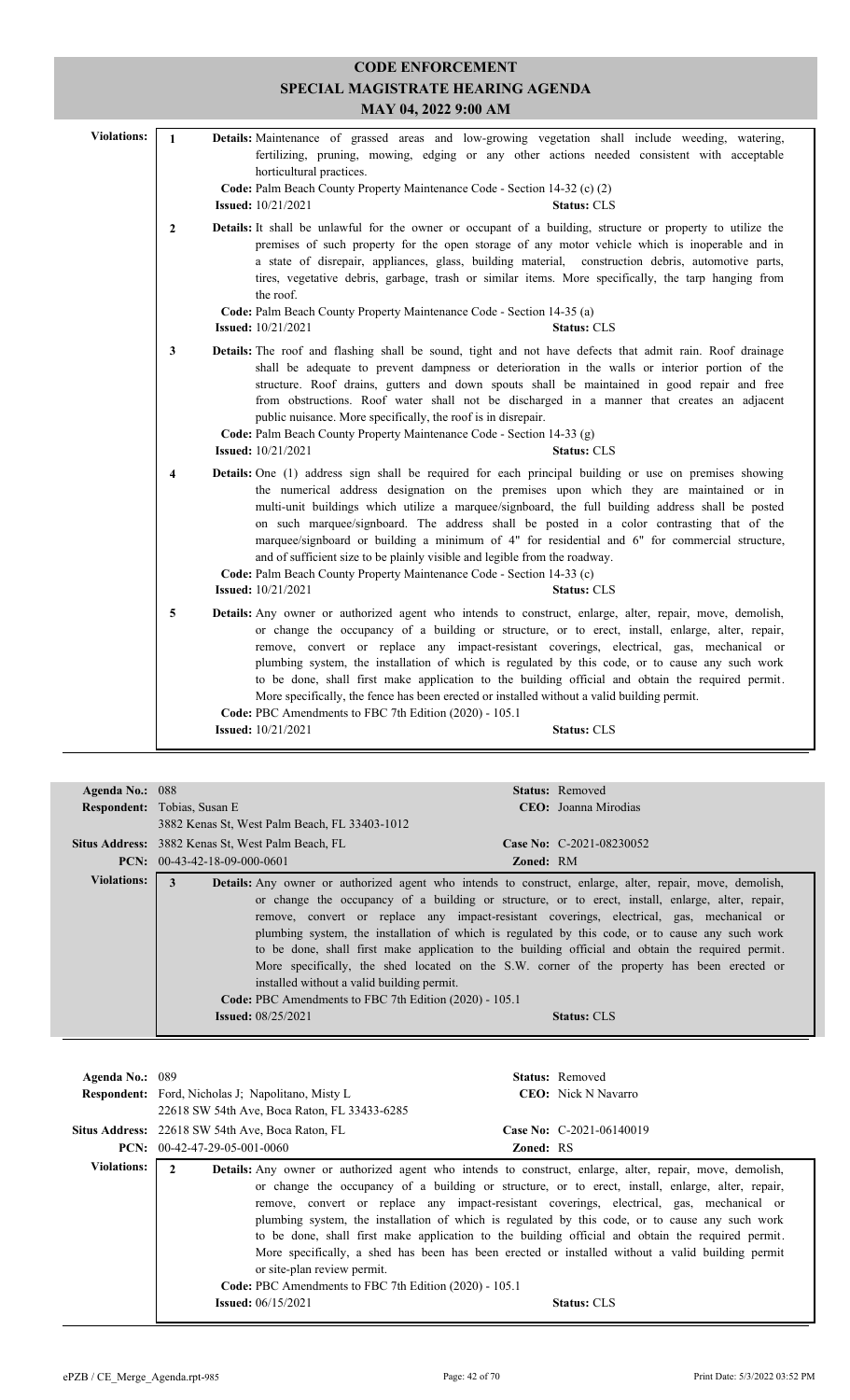| <b>CODE ENFORCEMENT</b><br>SPECIAL MAGISTRATE HEARING AGENDA |                         |                                                                                                                                                                                                                                                                                                                                                                                                                                                                                                                                                                                                                                                                                                                                |  |  |  |  |  |
|--------------------------------------------------------------|-------------------------|--------------------------------------------------------------------------------------------------------------------------------------------------------------------------------------------------------------------------------------------------------------------------------------------------------------------------------------------------------------------------------------------------------------------------------------------------------------------------------------------------------------------------------------------------------------------------------------------------------------------------------------------------------------------------------------------------------------------------------|--|--|--|--|--|
|                                                              | MAY 04, 2022 9:00 AM    |                                                                                                                                                                                                                                                                                                                                                                                                                                                                                                                                                                                                                                                                                                                                |  |  |  |  |  |
| <b>Violations:</b>                                           | $\mathbf{1}$            | Details: Maintenance of grassed areas and low-growing vegetation shall include weeding, watering,<br>fertilizing, pruning, mowing, edging or any other actions needed consistent with acceptable<br>horticultural practices.<br>Code: Palm Beach County Property Maintenance Code - Section 14-32 (c) (2)<br><b>Issued:</b> 10/21/2021<br><b>Status: CLS</b>                                                                                                                                                                                                                                                                                                                                                                   |  |  |  |  |  |
|                                                              | $\mathbf{2}$            | Details: It shall be unlawful for the owner or occupant of a building, structure or property to utilize the<br>premises of such property for the open storage of any motor vehicle which is inoperable and in<br>a state of disrepair, appliances, glass, building material, construction debris, automotive parts,<br>tires, vegetative debris, garbage, trash or similar items. More specifically, the tarp hanging from<br>the roof.<br>Code: Palm Beach County Property Maintenance Code - Section 14-35 (a)<br><b>Issued:</b> 10/21/2021<br><b>Status: CLS</b>                                                                                                                                                            |  |  |  |  |  |
|                                                              | 3                       | Details: The roof and flashing shall be sound, tight and not have defects that admit rain. Roof drainage<br>shall be adequate to prevent dampness or deterioration in the walls or interior portion of the<br>structure. Roof drains, gutters and down spouts shall be maintained in good repair and free<br>from obstructions. Roof water shall not be discharged in a manner that creates an adjacent<br>public nuisance. More specifically, the roof is in disrepair.<br>Code: Palm Beach County Property Maintenance Code - Section 14-33 (g)<br><b>Issued:</b> 10/21/2021<br><b>Status: CLS</b>                                                                                                                           |  |  |  |  |  |
|                                                              | $\overline{\mathbf{4}}$ | Details: One (1) address sign shall be required for each principal building or use on premises showing<br>the numerical address designation on the premises upon which they are maintained or in<br>multi-unit buildings which utilize a marquee/signboard, the full building address shall be posted<br>on such marquee/signboard. The address shall be posted in a color contrasting that of the<br>marquee/signboard or building a minimum of 4" for residential and 6" for commercial structure,<br>and of sufficient size to be plainly visible and legible from the roadway.<br>Code: Palm Beach County Property Maintenance Code - Section 14-33 (c)<br><b>Issued:</b> 10/21/2021<br><b>Status: CLS</b>                 |  |  |  |  |  |
|                                                              | 5                       | Details: Any owner or authorized agent who intends to construct, enlarge, alter, repair, move, demolish,<br>or change the occupancy of a building or structure, or to erect, install, enlarge, alter, repair,<br>remove, convert or replace any impact-resistant coverings, electrical, gas, mechanical or<br>plumbing system, the installation of which is regulated by this code, or to cause any such work<br>to be done, shall first make application to the building official and obtain the required permit.<br>More specifically, the fence has been erected or installed without a valid building permit.<br>Code: PBC Amendments to FBC 7th Edition (2020) - 105.1<br><b>Issued:</b> 10/21/2021<br><b>Status: CLS</b> |  |  |  |  |  |

| Agenda No.: 088    |                                                                                                                                                                                                                                                           | <b>Status:</b> Removed                                                                                                                                                                                                                                                                                                                                                                                                                                                                                                     |  |
|--------------------|-----------------------------------------------------------------------------------------------------------------------------------------------------------------------------------------------------------------------------------------------------------|----------------------------------------------------------------------------------------------------------------------------------------------------------------------------------------------------------------------------------------------------------------------------------------------------------------------------------------------------------------------------------------------------------------------------------------------------------------------------------------------------------------------------|--|
|                    | <b>Respondent:</b> Tobias, Susan E                                                                                                                                                                                                                        | CEO: Joanna Mirodias                                                                                                                                                                                                                                                                                                                                                                                                                                                                                                       |  |
|                    | 3882 Kenas St, West Palm Beach, FL 33403-1012                                                                                                                                                                                                             |                                                                                                                                                                                                                                                                                                                                                                                                                                                                                                                            |  |
|                    | <b>Situs Address:</b> 3882 Kenas St, West Palm Beach, FL                                                                                                                                                                                                  | Case No: $C-2021-08230052$                                                                                                                                                                                                                                                                                                                                                                                                                                                                                                 |  |
|                    | <b>PCN:</b> $00-43-42-18-09-000-0601$                                                                                                                                                                                                                     | <b>Zoned: RM</b>                                                                                                                                                                                                                                                                                                                                                                                                                                                                                                           |  |
| <b>Violations:</b> | <b>Details:</b> Any owner or authorized agent who intends to construct, enlarge, alter, repair, move, demolish,<br>3<br>installed without a valid building permit.<br>Code: PBC Amendments to FBC 7th Edition (2020) - 105.1<br><b>Issued:</b> 08/25/2021 | or change the occupancy of a building or structure, or to erect, install, enlarge, alter, repair,<br>remove, convert or replace any impact-resistant coverings, electrical, gas, mechanical or<br>plumbing system, the installation of which is regulated by this code, or to cause any such work<br>to be done, shall first make application to the building official and obtain the required permit.<br>More specifically, the shed located on the S.W. corner of the property has been erected or<br><b>Status: CLS</b> |  |

| Agenda No.: 089    | <b>Respondent:</b> Ford, Nicholas J; Napolitano, Misty L.<br>22618 SW 54th Ave, Boca Raton, FL 33433-6285                              | <b>Status:</b> Removed<br><b>CEO</b> : Nick N Navarro                                                                                                                                                                                                                                                                                                                                                                                                                                                                                                                                                                                               |
|--------------------|----------------------------------------------------------------------------------------------------------------------------------------|-----------------------------------------------------------------------------------------------------------------------------------------------------------------------------------------------------------------------------------------------------------------------------------------------------------------------------------------------------------------------------------------------------------------------------------------------------------------------------------------------------------------------------------------------------------------------------------------------------------------------------------------------------|
|                    | <b>Situs Address:</b> 22618 SW 54th Ave, Boca Raton, FL<br>$PCN: 00-42-47-29-05-001-0060$                                              | Case No: $C-2021-06140019$<br><b>Zoned: RS</b>                                                                                                                                                                                                                                                                                                                                                                                                                                                                                                                                                                                                      |
| <b>Violations:</b> | $\overline{2}$<br>or site-plan review permit.<br>Code: PBC Amendments to FBC 7th Edition (2020) - 105.1<br><b>Issued:</b> $06/15/2021$ | <b>Details:</b> Any owner or authorized agent who intends to construct, enlarge, alter, repair, move, demolish,<br>or change the occupancy of a building or structure, or to erect, install, enlarge, alter, repair,<br>remove, convert or replace any impact-resistant coverings, electrical, gas, mechanical or<br>plumbing system, the installation of which is regulated by this code, or to cause any such work<br>to be done, shall first make application to the building official and obtain the required permit.<br>More specifically, a shed has been has been erected or installed without a valid building permit<br><b>Status: CLS</b> |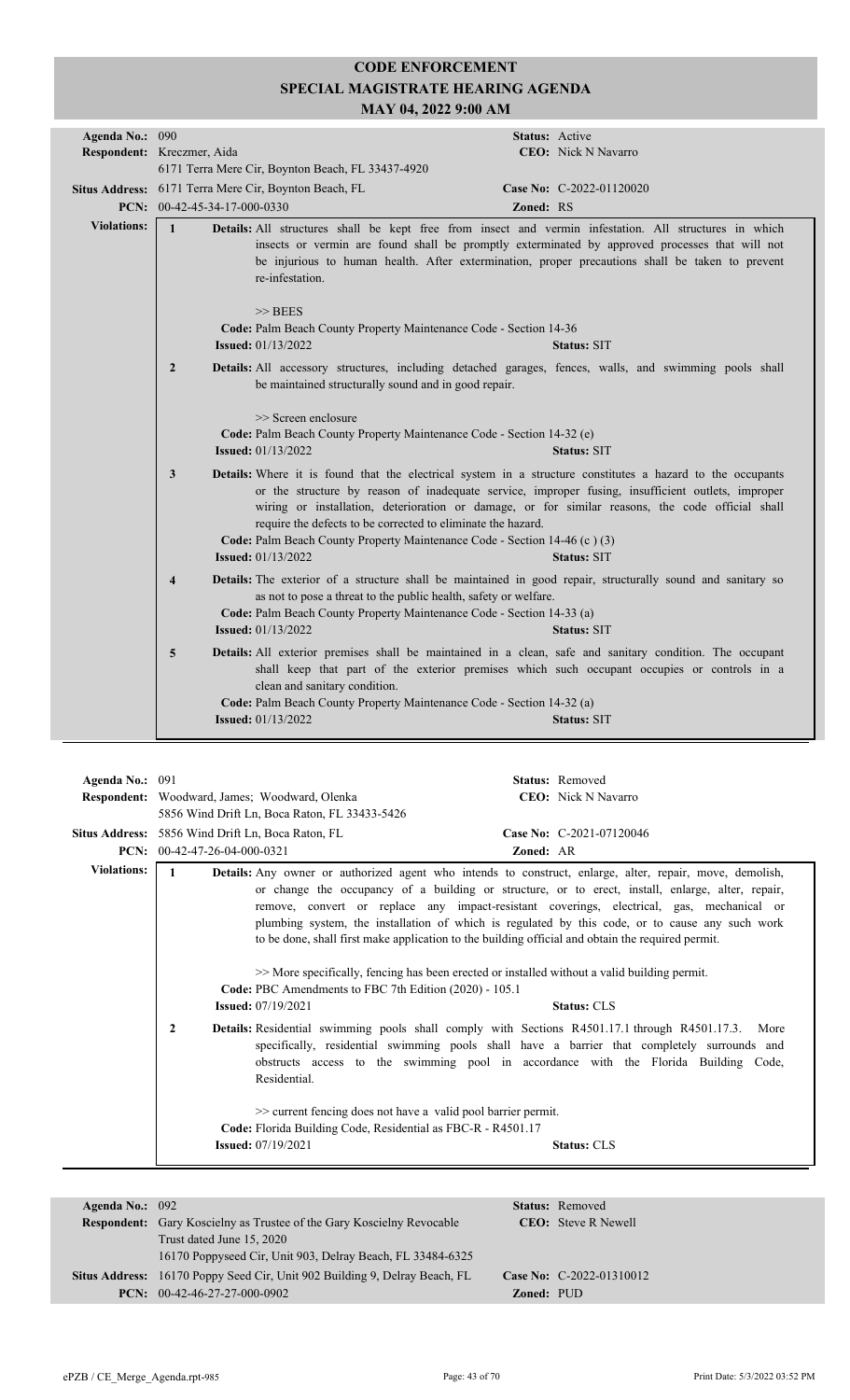| Agenda No.: 090    |                              |                                                                                                                                                                                                                                                                                                                                                                                                                                                                                               | Status: Active   |                             |
|--------------------|------------------------------|-----------------------------------------------------------------------------------------------------------------------------------------------------------------------------------------------------------------------------------------------------------------------------------------------------------------------------------------------------------------------------------------------------------------------------------------------------------------------------------------------|------------------|-----------------------------|
|                    | Respondent: Kreczmer, Aida   |                                                                                                                                                                                                                                                                                                                                                                                                                                                                                               |                  | <b>CEO</b> : Nick N Navarro |
|                    |                              | 6171 Terra Mere Cir, Boynton Beach, FL 33437-4920                                                                                                                                                                                                                                                                                                                                                                                                                                             |                  |                             |
|                    |                              |                                                                                                                                                                                                                                                                                                                                                                                                                                                                                               |                  |                             |
|                    |                              | Situs Address: 6171 Terra Mere Cir, Boynton Beach, FL                                                                                                                                                                                                                                                                                                                                                                                                                                         |                  | Case No: C-2022-01120020    |
|                    | PCN: 00-42-45-34-17-000-0330 |                                                                                                                                                                                                                                                                                                                                                                                                                                                                                               | <b>Zoned: RS</b> |                             |
| <b>Violations:</b> | $\mathbf{1}$                 | Details: All structures shall be kept free from insect and vermin infestation. All structures in which<br>insects or vermin are found shall be promptly exterminated by approved processes that will not<br>be injurious to human health. After extermination, proper precautions shall be taken to prevent<br>re-infestation.                                                                                                                                                                |                  |                             |
|                    |                              | $>>$ BEES                                                                                                                                                                                                                                                                                                                                                                                                                                                                                     |                  |                             |
|                    |                              | Code: Palm Beach County Property Maintenance Code - Section 14-36                                                                                                                                                                                                                                                                                                                                                                                                                             |                  |                             |
|                    |                              | <b>Issued:</b> 01/13/2022                                                                                                                                                                                                                                                                                                                                                                                                                                                                     |                  | <b>Status: SIT</b>          |
|                    | $\overline{2}$               | Details: All accessory structures, including detached garages, fences, walls, and swimming pools shall<br>be maintained structurally sound and in good repair.                                                                                                                                                                                                                                                                                                                                |                  |                             |
|                    |                              | >> Screen enclosure<br>Code: Palm Beach County Property Maintenance Code - Section 14-32 (e)<br><b>Issued:</b> 01/13/2022                                                                                                                                                                                                                                                                                                                                                                     |                  | <b>Status: SIT</b>          |
|                    | 3                            | Details: Where it is found that the electrical system in a structure constitutes a hazard to the occupants<br>or the structure by reason of inadequate service, improper fusing, insufficient outlets, improper<br>wiring or installation, deterioration or damage, or for similar reasons, the code official shall<br>require the defects to be corrected to eliminate the hazard.<br>Code: Palm Beach County Property Maintenance Code - Section 14-46 (c) (3)<br><b>Issued:</b> 01/13/2022 |                  | <b>Status: SIT</b>          |
|                    | $\overline{\mathbf{4}}$      | Details: The exterior of a structure shall be maintained in good repair, structurally sound and sanitary so<br>as not to pose a threat to the public health, safety or welfare.<br>Code: Palm Beach County Property Maintenance Code - Section 14-33 (a)<br><b>Issued:</b> 01/13/2022                                                                                                                                                                                                         |                  | <b>Status: SIT</b>          |
|                    | $\overline{5}$               | Details: All exterior premises shall be maintained in a clean, safe and sanitary condition. The occupant<br>shall keep that part of the exterior premises which such occupant occupies or controls in a<br>clean and sanitary condition.<br>Code: Palm Beach County Property Maintenance Code - Section 14-32 (a)<br><b>Issued:</b> 01/13/2022                                                                                                                                                |                  | <b>Status: SIT</b>          |
|                    |                              |                                                                                                                                                                                                                                                                                                                                                                                                                                                                                               |                  |                             |

| Agenda No.: 091    |                                                                                                                                                                                         | Status: Removed                                                                                                                                                                                                                                                                                                                                                                                                                                                                                                                                                                                                                                                                                                                                                                                                                                                                                                                                |
|--------------------|-----------------------------------------------------------------------------------------------------------------------------------------------------------------------------------------|------------------------------------------------------------------------------------------------------------------------------------------------------------------------------------------------------------------------------------------------------------------------------------------------------------------------------------------------------------------------------------------------------------------------------------------------------------------------------------------------------------------------------------------------------------------------------------------------------------------------------------------------------------------------------------------------------------------------------------------------------------------------------------------------------------------------------------------------------------------------------------------------------------------------------------------------|
|                    | Respondent: Woodward, James; Woodward, Olenka                                                                                                                                           | <b>CEO</b> : Nick N Navarro                                                                                                                                                                                                                                                                                                                                                                                                                                                                                                                                                                                                                                                                                                                                                                                                                                                                                                                    |
|                    | 5856 Wind Drift Ln, Boca Raton, FL 33433-5426                                                                                                                                           |                                                                                                                                                                                                                                                                                                                                                                                                                                                                                                                                                                                                                                                                                                                                                                                                                                                                                                                                                |
|                    | <b>Situs Address:</b> 5856 Wind Drift Ln, Boca Raton, FL                                                                                                                                | Case No: C-2021-07120046                                                                                                                                                                                                                                                                                                                                                                                                                                                                                                                                                                                                                                                                                                                                                                                                                                                                                                                       |
|                    | PCN: $00-42-47-26-04-000-0321$                                                                                                                                                          | <b>Zoned: AR</b>                                                                                                                                                                                                                                                                                                                                                                                                                                                                                                                                                                                                                                                                                                                                                                                                                                                                                                                               |
| <b>Violations:</b> | Code: PBC Amendments to FBC 7th Edition (2020) - 105.1<br><b>Issued:</b> 07/19/2021<br>$\mathbf{2}$<br>Residential.<br>$\gg$ current fencing does not have a valid pool barrier permit. | Details: Any owner or authorized agent who intends to construct, enlarge, alter, repair, move, demolish,<br>or change the occupancy of a building or structure, or to erect, install, enlarge, alter, repair,<br>remove, convert or replace any impact-resistant coverings, electrical, gas, mechanical or<br>plumbing system, the installation of which is regulated by this code, or to cause any such work<br>to be done, shall first make application to the building official and obtain the required permit.<br>>> More specifically, fencing has been erected or installed without a valid building permit.<br><b>Status: CLS</b><br><b>Details:</b> Residential swimming pools shall comply with Sections R4501.17.1 through R4501.17.3.<br>More<br>specifically, residential swimming pools shall have a barrier that completely surrounds and<br>obstructs access to the swimming pool in accordance with the Florida Building Code, |
|                    | Code: Florida Building Code, Residential as FBC-R - R4501.17                                                                                                                            |                                                                                                                                                                                                                                                                                                                                                                                                                                                                                                                                                                                                                                                                                                                                                                                                                                                                                                                                                |
|                    | <b>Issued:</b> 07/19/2021                                                                                                                                                               | <b>Status: CLS</b>                                                                                                                                                                                                                                                                                                                                                                                                                                                                                                                                                                                                                                                                                                                                                                                                                                                                                                                             |
|                    |                                                                                                                                                                                         |                                                                                                                                                                                                                                                                                                                                                                                                                                                                                                                                                                                                                                                                                                                                                                                                                                                                                                                                                |

| Agenda No.: $092$ |                                                                                   |                   | <b>Status:</b> Removed     |
|-------------------|-----------------------------------------------------------------------------------|-------------------|----------------------------|
|                   | <b>Respondent:</b> Gary Koscielny as Trustee of the Gary Koscielny Revocable      |                   | <b>CEO:</b> Steve R Newell |
|                   | Trust dated June 15, 2020                                                         |                   |                            |
|                   | 16170 Poppyseed Cir, Unit 903, Delray Beach, FL 33484-6325                        |                   |                            |
|                   | <b>Situs Address:</b> 16170 Poppy Seed Cir, Unit 902 Building 9, Delray Beach, FL |                   | Case No: C-2022-01310012   |
|                   | <b>PCN:</b> $00-42-46-27-27-000-0902$                                             | <b>Zoned: PUD</b> |                            |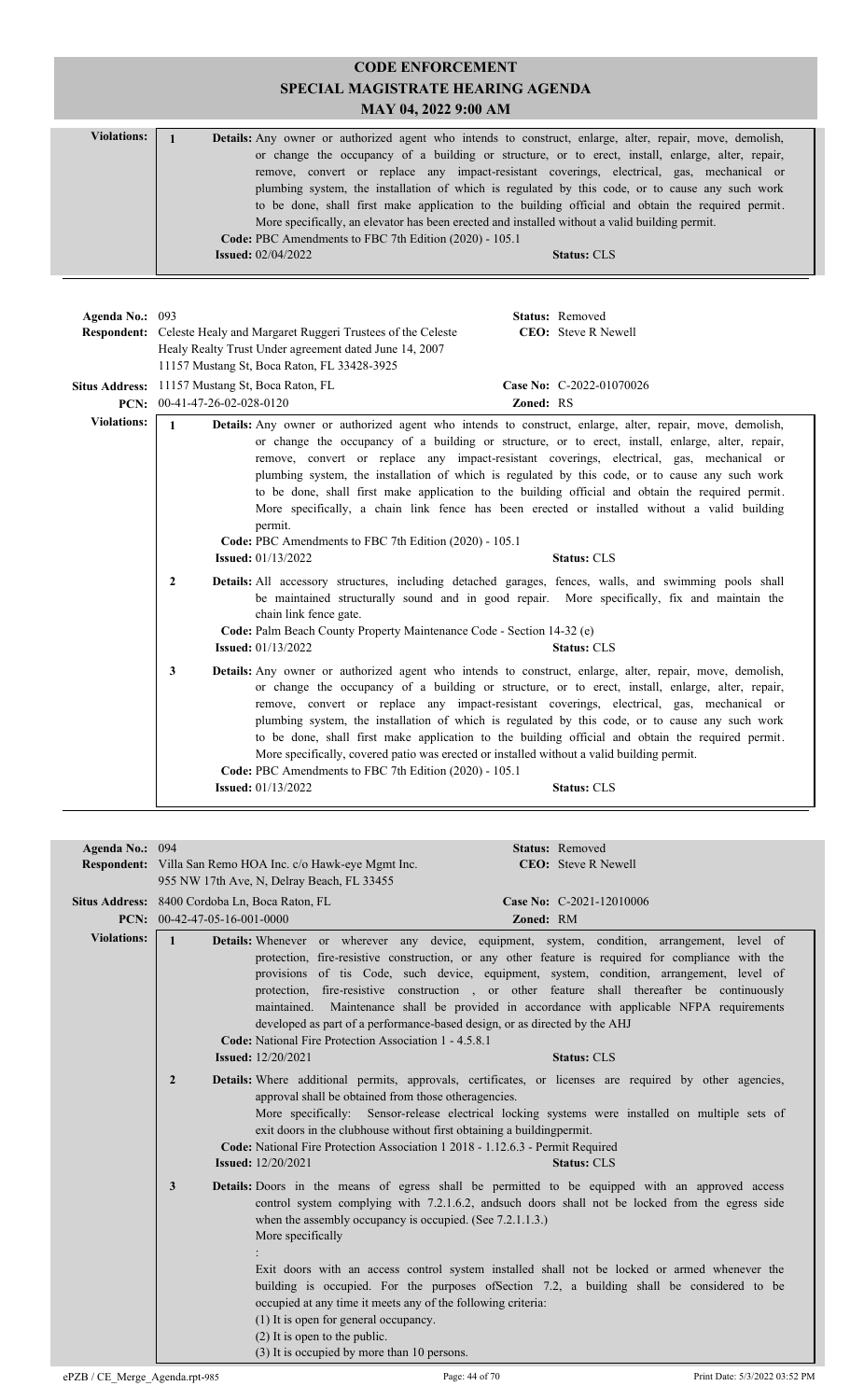#### **CODE ENFORCEMENT SPECIAL MAGISTRATE HEARING AGENDA MAY 04, 2022 9:00 AM** Violations: 1 **Details:** Any owner or authorized agent who intends to construct, enlarge, alter, repair, move, demolish, or change the occupancy of a building or structure, or to erect, install, enlarge, alter, repair, remove, convert or replace any impact-resistant coverings, electrical, gas, mechanical or plumbing system, the installation of which is regulated by this code, or to cause any such work to be done, shall first make application to the building official and obtain the required permit. More specifically, an elevator has been erected and installed without a valid building permit. **Code:** PBC Amendments to FBC 7th Edition (2020) - 105.1 **Issued:** 02/04/2022 **Status:** CLS

|              |                                 | <b>Status:</b> Removed<br><b>CEO</b> : Steve R Newell                                                                                                                                                                                                                                                                                                            |                                                                                                                                                                                                                                                                                                                                                                                                                                                                                                                                                                                                                                                                                                                                                                                                                                                                                                                                                                                                                                                                                                                                                                                                                                                                                                                                                                                                                                                                                                                                                                                                                                                            |
|--------------|---------------------------------|------------------------------------------------------------------------------------------------------------------------------------------------------------------------------------------------------------------------------------------------------------------------------------------------------------------------------------------------------------------|------------------------------------------------------------------------------------------------------------------------------------------------------------------------------------------------------------------------------------------------------------------------------------------------------------------------------------------------------------------------------------------------------------------------------------------------------------------------------------------------------------------------------------------------------------------------------------------------------------------------------------------------------------------------------------------------------------------------------------------------------------------------------------------------------------------------------------------------------------------------------------------------------------------------------------------------------------------------------------------------------------------------------------------------------------------------------------------------------------------------------------------------------------------------------------------------------------------------------------------------------------------------------------------------------------------------------------------------------------------------------------------------------------------------------------------------------------------------------------------------------------------------------------------------------------------------------------------------------------------------------------------------------------|
|              |                                 | Case No: C-2022-01070026                                                                                                                                                                                                                                                                                                                                         |                                                                                                                                                                                                                                                                                                                                                                                                                                                                                                                                                                                                                                                                                                                                                                                                                                                                                                                                                                                                                                                                                                                                                                                                                                                                                                                                                                                                                                                                                                                                                                                                                                                            |
|              |                                 |                                                                                                                                                                                                                                                                                                                                                                  |                                                                                                                                                                                                                                                                                                                                                                                                                                                                                                                                                                                                                                                                                                                                                                                                                                                                                                                                                                                                                                                                                                                                                                                                                                                                                                                                                                                                                                                                                                                                                                                                                                                            |
| $\mathbf{2}$ | permit.                         | <b>Status: CLS</b>                                                                                                                                                                                                                                                                                                                                               |                                                                                                                                                                                                                                                                                                                                                                                                                                                                                                                                                                                                                                                                                                                                                                                                                                                                                                                                                                                                                                                                                                                                                                                                                                                                                                                                                                                                                                                                                                                                                                                                                                                            |
|              | chain link fence gate.          | <b>Status: CLS</b>                                                                                                                                                                                                                                                                                                                                               |                                                                                                                                                                                                                                                                                                                                                                                                                                                                                                                                                                                                                                                                                                                                                                                                                                                                                                                                                                                                                                                                                                                                                                                                                                                                                                                                                                                                                                                                                                                                                                                                                                                            |
| 3            |                                 | <b>Status: CLS</b>                                                                                                                                                                                                                                                                                                                                               |                                                                                                                                                                                                                                                                                                                                                                                                                                                                                                                                                                                                                                                                                                                                                                                                                                                                                                                                                                                                                                                                                                                                                                                                                                                                                                                                                                                                                                                                                                                                                                                                                                                            |
|              | Agenda No.: 093<br>$\mathbf{1}$ | <b>Respondent:</b> Celeste Healy and Margaret Ruggeri Trustees of the Celeste<br>Healy Realty Trust Under agreement dated June 14, 2007<br>11157 Mustang St, Boca Raton, FL 33428-3925<br>Situs Address: 11157 Mustang St, Boca Raton, FL<br>PCN: 00-41-47-26-02-028-0120<br><b>Issued:</b> 01/13/2022<br><b>Issued:</b> 01/13/2022<br><b>Issued:</b> 01/13/2022 | Zoned: RS<br>Details: Any owner or authorized agent who intends to construct, enlarge, alter, repair, move, demolish,<br>or change the occupancy of a building or structure, or to erect, install, enlarge, alter, repair,<br>remove, convert or replace any impact-resistant coverings, electrical, gas, mechanical or<br>plumbing system, the installation of which is regulated by this code, or to cause any such work<br>to be done, shall first make application to the building official and obtain the required permit.<br>More specifically, a chain link fence has been erected or installed without a valid building<br>Code: PBC Amendments to FBC 7th Edition (2020) - 105.1<br>Details: All accessory structures, including detached garages, fences, walls, and swimming pools shall<br>be maintained structurally sound and in good repair. More specifically, fix and maintain the<br>Code: Palm Beach County Property Maintenance Code - Section 14-32 (e)<br>Details: Any owner or authorized agent who intends to construct, enlarge, alter, repair, move, demolish,<br>or change the occupancy of a building or structure, or to erect, install, enlarge, alter, repair,<br>remove, convert or replace any impact-resistant coverings, electrical, gas, mechanical or<br>plumbing system, the installation of which is regulated by this code, or to cause any such work<br>to be done, shall first make application to the building official and obtain the required permit.<br>More specifically, covered patio was erected or installed without a valid building permit.<br>Code: PBC Amendments to FBC 7th Edition (2020) - 105.1 |

| Agenda No.: 094    |                                                                                                                                                                                                                                                                                                                                                                                                                                                                                                     | <b>Status: Removed</b>                                                                                                                                                                                                                                                                                                                                                                                                                                                                                                                                                   |
|--------------------|-----------------------------------------------------------------------------------------------------------------------------------------------------------------------------------------------------------------------------------------------------------------------------------------------------------------------------------------------------------------------------------------------------------------------------------------------------------------------------------------------------|--------------------------------------------------------------------------------------------------------------------------------------------------------------------------------------------------------------------------------------------------------------------------------------------------------------------------------------------------------------------------------------------------------------------------------------------------------------------------------------------------------------------------------------------------------------------------|
|                    | Respondent: Villa San Remo HOA Inc. c/o Hawk-eye Mgmt Inc.                                                                                                                                                                                                                                                                                                                                                                                                                                          | <b>CEO:</b> Steve R Newell                                                                                                                                                                                                                                                                                                                                                                                                                                                                                                                                               |
|                    | 955 NW 17th Ave, N, Delray Beach, FL 33455                                                                                                                                                                                                                                                                                                                                                                                                                                                          |                                                                                                                                                                                                                                                                                                                                                                                                                                                                                                                                                                          |
|                    | Situs Address: 8400 Cordoba Ln, Boca Raton, FL                                                                                                                                                                                                                                                                                                                                                                                                                                                      | Case No: C-2021-12010006                                                                                                                                                                                                                                                                                                                                                                                                                                                                                                                                                 |
|                    | <b>PCN:</b> $00-42-47-05-16-001-0000$                                                                                                                                                                                                                                                                                                                                                                                                                                                               | Zoned: RM                                                                                                                                                                                                                                                                                                                                                                                                                                                                                                                                                                |
| <b>Violations:</b> | $\mathbf{1}$<br>Code: National Fire Protection Association 1 - 4.5.8.1                                                                                                                                                                                                                                                                                                                                                                                                                              | Details: Whenever or wherever any device, equipment, system, condition, arrangement, level of<br>protection, fire-resistive construction, or any other feature is required for compliance with the<br>provisions of tis Code, such device, equipment, system, condition, arrangement, level of<br>protection, fire-resistive construction , or other feature shall thereafter be continuously<br>maintained. Maintenance shall be provided in accordance with applicable NFPA requirements<br>developed as part of a performance-based design, or as directed by the AHJ |
|                    | <b>Issued:</b> 12/20/2021                                                                                                                                                                                                                                                                                                                                                                                                                                                                           | <b>Status: CLS</b>                                                                                                                                                                                                                                                                                                                                                                                                                                                                                                                                                       |
|                    | $\overline{2}$<br>Details: Where additional permits, approvals, certificates, or licenses are required by other agencies,<br>approval shall be obtained from those otheragencies.<br>More specifically: Sensor-release electrical locking systems were installed on multiple sets of<br>exit doors in the clubhouse without first obtaining a building permit.<br>Code: National Fire Protection Association 1 2018 - 1.12.6.3 - Permit Required<br><b>Issued:</b> 12/20/2021<br><b>Status: CLS</b> |                                                                                                                                                                                                                                                                                                                                                                                                                                                                                                                                                                          |
|                    | 3<br>when the assembly occupancy is occupied. (See $7.2.1.1.3$ .)<br>More specifically<br>occupied at any time it meets any of the following criteria:<br>(1) It is open for general occupancy.<br>$(2)$ It is open to the public.<br>(3) It is occupied by more than 10 persons.                                                                                                                                                                                                                   | <b>Details:</b> Doors in the means of egress shall be permitted to be equipped with an approved access<br>control system complying with 7.2.1.6.2, and such doors shall not be locked from the egress side<br>Exit doors with an access control system installed shall not be locked or armed whenever the<br>building is occupied. For the purposes of Section 7.2, a building shall be considered to be                                                                                                                                                                |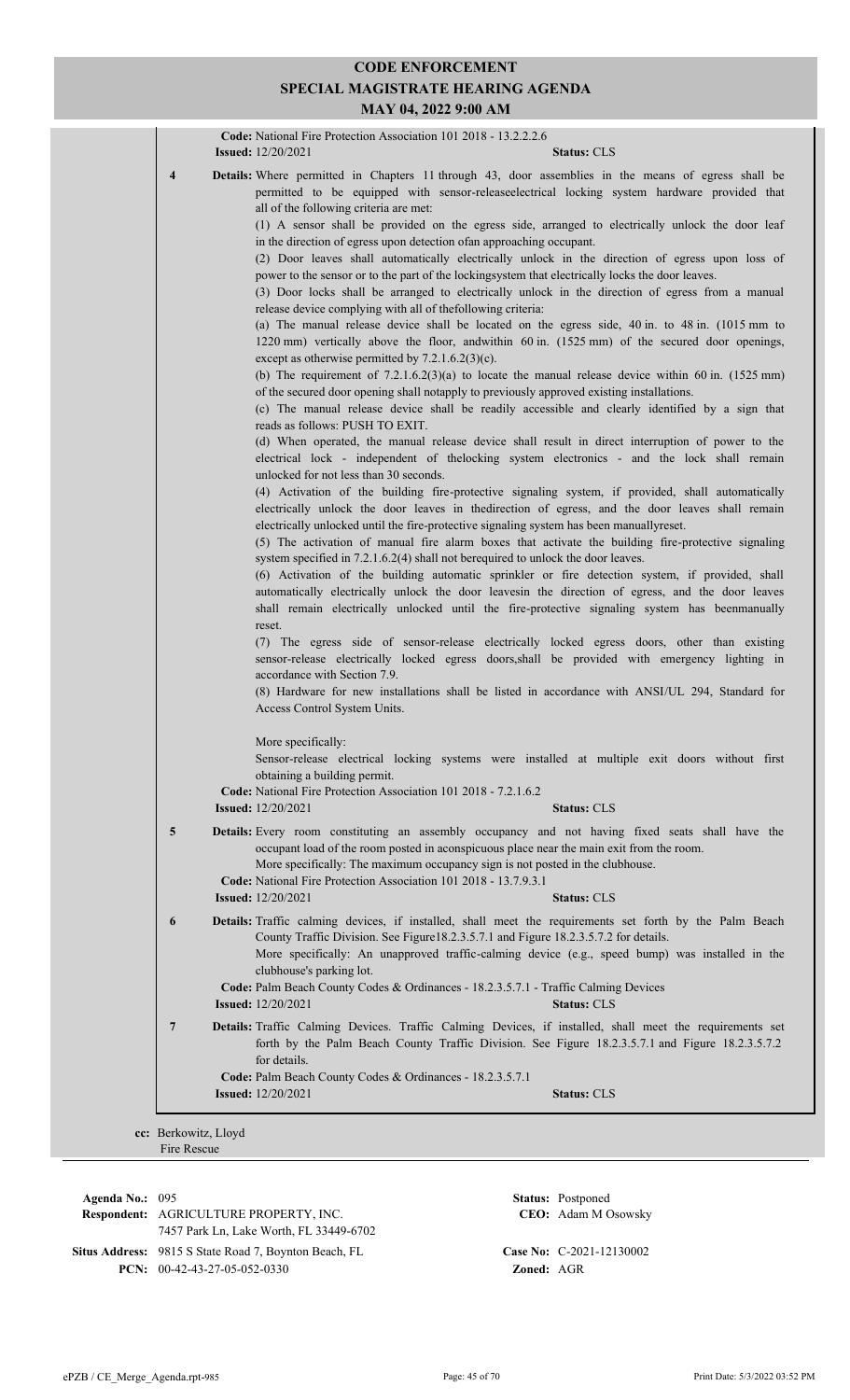|   | Code: National Fire Protection Association 101 2018 - 13.2.2.2.6<br><b>Issued:</b> 12/20/2021<br>Status: CLS                                                                                                                                                                                                                                                                                                                                                                                                                                                                                                                                                                                                                                                                                                                                                                                                                                                                                                                                                                                                                                                                                                                                                                                                                                                                                                                                                                                                                                                                                                                                                                                                                                                                                                                                                                                                                                                                                                                                                                                                                                                                                                                                                                                                                                                                                                                                                                                                                                                                                                                                                                                                                                                                                                  |
|---|---------------------------------------------------------------------------------------------------------------------------------------------------------------------------------------------------------------------------------------------------------------------------------------------------------------------------------------------------------------------------------------------------------------------------------------------------------------------------------------------------------------------------------------------------------------------------------------------------------------------------------------------------------------------------------------------------------------------------------------------------------------------------------------------------------------------------------------------------------------------------------------------------------------------------------------------------------------------------------------------------------------------------------------------------------------------------------------------------------------------------------------------------------------------------------------------------------------------------------------------------------------------------------------------------------------------------------------------------------------------------------------------------------------------------------------------------------------------------------------------------------------------------------------------------------------------------------------------------------------------------------------------------------------------------------------------------------------------------------------------------------------------------------------------------------------------------------------------------------------------------------------------------------------------------------------------------------------------------------------------------------------------------------------------------------------------------------------------------------------------------------------------------------------------------------------------------------------------------------------------------------------------------------------------------------------------------------------------------------------------------------------------------------------------------------------------------------------------------------------------------------------------------------------------------------------------------------------------------------------------------------------------------------------------------------------------------------------------------------------------------------------------------------------------------------------|
| 4 | Details: Where permitted in Chapters 11 through 43, door assemblies in the means of egress shall be<br>permitted to be equipped with sensor-releaseelectrical locking system hardware provided that<br>all of the following criteria are met:<br>(1) A sensor shall be provided on the egress side, arranged to electrically unlock the door leaf<br>in the direction of egress upon detection of an approaching occupant.<br>(2) Door leaves shall automatically electrically unlock in the direction of egress upon loss of<br>power to the sensor or to the part of the lockingsystem that electrically locks the door leaves.<br>(3) Door locks shall be arranged to electrically unlock in the direction of egress from a manual<br>release device complying with all of thefollowing criteria:<br>(a) The manual release device shall be located on the egress side, 40 in. to 48 in. (1015 mm to<br>1220 mm) vertically above the floor, andwithin 60 in. (1525 mm) of the secured door openings,<br>except as otherwise permitted by $7.2.1.6.2(3)(c)$ .<br>(b) The requirement of $7.2.1.6.2(3)(a)$ to locate the manual release device within 60 in. (1525 mm)<br>of the secured door opening shall notapply to previously approved existing installations.<br>(c) The manual release device shall be readily accessible and clearly identified by a sign that<br>reads as follows: PUSH TO EXIT.<br>(d) When operated, the manual release device shall result in direct interruption of power to the<br>electrical lock - independent of the locking system electronics - and the lock shall remain<br>unlocked for not less than 30 seconds.<br>(4) Activation of the building fire-protective signaling system, if provided, shall automatically<br>electrically unlock the door leaves in the direction of egress, and the door leaves shall remain<br>electrically unlocked until the fire-protective signaling system has been manuallyreset.<br>(5) The activation of manual fire alarm boxes that activate the building fire-protective signaling<br>system specified in 7.2.1.6.2(4) shall not berequired to unlock the door leaves.<br>(6) Activation of the building automatic sprinkler or fire detection system, if provided, shall<br>automatically electrically unlock the door leavesin the direction of egress, and the door leaves<br>shall remain electrically unlocked until the fire-protective signaling system has beenmanually<br>reset.<br>(7) The egress side of sensor-release electrically locked egress doors, other than existing<br>sensor-release electrically locked egress doors, shall be provided with emergency lighting in<br>accordance with Section 7.9.<br>(8) Hardware for new installations shall be listed in accordance with ANSI/UL 294, Standard for |
|   | Access Control System Units.<br>More specifically:<br>Sensor-release electrical locking systems were installed at multiple exit doors without first<br>obtaining a building permit.<br>Code: National Fire Protection Association 101 2018 - 7.2.1.6.2                                                                                                                                                                                                                                                                                                                                                                                                                                                                                                                                                                                                                                                                                                                                                                                                                                                                                                                                                                                                                                                                                                                                                                                                                                                                                                                                                                                                                                                                                                                                                                                                                                                                                                                                                                                                                                                                                                                                                                                                                                                                                                                                                                                                                                                                                                                                                                                                                                                                                                                                                        |
|   | <b>Issued:</b> 12/20/2021<br><b>Status: CLS</b>                                                                                                                                                                                                                                                                                                                                                                                                                                                                                                                                                                                                                                                                                                                                                                                                                                                                                                                                                                                                                                                                                                                                                                                                                                                                                                                                                                                                                                                                                                                                                                                                                                                                                                                                                                                                                                                                                                                                                                                                                                                                                                                                                                                                                                                                                                                                                                                                                                                                                                                                                                                                                                                                                                                                                               |
| 5 | Details: Every room constituting an assembly occupancy and not having fixed seats shall have the<br>occupant load of the room posted in aconspicuous place near the main exit from the room.<br>More specifically: The maximum occupancy sign is not posted in the clubhouse.<br>Code: National Fire Protection Association 101 2018 - 13.7.9.3.1<br><b>Issued:</b> 12/20/2021<br><b>Status: CLS</b>                                                                                                                                                                                                                                                                                                                                                                                                                                                                                                                                                                                                                                                                                                                                                                                                                                                                                                                                                                                                                                                                                                                                                                                                                                                                                                                                                                                                                                                                                                                                                                                                                                                                                                                                                                                                                                                                                                                                                                                                                                                                                                                                                                                                                                                                                                                                                                                                          |
| 6 | Details: Traffic calming devices, if installed, shall meet the requirements set forth by the Palm Beach<br>County Traffic Division. See Figure18.2.3.5.7.1 and Figure 18.2.3.5.7.2 for details.<br>More specifically: An unapproved traffic-calming device (e.g., speed bump) was installed in the<br>clubhouse's parking lot.<br>Code: Palm Beach County Codes & Ordinances - 18.2.3.5.7.1 - Traffic Calming Devices<br><b>Issued:</b> 12/20/2021<br><b>Status: CLS</b>                                                                                                                                                                                                                                                                                                                                                                                                                                                                                                                                                                                                                                                                                                                                                                                                                                                                                                                                                                                                                                                                                                                                                                                                                                                                                                                                                                                                                                                                                                                                                                                                                                                                                                                                                                                                                                                                                                                                                                                                                                                                                                                                                                                                                                                                                                                                      |
| 7 | Details: Traffic Calming Devices. Traffic Calming Devices, if installed, shall meet the requirements set<br>forth by the Palm Beach County Traffic Division. See Figure 18.2.3.5.7.1 and Figure 18.2.3.5.7.2<br>for details.<br>Code: Palm Beach County Codes & Ordinances - 18.2.3.5.7.1<br><b>Issued:</b> $12/20/2021$<br><b>Status: CLS</b>                                                                                                                                                                                                                                                                                                                                                                                                                                                                                                                                                                                                                                                                                                                                                                                                                                                                                                                                                                                                                                                                                                                                                                                                                                                                                                                                                                                                                                                                                                                                                                                                                                                                                                                                                                                                                                                                                                                                                                                                                                                                                                                                                                                                                                                                                                                                                                                                                                                                |

**Respondent:** AGRICULTURE PROPERTY, INC. **Agenda No.:** 095 **Status:** Postponed 7457 Park Ln, Lake Worth, FL 33449-6702 Situs Address: 9815 S State Road 7, Boynton Beach, FL **Case No:** C-2021-12130002 **PCN:** 00-42-43-27-05-052-0330 **Zoned:** AGR

CEO: Adam M Osowsky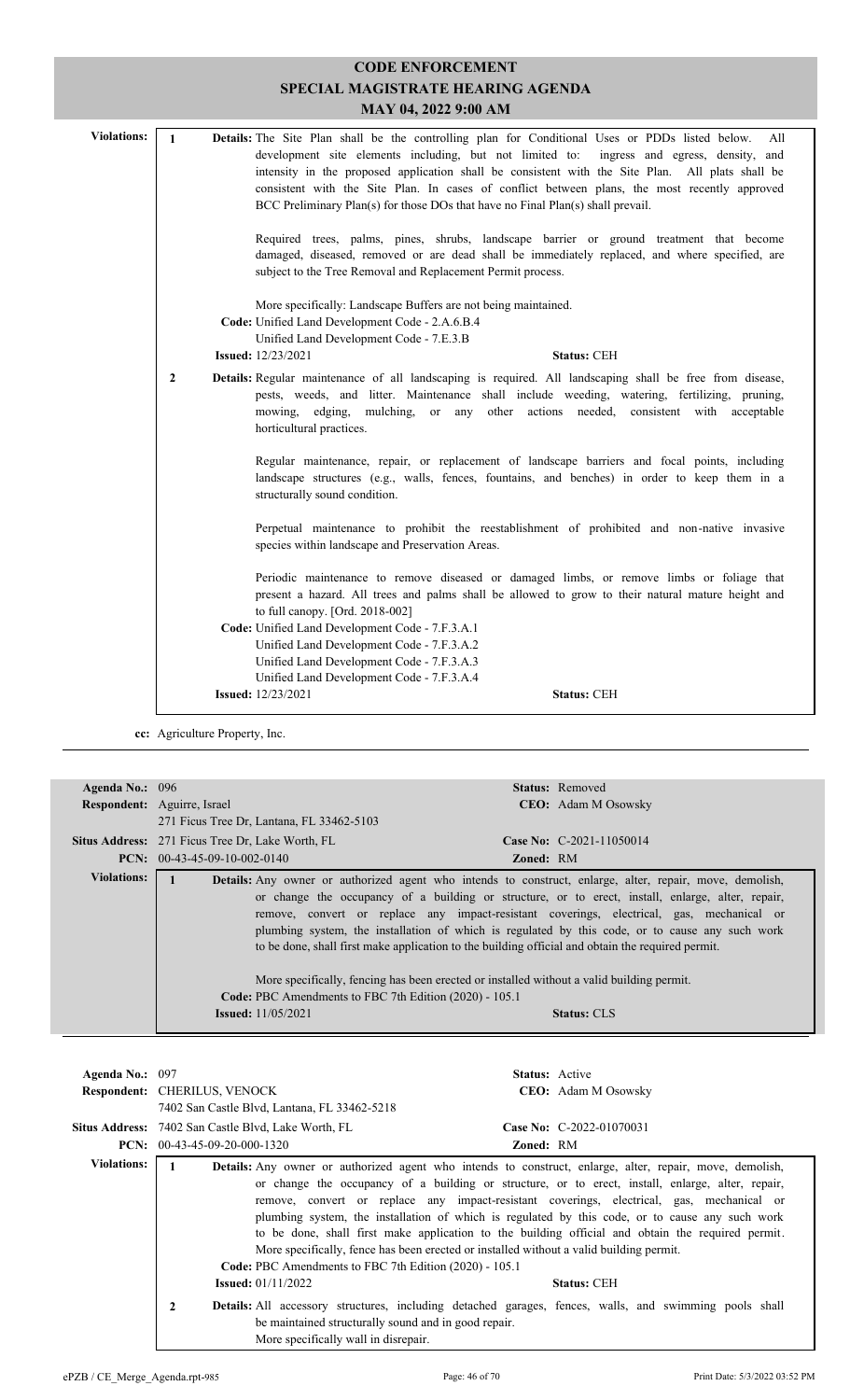|                                   |                | <b>CODE ENFORCEMENT</b>                                                                                                                                                                                                                                                                                                                                                                                  |  |
|-----------------------------------|----------------|----------------------------------------------------------------------------------------------------------------------------------------------------------------------------------------------------------------------------------------------------------------------------------------------------------------------------------------------------------------------------------------------------------|--|
| SPECIAL MAGISTRATE HEARING AGENDA |                |                                                                                                                                                                                                                                                                                                                                                                                                          |  |
|                                   |                | MAY 04, 2022 9:00 AM                                                                                                                                                                                                                                                                                                                                                                                     |  |
| <b>Violations:</b>                | $\mathbf{1}$   | Details: The Site Plan shall be the controlling plan for Conditional Uses or PDDs listed below.<br>A11<br>development site elements including, but not limited to: ingress and egress, density, and<br>intensity in the proposed application shall be consistent with the Site Plan. All plats shall be<br>consistent with the Site Plan. In cases of conflict between plans, the most recently approved |  |
|                                   |                | BCC Preliminary Plan(s) for those DOs that have no Final Plan(s) shall prevail.<br>Required trees, palms, pines, shrubs, landscape barrier or ground treatment that become<br>damaged, diseased, removed or are dead shall be immediately replaced, and where specified, are<br>subject to the Tree Removal and Replacement Permit process.                                                              |  |
|                                   |                | More specifically: Landscape Buffers are not being maintained.<br>Code: Unified Land Development Code - 2.A.6.B.4<br>Unified Land Development Code - 7.E.3.B<br><b>Issued:</b> 12/23/2021<br><b>Status: CEH</b>                                                                                                                                                                                          |  |
|                                   | $\overline{2}$ | Details: Regular maintenance of all landscaping is required. All landscaping shall be free from disease,<br>pests, weeds, and litter. Maintenance shall include weeding, watering, fertilizing, pruning,<br>mowing, edging, mulching, or any other actions needed, consistent with acceptable<br>horticultural practices.                                                                                |  |
|                                   |                | Regular maintenance, repair, or replacement of landscape barriers and focal points, including<br>landscape structures (e.g., walls, fences, fountains, and benches) in order to keep them in a<br>structurally sound condition.                                                                                                                                                                          |  |
|                                   |                | Perpetual maintenance to prohibit the reestablishment of prohibited and non-native invasive<br>species within landscape and Preservation Areas.                                                                                                                                                                                                                                                          |  |
|                                   |                | Periodic maintenance to remove diseased or damaged limbs, or remove limbs or foliage that<br>present a hazard. All trees and palms shall be allowed to grow to their natural mature height and<br>to full canopy. [Ord. 2018-002]                                                                                                                                                                        |  |
|                                   |                | Code: Unified Land Development Code - 7.F.3.A.1<br>Unified Land Development Code - 7.F.3.A.2<br>Unified Land Development Code - 7.F.3.A.3                                                                                                                                                                                                                                                                |  |
|                                   |                | Unified Land Development Code - 7.F.3.A.4<br><b>Issued:</b> 12/23/2021<br><b>Status: CEH</b>                                                                                                                                                                                                                                                                                                             |  |
|                                   |                |                                                                                                                                                                                                                                                                                                                                                                                                          |  |

**cc:** Agriculture Property, Inc.

| Agenda No.: 096 | <b>Status:</b> Removed                                                                                                                                                                                                                                                                                                                                                                                                                                                                                                                                                                                                                                                                                                                |
|-----------------|---------------------------------------------------------------------------------------------------------------------------------------------------------------------------------------------------------------------------------------------------------------------------------------------------------------------------------------------------------------------------------------------------------------------------------------------------------------------------------------------------------------------------------------------------------------------------------------------------------------------------------------------------------------------------------------------------------------------------------------|
|                 | <b>Respondent:</b> Aguirre, Israel<br><b>CEO:</b> Adam M Osowsky                                                                                                                                                                                                                                                                                                                                                                                                                                                                                                                                                                                                                                                                      |
|                 | 271 Ficus Tree Dr. Lantana, FL 33462-5103                                                                                                                                                                                                                                                                                                                                                                                                                                                                                                                                                                                                                                                                                             |
|                 | Case No: $C-2021-11050014$<br><b>Situs Address:</b> 271 Ficus Tree Dr, Lake Worth, FL                                                                                                                                                                                                                                                                                                                                                                                                                                                                                                                                                                                                                                                 |
|                 | <b>PCN:</b> $00-43-45-09-10-002-0140$<br><b>Zoned: RM</b>                                                                                                                                                                                                                                                                                                                                                                                                                                                                                                                                                                                                                                                                             |
| Violations:     | <b>Details:</b> Any owner or authorized agent who intends to construct, enlarge, alter, repair, move, demolish,<br>or change the occupancy of a building or structure, or to erect, install, enlarge, alter, repair,<br>remove, convert or replace any impact-resistant coverings, electrical, gas, mechanical or<br>plumbing system, the installation of which is regulated by this code, or to cause any such work<br>to be done, shall first make application to the building official and obtain the required permit.<br>More specifically, fencing has been erected or installed without a valid building permit.<br>Code: PBC Amendments to FBC 7th Edition (2020) - 105.1<br><b>Issued:</b> $11/05/2021$<br><b>Status: CLS</b> |

| Agenda No.: 097    | <b>Status:</b> Active                                                                                                                                                                                                                                                                                                                                                                                                                                                                                                                                       |  |
|--------------------|-------------------------------------------------------------------------------------------------------------------------------------------------------------------------------------------------------------------------------------------------------------------------------------------------------------------------------------------------------------------------------------------------------------------------------------------------------------------------------------------------------------------------------------------------------------|--|
|                    | Respondent: CHERILUS, VENOCK<br><b>CEO:</b> Adam M Osowsky                                                                                                                                                                                                                                                                                                                                                                                                                                                                                                  |  |
|                    | 7402 San Castle Blvd, Lantana, FL 33462-5218                                                                                                                                                                                                                                                                                                                                                                                                                                                                                                                |  |
|                    | Situs Address: 7402 San Castle Blvd, Lake Worth, FL<br>Case No: C-2022-01070031                                                                                                                                                                                                                                                                                                                                                                                                                                                                             |  |
|                    | <b>PCN:</b> $00-43-45-09-20-000-1320$<br>Zoned: RM                                                                                                                                                                                                                                                                                                                                                                                                                                                                                                          |  |
| <b>Violations:</b> | <b>Details:</b> Any owner or authorized agent who intends to construct, enlarge, alter, repair, move, demolish,                                                                                                                                                                                                                                                                                                                                                                                                                                             |  |
|                    | or change the occupancy of a building or structure, or to erect, install, enlarge, alter, repair,<br>remove, convert or replace any impact-resistant coverings, electrical, gas, mechanical or<br>plumbing system, the installation of which is regulated by this code, or to cause any such work<br>to be done, shall first make application to the building official and obtain the required permit.<br>More specifically, fence has been erected or installed without a valid building permit.<br>Code: PBC Amendments to FBC 7th Edition (2020) - 105.1 |  |
|                    | <b>Issued:</b> $01/11/2022$<br><b>Status: CEH</b>                                                                                                                                                                                                                                                                                                                                                                                                                                                                                                           |  |
|                    | $\mathbf{2}$<br><b>Details:</b> All accessory structures, including detached garages, fences, walls, and swimming pools shall<br>be maintained structurally sound and in good repair.<br>More specifically wall in disrepair.                                                                                                                                                                                                                                                                                                                               |  |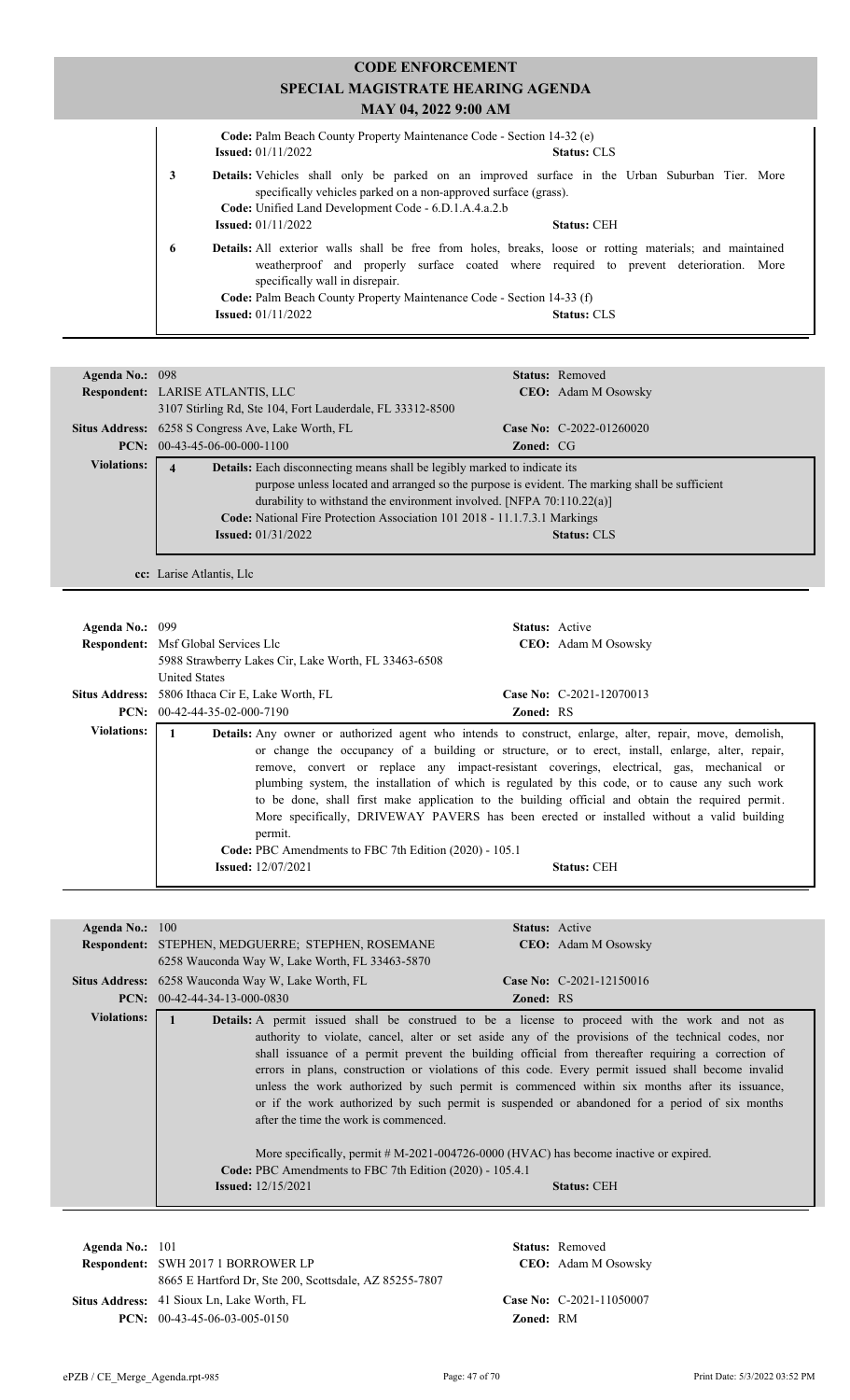#### **CODE ENFORCEMENT SPECIAL MAGISTRATE HEARING AGENDA MAY 04, 2022 9:00 AM Code:** Palm Beach County Property Maintenance Code - Section 14-32 (e) **Issued:** 01/11/2022 **Status:** CLS Vehicles shall only be parked on an improved surface in the Urban Suburban Tier. More  **3 Details:** specifically vehicles parked on a non-approved surface (grass). **Code:** Unified Land Development Code - 6.D.1.A.4.a.2.b **Issued:** 01/11/2022 **Status:** CEH **6 Details:** All exterior walls shall be free from holes, breaks, loose or rotting materials; and maintained weatherproof and properly surface coated where required to prevent deterioration. More specifically wall in disrepair. **Code:** Palm Beach County Property Maintenance Code - Section 14-33 (f) **Issued:** 01/11/2022 **Status:** CLS

| Agenda No.: 098    |                                                                                                |                  | <b>Status:</b> Removed     |
|--------------------|------------------------------------------------------------------------------------------------|------------------|----------------------------|
|                    | <b>Respondent:</b> LARISE ATLANTIS, LLC                                                        |                  | <b>CEO:</b> Adam M Osowsky |
|                    | 3107 Stirling Rd, Ste 104, Fort Lauderdale, FL 33312-8500                                      |                  |                            |
|                    | <b>Situs Address:</b> 6258 S Congress Ave, Lake Worth, FL                                      |                  | Case No: $C-2022-01260020$ |
|                    | $PCN: 00-43-45-06-00-000-1100$                                                                 | <b>Zoned:</b> CG |                            |
| <b>Violations:</b> | Details: Each disconnecting means shall be legibly marked to indicate its<br>$\overline{4}$    |                  |                            |
|                    | purpose unless located and arranged so the purpose is evident. The marking shall be sufficient |                  |                            |
|                    | durability to withstand the environment involved. [NFPA $70:110.22(a)$ ]                       |                  |                            |
|                    | Code: National Fire Protection Association 101 2018 - 11.1.7.3.1 Markings                      |                  |                            |
|                    | <b>Issued:</b> $01/31/2022$                                                                    |                  | <b>Status: CLS</b>         |
|                    |                                                                                                |                  |                            |

**cc:** Larise Atlantis, Llc

| Agenda No.: 099    | <b>Respondent:</b> Msf Global Services Llc<br>5988 Strawberry Lakes Cir, Lake Worth, FL 33463-6508         | <b>Status:</b> Active<br><b>CEO:</b> Adam M Osowsky                                                                                                                                                                                                                                                                                                                                                                                                                                                                                                                                                                                          |
|--------------------|------------------------------------------------------------------------------------------------------------|----------------------------------------------------------------------------------------------------------------------------------------------------------------------------------------------------------------------------------------------------------------------------------------------------------------------------------------------------------------------------------------------------------------------------------------------------------------------------------------------------------------------------------------------------------------------------------------------------------------------------------------------|
|                    | <b>United States</b><br>Situs Address: 5806 Ithaca Cir E, Lake Worth, FL<br>$PCN: 00-42-44-35-02-000-7190$ | Case No: C-2021-12070013<br><b>Zoned: RS</b>                                                                                                                                                                                                                                                                                                                                                                                                                                                                                                                                                                                                 |
| <b>Violations:</b> | permit.<br>Code: PBC Amendments to FBC 7th Edition (2020) - 105.1<br><b>Issued:</b> 12/07/2021             | <b>Details:</b> Any owner or authorized agent who intends to construct, enlarge, alter, repair, move, demolish,<br>or change the occupancy of a building or structure, or to erect, install, enlarge, alter, repair,<br>remove, convert or replace any impact-resistant coverings, electrical, gas, mechanical or<br>plumbing system, the installation of which is regulated by this code, or to cause any such work<br>to be done, shall first make application to the building official and obtain the required permit.<br>More specifically, DRIVEWAY PAVERS has been erected or installed without a valid building<br><b>Status: CEH</b> |

| Agenda No.: $100$  | <b>Status:</b> Active                                                                              |  |
|--------------------|----------------------------------------------------------------------------------------------------|--|
|                    | <b>Respondent:</b> STEPHEN, MEDGUERRE; STEPHEN, ROSEMANE<br><b>CEO:</b> Adam M Osowsky             |  |
|                    | 6258 Wauconda Way W, Lake Worth, FL 33463-5870                                                     |  |
|                    |                                                                                                    |  |
|                    | Case No: $C-2021-12150016$<br><b>Situs Address:</b> 6258 Wauconda Way W, Lake Worth, FL            |  |
|                    | <b>PCN:</b> $00-42-44-34-13-000-0830$<br><b>Zoned: RS</b>                                          |  |
| <b>Violations:</b> | Details: A permit issued shall be construed to be a license to proceed with the work and not as    |  |
|                    | authority to violate, cancel, alter or set aside any of the provisions of the technical codes, nor |  |
|                    | shall issuance of a permit prevent the building official from thereafter requiring a correction of |  |
|                    | errors in plans, construction or violations of this code. Every permit issued shall become invalid |  |
|                    | unless the work authorized by such permit is commenced within six months after its issuance,       |  |
|                    | or if the work authorized by such permit is suspended or abandoned for a period of six months      |  |
|                    |                                                                                                    |  |
|                    | after the time the work is commenced.                                                              |  |
|                    |                                                                                                    |  |
|                    | More specifically, permit # M-2021-004726-0000 (HVAC) has become inactive or expired.              |  |
|                    | <b>Code: PBC</b> Amendments to FBC 7th Edition (2020) - 105.4.1                                    |  |
|                    | <b>Issued:</b> 12/15/2021<br><b>Status: CEH</b>                                                    |  |
|                    |                                                                                                    |  |

| Agenda No.: $101$ | <b>Status:</b> Removed                                                  |                  |                            |
|-------------------|-------------------------------------------------------------------------|------------------|----------------------------|
|                   | <b>Respondent: SWH 2017 1 BORROWER LP</b><br><b>CEO:</b> Adam M Osowsky |                  |                            |
|                   | 8665 E Hartford Dr. Ste 200, Scottsdale, AZ 85255-7807                  |                  |                            |
|                   | Situs Address: 41 Sioux Ln, Lake Worth, FL                              |                  | Case No: $C-2021-11050007$ |
|                   | <b>PCN:</b> $00-43-45-06-03-005-0150$                                   | <b>Zoned: RM</b> |                            |
|                   |                                                                         |                  |                            |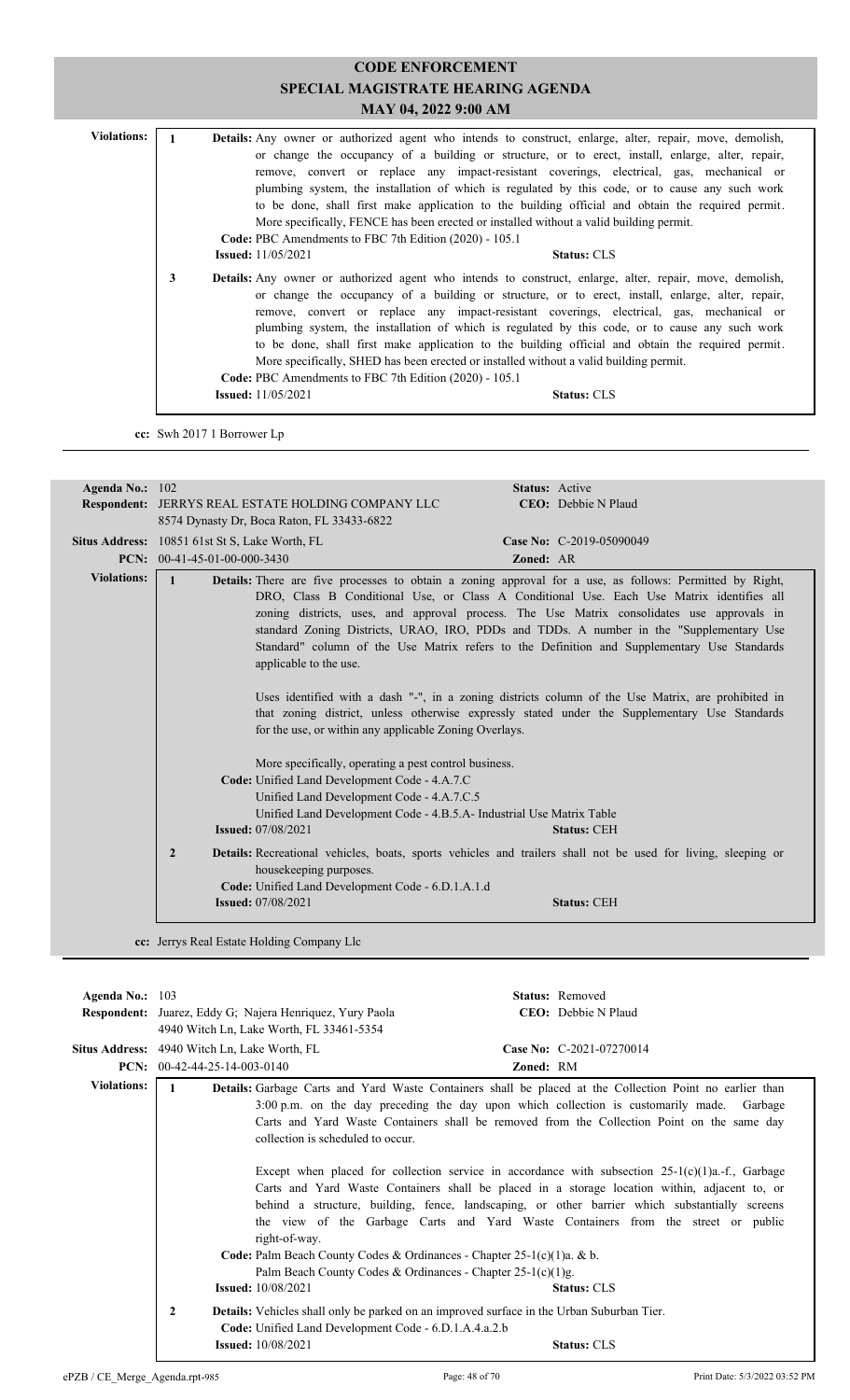# **CODE ENFORCEMENT SPECIAL MAGISTRATE HEARING AGENDA MAY 04, 2022 9:00 AM** Violations: 1 **Details:** Any owner or authorized agent who intends to construct, enlarge, alter, repair, move, demolish, or change the occupancy of a building or structure, or to erect, install, enlarge, alter, repair, remove, convert or replace any impact-resistant coverings, electrical, gas, mechanical or plumbing system, the installation of which is regulated by this code, or to cause any such work to be done, shall first make application to the building official and obtain the required permit. More specifically, FENCE has been erected or installed without a valid building permit. **Code:** PBC Amendments to FBC 7th Edition (2020) - 105.1 **Issued:** 11/05/2021 **Status:** CLS

Any owner or authorized agent who intends to construct, enlarge, alter, repair, move, demolish,  **3 Details:** or change the occupancy of a building or structure, or to erect, install, enlarge, alter, repair, remove, convert or replace any impact-resistant coverings, electrical, gas, mechanical or plumbing system, the installation of which is regulated by this code, or to cause any such work to be done, shall first make application to the building official and obtain the required permit. More specifically, SHED has been erected or installed without a valid building permit. **Code:** PBC Amendments to FBC 7th Edition (2020) - 105.1

**Issued:** 11/05/2021 **Status:** CLS

**cc:** Swh 2017 1 Borrower Lp

| Agenda No.: 102    | Status: Active                                                                                                                                                                                                                                                                                                                                                                                                                                                                                                                                                                                                                                                                                                                                                                                                                                                                                    |
|--------------------|---------------------------------------------------------------------------------------------------------------------------------------------------------------------------------------------------------------------------------------------------------------------------------------------------------------------------------------------------------------------------------------------------------------------------------------------------------------------------------------------------------------------------------------------------------------------------------------------------------------------------------------------------------------------------------------------------------------------------------------------------------------------------------------------------------------------------------------------------------------------------------------------------|
|                    | Respondent: JERRYS REAL ESTATE HOLDING COMPANY LLC<br>CEO: Debbie N Plaud                                                                                                                                                                                                                                                                                                                                                                                                                                                                                                                                                                                                                                                                                                                                                                                                                         |
|                    | 8574 Dynasty Dr, Boca Raton, FL 33433-6822                                                                                                                                                                                                                                                                                                                                                                                                                                                                                                                                                                                                                                                                                                                                                                                                                                                        |
|                    | Case No: C-2019-05090049<br><b>Situs Address:</b> 10851 61st St S, Lake Worth, FL                                                                                                                                                                                                                                                                                                                                                                                                                                                                                                                                                                                                                                                                                                                                                                                                                 |
|                    | <b>PCN:</b> $00-41-45-01-00-000-3430$<br>Zoned: AR                                                                                                                                                                                                                                                                                                                                                                                                                                                                                                                                                                                                                                                                                                                                                                                                                                                |
| <b>Violations:</b> | Details: There are five processes to obtain a zoning approval for a use, as follows: Permitted by Right,<br>DRO, Class B Conditional Use, or Class A Conditional Use. Each Use Matrix identifies all<br>zoning districts, uses, and approval process. The Use Matrix consolidates use approvals in<br>standard Zoning Districts, URAO, IRO, PDDs and TDDs. A number in the "Supplementary Use<br>Standard" column of the Use Matrix refers to the Definition and Supplementary Use Standards<br>applicable to the use.<br>Uses identified with a dash "-", in a zoning districts column of the Use Matrix, are prohibited in<br>that zoning district, unless otherwise expressly stated under the Supplementary Use Standards<br>for the use, or within any applicable Zoning Overlays.<br>More specifically, operating a pest control business.<br>Code: Unified Land Development Code - 4.A.7.C |
|                    | Unified Land Development Code - 4.A.7.C.5                                                                                                                                                                                                                                                                                                                                                                                                                                                                                                                                                                                                                                                                                                                                                                                                                                                         |
|                    | Unified Land Development Code - 4.B.5.A - Industrial Use Matrix Table                                                                                                                                                                                                                                                                                                                                                                                                                                                                                                                                                                                                                                                                                                                                                                                                                             |
|                    | <b>Issued:</b> 07/08/2021<br><b>Status: CEH</b>                                                                                                                                                                                                                                                                                                                                                                                                                                                                                                                                                                                                                                                                                                                                                                                                                                                   |
|                    | <b>Details:</b> Recreational vehicles, boats, sports vehicles and trailers shall not be used for living, sleeping or<br>$\overline{2}$<br>housekeeping purposes.<br>Code: Unified Land Development Code - 6.D.1.A.1.d                                                                                                                                                                                                                                                                                                                                                                                                                                                                                                                                                                                                                                                                             |
|                    | <b>Issued:</b> 07/08/2021<br><b>Status: CEH</b>                                                                                                                                                                                                                                                                                                                                                                                                                                                                                                                                                                                                                                                                                                                                                                                                                                                   |
|                    |                                                                                                                                                                                                                                                                                                                                                                                                                                                                                                                                                                                                                                                                                                                                                                                                                                                                                                   |

**cc:** Jerrys Real Estate Holding Company Llc

| Agenda No.: $103$  |                                                     |                                                                                           |                  | Status: Removed                                                                                          |
|--------------------|-----------------------------------------------------|-------------------------------------------------------------------------------------------|------------------|----------------------------------------------------------------------------------------------------------|
|                    |                                                     | <b>Respondent:</b> Juarez, Eddy G; Najera Henriquez, Yury Paola                           |                  | CEO: Debbie N Plaud                                                                                      |
|                    |                                                     | 4940 Witch Ln, Lake Worth, FL 33461-5354                                                  |                  |                                                                                                          |
|                    | <b>Situs Address:</b> 4940 Witch Ln, Lake Worth, FL |                                                                                           |                  | Case No: C-2021-07270014                                                                                 |
|                    | <b>PCN:</b> $00-42-44-25-14-003-0140$               |                                                                                           | <b>Zoned: RM</b> |                                                                                                          |
| <b>Violations:</b> | $\mathbf{1}$                                        |                                                                                           |                  | Details: Garbage Carts and Yard Waste Containers shall be placed at the Collection Point no earlier than |
|                    |                                                     |                                                                                           |                  | 3:00 p.m. on the day preceding the day upon which collection is customarily made. Garbage                |
|                    |                                                     |                                                                                           |                  | Carts and Yard Waste Containers shall be removed from the Collection Point on the same day               |
|                    |                                                     | collection is scheduled to occur.                                                         |                  |                                                                                                          |
|                    |                                                     |                                                                                           |                  |                                                                                                          |
|                    |                                                     |                                                                                           |                  | Except when placed for collection service in accordance with subsection $25-1(c)(1)a$ .-f., Garbage      |
|                    |                                                     |                                                                                           |                  | Carts and Yard Waste Containers shall be placed in a storage location within, adjacent to, or            |
|                    |                                                     |                                                                                           |                  | behind a structure, building, fence, landscaping, or other barrier which substantially screens           |
|                    |                                                     |                                                                                           |                  | the view of the Garbage Carts and Yard Waste Containers from the street or public                        |
|                    |                                                     | right-of-way.                                                                             |                  |                                                                                                          |
|                    |                                                     | <b>Code:</b> Palm Beach County Codes & Ordinances - Chapter 25-1(c)(1)a. & b.             |                  |                                                                                                          |
|                    |                                                     | Palm Beach County Codes & Ordinances - Chapter $25-1(c)(1)g$ .                            |                  |                                                                                                          |
|                    |                                                     | <b>Issued:</b> 10/08/2021                                                                 |                  | <b>Status: CLS</b>                                                                                       |
|                    | $\mathbf{2}$                                        | Details: Vehicles shall only be parked on an improved surface in the Urban Suburban Tier. |                  |                                                                                                          |
|                    |                                                     | Code: Unified Land Development Code - 6.D.1.A.4.a.2.b                                     |                  |                                                                                                          |
|                    |                                                     | <b>Issued:</b> 10/08/2021                                                                 |                  | <b>Status: CLS</b>                                                                                       |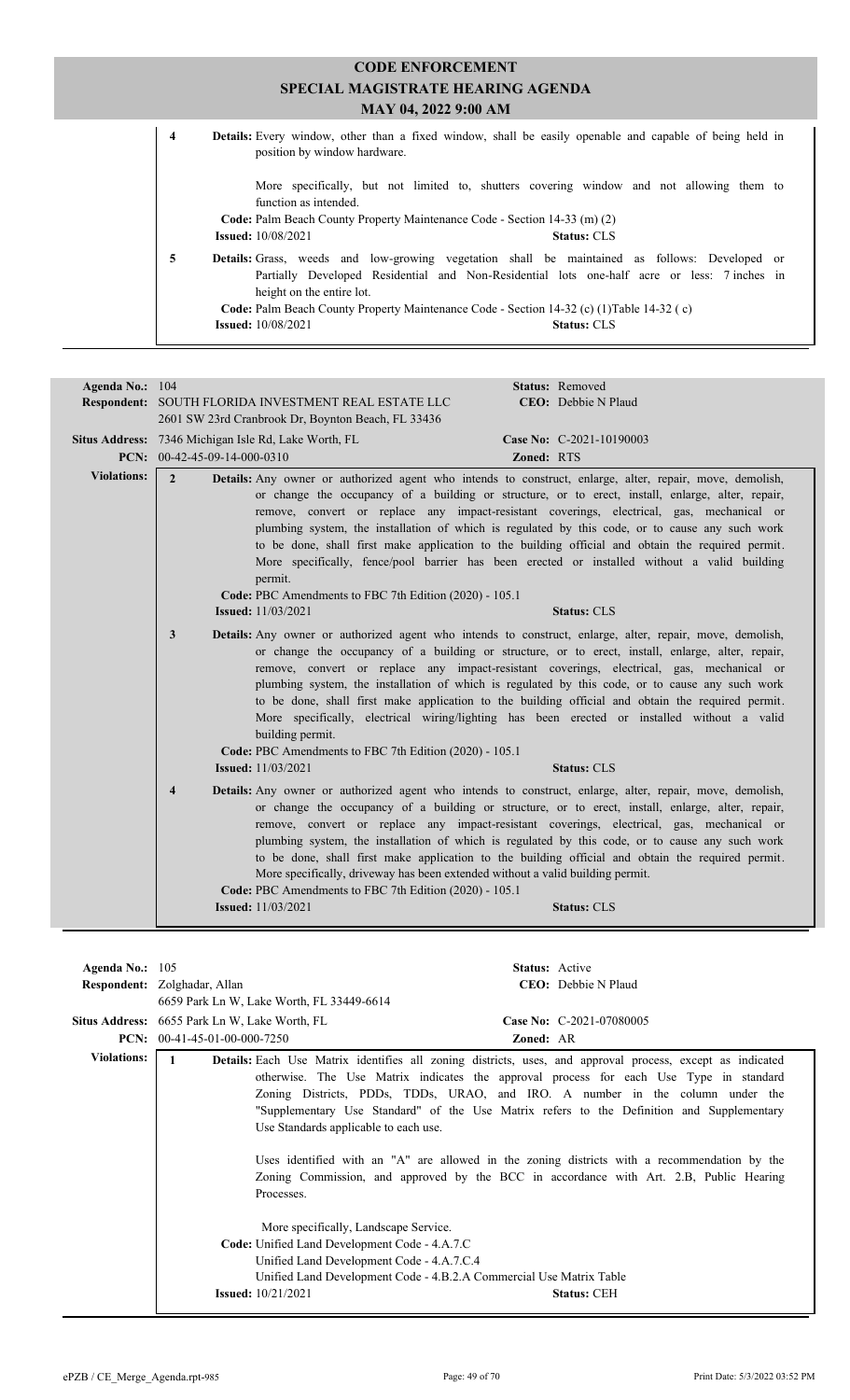| <b>CODE ENFORCEMENT</b> |                                                                                                                                                                                                                                       |  |  |  |
|-------------------------|---------------------------------------------------------------------------------------------------------------------------------------------------------------------------------------------------------------------------------------|--|--|--|
|                         | SPECIAL MAGISTRATE HEARING AGENDA                                                                                                                                                                                                     |  |  |  |
|                         | MAY 04, 2022 9:00 AM                                                                                                                                                                                                                  |  |  |  |
|                         | <b>Details:</b> Every window, other than a fixed window, shall be easily openable and capable of being held in<br>4<br>position by window hardware.                                                                                   |  |  |  |
|                         | More specifically, but not limited to, shutters covering window and not allowing them to<br>function as intended.<br>Code: Palm Beach County Property Maintenance Code - Section 14-33 (m) (2)                                        |  |  |  |
|                         | <b>Issued:</b> 10/08/2021<br><b>Status: CLS</b>                                                                                                                                                                                       |  |  |  |
|                         | 5<br><b>Details:</b> Grass, weeds and low-growing vegetation shall be maintained as follows: Developed or<br>Partially Developed Residential and Non-Residential lots one-half acre or less: 7 inches in<br>height on the entire lot. |  |  |  |
|                         | Code: Palm Beach County Property Maintenance Code - Section 14-32 (c) (1) Table 14-32 (c)                                                                                                                                             |  |  |  |
|                         | <b>Issued:</b> 10/08/2021<br><b>Status: CLS</b>                                                                                                                                                                                       |  |  |  |

| Agenda No.: 104    | Status: Removed<br>CEO: Debbie N Plaud<br>Respondent: SOUTH FLORIDA INVESTMENT REAL ESTATE LLC<br>2601 SW 23rd Cranbrook Dr, Boynton Beach, FL 33436                                                                                                                                                                                                                                                                                                                                                                                                                                                                                                                                                                                                                |  |  |  |
|--------------------|---------------------------------------------------------------------------------------------------------------------------------------------------------------------------------------------------------------------------------------------------------------------------------------------------------------------------------------------------------------------------------------------------------------------------------------------------------------------------------------------------------------------------------------------------------------------------------------------------------------------------------------------------------------------------------------------------------------------------------------------------------------------|--|--|--|
|                    | <b>Situs Address:</b> 7346 Michigan Isle Rd, Lake Worth, FL<br>Case No: C-2021-10190003<br>PCN: 00-42-45-09-14-000-0310<br>Zoned: RTS                                                                                                                                                                                                                                                                                                                                                                                                                                                                                                                                                                                                                               |  |  |  |
| <b>Violations:</b> | $\overline{2}$<br><b>Details:</b> Any owner or authorized agent who intends to construct, enlarge, alter, repair, move, demolish,<br>or change the occupancy of a building or structure, or to erect, install, enlarge, alter, repair,<br>remove, convert or replace any impact-resistant coverings, electrical, gas, mechanical or<br>plumbing system, the installation of which is regulated by this code, or to cause any such work<br>to be done, shall first make application to the building official and obtain the required permit.<br>More specifically, fence/pool barrier has been erected or installed without a valid building<br>permit.<br>Code: PBC Amendments to FBC 7th Edition (2020) - 105.1<br><b>Issued:</b> 11/03/2021<br><b>Status: CLS</b> |  |  |  |
|                    | <b>Details:</b> Any owner or authorized agent who intends to construct, enlarge, alter, repair, move, demolish,<br>3<br>or change the occupancy of a building or structure, or to erect, install, enlarge, alter, repair,<br>remove, convert or replace any impact-resistant coverings, electrical, gas, mechanical or<br>plumbing system, the installation of which is regulated by this code, or to cause any such work<br>to be done, shall first make application to the building official and obtain the required permit.<br>More specifically, electrical wiring/lighting has been erected or installed without a valid<br>building permit.<br>Code: PBC Amendments to FBC 7th Edition (2020) - 105.1<br><b>Issued:</b> 11/03/2021<br><b>Status: CLS</b>      |  |  |  |
|                    | <b>Details:</b> Any owner or authorized agent who intends to construct, enlarge, alter, repair, move, demolish,<br>$\overline{\mathbf{4}}$<br>or change the occupancy of a building or structure, or to erect, install, enlarge, alter, repair,<br>remove, convert or replace any impact-resistant coverings, electrical, gas, mechanical or<br>plumbing system, the installation of which is regulated by this code, or to cause any such work<br>to be done, shall first make application to the building official and obtain the required permit.<br>More specifically, driveway has been extended without a valid building permit.<br>Code: PBC Amendments to FBC 7th Edition (2020) - 105.1<br><b>Issued:</b> 11/03/2021<br><b>Status: CLS</b>                 |  |  |  |

| Agenda No.: $105$  |                                                                     | <b>Status:</b> Active                                                                                            |
|--------------------|---------------------------------------------------------------------|------------------------------------------------------------------------------------------------------------------|
|                    | Respondent: Zolghadar, Allan                                        | CEO: Debbie N Plaud                                                                                              |
|                    | 6659 Park Ln W, Lake Worth, FL 33449-6614                           |                                                                                                                  |
|                    | Situs Address: 6655 Park Ln W, Lake Worth, FL                       | Case No: C-2021-07080005                                                                                         |
|                    | <b>PCN:</b> $00-41-45-01-00-000-7250$                               | Zoned: AR                                                                                                        |
| <b>Violations:</b> | 1                                                                   | <b>Details:</b> Each Use Matrix identifies all zoning districts, uses, and approval process, except as indicated |
|                    |                                                                     | otherwise. The Use Matrix indicates the approval process for each Use Type in standard                           |
|                    |                                                                     | Zoning Districts, PDDs, TDDs, URAO, and IRO. A number in the column under the                                    |
|                    |                                                                     | "Supplementary Use Standard" of the Use Matrix refers to the Definition and Supplementary                        |
|                    | Use Standards applicable to each use.                               |                                                                                                                  |
|                    |                                                                     |                                                                                                                  |
|                    |                                                                     | Uses identified with an "A" are allowed in the zoning districts with a recommendation by the                     |
|                    |                                                                     | Zoning Commission, and approved by the BCC in accordance with Art. 2.B, Public Hearing                           |
|                    | Processes.                                                          |                                                                                                                  |
|                    |                                                                     |                                                                                                                  |
|                    | More specifically, Landscape Service.                               |                                                                                                                  |
|                    | <b>Code:</b> Unified Land Development Code - 4.A.7.C                |                                                                                                                  |
|                    | Unified Land Development Code - 4.A.7.C.4                           |                                                                                                                  |
|                    | Unified Land Development Code - 4.B.2.A Commercial Use Matrix Table |                                                                                                                  |
|                    | <b>Issued:</b> $10/21/2021$                                         | <b>Status: CEH</b>                                                                                               |
|                    |                                                                     |                                                                                                                  |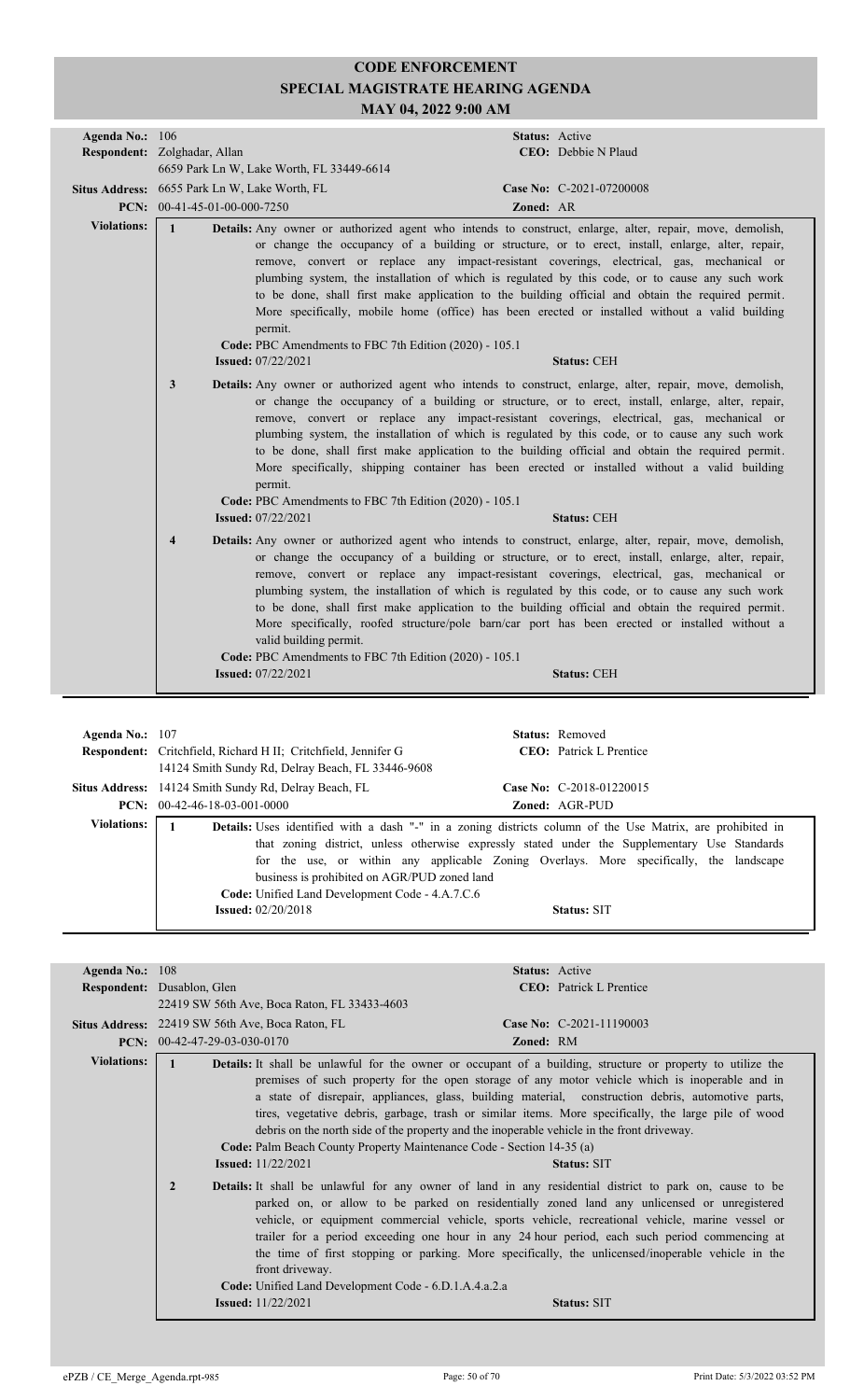| Agenda No.: 106    | Respondent: Zolghadar, Allan<br>6659 Park Ln W, Lake Worth, FL 33449-6614                                                                | Status: Active<br><b>CEO</b> : Debbie N Plaud                                                                                                                                                                                                                                                                                                                                                                                                                                                                                                                                                                                                     |
|--------------------|------------------------------------------------------------------------------------------------------------------------------------------|---------------------------------------------------------------------------------------------------------------------------------------------------------------------------------------------------------------------------------------------------------------------------------------------------------------------------------------------------------------------------------------------------------------------------------------------------------------------------------------------------------------------------------------------------------------------------------------------------------------------------------------------------|
|                    | Situs Address: 6655 Park Ln W, Lake Worth, FL<br>PCN: $00-41-45-01-00-000-7250$                                                          | Case No: C-2021-07200008<br>Zoned: AR                                                                                                                                                                                                                                                                                                                                                                                                                                                                                                                                                                                                             |
| <b>Violations:</b> | $\mathbf{1}$<br>permit.<br>Code: PBC Amendments to FBC 7th Edition (2020) - 105.1<br><b>Issued: 07/22/2021</b>                           | <b>Details:</b> Any owner or authorized agent who intends to construct, enlarge, alter, repair, move, demolish,<br>or change the occupancy of a building or structure, or to erect, install, enlarge, alter, repair,<br>remove, convert or replace any impact-resistant coverings, electrical, gas, mechanical or<br>plumbing system, the installation of which is regulated by this code, or to cause any such work<br>to be done, shall first make application to the building official and obtain the required permit.<br>More specifically, mobile home (office) has been erected or installed without a valid building<br><b>Status: CEH</b> |
|                    | 3<br>permit.<br>Code: PBC Amendments to FBC 7th Edition (2020) - 105.1<br><b>Issued: 07/22/2021</b>                                      | <b>Details:</b> Any owner or authorized agent who intends to construct, enlarge, alter, repair, move, demolish,<br>or change the occupancy of a building or structure, or to erect, install, enlarge, alter, repair,<br>remove, convert or replace any impact-resistant coverings, electrical, gas, mechanical or<br>plumbing system, the installation of which is regulated by this code, or to cause any such work<br>to be done, shall first make application to the building official and obtain the required permit.<br>More specifically, shipping container has been erected or installed without a valid building<br><b>Status: CEH</b>   |
|                    | $\overline{\mathbf{4}}$<br>valid building permit.<br>Code: PBC Amendments to FBC 7th Edition (2020) - 105.1<br><b>Issued:</b> 07/22/2021 | <b>Details:</b> Any owner or authorized agent who intends to construct, enlarge, alter, repair, move, demolish,<br>or change the occupancy of a building or structure, or to erect, install, enlarge, alter, repair,<br>remove, convert or replace any impact-resistant coverings, electrical, gas, mechanical or<br>plumbing system, the installation of which is regulated by this code, or to cause any such work<br>to be done, shall first make application to the building official and obtain the required permit.<br>More specifically, roofed structure/pole barn/car port has been erected or installed without a<br><b>Status: CEH</b> |

| Agenda No.: $107$  | <b>Respondent:</b> Critchfield, Richard H II; Critchfield, Jennifer G<br>14124 Smith Sundy Rd, Delray Beach, FL 33446-9608                                                                                                                          |  | <b>Status:</b> Removed<br><b>CEO</b> : Patrick L Prentice                                                                                                                                                      |  |
|--------------------|-----------------------------------------------------------------------------------------------------------------------------------------------------------------------------------------------------------------------------------------------------|--|----------------------------------------------------------------------------------------------------------------------------------------------------------------------------------------------------------------|--|
|                    | <b>Situs Address:</b> 14124 Smith Sundy Rd, Delray Beach, FL                                                                                                                                                                                        |  | Case No: $C-2018-01220015$                                                                                                                                                                                     |  |
|                    | <b>PCN:</b> $00-42-46-18-03-001-0000$<br><b>Zoned: AGR-PUD</b>                                                                                                                                                                                      |  |                                                                                                                                                                                                                |  |
| <b>Violations:</b> | <b>Details:</b> Uses identified with a dash "-" in a zoning districts column of the Use Matrix, are prohibited in<br>business is prohibited on AGR/PUD zoned land<br>Code: Unified Land Development Code - 4.A.7.C.6<br><b>Issued:</b> $02/20/2018$ |  | that zoning district, unless otherwise expressly stated under the Supplementary Use Standards<br>for the use, or within any applicable Zoning Overlays. More specifically, the landscape<br><b>Status: SIT</b> |  |

| Agenda No.: $108$                                                | Status: Active                                                                                                                                                                                                                                                                                                                                                                                                                                                                                                                          |
|------------------------------------------------------------------|-----------------------------------------------------------------------------------------------------------------------------------------------------------------------------------------------------------------------------------------------------------------------------------------------------------------------------------------------------------------------------------------------------------------------------------------------------------------------------------------------------------------------------------------|
| Respondent: Dusablon, Glen                                       | <b>CEO</b> : Patrick L Prentice                                                                                                                                                                                                                                                                                                                                                                                                                                                                                                         |
|                                                                  |                                                                                                                                                                                                                                                                                                                                                                                                                                                                                                                                         |
| <b>Situs Address:</b> 22419 SW 56th Ave, Boca Raton, FL          | Case No: C-2021-11190003                                                                                                                                                                                                                                                                                                                                                                                                                                                                                                                |
| PCN: 00-42-47-29-03-030-0170                                     | <b>Zoned: RM</b>                                                                                                                                                                                                                                                                                                                                                                                                                                                                                                                        |
|                                                                  | Details: It shall be unlawful for the owner or occupant of a building, structure or property to utilize the                                                                                                                                                                                                                                                                                                                                                                                                                             |
| <b>Issued:</b> $11/22/2021$                                      | premises of such property for the open storage of any motor vehicle which is inoperable and in<br>a state of disrepair, appliances, glass, building material, construction debris, automotive parts,<br>tires, vegetative debris, garbage, trash or similar items. More specifically, the large pile of wood<br>debris on the north side of the property and the inoperable vehicle in the front driveway.<br>Code: Palm Beach County Property Maintenance Code - Section 14-35 (a)<br><b>Status: SIT</b>                               |
| $\overline{2}$<br>front driveway.<br><b>Issued:</b> $11/22/2021$ | Details: It shall be unlawful for any owner of land in any residential district to park on, cause to be<br>parked on, or allow to be parked on residentially zoned land any unlicensed or unregistered<br>vehicle, or equipment commercial vehicle, sports vehicle, recreational vehicle, marine vessel or<br>trailer for a period exceeding one hour in any 24 hour period, each such period commencing at<br>the time of first stopping or parking. More specifically, the unlicensed/inoperable vehicle in the<br><b>Status: SIT</b> |
|                                                                  | 22419 SW 56th Ave, Boca Raton, FL 33433-4603<br>Code: Unified Land Development Code - 6.D.1.A.4.a.2.a                                                                                                                                                                                                                                                                                                                                                                                                                                   |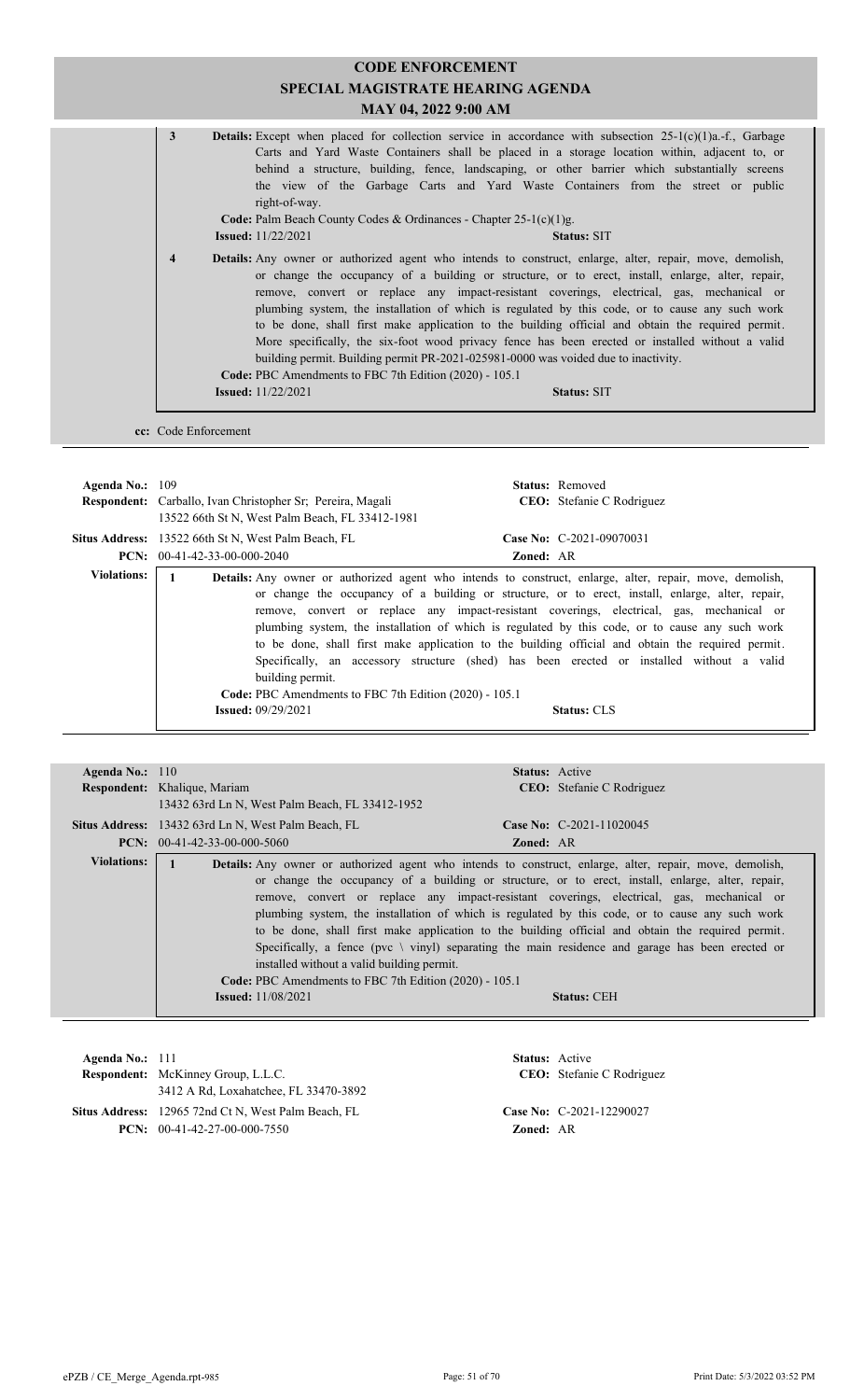|                    | <b>CODE ENFORCEMENT</b><br><b>SPECIAL MAGISTRATE HEARING AGENDA</b><br>MAY 04, 2022 9:00 AM                                                                                                                                                                                                                                                                                                                                                                                                                                                                          |                                                                                                                                                                                                                                                                                                                                                                                                                                                                                                                                                                                                                                                                                                              |  |  |  |
|--------------------|----------------------------------------------------------------------------------------------------------------------------------------------------------------------------------------------------------------------------------------------------------------------------------------------------------------------------------------------------------------------------------------------------------------------------------------------------------------------------------------------------------------------------------------------------------------------|--------------------------------------------------------------------------------------------------------------------------------------------------------------------------------------------------------------------------------------------------------------------------------------------------------------------------------------------------------------------------------------------------------------------------------------------------------------------------------------------------------------------------------------------------------------------------------------------------------------------------------------------------------------------------------------------------------------|--|--|--|
|                    | $\mathbf{3}$<br><b>Details:</b> Except when placed for collection service in accordance with subsection $25-1(c)(1)a$ . f., Garbage<br>Carts and Yard Waste Containers shall be placed in a storage location within, adjacent to, or<br>behind a structure, building, fence, landscaping, or other barrier which substantially screens<br>the view of the Garbage Carts and Yard Waste Containers from the street or public<br>right-of-way.<br>Code: Palm Beach County Codes & Ordinances - Chapter 25-1(c)(1)g.<br><b>Issued:</b> 11/22/2021<br><b>Status: SIT</b> |                                                                                                                                                                                                                                                                                                                                                                                                                                                                                                                                                                                                                                                                                                              |  |  |  |
|                    | $\overline{4}$<br>Code: PBC Amendments to FBC 7th Edition (2020) - 105.1                                                                                                                                                                                                                                                                                                                                                                                                                                                                                             | Details: Any owner or authorized agent who intends to construct, enlarge, alter, repair, move, demolish,<br>or change the occupancy of a building or structure, or to erect, install, enlarge, alter, repair,<br>remove, convert or replace any impact-resistant coverings, electrical, gas, mechanical or<br>plumbing system, the installation of which is regulated by this code, or to cause any such work<br>to be done, shall first make application to the building official and obtain the required permit.<br>More specifically, the six-foot wood privacy fence has been erected or installed without a valid<br>building permit. Building permit PR-2021-025981-0000 was voided due to inactivity. |  |  |  |
|                    | <b>Issued:</b> 11/22/2021<br><b>Status: SIT</b>                                                                                                                                                                                                                                                                                                                                                                                                                                                                                                                      |                                                                                                                                                                                                                                                                                                                                                                                                                                                                                                                                                                                                                                                                                                              |  |  |  |
|                    | cc: Code Enforcement                                                                                                                                                                                                                                                                                                                                                                                                                                                                                                                                                 |                                                                                                                                                                                                                                                                                                                                                                                                                                                                                                                                                                                                                                                                                                              |  |  |  |
|                    |                                                                                                                                                                                                                                                                                                                                                                                                                                                                                                                                                                      |                                                                                                                                                                                                                                                                                                                                                                                                                                                                                                                                                                                                                                                                                                              |  |  |  |
| Agenda No.: 109    |                                                                                                                                                                                                                                                                                                                                                                                                                                                                                                                                                                      | Status: Removed                                                                                                                                                                                                                                                                                                                                                                                                                                                                                                                                                                                                                                                                                              |  |  |  |
|                    | Respondent: Carballo, Ivan Christopher Sr; Pereira, Magali<br>13522 66th St N, West Palm Beach, FL 33412-1981                                                                                                                                                                                                                                                                                                                                                                                                                                                        | CEO: Stefanie C Rodriguez                                                                                                                                                                                                                                                                                                                                                                                                                                                                                                                                                                                                                                                                                    |  |  |  |
|                    | Case No: C-2021-09070031<br>Situs Address: 13522 66th St N, West Palm Beach, FL                                                                                                                                                                                                                                                                                                                                                                                                                                                                                      |                                                                                                                                                                                                                                                                                                                                                                                                                                                                                                                                                                                                                                                                                                              |  |  |  |
|                    | PCN: $00-41-42-33-00-000-2040$<br>Zoned: AR                                                                                                                                                                                                                                                                                                                                                                                                                                                                                                                          |                                                                                                                                                                                                                                                                                                                                                                                                                                                                                                                                                                                                                                                                                                              |  |  |  |
| <b>Violations:</b> | $\mathbf{1}$<br>Details: Any owner or authorized agent who intends to construct, enlarge, alter, repair, move, demolish,<br>or change the occupancy of a building or structure, or to erect, install, enlarge, alter, repair,<br>remove convert or replace any impact-resistant coverings electrical gas mechanical or                                                                                                                                                                                                                                               |                                                                                                                                                                                                                                                                                                                                                                                                                                                                                                                                                                                                                                                                                                              |  |  |  |

| , , , , , , , , , , , , , , |                                                        | <b>Details:</b> Any owner of authorized agent who intends to construct, emarge, after, repair, move, demonsh, |
|-----------------------------|--------------------------------------------------------|---------------------------------------------------------------------------------------------------------------|
|                             |                                                        | or change the occupancy of a building or structure, or to erect, install, enlarge, alter, repair,             |
|                             |                                                        | remove, convert or replace any impact-resistant coverings, electrical, gas, mechanical or                     |
|                             |                                                        | plumbing system, the installation of which is regulated by this code, or to cause any such work               |
|                             |                                                        | to be done, shall first make application to the building official and obtain the required permit.             |
|                             |                                                        | Specifically, an accessory structure (shed) has been erected or installed without a valid                     |
|                             | building permit.                                       |                                                                                                               |
|                             | Code: PBC Amendments to FBC 7th Edition (2020) - 105.1 |                                                                                                               |
|                             | <b>Issued:</b> $09/29/2021$                            | <b>Status: CLS</b>                                                                                            |
|                             |                                                        |                                                                                                               |

| Agenda No.: $110$  | <b>Status:</b> Active                                                                                                                                                                                                                                                                                                                                                                                                                                                                                                                                                                                                                                                                                                                                                                  |
|--------------------|----------------------------------------------------------------------------------------------------------------------------------------------------------------------------------------------------------------------------------------------------------------------------------------------------------------------------------------------------------------------------------------------------------------------------------------------------------------------------------------------------------------------------------------------------------------------------------------------------------------------------------------------------------------------------------------------------------------------------------------------------------------------------------------|
|                    | Respondent: Khalique, Mariam<br>CEO: Stefanie C Rodriguez                                                                                                                                                                                                                                                                                                                                                                                                                                                                                                                                                                                                                                                                                                                              |
|                    | 13432 63rd Ln N, West Palm Beach, FL 33412-1952                                                                                                                                                                                                                                                                                                                                                                                                                                                                                                                                                                                                                                                                                                                                        |
|                    | <b>Situs Address:</b> 13432 63rd Ln N, West Palm Beach, FL<br>Case No: $C-2021-11020045$                                                                                                                                                                                                                                                                                                                                                                                                                                                                                                                                                                                                                                                                                               |
|                    | $PCN: 00-41-42-33-00-000-5060$<br><b>Zoned: AR</b>                                                                                                                                                                                                                                                                                                                                                                                                                                                                                                                                                                                                                                                                                                                                     |
| <b>Violations:</b> | Details: Any owner or authorized agent who intends to construct, enlarge, alter, repair, move, demolish,<br>or change the occupancy of a building or structure, or to erect, install, enlarge, alter, repair,<br>remove, convert or replace any impact-resistant coverings, electrical, gas, mechanical or<br>plumbing system, the installation of which is regulated by this code, or to cause any such work<br>to be done, shall first make application to the building official and obtain the required permit.<br>Specifically, a fence ( $pvc \ \ viny$ ) separating the main residence and garage has been erected or<br>installed without a valid building permit.<br>Code: PBC Amendments to FBC 7th Edition (2020) - 105.1<br><b>Issued:</b> 11/08/2021<br><b>Status: CEH</b> |

| Agenda No.: $111$ | <b>Respondent:</b> McKinney Group, L.L.C.<br>3412 A Rd, Loxahatchee, FL 33470-3892    | <b>Status:</b> Active | <b>CEO:</b> Stefanie C Rodriguez |
|-------------------|---------------------------------------------------------------------------------------|-----------------------|----------------------------------|
|                   | Situs Address: 12965 72nd Ct N, West Palm Beach, FL<br>$PCN: 00-41-42-27-00-000-7550$ | <b>Zoned: AR</b>      | Case No: C-2021-12290027         |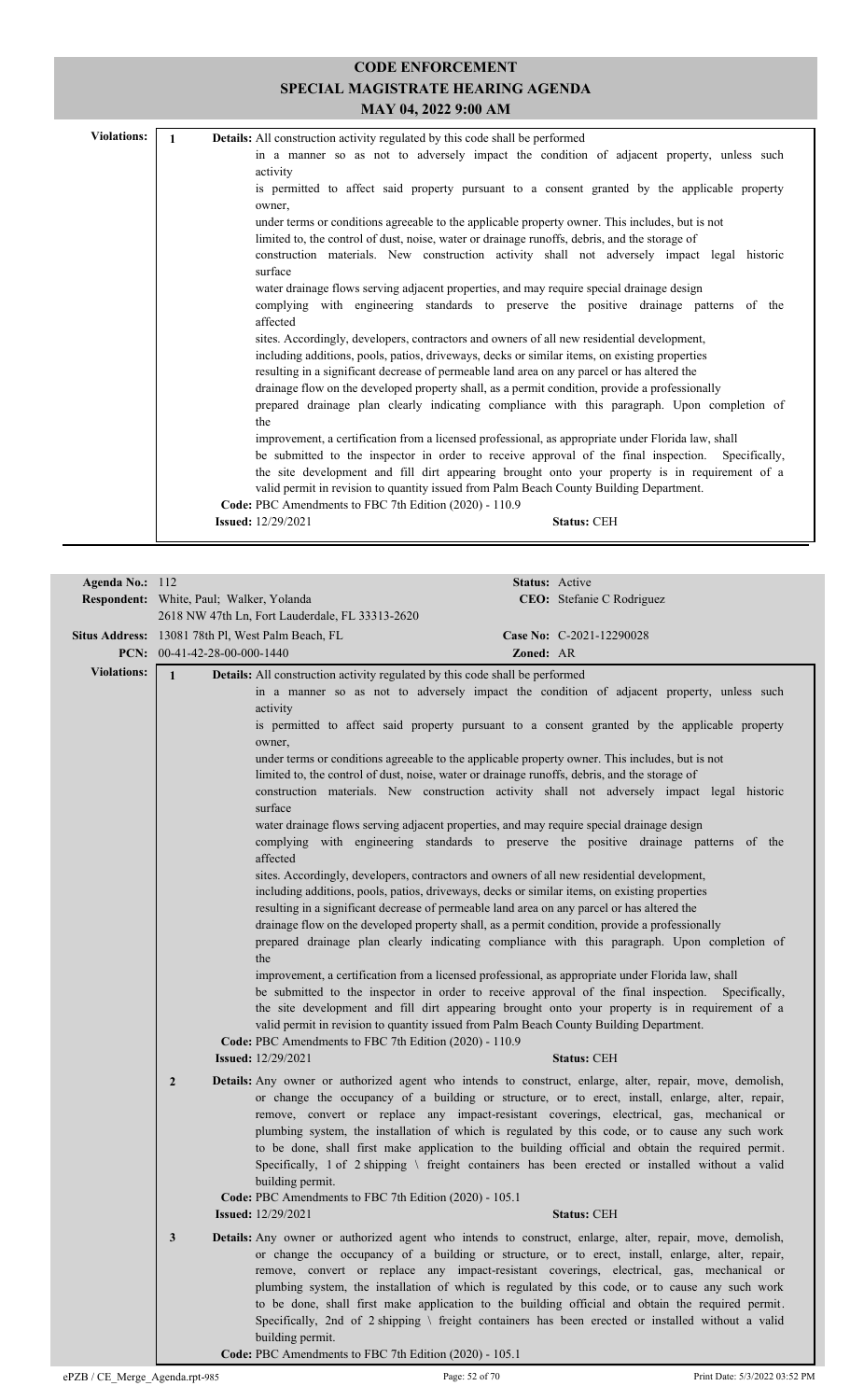| <b>Violations:</b> | <b>Details:</b> All construction activity regulated by this code shall be performed                                                                                                             |
|--------------------|-------------------------------------------------------------------------------------------------------------------------------------------------------------------------------------------------|
|                    | in a manner so as not to adversely impact the condition of adjacent property, unless such                                                                                                       |
|                    | activity                                                                                                                                                                                        |
|                    | is permitted to affect said property pursuant to a consent granted by the applicable property<br>owner.                                                                                         |
|                    | under terms or conditions agreeable to the applicable property owner. This includes, but is not                                                                                                 |
|                    | limited to, the control of dust, noise, water or drainage runoffs, debris, and the storage of                                                                                                   |
|                    | construction materials. New construction activity shall not adversely impact legal historic<br>surface                                                                                          |
|                    | water drainage flows serving adjacent properties, and may require special drainage design<br>complying with engineering standards to preserve the positive drainage patterns of the<br>affected |
|                    | sites. Accordingly, developers, contractors and owners of all new residential development,                                                                                                      |
|                    | including additions, pools, patios, driveways, decks or similar items, on existing properties                                                                                                   |
|                    | resulting in a significant decrease of permeable land area on any parcel or has altered the                                                                                                     |
|                    | drainage flow on the developed property shall, as a permit condition, provide a professionally                                                                                                  |
|                    | prepared drainage plan clearly indicating compliance with this paragraph. Upon completion of<br>the                                                                                             |
|                    | improvement, a certification from a licensed professional, as appropriate under Florida law, shall                                                                                              |
|                    | be submitted to the inspector in order to receive approval of the final inspection. Specifically,                                                                                               |
|                    | the site development and fill dirt appearing brought onto your property is in requirement of a                                                                                                  |
|                    | valid permit in revision to quantity issued from Palm Beach County Building Department.                                                                                                         |
|                    | Code: PBC Amendments to FBC 7th Edition (2020) - 110.9                                                                                                                                          |
|                    | <b>Issued:</b> 12/29/2021<br><b>Status: CEH</b>                                                                                                                                                 |
|                    |                                                                                                                                                                                                 |

| Agenda No.: 112                                                                                                                                                                                                                                                                                                                                                                                                                                                                                                                                                                                                                                                                                                                                                                     |                                                                                                                                                                                                                                                                                                                                                                                                                                                                                                                                                                                                                                                                                                                                                                                                                       | Status: Active                                                                                                                                                                                                                                                                                                                                                                                                                                                                                                                                                                                                                                                                                                                                                                                                                                                                                                                                                                       |                                                                                                                                                                                                                                                                                                                                                                                                                                                                                                                                                                                                                                           |  |
|-------------------------------------------------------------------------------------------------------------------------------------------------------------------------------------------------------------------------------------------------------------------------------------------------------------------------------------------------------------------------------------------------------------------------------------------------------------------------------------------------------------------------------------------------------------------------------------------------------------------------------------------------------------------------------------------------------------------------------------------------------------------------------------|-----------------------------------------------------------------------------------------------------------------------------------------------------------------------------------------------------------------------------------------------------------------------------------------------------------------------------------------------------------------------------------------------------------------------------------------------------------------------------------------------------------------------------------------------------------------------------------------------------------------------------------------------------------------------------------------------------------------------------------------------------------------------------------------------------------------------|--------------------------------------------------------------------------------------------------------------------------------------------------------------------------------------------------------------------------------------------------------------------------------------------------------------------------------------------------------------------------------------------------------------------------------------------------------------------------------------------------------------------------------------------------------------------------------------------------------------------------------------------------------------------------------------------------------------------------------------------------------------------------------------------------------------------------------------------------------------------------------------------------------------------------------------------------------------------------------------|-------------------------------------------------------------------------------------------------------------------------------------------------------------------------------------------------------------------------------------------------------------------------------------------------------------------------------------------------------------------------------------------------------------------------------------------------------------------------------------------------------------------------------------------------------------------------------------------------------------------------------------------|--|
|                                                                                                                                                                                                                                                                                                                                                                                                                                                                                                                                                                                                                                                                                                                                                                                     | Respondent: White, Paul; Walker, Yolanda                                                                                                                                                                                                                                                                                                                                                                                                                                                                                                                                                                                                                                                                                                                                                                              |                                                                                                                                                                                                                                                                                                                                                                                                                                                                                                                                                                                                                                                                                                                                                                                                                                                                                                                                                                                      | CEO: Stefanie C Rodriguez                                                                                                                                                                                                                                                                                                                                                                                                                                                                                                                                                                                                                 |  |
|                                                                                                                                                                                                                                                                                                                                                                                                                                                                                                                                                                                                                                                                                                                                                                                     | 2618 NW 47th Ln, Fort Lauderdale, FL 33313-2620                                                                                                                                                                                                                                                                                                                                                                                                                                                                                                                                                                                                                                                                                                                                                                       |                                                                                                                                                                                                                                                                                                                                                                                                                                                                                                                                                                                                                                                                                                                                                                                                                                                                                                                                                                                      |                                                                                                                                                                                                                                                                                                                                                                                                                                                                                                                                                                                                                                           |  |
|                                                                                                                                                                                                                                                                                                                                                                                                                                                                                                                                                                                                                                                                                                                                                                                     | Situs Address: 13081 78th Pl, West Palm Beach, FL                                                                                                                                                                                                                                                                                                                                                                                                                                                                                                                                                                                                                                                                                                                                                                     |                                                                                                                                                                                                                                                                                                                                                                                                                                                                                                                                                                                                                                                                                                                                                                                                                                                                                                                                                                                      | Case No: C-2021-12290028                                                                                                                                                                                                                                                                                                                                                                                                                                                                                                                                                                                                                  |  |
|                                                                                                                                                                                                                                                                                                                                                                                                                                                                                                                                                                                                                                                                                                                                                                                     | PCN: 00-41-42-28-00-000-1440                                                                                                                                                                                                                                                                                                                                                                                                                                                                                                                                                                                                                                                                                                                                                                                          | Zoned: AR                                                                                                                                                                                                                                                                                                                                                                                                                                                                                                                                                                                                                                                                                                                                                                                                                                                                                                                                                                            |                                                                                                                                                                                                                                                                                                                                                                                                                                                                                                                                                                                                                                           |  |
| <b>Violations:</b>                                                                                                                                                                                                                                                                                                                                                                                                                                                                                                                                                                                                                                                                                                                                                                  | $\mathbf{1}$<br>Details: All construction activity regulated by this code shall be performed<br>in a manner so as not to adversely impact the condition of adjacent property, unless such<br>activity<br>is permitted to affect said property pursuant to a consent granted by the applicable property<br>owner,<br>under terms or conditions agreeable to the applicable property owner. This includes, but is not<br>limited to, the control of dust, noise, water or drainage runoffs, debris, and the storage of<br>construction materials. New construction activity shall not adversely impact legal historic<br>surface<br>water drainage flows serving adjacent properties, and may require special drainage design<br>complying with engineering standards to preserve the positive drainage patterns of the |                                                                                                                                                                                                                                                                                                                                                                                                                                                                                                                                                                                                                                                                                                                                                                                                                                                                                                                                                                                      |                                                                                                                                                                                                                                                                                                                                                                                                                                                                                                                                                                                                                                           |  |
|                                                                                                                                                                                                                                                                                                                                                                                                                                                                                                                                                                                                                                                                                                                                                                                     | affected<br>the<br><b>Issued:</b> 12/29/2021                                                                                                                                                                                                                                                                                                                                                                                                                                                                                                                                                                                                                                                                                                                                                                          | sites. Accordingly, developers, contractors and owners of all new residential development,<br>including additions, pools, patios, driveways, decks or similar items, on existing properties<br>resulting in a significant decrease of permeable land area on any parcel or has altered the<br>drainage flow on the developed property shall, as a permit condition, provide a professionally<br>prepared drainage plan clearly indicating compliance with this paragraph. Upon completion of<br>improvement, a certification from a licensed professional, as appropriate under Florida law, shall<br>be submitted to the inspector in order to receive approval of the final inspection. Specifically,<br>the site development and fill dirt appearing brought onto your property is in requirement of a<br>valid permit in revision to quantity issued from Palm Beach County Building Department.<br>Code: PBC Amendments to FBC 7th Edition (2020) - 110.9<br><b>Status: CEH</b> |                                                                                                                                                                                                                                                                                                                                                                                                                                                                                                                                                                                                                                           |  |
| $\overline{2}$<br>Details: Any owner or authorized agent who intends to construct, enlarge, alter, repair, move, demolish,<br>or change the occupancy of a building or structure, or to erect, install, enlarge, alter, repair,<br>remove, convert or replace any impact-resistant coverings, electrical, gas, mechanical or<br>plumbing system, the installation of which is regulated by this code, or to cause any such work<br>to be done, shall first make application to the building official and obtain the required permit.<br>Specifically, 1 of 2 shipping $\setminus$ freight containers has been erected or installed without a valid<br>building permit.<br>Code: PBC Amendments to FBC 7th Edition (2020) - 105.1<br><b>Status: CEH</b><br><b>Issued:</b> 12/29/2021 |                                                                                                                                                                                                                                                                                                                                                                                                                                                                                                                                                                                                                                                                                                                                                                                                                       |                                                                                                                                                                                                                                                                                                                                                                                                                                                                                                                                                                                                                                                                                                                                                                                                                                                                                                                                                                                      |                                                                                                                                                                                                                                                                                                                                                                                                                                                                                                                                                                                                                                           |  |
|                                                                                                                                                                                                                                                                                                                                                                                                                                                                                                                                                                                                                                                                                                                                                                                     | 3<br>building permit.<br>Code: PBC Amendments to FBC 7th Edition (2020) - 105.1                                                                                                                                                                                                                                                                                                                                                                                                                                                                                                                                                                                                                                                                                                                                       |                                                                                                                                                                                                                                                                                                                                                                                                                                                                                                                                                                                                                                                                                                                                                                                                                                                                                                                                                                                      | <b>Details:</b> Any owner or authorized agent who intends to construct, enlarge, alter, repair, move, demolish,<br>or change the occupancy of a building or structure, or to erect, install, enlarge, alter, repair,<br>remove, convert or replace any impact-resistant coverings, electrical, gas, mechanical or<br>plumbing system, the installation of which is regulated by this code, or to cause any such work<br>to be done, shall first make application to the building official and obtain the required permit.<br>Specifically, 2nd of 2 shipping $\setminus$ freight containers has been erected or installed without a valid |  |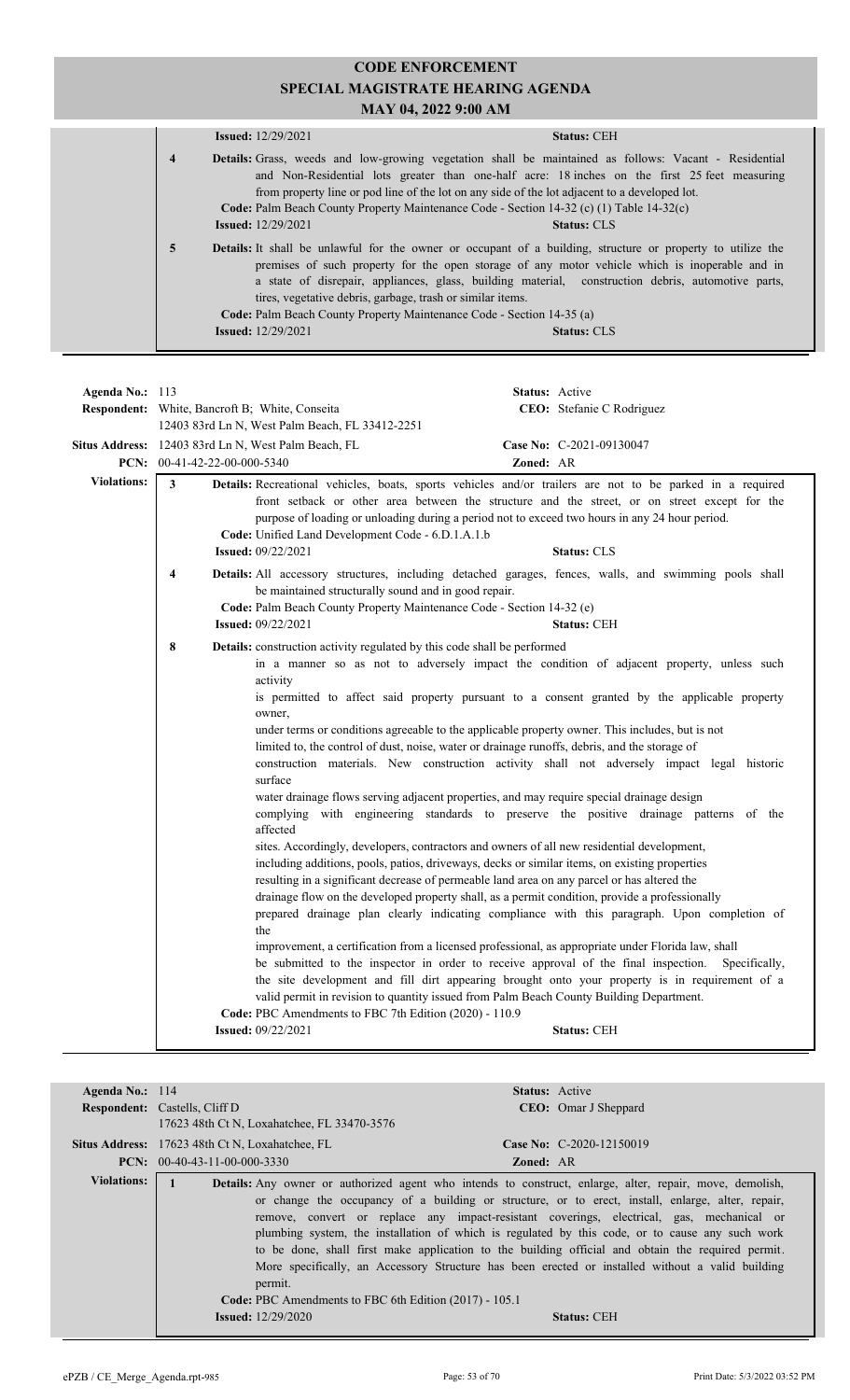|                | <b>Issued:</b> 12/29/2021                                                                                                                                                                                                                                                                                                                                                                                                                                         | <b>Status: CEH</b> |
|----------------|-------------------------------------------------------------------------------------------------------------------------------------------------------------------------------------------------------------------------------------------------------------------------------------------------------------------------------------------------------------------------------------------------------------------------------------------------------------------|--------------------|
| $\overline{4}$ | <b>Details:</b> Grass, weeds and low-growing vegetation shall be maintained as follows: Vacant - Residential<br>and Non-Residential lots greater than one-half acre: 18 inches on the first 25 feet measuring<br>from property line or pod line of the lot on any side of the lot adjacent to a developed lot.<br>Code: Palm Beach County Property Maintenance Code - Section 14-32 (c) (1) Table 14-32(c)<br><b>Issued:</b> 12/29/2021                           | <b>Status: CLS</b> |
| $\overline{5}$ | <b>Details:</b> It shall be unlawful for the owner or occupant of a building, structure or property to utilize the<br>premises of such property for the open storage of any motor vehicle which is inoperable and in<br>a state of disrepair, appliances, glass, building material, construction debris, automotive parts,<br>tires, vegetative debris, garbage, trash or similar items.<br>Code: Palm Beach County Property Maintenance Code - Section 14-35 (a) |                    |
|                | <b>Issued:</b> 12/29/2021                                                                                                                                                                                                                                                                                                                                                                                                                                         | <b>Status: CLS</b> |

| Agenda No.: 113    | <b>Respondent:</b> White, Bancroft B; White, Conseita                                                                                                                                                                    | <b>Status:</b> Active<br>CEO: Stefanie C Rodriguez                                                                                                                                                                                                                                                                                                                                                                                                                                                                                                                                                                                                                                                                                                                                                                                                                                                                                                                                                                                                                                                                                                                                                                                                                                                                                                                                                                                                                                                                                                                                                                    |
|--------------------|--------------------------------------------------------------------------------------------------------------------------------------------------------------------------------------------------------------------------|-----------------------------------------------------------------------------------------------------------------------------------------------------------------------------------------------------------------------------------------------------------------------------------------------------------------------------------------------------------------------------------------------------------------------------------------------------------------------------------------------------------------------------------------------------------------------------------------------------------------------------------------------------------------------------------------------------------------------------------------------------------------------------------------------------------------------------------------------------------------------------------------------------------------------------------------------------------------------------------------------------------------------------------------------------------------------------------------------------------------------------------------------------------------------------------------------------------------------------------------------------------------------------------------------------------------------------------------------------------------------------------------------------------------------------------------------------------------------------------------------------------------------------------------------------------------------------------------------------------------------|
|                    | 12403 83rd Ln N, West Palm Beach, FL 33412-2251                                                                                                                                                                          |                                                                                                                                                                                                                                                                                                                                                                                                                                                                                                                                                                                                                                                                                                                                                                                                                                                                                                                                                                                                                                                                                                                                                                                                                                                                                                                                                                                                                                                                                                                                                                                                                       |
|                    | <b>Situs Address:</b> 12403 83rd Ln N, West Palm Beach, FL                                                                                                                                                               | Case No: C-2021-09130047                                                                                                                                                                                                                                                                                                                                                                                                                                                                                                                                                                                                                                                                                                                                                                                                                                                                                                                                                                                                                                                                                                                                                                                                                                                                                                                                                                                                                                                                                                                                                                                              |
|                    | PCN: 00-41-42-22-00-000-5340                                                                                                                                                                                             | <b>Zoned: AR</b>                                                                                                                                                                                                                                                                                                                                                                                                                                                                                                                                                                                                                                                                                                                                                                                                                                                                                                                                                                                                                                                                                                                                                                                                                                                                                                                                                                                                                                                                                                                                                                                                      |
| <b>Violations:</b> | 3<br>Code: Unified Land Development Code - 6.D.1.A.1.b<br><b>Issued:</b> 09/22/2021                                                                                                                                      | Details: Recreational vehicles, boats, sports vehicles and/or trailers are not to be parked in a required<br>front setback or other area between the structure and the street, or on street except for the<br>purpose of loading or unloading during a period not to exceed two hours in any 24 hour period.<br><b>Status: CLS</b>                                                                                                                                                                                                                                                                                                                                                                                                                                                                                                                                                                                                                                                                                                                                                                                                                                                                                                                                                                                                                                                                                                                                                                                                                                                                                    |
|                    | $\overline{\mathbf{4}}$<br>be maintained structurally sound and in good repair.<br>Code: Palm Beach County Property Maintenance Code - Section 14-32 (e)<br><b>Issued: 09/22/2021</b>                                    | Details: All accessory structures, including detached garages, fences, walls, and swimming pools shall<br><b>Status: CEH</b>                                                                                                                                                                                                                                                                                                                                                                                                                                                                                                                                                                                                                                                                                                                                                                                                                                                                                                                                                                                                                                                                                                                                                                                                                                                                                                                                                                                                                                                                                          |
|                    | 8<br>Details: construction activity regulated by this code shall be performed<br>activity<br>owner,<br>surface<br>affected<br>the<br>Code: PBC Amendments to FBC 7th Edition (2020) - 110.9<br><b>Issued: 09/22/2021</b> | in a manner so as not to adversely impact the condition of adjacent property, unless such<br>is permitted to affect said property pursuant to a consent granted by the applicable property<br>under terms or conditions agreeable to the applicable property owner. This includes, but is not<br>limited to, the control of dust, noise, water or drainage runoffs, debris, and the storage of<br>construction materials. New construction activity shall not adversely impact legal historic<br>water drainage flows serving adjacent properties, and may require special drainage design<br>complying with engineering standards to preserve the positive drainage patterns of the<br>sites. Accordingly, developers, contractors and owners of all new residential development,<br>including additions, pools, patios, driveways, decks or similar items, on existing properties<br>resulting in a significant decrease of permeable land area on any parcel or has altered the<br>drainage flow on the developed property shall, as a permit condition, provide a professionally<br>prepared drainage plan clearly indicating compliance with this paragraph. Upon completion of<br>improvement, a certification from a licensed professional, as appropriate under Florida law, shall<br>be submitted to the inspector in order to receive approval of the final inspection.<br>Specifically,<br>the site development and fill dirt appearing brought onto your property is in requirement of a<br>valid permit in revision to quantity issued from Palm Beach County Building Department.<br><b>Status: CEH</b> |

| Agenda No.: $114$  |                                                                   | <b>Status:</b> Active                                                                                                                                                                                                                                                                                                                                                                                                                                                                                                                                                                                                         |
|--------------------|-------------------------------------------------------------------|-------------------------------------------------------------------------------------------------------------------------------------------------------------------------------------------------------------------------------------------------------------------------------------------------------------------------------------------------------------------------------------------------------------------------------------------------------------------------------------------------------------------------------------------------------------------------------------------------------------------------------|
|                    | <b>Respondent:</b> Castells, Cliff D                              | <b>CEO</b> : Omar J Sheppard                                                                                                                                                                                                                                                                                                                                                                                                                                                                                                                                                                                                  |
|                    | 17623 48th Ct N, Loxahatchee, FL 33470-3576                       |                                                                                                                                                                                                                                                                                                                                                                                                                                                                                                                                                                                                                               |
|                    | Situs Address: 17623 48th Ct N, Loxahatchee, FL                   | Case No: $C-2020-12150019$                                                                                                                                                                                                                                                                                                                                                                                                                                                                                                                                                                                                    |
|                    | <b>PCN:</b> $00-40-43-11-00-000-3330$                             | <b>Zoned: AR</b>                                                                                                                                                                                                                                                                                                                                                                                                                                                                                                                                                                                                              |
| <b>Violations:</b> | permit.<br>Code: PBC Amendments to FBC 6th Edition (2017) - 105.1 | <b>Details:</b> Any owner or authorized agent who intends to construct, enlarge, alter, repair, move, demolish,<br>or change the occupancy of a building or structure, or to erect, install, enlarge, alter, repair,<br>remove, convert or replace any impact-resistant coverings, electrical, gas, mechanical or<br>plumbing system, the installation of which is regulated by this code, or to cause any such work<br>to be done, shall first make application to the building official and obtain the required permit.<br>More specifically, an Accessory Structure has been erected or installed without a valid building |
|                    | <b>Issued:</b> $12/29/2020$                                       | <b>Status: CEH</b>                                                                                                                                                                                                                                                                                                                                                                                                                                                                                                                                                                                                            |
|                    |                                                                   |                                                                                                                                                                                                                                                                                                                                                                                                                                                                                                                                                                                                                               |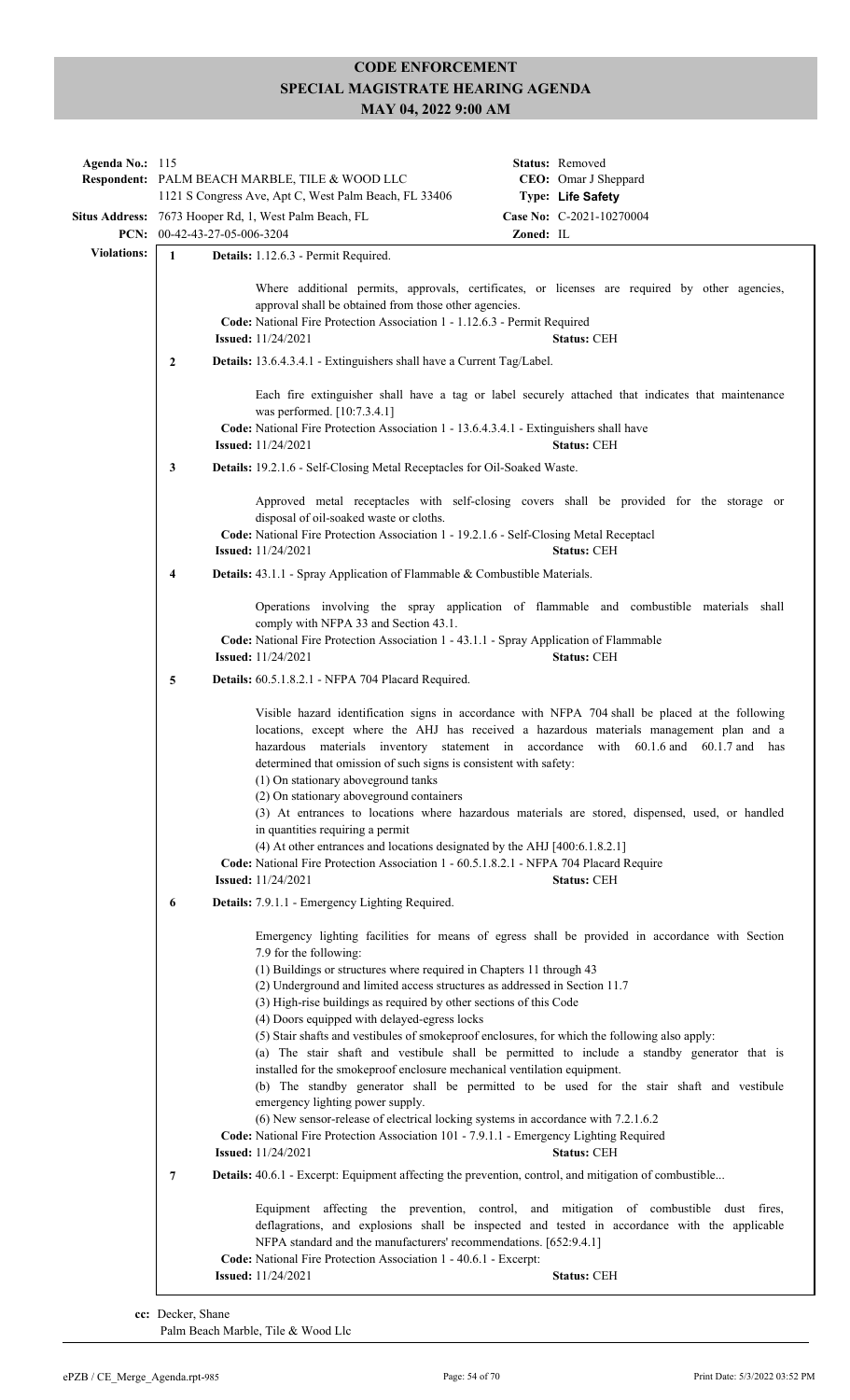| Agenda No.: 115    |                                                                                                                                                                                                                                                                                         | Respondent: PALM BEACH MARBLE, TILE & WOOD LLC<br>1121 S Congress Ave, Apt C, West Palm Beach, FL 33406                                                                                                                                                                                                                                                                                                                                                                                                                                                                                                                                                                                                                                                                                                                                         |           | Status: Removed<br>CEO: Omar J Sheppard<br>Type: Life Safety                                                                                                                                                                                                                                                                                                                                                  |  |
|--------------------|-----------------------------------------------------------------------------------------------------------------------------------------------------------------------------------------------------------------------------------------------------------------------------------------|-------------------------------------------------------------------------------------------------------------------------------------------------------------------------------------------------------------------------------------------------------------------------------------------------------------------------------------------------------------------------------------------------------------------------------------------------------------------------------------------------------------------------------------------------------------------------------------------------------------------------------------------------------------------------------------------------------------------------------------------------------------------------------------------------------------------------------------------------|-----------|---------------------------------------------------------------------------------------------------------------------------------------------------------------------------------------------------------------------------------------------------------------------------------------------------------------------------------------------------------------------------------------------------------------|--|
|                    |                                                                                                                                                                                                                                                                                         | Situs Address: 7673 Hooper Rd, 1, West Palm Beach, FL<br>PCN: 00-42-43-27-05-006-3204                                                                                                                                                                                                                                                                                                                                                                                                                                                                                                                                                                                                                                                                                                                                                           | Zoned: IL | Case No: C-2021-10270004                                                                                                                                                                                                                                                                                                                                                                                      |  |
| <b>Violations:</b> | $\mathbf{1}$                                                                                                                                                                                                                                                                            | Details: 1.12.6.3 - Permit Required.                                                                                                                                                                                                                                                                                                                                                                                                                                                                                                                                                                                                                                                                                                                                                                                                            |           |                                                                                                                                                                                                                                                                                                                                                                                                               |  |
|                    | Where additional permits, approvals, certificates, or licenses are required by other agencies,<br>approval shall be obtained from those other agencies.<br>Code: National Fire Protection Association 1 - 1.12.6.3 - Permit Required<br><b>Issued:</b> 11/24/2021<br><b>Status: CEH</b> |                                                                                                                                                                                                                                                                                                                                                                                                                                                                                                                                                                                                                                                                                                                                                                                                                                                 |           |                                                                                                                                                                                                                                                                                                                                                                                                               |  |
|                    | $\mathbf{2}$                                                                                                                                                                                                                                                                            | Details: 13.6.4.3.4.1 - Extinguishers shall have a Current Tag/Label.                                                                                                                                                                                                                                                                                                                                                                                                                                                                                                                                                                                                                                                                                                                                                                           |           |                                                                                                                                                                                                                                                                                                                                                                                                               |  |
|                    |                                                                                                                                                                                                                                                                                         | was performed. [10:7.3.4.1]<br>Code: National Fire Protection Association 1 - 13.6.4.3.4.1 - Extinguishers shall have<br><b>Issued:</b> 11/24/2021                                                                                                                                                                                                                                                                                                                                                                                                                                                                                                                                                                                                                                                                                              |           | Each fire extinguisher shall have a tag or label securely attached that indicates that maintenance<br><b>Status: CEH</b>                                                                                                                                                                                                                                                                                      |  |
|                    | 3                                                                                                                                                                                                                                                                                       | Details: 19.2.1.6 - Self-Closing Metal Receptacles for Oil-Soaked Waste.                                                                                                                                                                                                                                                                                                                                                                                                                                                                                                                                                                                                                                                                                                                                                                        |           |                                                                                                                                                                                                                                                                                                                                                                                                               |  |
|                    |                                                                                                                                                                                                                                                                                         | disposal of oil-soaked waste or cloths.<br>Code: National Fire Protection Association 1 - 19.2.1.6 - Self-Closing Metal Receptacl<br><b>Issued:</b> 11/24/2021                                                                                                                                                                                                                                                                                                                                                                                                                                                                                                                                                                                                                                                                                  |           | Approved metal receptacles with self-closing covers shall be provided for the storage or<br><b>Status: CEH</b>                                                                                                                                                                                                                                                                                                |  |
|                    | 4                                                                                                                                                                                                                                                                                       | Details: 43.1.1 - Spray Application of Flammable & Combustible Materials.                                                                                                                                                                                                                                                                                                                                                                                                                                                                                                                                                                                                                                                                                                                                                                       |           |                                                                                                                                                                                                                                                                                                                                                                                                               |  |
|                    | Operations involving the spray application of flammable and combustible materials shall<br>comply with NFPA 33 and Section 43.1.<br>Code: National Fire Protection Association 1 - 43.1.1 - Spray Application of Flammable                                                              |                                                                                                                                                                                                                                                                                                                                                                                                                                                                                                                                                                                                                                                                                                                                                                                                                                                 |           |                                                                                                                                                                                                                                                                                                                                                                                                               |  |
|                    |                                                                                                                                                                                                                                                                                         | <b>Issued:</b> $11/24/2021$                                                                                                                                                                                                                                                                                                                                                                                                                                                                                                                                                                                                                                                                                                                                                                                                                     |           | <b>Status: CEH</b>                                                                                                                                                                                                                                                                                                                                                                                            |  |
|                    | 5                                                                                                                                                                                                                                                                                       | Details: 60.5.1.8.2.1 - NFPA 704 Placard Required.                                                                                                                                                                                                                                                                                                                                                                                                                                                                                                                                                                                                                                                                                                                                                                                              |           |                                                                                                                                                                                                                                                                                                                                                                                                               |  |
|                    |                                                                                                                                                                                                                                                                                         | determined that omission of such signs is consistent with safety:<br>(1) On stationary aboveground tanks<br>(2) On stationary above ground containers<br>in quantities requiring a permit<br>$(4)$ At other entrances and locations designated by the AHJ $[400:6.1.8.2.1]$<br>Code: National Fire Protection Association 1 - 60.5.1.8.2.1 - NFPA 704 Placard Require<br><b>Issued:</b> 11/24/2021                                                                                                                                                                                                                                                                                                                                                                                                                                              |           | Visible hazard identification signs in accordance with NFPA 704 shall be placed at the following<br>locations, except where the AHJ has received a hazardous materials management plan and a<br>hazardous materials inventory statement in accordance with 60.1.6 and 60.1.7 and has<br>(3) At entrances to locations where hazardous materials are stored, dispensed, used, or handled<br><b>Status: CEH</b> |  |
|                    | 6                                                                                                                                                                                                                                                                                       | Details: 7.9.1.1 - Emergency Lighting Required.                                                                                                                                                                                                                                                                                                                                                                                                                                                                                                                                                                                                                                                                                                                                                                                                 |           |                                                                                                                                                                                                                                                                                                                                                                                                               |  |
|                    | 7                                                                                                                                                                                                                                                                                       | 7.9 for the following:<br>(1) Buildings or structures where required in Chapters 11 through 43<br>(2) Underground and limited access structures as addressed in Section 11.7<br>(3) High-rise buildings as required by other sections of this Code<br>(4) Doors equipped with delayed-egress locks<br>(5) Stair shafts and vestibules of smokeproof enclosures, for which the following also apply:<br>installed for the smokeproof enclosure mechanical ventilation equipment.<br>emergency lighting power supply.<br>(6) New sensor-release of electrical locking systems in accordance with 7.2.1.6.2<br>Code: National Fire Protection Association 101 - 7.9.1.1 - Emergency Lighting Required<br><b>Issued:</b> 11/24/2021<br><b>Details:</b> 40.6.1 - Excerpt: Equipment affecting the prevention, control, and mitigation of combustible |           | Emergency lighting facilities for means of egress shall be provided in accordance with Section<br>(a) The stair shaft and vestibule shall be permitted to include a standby generator that is<br>(b) The standby generator shall be permitted to be used for the stair shaft and vestibule<br><b>Status: CEH</b>                                                                                              |  |
|                    |                                                                                                                                                                                                                                                                                         | NFPA standard and the manufacturers' recommendations. [652:9.4.1]<br>Code: National Fire Protection Association 1 - 40.6.1 - Excerpt:                                                                                                                                                                                                                                                                                                                                                                                                                                                                                                                                                                                                                                                                                                           |           | Equipment affecting the prevention, control, and mitigation of combustible dust fires,<br>deflagrations, and explosions shall be inspected and tested in accordance with the applicable                                                                                                                                                                                                                       |  |
|                    |                                                                                                                                                                                                                                                                                         | <b>Issued:</b> 11/24/2021                                                                                                                                                                                                                                                                                                                                                                                                                                                                                                                                                                                                                                                                                                                                                                                                                       |           | <b>Status: CEH</b>                                                                                                                                                                                                                                                                                                                                                                                            |  |

**cc:** Decker, Shane Palm Beach Marble, Tile & Wood Llc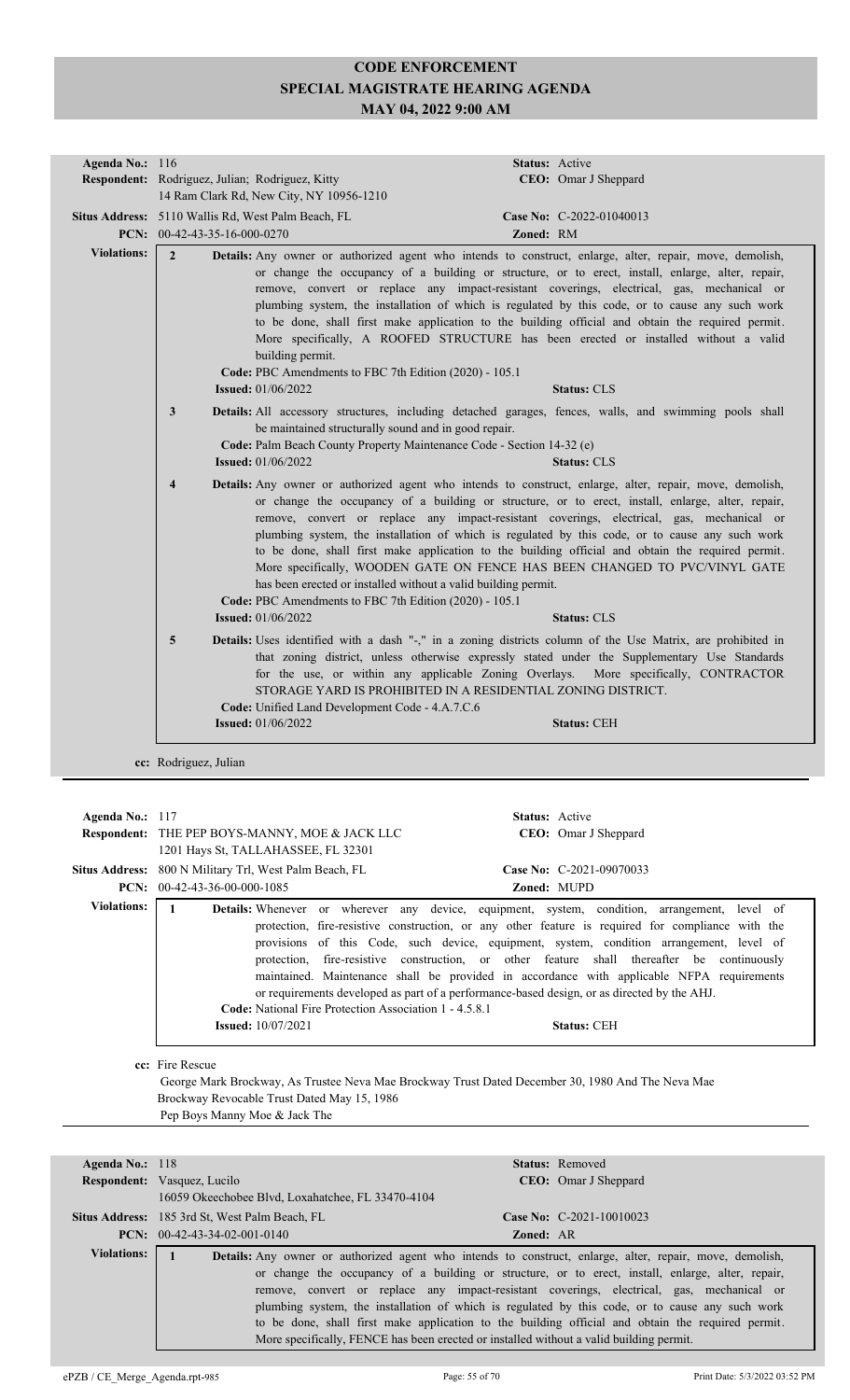| Agenda No.: 116                                 |                         |                                                                                                                                                              |           | Status: Active                                                                                                                                                                                                                                                                                                                                                                                                                                                                                                                                                                                                   |
|-------------------------------------------------|-------------------------|--------------------------------------------------------------------------------------------------------------------------------------------------------------|-----------|------------------------------------------------------------------------------------------------------------------------------------------------------------------------------------------------------------------------------------------------------------------------------------------------------------------------------------------------------------------------------------------------------------------------------------------------------------------------------------------------------------------------------------------------------------------------------------------------------------------|
|                                                 |                         | Respondent: Rodriguez, Julian; Rodriguez, Kitty                                                                                                              |           | CEO: Omar J Sheppard                                                                                                                                                                                                                                                                                                                                                                                                                                                                                                                                                                                             |
|                                                 |                         | 14 Ram Clark Rd, New City, NY 10956-1210                                                                                                                     |           |                                                                                                                                                                                                                                                                                                                                                                                                                                                                                                                                                                                                                  |
|                                                 |                         | Situs Address: 5110 Wallis Rd, West Palm Beach, FL                                                                                                           |           | Case No: C-2022-01040013                                                                                                                                                                                                                                                                                                                                                                                                                                                                                                                                                                                         |
|                                                 |                         | PCN: 00-42-43-35-16-000-0270                                                                                                                                 | Zoned: RM |                                                                                                                                                                                                                                                                                                                                                                                                                                                                                                                                                                                                                  |
| <b>Violations:</b>                              | $\overline{2}$          | building permit.<br>Code: PBC Amendments to FBC 7th Edition (2020) - 105.1                                                                                   |           | <b>Details:</b> Any owner or authorized agent who intends to construct, enlarge, alter, repair, move, demolish,<br>or change the occupancy of a building or structure, or to erect, install, enlarge, alter, repair,<br>remove, convert or replace any impact-resistant coverings, electrical, gas, mechanical or<br>plumbing system, the installation of which is regulated by this code, or to cause any such work<br>to be done, shall first make application to the building official and obtain the required permit.<br>More specifically, A ROOFED STRUCTURE has been erected or installed without a valid |
|                                                 |                         | <b>Issued:</b> 01/06/2022                                                                                                                                    |           | <b>Status: CLS</b>                                                                                                                                                                                                                                                                                                                                                                                                                                                                                                                                                                                               |
|                                                 | 3                       | be maintained structurally sound and in good repair.<br>Code: Palm Beach County Property Maintenance Code - Section 14-32 (e)<br><b>Issued:</b> $01/06/2022$ |           | Details: All accessory structures, including detached garages, fences, walls, and swimming pools shall<br><b>Status: CLS</b>                                                                                                                                                                                                                                                                                                                                                                                                                                                                                     |
|                                                 | $\overline{\mathbf{4}}$ | has been erected or installed without a valid building permit.<br>Code: PBC Amendments to FBC 7th Edition (2020) - 105.1                                     |           | Details: Any owner or authorized agent who intends to construct, enlarge, alter, repair, move, demolish,<br>or change the occupancy of a building or structure, or to erect, install, enlarge, alter, repair,<br>remove, convert or replace any impact-resistant coverings, electrical, gas, mechanical or<br>plumbing system, the installation of which is regulated by this code, or to cause any such work<br>to be done, shall first make application to the building official and obtain the required permit.<br>More specifically, WOODEN GATE ON FENCE HAS BEEN CHANGED TO PVC/VINYL GATE                 |
|                                                 |                         | <b>Issued:</b> 01/06/2022                                                                                                                                    |           | <b>Status: CLS</b>                                                                                                                                                                                                                                                                                                                                                                                                                                                                                                                                                                                               |
|                                                 | 5                       | STORAGE YARD IS PROHIBITED IN A RESIDENTIAL ZONING DISTRICT.<br>Code: Unified Land Development Code - 4.A.7.C.6                                              |           | Details: Uses identified with a dash "-," in a zoning districts column of the Use Matrix, are prohibited in<br>that zoning district, unless otherwise expressly stated under the Supplementary Use Standards<br>for the use, or within any applicable Zoning Overlays. More specifically, CONTRACTOR                                                                                                                                                                                                                                                                                                             |
| <b>Issued:</b> 01/06/2022<br><b>Status: CEH</b> |                         |                                                                                                                                                              |           |                                                                                                                                                                                                                                                                                                                                                                                                                                                                                                                                                                                                                  |
|                                                 |                         |                                                                                                                                                              |           |                                                                                                                                                                                                                                                                                                                                                                                                                                                                                                                                                                                                                  |
|                                                 | cc: Rodriguez, Julian   |                                                                                                                                                              |           |                                                                                                                                                                                                                                                                                                                                                                                                                                                                                                                                                                                                                  |

| Agenda No.: $117$     |                                                                                                                                                                                                      | <b>Status:</b> Active                                                                                                                                                                                                                                                                                                                                                                                                                                                                                                                                                                                          |  |  |
|-----------------------|------------------------------------------------------------------------------------------------------------------------------------------------------------------------------------------------------|----------------------------------------------------------------------------------------------------------------------------------------------------------------------------------------------------------------------------------------------------------------------------------------------------------------------------------------------------------------------------------------------------------------------------------------------------------------------------------------------------------------------------------------------------------------------------------------------------------------|--|--|
|                       | <b>Respondent:</b> THE PEP BOYS-MANNY, MOE & JACK LLC                                                                                                                                                | <b>CEO</b> : Omar J Sheppard                                                                                                                                                                                                                                                                                                                                                                                                                                                                                                                                                                                   |  |  |
|                       | 1201 Hays St, TALLAHASSEE, FL 32301                                                                                                                                                                  |                                                                                                                                                                                                                                                                                                                                                                                                                                                                                                                                                                                                                |  |  |
| <b>Situs Address:</b> | 800 N Military Trl, West Palm Beach, FL                                                                                                                                                              | Case No: C-2021-09070033                                                                                                                                                                                                                                                                                                                                                                                                                                                                                                                                                                                       |  |  |
| PCN:                  | 00-42-43-36-00-000-1085                                                                                                                                                                              | Zoned: MUPD                                                                                                                                                                                                                                                                                                                                                                                                                                                                                                                                                                                                    |  |  |
| <b>Violations:</b>    | <b>Code:</b> National Fire Protection Association 1 - 4.5.8.1<br><b>Issued:</b> 10/07/2021                                                                                                           | Details: Whenever or wherever any device, equipment, system, condition, arrangement, level of<br>protection, fire-resistive construction, or any other feature is required for compliance with the<br>provisions of this Code, such device, equipment, system, condition arrangement, level of<br>protection, fire-resistive construction, or other feature shall thereafter be continuously<br>maintained. Maintenance shall be provided in accordance with applicable NFPA requirements<br>or requirements developed as part of a performance-based design, or as directed by the AHJ.<br><b>Status: CEH</b> |  |  |
|                       | cc: Fire Rescue<br>George Mark Brockway, As Trustee Neva Mae Brockway Trust Dated December 30, 1980 And The Neva Mae<br>Brockway Revocable Trust Dated May 15, 1986<br>Pep Boys Manny Moe & Jack The |                                                                                                                                                                                                                                                                                                                                                                                                                                                                                                                                                                                                                |  |  |
| Agenda No.: 118       |                                                                                                                                                                                                      | <b>Status:</b> Removed                                                                                                                                                                                                                                                                                                                                                                                                                                                                                                                                                                                         |  |  |

| $\bf{A}$ genua Ivo.: 110 |                                                       | $\beta$ tatus: Rellioved                                                                                        |
|--------------------------|-------------------------------------------------------|-----------------------------------------------------------------------------------------------------------------|
|                          | <b>Respondent:</b> Vasquez, Lucilo                    | <b>CEO</b> : Omar J Sheppard                                                                                    |
|                          | 16059 Okeechobee Blvd, Loxahatchee, FL 33470-4104     |                                                                                                                 |
|                          | <b>Situs Address:</b> 185 3rd St, West Palm Beach, FL | Case No: C-2021-10010023                                                                                        |
|                          | <b>PCN:</b> $00-42-43-34-02-001-0140$                 | <b>Zoned: AR</b>                                                                                                |
| Violations:              |                                                       | <b>Details:</b> Any owner or authorized agent who intends to construct, enlarge, alter, repair, move, demolish, |
|                          |                                                       | or change the occupancy of a building or structure, or to erect, install, enlarge, alter, repair,               |
|                          |                                                       | remove, convert or replace any impact-resistant coverings, electrical, gas, mechanical or                       |
|                          |                                                       | plumbing system, the installation of which is regulated by this code, or to cause any such work                 |
|                          |                                                       | to be done, shall first make application to the building official and obtain the required permit.               |
|                          |                                                       | More specifically, FENCE has been erected or installed without a valid building permit.                         |
|                          |                                                       |                                                                                                                 |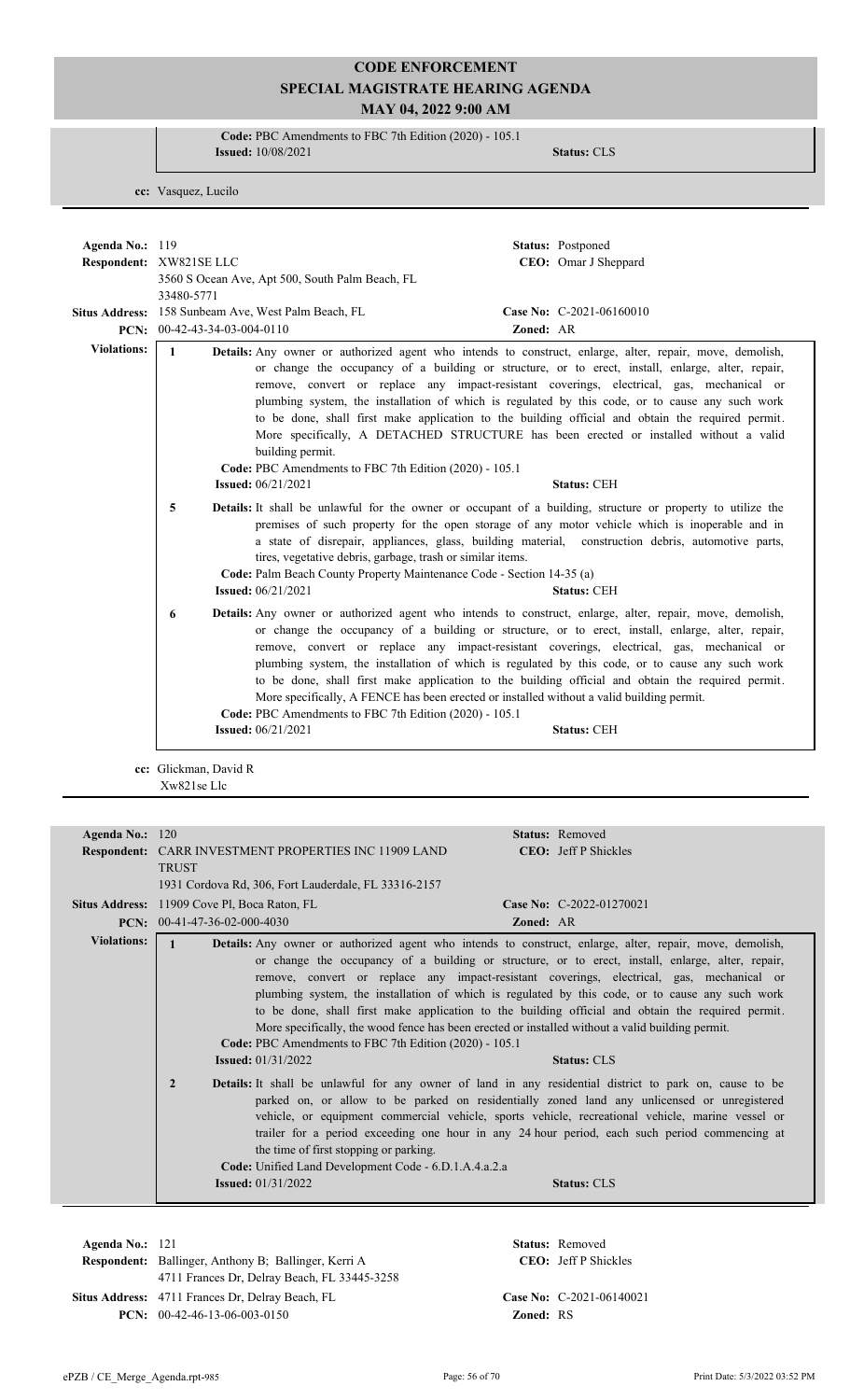**Code:** PBC Amendments to FBC 7th Edition (2020) - 105.1 **Issued:** 10/08/2021 **Status:** CLS

**cc:** Vasquez, Lucilo

| Agenda No.: 119       | Status: Postponed                                                                                                                                                                                                                                                                                                                                                                                                                                                                                                                                                                                                                                                                                                                                            |
|-----------------------|--------------------------------------------------------------------------------------------------------------------------------------------------------------------------------------------------------------------------------------------------------------------------------------------------------------------------------------------------------------------------------------------------------------------------------------------------------------------------------------------------------------------------------------------------------------------------------------------------------------------------------------------------------------------------------------------------------------------------------------------------------------|
|                       | Respondent: XW821SE LLC<br>CEO: Omar J Sheppard<br>3560 S Ocean Ave, Apt 500, South Palm Beach, FL<br>33480-5771                                                                                                                                                                                                                                                                                                                                                                                                                                                                                                                                                                                                                                             |
|                       | Situs Address: 158 Sunbeam Ave, West Palm Beach, FL<br>Case No: C-2021-06160010<br>PCN: 00-42-43-34-03-004-0110<br>Zoned: AR                                                                                                                                                                                                                                                                                                                                                                                                                                                                                                                                                                                                                                 |
| <b>Violations:</b>    | $\mathbf{1}$<br>Details: Any owner or authorized agent who intends to construct, enlarge, alter, repair, move, demolish,<br>or change the occupancy of a building or structure, or to erect, install, enlarge, alter, repair,<br>remove, convert or replace any impact-resistant coverings, electrical, gas, mechanical or<br>plumbing system, the installation of which is regulated by this code, or to cause any such work<br>to be done, shall first make application to the building official and obtain the required permit.<br>More specifically, A DETACHED STRUCTURE has been erected or installed without a valid<br>building permit.<br>Code: PBC Amendments to FBC 7th Edition (2020) - 105.1<br><b>Issued:</b> 06/21/2021<br><b>Status: CEH</b> |
|                       | 5<br><b>Details:</b> It shall be unlawful for the owner or occupant of a building, structure or property to utilize the<br>premises of such property for the open storage of any motor vehicle which is inoperable and in<br>a state of disrepair, appliances, glass, building material, construction debris, automotive parts,<br>tires, vegetative debris, garbage, trash or similar items.<br>Code: Palm Beach County Property Maintenance Code - Section 14-35 (a)<br><b>Issued:</b> 06/21/2021<br><b>Status: CEH</b>                                                                                                                                                                                                                                    |
|                       | Details: Any owner or authorized agent who intends to construct, enlarge, alter, repair, move, demolish,<br>6<br>or change the occupancy of a building or structure, or to erect, install, enlarge, alter, repair,<br>remove, convert or replace any impact-resistant coverings, electrical, gas, mechanical or<br>plumbing system, the installation of which is regulated by this code, or to cause any such work<br>to be done, shall first make application to the building official and obtain the required permit.<br>More specifically, A FENCE has been erected or installed without a valid building permit.<br>Code: PBC Amendments to FBC 7th Edition (2020) - 105.1<br><b>Issued:</b> 06/21/2021<br><b>Status: CEH</b>                            |
|                       | cc: Glickman, David R<br>Xw821se Llc                                                                                                                                                                                                                                                                                                                                                                                                                                                                                                                                                                                                                                                                                                                         |
| Agenda No.: 120       | Status: Removed<br>Respondent: CARR INVESTMENT PROPERTIES INC 11909 LAND<br><b>CEO:</b> Jeff P Shickles<br><b>TRUST</b><br>1931 Cordova Rd, 306, Fort Lauderdale, FL 33316-2157                                                                                                                                                                                                                                                                                                                                                                                                                                                                                                                                                                              |
|                       | Case No: C-2022-01270021<br>Situs Address: 11909 Cove Pl, Boca Raton, FL<br>PCN: 00-41-47-36-02-000-4030<br>Zoned: AR                                                                                                                                                                                                                                                                                                                                                                                                                                                                                                                                                                                                                                        |
| <b>Violations:</b>    | $\mathbf{1}$<br>Details: Any owner or authorized agent who intends to construct, enlarge, alter, repair, move, demolish,<br>or change the occupancy of a building or structure, or to erect, install, enlarge, alter, repair,<br>remove, convert or replace any impact-resistant coverings, electrical, gas, mechanical or<br>plumbing system, the installation of which is regulated by this code, or to cause any such work<br>to be done, shall first make application to the building official and obtain the required permit.<br>More specifically, the wood fence has been erected or installed without a valid building permit.<br>Code: PBC Amendments to FBC 7th Edition (2020) - 105.1<br><b>Issued: 01/31/2022</b><br><b>Status: CLS</b>          |
|                       | Details: It shall be unlawful for any owner of land in any residential district to park on, cause to be<br>$\overline{2}$<br>parked on, or allow to be parked on residentially zoned land any unlicensed or unregistered<br>vehicle, or equipment commercial vehicle, sports vehicle, recreational vehicle, marine vessel or<br>trailer for a period exceeding one hour in any 24 hour period, each such period commencing at<br>the time of first stopping or parking.<br>Code: Unified Land Development Code - 6.D.1.A.4.a.2.a<br><b>Issued:</b> 01/31/2022<br><b>Status: CLS</b>                                                                                                                                                                          |
| Agenda No $\cdot$ 121 | $Staner$ Removed                                                                                                                                                                                                                                                                                                                                                                                                                                                                                                                                                                                                                                                                                                                                             |

**Respondent:** Ballinger, Anthony B; Ballinger, Kerri A **Agenda No.:** 121 **Status:** Removed CEO: Jeff P Shickles 4711 Frances Dr, Delray Beach, FL 33445-3258 Situs Address: 4711 Frances Dr, Delray Beach, FL **Case No:** C-2021-06140021 **PCN:** 00-42-46-13-06-003-0150 **Zoned:** RS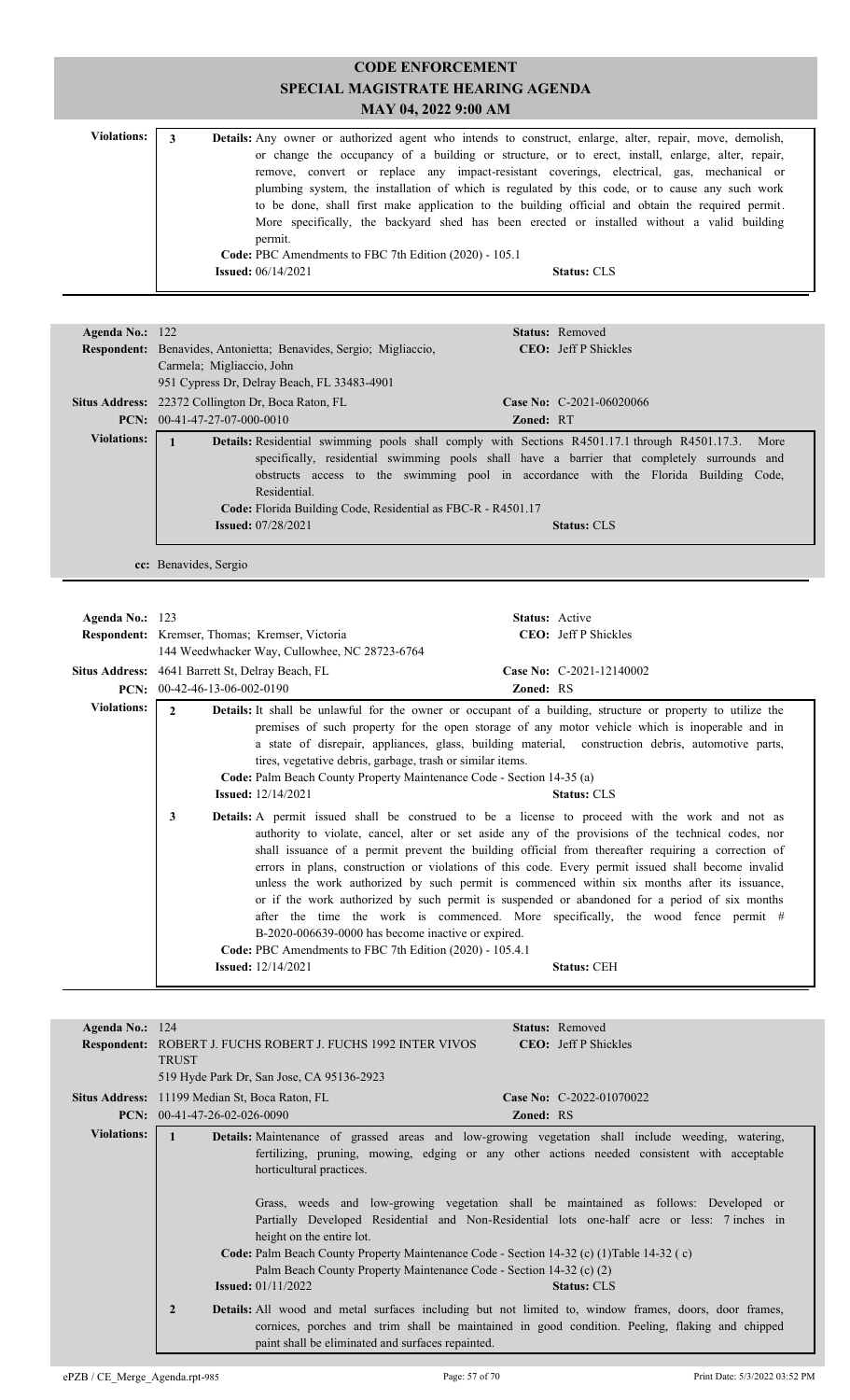| <b>Violations:</b> |                                                        | <b>Details:</b> Any owner or authorized agent who intends to construct, enlarge, alter, repair, move, demolish, |
|--------------------|--------------------------------------------------------|-----------------------------------------------------------------------------------------------------------------|
|                    |                                                        | or change the occupancy of a building or structure, or to erect, install, enlarge, alter, repair,               |
|                    |                                                        | remove, convert or replace any impact-resistant coverings, electrical, gas, mechanical or                       |
|                    |                                                        | plumbing system, the installation of which is regulated by this code, or to cause any such work                 |
|                    |                                                        | to be done, shall first make application to the building official and obtain the required permit.               |
|                    |                                                        | More specifically, the backyard shed has been erected or installed without a valid building                     |
|                    |                                                        | permit.                                                                                                         |
|                    | Code: PBC Amendments to FBC 7th Edition (2020) - 105.1 |                                                                                                                 |
|                    |                                                        | <b>Issued:</b> $06/14/2021$<br><b>Status: CLS</b>                                                               |

| Agenda No.: $122$  | <b>Status:</b> Removed                                                                                    |  |  |  |
|--------------------|-----------------------------------------------------------------------------------------------------------|--|--|--|
|                    | <b>CEO:</b> Jeff P Shickles<br><b>Respondent:</b> Benavides, Antonietta; Benavides, Sergio; Migliaccio,   |  |  |  |
|                    | Carmela; Migliaccio, John                                                                                 |  |  |  |
|                    | 951 Cypress Dr. Delray Beach, FL 33483-4901                                                               |  |  |  |
|                    | Situs Address: 22372 Collington Dr, Boca Raton, FL<br><b>Case No:</b> C-2021-06020066                     |  |  |  |
|                    | $PCN: 00-41-47-27-07-000-0010$<br><b>Zoned: RT</b>                                                        |  |  |  |
| <b>Violations:</b> | <b>Details:</b> Residential swimming pools shall comply with Sections R4501.17.1 through R4501.17.3. More |  |  |  |
|                    | specifically, residential swimming pools shall have a barrier that completely surrounds and               |  |  |  |
|                    | obstructs access to the swimming pool in accordance with the Florida Building Code,                       |  |  |  |
|                    | Residential.                                                                                              |  |  |  |
|                    |                                                                                                           |  |  |  |
|                    | Code: Florida Building Code, Residential as FBC-R - R4501.17                                              |  |  |  |
|                    | <b>Issued:</b> 07/28/2021<br><b>Status: CLS</b>                                                           |  |  |  |
|                    |                                                                                                           |  |  |  |

**cc:** Benavides, Sergio

| Agenda No.: $123$  | <b>Respondent:</b> Kremser, Thomas; Kremser, Victoria<br>144 Weedwhacker Way, Cullowhee, NC 28723-6764                                                                           | <b>Status:</b> Active<br><b>CEO</b> : Jeff P Shickles                                                                                                                                                                                                                                                                                                                                                                                                                                                                                                                                                                                                                                                                               |  |
|--------------------|----------------------------------------------------------------------------------------------------------------------------------------------------------------------------------|-------------------------------------------------------------------------------------------------------------------------------------------------------------------------------------------------------------------------------------------------------------------------------------------------------------------------------------------------------------------------------------------------------------------------------------------------------------------------------------------------------------------------------------------------------------------------------------------------------------------------------------------------------------------------------------------------------------------------------------|--|
|                    | Situs Address: 4641 Barrett St, Delray Beach, FL                                                                                                                                 | Case No: C-2021-12140002                                                                                                                                                                                                                                                                                                                                                                                                                                                                                                                                                                                                                                                                                                            |  |
| PCN:               | 00-42-46-13-06-002-0190                                                                                                                                                          | <b>Zoned: RS</b>                                                                                                                                                                                                                                                                                                                                                                                                                                                                                                                                                                                                                                                                                                                    |  |
| <b>Violations:</b> | $\mathbf{2}$<br>tires, vegetative debris, garbage, trash or similar items.<br>Code: Palm Beach County Property Maintenance Code - Section 14-35 (a)<br><b>Issued:</b> 12/14/2021 | <b>Details:</b> It shall be unlawful for the owner or occupant of a building, structure or property to utilize the<br>premises of such property for the open storage of any motor vehicle which is inoperable and in<br>a state of disrepair, appliances, glass, building material, construction debris, automotive parts,<br><b>Status: CLS</b>                                                                                                                                                                                                                                                                                                                                                                                    |  |
|                    | 3<br>B-2020-006639-0000 has become inactive or expired.<br>Code: PBC Amendments to FBC 7th Edition (2020) - 105.4.1<br><b>Issued:</b> 12/14/2021                                 | <b>Details:</b> A permit issued shall be construed to be a license to proceed with the work and not as<br>authority to violate, cancel, alter or set aside any of the provisions of the technical codes, nor<br>shall issuance of a permit prevent the building official from thereafter requiring a correction of<br>errors in plans, construction or violations of this code. Every permit issued shall become invalid<br>unless the work authorized by such permit is commenced within six months after its issuance,<br>or if the work authorized by such permit is suspended or abandoned for a period of six months<br>after the time the work is commenced. More specifically, the wood fence permit #<br><b>Status: CEH</b> |  |

| Agenda No.: $124$  | <b>Status:</b> Removed<br><b>Respondent: ROBERT J. FUCHS ROBERT J. FUCHS 1992 INTER VIVOS</b><br><b>CEO</b> : Jeff P Shickles<br><b>TRUST</b><br>519 Hyde Park Dr, San Jose, CA 95136-2923                                                                                                                                                                                                                                                                                                                                                                                                                                                                                                                                                                                                                                                                                                                                                                         |
|--------------------|--------------------------------------------------------------------------------------------------------------------------------------------------------------------------------------------------------------------------------------------------------------------------------------------------------------------------------------------------------------------------------------------------------------------------------------------------------------------------------------------------------------------------------------------------------------------------------------------------------------------------------------------------------------------------------------------------------------------------------------------------------------------------------------------------------------------------------------------------------------------------------------------------------------------------------------------------------------------|
|                    | Case No: C-2022-01070022<br><b>Situs Address:</b> 11199 Median St, Boca Raton, FL<br><b>PCN:</b> $00-41-47-26-02-026-0090$<br><b>Zoned: RS</b>                                                                                                                                                                                                                                                                                                                                                                                                                                                                                                                                                                                                                                                                                                                                                                                                                     |
| <b>Violations:</b> | Details: Maintenance of grassed areas and low-growing vegetation shall include weeding, watering,<br>fertilizing, pruning, mowing, edging or any other actions needed consistent with acceptable<br>horticultural practices.<br>Grass, weeds and low-growing vegetation shall be maintained as follows: Developed or<br>Partially Developed Residential and Non-Residential lots one-half acre or less: 7 inches in<br>height on the entire lot.<br>Code: Palm Beach County Property Maintenance Code - Section 14-32 (c) (1) Table 14-32 (c)<br>Palm Beach County Property Maintenance Code - Section 14-32 (c) (2)<br><b>Issued:</b> $01/11/2022$<br><b>Status: CLS</b><br>$\overline{2}$<br><b>Details:</b> All wood and metal surfaces including but not limited to, window frames, doors, door frames,<br>cornices, porches and trim shall be maintained in good condition. Peeling, flaking and chipped<br>paint shall be eliminated and surfaces repainted. |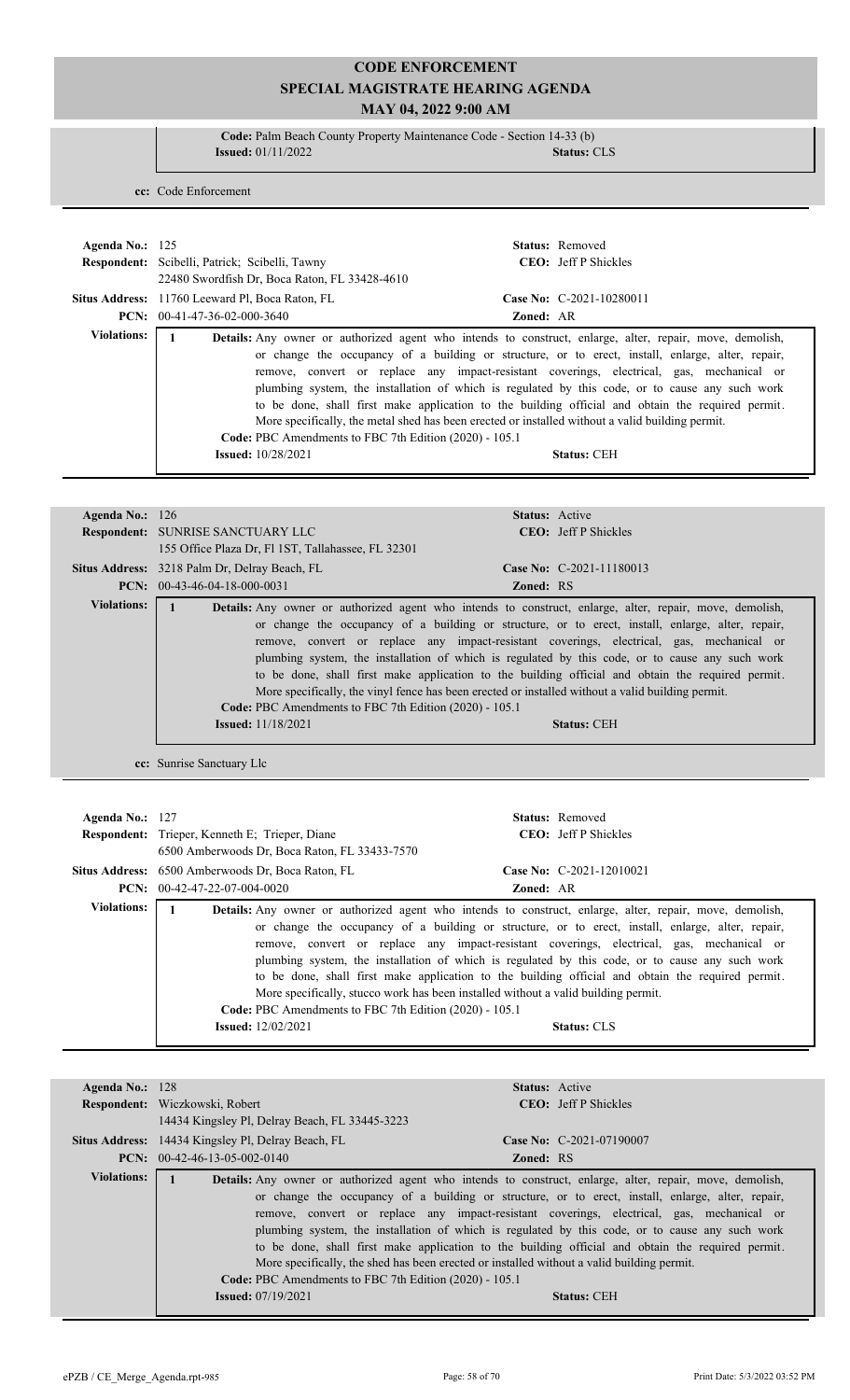**Code:** Palm Beach County Property Maintenance Code - Section 14-33 (b) **Issued:** 01/11/2022 **Status:** CLS

**cc:** Code Enforcement

| Agenda No.: $125$  | Respondent: Scibelli, Patrick; Scibelli, Tawny<br>22480 Swordfish Dr. Boca Raton, FL 33428-4610                                                                                         |                  | <b>Status:</b> Removed<br><b>CEO</b> : Jeff P Shickles                                                                                                                                                                                                                                                                                                                                                                                                                                                                                          |
|--------------------|-----------------------------------------------------------------------------------------------------------------------------------------------------------------------------------------|------------------|-------------------------------------------------------------------------------------------------------------------------------------------------------------------------------------------------------------------------------------------------------------------------------------------------------------------------------------------------------------------------------------------------------------------------------------------------------------------------------------------------------------------------------------------------|
|                    | Situs Address: 11760 Leeward Pl, Boca Raton, FL                                                                                                                                         |                  | Case No: $C-2021-10280011$                                                                                                                                                                                                                                                                                                                                                                                                                                                                                                                      |
|                    | $PCN: 00-41-47-36-02-000-3640$                                                                                                                                                          | <b>Zoned: AR</b> |                                                                                                                                                                                                                                                                                                                                                                                                                                                                                                                                                 |
| <b>Violations:</b> | More specifically, the metal shed has been erected or installed without a valid building permit.<br>Code: PBC Amendments to FBC 7th Edition (2020) - 105.1<br><b>Issued:</b> 10/28/2021 |                  | <b>Details:</b> Any owner or authorized agent who intends to construct, enlarge, alter, repair, move, demolish,<br>or change the occupancy of a building or structure, or to erect, install, enlarge, alter, repair,<br>remove, convert or replace any impact-resistant coverings, electrical, gas, mechanical or<br>plumbing system, the installation of which is regulated by this code, or to cause any such work<br>to be done, shall first make application to the building official and obtain the required permit.<br><b>Status: CEH</b> |

| Agenda No.: $126$  | <b>Status:</b> Active                                                                                                                                                                                                                                                                                                                                                                                                                                                                                                                                                                                                                                                                                                                       |
|--------------------|---------------------------------------------------------------------------------------------------------------------------------------------------------------------------------------------------------------------------------------------------------------------------------------------------------------------------------------------------------------------------------------------------------------------------------------------------------------------------------------------------------------------------------------------------------------------------------------------------------------------------------------------------------------------------------------------------------------------------------------------|
|                    |                                                                                                                                                                                                                                                                                                                                                                                                                                                                                                                                                                                                                                                                                                                                             |
|                    | <b>CEO:</b> Jeff P Shickles<br><b>Respondent: SUNRISE SANCTUARY LLC</b>                                                                                                                                                                                                                                                                                                                                                                                                                                                                                                                                                                                                                                                                     |
|                    | 155 Office Plaza Dr, Fl 1ST, Tallahassee, FL 32301                                                                                                                                                                                                                                                                                                                                                                                                                                                                                                                                                                                                                                                                                          |
|                    | Case No: $C-2021-11180013$<br>Situs Address: 3218 Palm Dr, Delray Beach, FL                                                                                                                                                                                                                                                                                                                                                                                                                                                                                                                                                                                                                                                                 |
|                    | <b>PCN:</b> $00-43-46-04-18-000-0031$<br><b>Zoned: RS</b>                                                                                                                                                                                                                                                                                                                                                                                                                                                                                                                                                                                                                                                                                   |
| <b>Violations:</b> | <b>Details:</b> Any owner or authorized agent who intends to construct, enlarge, alter, repair, move, demolish,<br>or change the occupancy of a building or structure, or to erect, install, enlarge, alter, repair,<br>remove, convert or replace any impact-resistant coverings, electrical, gas, mechanical or<br>plumbing system, the installation of which is regulated by this code, or to cause any such work<br>to be done, shall first make application to the building official and obtain the required permit.<br>More specifically, the vinyl fence has been erected or installed without a valid building permit.<br>Code: PBC Amendments to FBC 7th Edition (2020) - 105.1<br><b>Issued:</b> 11/18/2021<br><b>Status: CEH</b> |

**cc:** Sunrise Sanctuary Llc

| Agenda No.: $127$  | <b>Respondent:</b> Trieper, Kenneth E; Trieper, Diane<br>6500 Amberwoods Dr, Boca Raton, FL 33433-7570 | Status: Removed<br><b>CEO</b> : Jeff P Shickles                                                                                                                                                                                                                                                                   |
|--------------------|--------------------------------------------------------------------------------------------------------|-------------------------------------------------------------------------------------------------------------------------------------------------------------------------------------------------------------------------------------------------------------------------------------------------------------------|
|                    | Situs Address: 6500 Amberwoods Dr. Boca Raton, FL                                                      | Case No: C-2021-12010021                                                                                                                                                                                                                                                                                          |
|                    | $PCN: 00-42-47-22-07-004-0020$                                                                         | <b>Zoned: AR</b>                                                                                                                                                                                                                                                                                                  |
| <b>Violations:</b> |                                                                                                        | <b>Details:</b> Any owner or authorized agent who intends to construct, enlarge, alter, repair, move, demolish,<br>or change the occupancy of a building or structure, or to erect, install, enlarge, alter, repair,<br>remove, convert or replace any impact-resistant coverings, electrical, gas, mechanical or |
|                    | Code: PBC Amendments to FBC 7th Edition (2020) - 105.1                                                 | plumbing system, the installation of which is regulated by this code, or to cause any such work<br>to be done, shall first make application to the building official and obtain the required permit.<br>More specifically, stucco work has been installed without a valid building permit.                        |
|                    | <b>Issued:</b> 12/02/2021                                                                              | <b>Status: CLS</b>                                                                                                                                                                                                                                                                                                |

| Agenda No.: $128$  |                                                                                                                 | <b>Status:</b> Active |                                                                                                   |
|--------------------|-----------------------------------------------------------------------------------------------------------------|-----------------------|---------------------------------------------------------------------------------------------------|
|                    | Respondent: Wiczkowski, Robert                                                                                  |                       | <b>CEO</b> : Jeff P Shickles                                                                      |
|                    | 14434 Kingsley Pl, Delray Beach, FL 33445-3223                                                                  |                       |                                                                                                   |
|                    | <b>Situs Address:</b> 14434 Kingsley Pl, Delray Beach, FL                                                       |                       | Case No: $C-2021-07190007$                                                                        |
|                    | <b>PCN:</b> $00-42-46-13-05-002-0140$                                                                           | <b>Zoned: RS</b>      |                                                                                                   |
| <b>Violations:</b> | <b>Details:</b> Any owner or authorized agent who intends to construct, enlarge, alter, repair, move, demolish, |                       |                                                                                                   |
|                    |                                                                                                                 |                       | or change the occupancy of a building or structure, or to erect, install, enlarge, alter, repair, |
|                    |                                                                                                                 |                       | remove, convert or replace any impact-resistant coverings, electrical, gas, mechanical or         |
|                    |                                                                                                                 |                       | plumbing system, the installation of which is regulated by this code, or to cause any such work   |
|                    |                                                                                                                 |                       | to be done, shall first make application to the building official and obtain the required permit. |
|                    | More specifically, the shed has been erected or installed without a valid building permit.                      |                       |                                                                                                   |
|                    | Code: PBC Amendments to FBC 7th Edition (2020) - 105.1                                                          |                       |                                                                                                   |
|                    | <b>Issued:</b> 07/19/2021                                                                                       |                       | <b>Status: CEH</b>                                                                                |
|                    |                                                                                                                 |                       |                                                                                                   |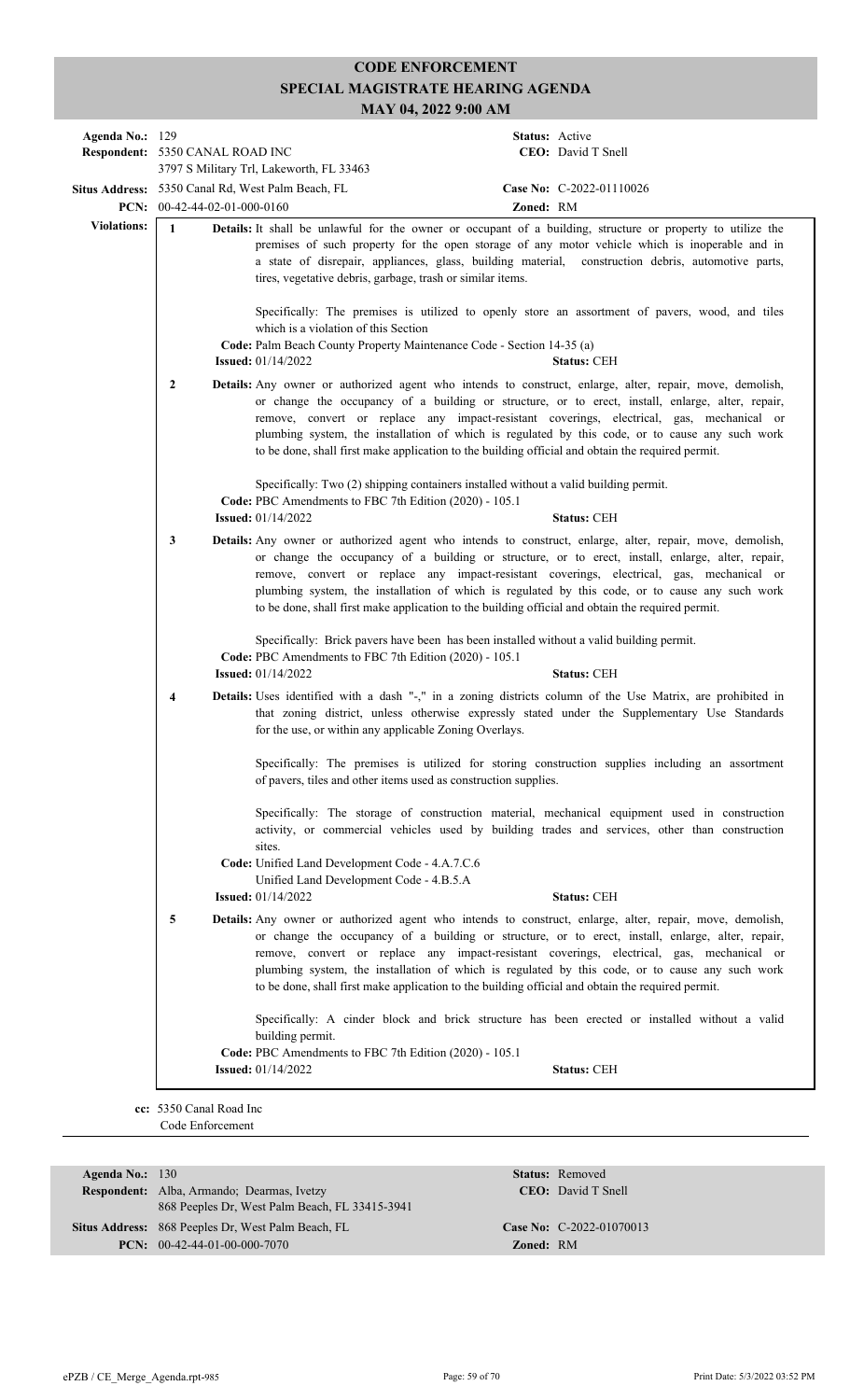| Agenda No.: 129<br>Respondent: 5350 CANAL ROAD INC |                                                                                                                                                                                                                                                                                                                                                                                                   |  |                                                                                                                                                                                 |           | Status: Active<br>CEO: David T Snell                                                                                                                                                                                                                                                                                                                                                                                                                                                                               |
|----------------------------------------------------|---------------------------------------------------------------------------------------------------------------------------------------------------------------------------------------------------------------------------------------------------------------------------------------------------------------------------------------------------------------------------------------------------|--|---------------------------------------------------------------------------------------------------------------------------------------------------------------------------------|-----------|--------------------------------------------------------------------------------------------------------------------------------------------------------------------------------------------------------------------------------------------------------------------------------------------------------------------------------------------------------------------------------------------------------------------------------------------------------------------------------------------------------------------|
|                                                    |                                                                                                                                                                                                                                                                                                                                                                                                   |  | 3797 S Military Trl, Lakeworth, FL 33463                                                                                                                                        |           |                                                                                                                                                                                                                                                                                                                                                                                                                                                                                                                    |
|                                                    | PCN: $00-42-44-02-01-000-0160$                                                                                                                                                                                                                                                                                                                                                                    |  | Situs Address: 5350 Canal Rd, West Palm Beach, FL                                                                                                                               | Zoned: RM | Case No: C-2022-01110026                                                                                                                                                                                                                                                                                                                                                                                                                                                                                           |
| <b>Violations:</b>                                 | $\mathbf{1}$<br>Details: It shall be unlawful for the owner or occupant of a building, structure or property to utilize the<br>premises of such property for the open storage of any motor vehicle which is inoperable and in<br>a state of disrepair, appliances, glass, building material, construction debris, automotive parts,<br>tires, vegetative debris, garbage, trash or similar items. |  |                                                                                                                                                                                 |           |                                                                                                                                                                                                                                                                                                                                                                                                                                                                                                                    |
|                                                    |                                                                                                                                                                                                                                                                                                                                                                                                   |  | which is a violation of this Section<br>Code: Palm Beach County Property Maintenance Code - Section 14-35 (a)                                                                   |           | Specifically: The premises is utilized to openly store an assortment of pavers, wood, and tiles                                                                                                                                                                                                                                                                                                                                                                                                                    |
|                                                    |                                                                                                                                                                                                                                                                                                                                                                                                   |  | <b>Issued:</b> 01/14/2022                                                                                                                                                       |           | <b>Status: CEH</b>                                                                                                                                                                                                                                                                                                                                                                                                                                                                                                 |
|                                                    | $\boldsymbol{2}$                                                                                                                                                                                                                                                                                                                                                                                  |  |                                                                                                                                                                                 |           | Details: Any owner or authorized agent who intends to construct, enlarge, alter, repair, move, demolish,<br>or change the occupancy of a building or structure, or to erect, install, enlarge, alter, repair,<br>remove, convert or replace any impact-resistant coverings, electrical, gas, mechanical or<br>plumbing system, the installation of which is regulated by this code, or to cause any such work<br>to be done, shall first make application to the building official and obtain the required permit. |
|                                                    |                                                                                                                                                                                                                                                                                                                                                                                                   |  | Specifically: Two (2) shipping containers installed without a valid building permit.<br>Code: PBC Amendments to FBC 7th Edition (2020) - 105.1                                  |           |                                                                                                                                                                                                                                                                                                                                                                                                                                                                                                                    |
|                                                    |                                                                                                                                                                                                                                                                                                                                                                                                   |  | <b>Issued:</b> 01/14/2022                                                                                                                                                       |           | <b>Status: CEH</b>                                                                                                                                                                                                                                                                                                                                                                                                                                                                                                 |
|                                                    | 3                                                                                                                                                                                                                                                                                                                                                                                                 |  |                                                                                                                                                                                 |           | Details: Any owner or authorized agent who intends to construct, enlarge, alter, repair, move, demolish,<br>or change the occupancy of a building or structure, or to erect, install, enlarge, alter, repair,<br>remove, convert or replace any impact-resistant coverings, electrical, gas, mechanical or<br>plumbing system, the installation of which is regulated by this code, or to cause any such work<br>to be done, shall first make application to the building official and obtain the required permit. |
|                                                    |                                                                                                                                                                                                                                                                                                                                                                                                   |  | Specifically: Brick pavers have been has been installed without a valid building permit.<br>Code: PBC Amendments to FBC 7th Edition (2020) - 105.1<br><b>Issued:</b> 01/14/2022 |           | <b>Status: CEH</b>                                                                                                                                                                                                                                                                                                                                                                                                                                                                                                 |
|                                                    | 4                                                                                                                                                                                                                                                                                                                                                                                                 |  | for the use, or within any applicable Zoning Overlays.                                                                                                                          |           | Details: Uses identified with a dash "-," in a zoning districts column of the Use Matrix, are prohibited in<br>that zoning district, unless otherwise expressly stated under the Supplementary Use Standards                                                                                                                                                                                                                                                                                                       |
|                                                    |                                                                                                                                                                                                                                                                                                                                                                                                   |  | of pavers, tiles and other items used as construction supplies.                                                                                                                 |           | Specifically: The premises is utilized for storing construction supplies including an assortment                                                                                                                                                                                                                                                                                                                                                                                                                   |
|                                                    |                                                                                                                                                                                                                                                                                                                                                                                                   |  | sites.                                                                                                                                                                          |           | Specifically: The storage of construction material, mechanical equipment used in construction<br>activity, or commercial vehicles used by building trades and services, other than construction                                                                                                                                                                                                                                                                                                                    |
|                                                    |                                                                                                                                                                                                                                                                                                                                                                                                   |  | Code: Unified Land Development Code - 4.A.7.C.6<br>Unified Land Development Code - 4.B.5.A<br><b>Issued:</b> 01/14/2022                                                         |           | Status: CEH                                                                                                                                                                                                                                                                                                                                                                                                                                                                                                        |
|                                                    | 5                                                                                                                                                                                                                                                                                                                                                                                                 |  |                                                                                                                                                                                 |           | Details: Any owner or authorized agent who intends to construct, enlarge, alter, repair, move, demolish,<br>or change the occupancy of a building or structure, or to erect, install, enlarge, alter, repair,<br>remove, convert or replace any impact-resistant coverings, electrical, gas, mechanical or<br>plumbing system, the installation of which is regulated by this code, or to cause any such work<br>to be done, shall first make application to the building official and obtain the required permit. |
|                                                    |                                                                                                                                                                                                                                                                                                                                                                                                   |  | building permit.                                                                                                                                                                |           | Specifically: A cinder block and brick structure has been erected or installed without a valid                                                                                                                                                                                                                                                                                                                                                                                                                     |
|                                                    |                                                                                                                                                                                                                                                                                                                                                                                                   |  | Code: PBC Amendments to FBC 7th Edition (2020) - 105.1<br><b>Issued:</b> 01/14/2022                                                                                             |           | <b>Status: CEH</b>                                                                                                                                                                                                                                                                                                                                                                                                                                                                                                 |
|                                                    |                                                                                                                                                                                                                                                                                                                                                                                                   |  |                                                                                                                                                                                 |           |                                                                                                                                                                                                                                                                                                                                                                                                                                                                                                                    |
|                                                    | cc: 5350 Canal Road Inc                                                                                                                                                                                                                                                                                                                                                                           |  |                                                                                                                                                                                 |           |                                                                                                                                                                                                                                                                                                                                                                                                                                                                                                                    |

Code Enforcement

| Agenda No.: $130$ |                                                    |                  | <b>Status:</b> Removed     |
|-------------------|----------------------------------------------------|------------------|----------------------------|
|                   | <b>Respondent:</b> Alba, Armando; Dearmas, Ivetzy  |                  | <b>CEO</b> : David T Snell |
|                   | 868 Peeples Dr. West Palm Beach, FL 33415-3941     |                  |                            |
|                   | Situs Address: 868 Peeples Dr. West Palm Beach, FL |                  | Case No: C-2022-01070013   |
|                   | <b>PCN:</b> $00-42-44-01-00-000-7070$              | <b>Zoned: RM</b> |                            |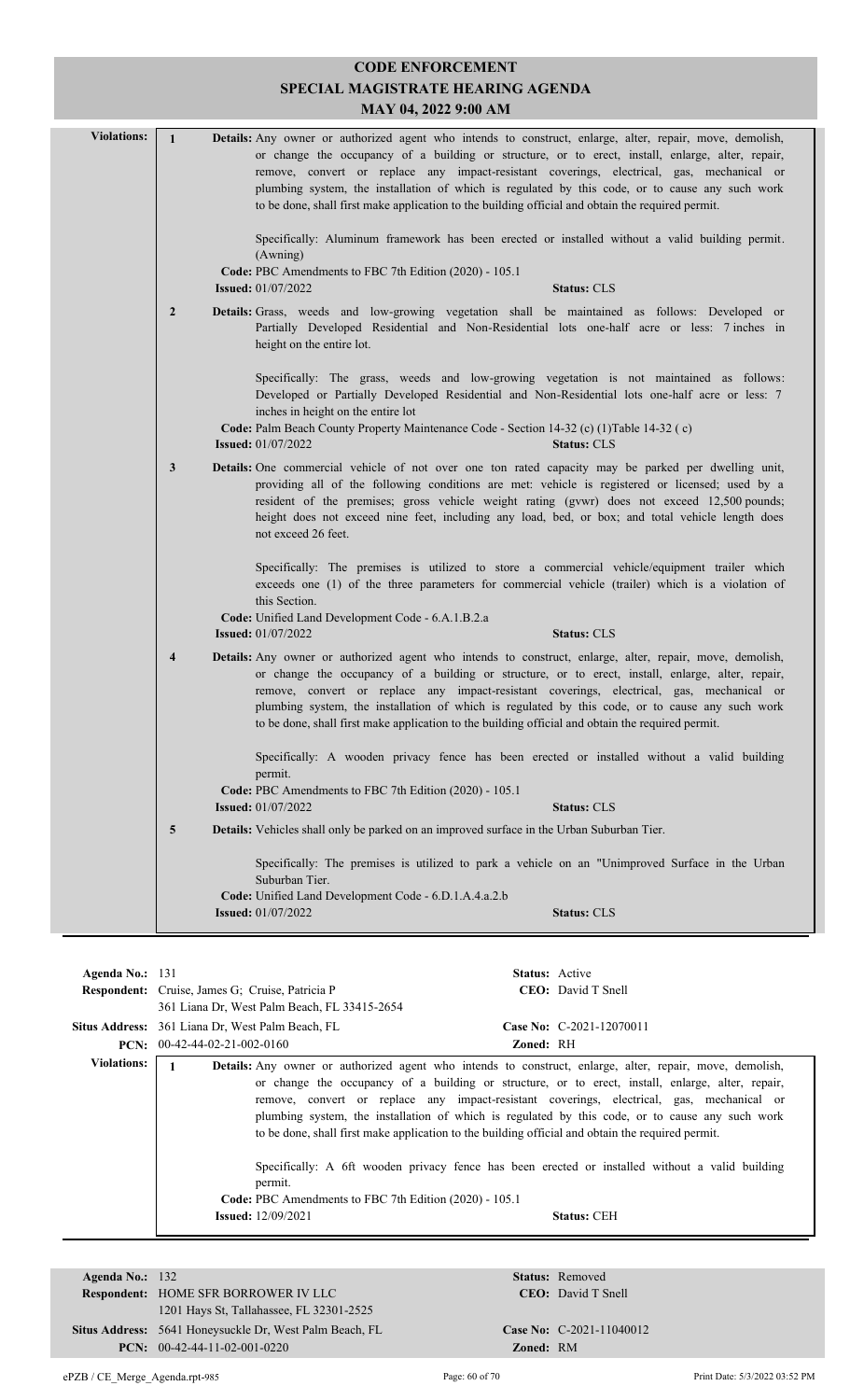|                    |                         | <b>CODE ENFORCEMENT</b>                                                                                                                                                                                                                                                                                                                                                                                                                                                                                                   |
|--------------------|-------------------------|---------------------------------------------------------------------------------------------------------------------------------------------------------------------------------------------------------------------------------------------------------------------------------------------------------------------------------------------------------------------------------------------------------------------------------------------------------------------------------------------------------------------------|
|                    |                         | SPECIAL MAGISTRATE HEARING AGENDA                                                                                                                                                                                                                                                                                                                                                                                                                                                                                         |
|                    |                         | MAY 04, 2022 9:00 AM                                                                                                                                                                                                                                                                                                                                                                                                                                                                                                      |
| <b>Violations:</b> | $\mathbf{1}$            | Details: Any owner or authorized agent who intends to construct, enlarge, alter, repair, move, demolish,<br>or change the occupancy of a building or structure, or to erect, install, enlarge, alter, repair,<br>remove, convert or replace any impact-resistant coverings, electrical, gas, mechanical or<br>plumbing system, the installation of which is regulated by this code, or to cause any such work<br>to be done, shall first make application to the building official and obtain the required permit.        |
|                    |                         | Specifically: Aluminum framework has been erected or installed without a valid building permit.<br>(Awning)                                                                                                                                                                                                                                                                                                                                                                                                               |
|                    |                         | Code: PBC Amendments to FBC 7th Edition (2020) - 105.1<br><b>Issued:</b> 01/07/2022<br><b>Status: CLS</b>                                                                                                                                                                                                                                                                                                                                                                                                                 |
|                    | $\overline{2}$          | Details: Grass, weeds and low-growing vegetation shall be maintained as follows: Developed or<br>Partially Developed Residential and Non-Residential lots one-half acre or less: 7 inches in<br>height on the entire lot.                                                                                                                                                                                                                                                                                                 |
|                    |                         | Specifically: The grass, weeds and low-growing vegetation is not maintained as follows:<br>Developed or Partially Developed Residential and Non-Residential lots one-half acre or less: 7<br>inches in height on the entire lot                                                                                                                                                                                                                                                                                           |
|                    |                         | Code: Palm Beach County Property Maintenance Code - Section 14-32 (c) (1)Table 14-32 (c)<br><b>Issued:</b> 01/07/2022<br><b>Status: CLS</b>                                                                                                                                                                                                                                                                                                                                                                               |
|                    | $\mathbf{3}$            | Details: One commercial vehicle of not over one ton rated capacity may be parked per dwelling unit,<br>providing all of the following conditions are met: vehicle is registered or licensed; used by a<br>resident of the premises; gross vehicle weight rating (gvwr) does not exceed 12,500 pounds;<br>height does not exceed nine feet, including any load, bed, or box; and total vehicle length does<br>not exceed 26 feet.                                                                                          |
|                    |                         | Specifically: The premises is utilized to store a commercial vehicle/equipment trailer which<br>exceeds one (1) of the three parameters for commercial vehicle (trailer) which is a violation of<br>this Section.<br>Code: Unified Land Development Code - 6.A.1.B.2.a<br><b>Issued:</b> 01/07/2022<br><b>Status: CLS</b>                                                                                                                                                                                                 |
|                    | $\overline{\mathbf{4}}$ | <b>Details:</b> Any owner or authorized agent who intends to construct, enlarge, alter, repair, move, demolish,<br>or change the occupancy of a building or structure, or to erect, install, enlarge, alter, repair,<br>remove, convert or replace any impact-resistant coverings, electrical, gas, mechanical or<br>plumbing system, the installation of which is regulated by this code, or to cause any such work<br>to be done, shall first make application to the building official and obtain the required permit. |
|                    |                         | Specifically: A wooden privacy fence has been erected or installed without a valid building<br>permit.<br>Code: PBC Amendments to FBC 7th Edition (2020) - 105.1                                                                                                                                                                                                                                                                                                                                                          |
|                    |                         | <b>Issued: 01/07/2022</b><br><b>Status: CLS</b>                                                                                                                                                                                                                                                                                                                                                                                                                                                                           |
|                    | 5                       | Details: Vehicles shall only be parked on an improved surface in the Urban Suburban Tier.                                                                                                                                                                                                                                                                                                                                                                                                                                 |
|                    |                         | Specifically: The premises is utilized to park a vehicle on an "Unimproved Surface in the Urban<br>Suburban Tier.                                                                                                                                                                                                                                                                                                                                                                                                         |
|                    |                         | Code: Unified Land Development Code - 6.D.1.A.4.a.2.b<br><b>Status: CLS</b><br><b>Issued:</b> 01/07/2022                                                                                                                                                                                                                                                                                                                                                                                                                  |

| Agenda No.: 131    | <b>Respondent:</b> Cruise, James G; Cruise, Patricia P<br>361 Liana Dr, West Palm Beach, FL 33415-2654 | <b>Status:</b> Active<br><b>CEO</b> : David T Snell                                                                                                                                                                                                                                                                                                                                                                                                                                                                                                                                                                                                |  |
|--------------------|--------------------------------------------------------------------------------------------------------|----------------------------------------------------------------------------------------------------------------------------------------------------------------------------------------------------------------------------------------------------------------------------------------------------------------------------------------------------------------------------------------------------------------------------------------------------------------------------------------------------------------------------------------------------------------------------------------------------------------------------------------------------|--|
|                    | Situs Address: 361 Liana Dr, West Palm Beach, FL                                                       | Case No: C-2021-12070011                                                                                                                                                                                                                                                                                                                                                                                                                                                                                                                                                                                                                           |  |
|                    | <b>PCN:</b> $00-42-44-02-21-002-0160$                                                                  | Zoned: RH                                                                                                                                                                                                                                                                                                                                                                                                                                                                                                                                                                                                                                          |  |
| <b>Violations:</b> | permit.<br>Code: PBC Amendments to FBC 7th Edition (2020) - 105.1<br><b>Issued:</b> 12/09/2021         | <b>Details:</b> Any owner or authorized agent who intends to construct, enlarge, alter, repair, move, demolish,<br>or change the occupancy of a building or structure, or to erect, install, enlarge, alter, repair,<br>remove, convert or replace any impact-resistant coverings, electrical, gas, mechanical or<br>plumbing system, the installation of which is regulated by this code, or to cause any such work<br>to be done, shall first make application to the building official and obtain the required permit.<br>Specifically: A 6ft wooden privacy fence has been erected or installed without a valid building<br><b>Status: CEH</b> |  |
|                    |                                                                                                        |                                                                                                                                                                                                                                                                                                                                                                                                                                                                                                                                                                                                                                                    |  |

| Agenda No.: $132$ |                                                         | Status:         |
|-------------------|---------------------------------------------------------|-----------------|
|                   | <b>Respondent: HOME SFR BORROWER IV LLC</b>             | CEO:            |
|                   | 1201 Hays St. Tallahassee, FL 32301-2525                |                 |
|                   | Situs Address: 5641 Honeysuckle Dr. West Palm Beach, FL | <b>Case No:</b> |
|                   | <b>PCN:</b> $00-42-44-11-02-001-0220$                   | Zoned:          |

**Status:** Removed CEO: David T Snell

 $\mathbf{Zoned:} \quad \text{RM}$ 

**Case No:** C-2021-11040012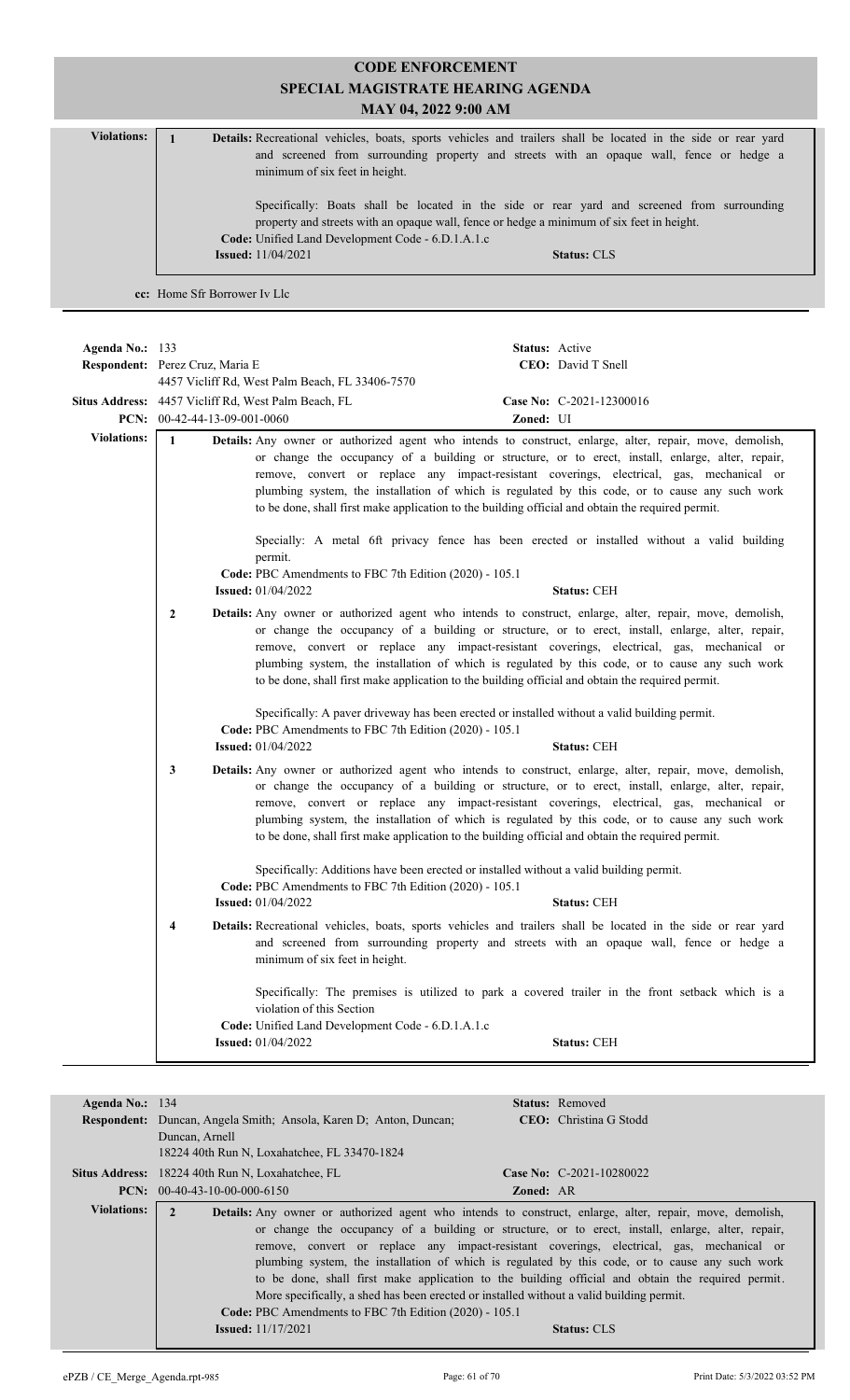|                    | <b>CODE ENFORCEMENT</b><br>SPECIAL MAGISTRATE HEARING AGENDA<br>MAY 04, 2022 9:00 AM                                                                                                                                                                                                                                                                                                                                                                                                                                                                                                                                                         |
|--------------------|----------------------------------------------------------------------------------------------------------------------------------------------------------------------------------------------------------------------------------------------------------------------------------------------------------------------------------------------------------------------------------------------------------------------------------------------------------------------------------------------------------------------------------------------------------------------------------------------------------------------------------------------|
| <b>Violations:</b> | $\mathbf{1}$<br>Details: Recreational vehicles, boats, sports vehicles and trailers shall be located in the side or rear yard<br>and screened from surrounding property and streets with an opaque wall, fence or hedge a<br>minimum of six feet in height.                                                                                                                                                                                                                                                                                                                                                                                  |
|                    | Specifically: Boats shall be located in the side or rear yard and screened from surrounding<br>property and streets with an opaque wall, fence or hedge a minimum of six feet in height.<br>Code: Unified Land Development Code - 6.D.1.A.1.c<br><b>Issued:</b> 11/04/2021<br><b>Status: CLS</b>                                                                                                                                                                                                                                                                                                                                             |
|                    | cc: Home Sfr Borrower Iv Llc                                                                                                                                                                                                                                                                                                                                                                                                                                                                                                                                                                                                                 |
|                    |                                                                                                                                                                                                                                                                                                                                                                                                                                                                                                                                                                                                                                              |
| Agenda No.: 133    | Status: Active<br>Respondent: Perez Cruz, Maria E<br>CEO: David T Snell<br>4457 Vicliff Rd, West Palm Beach, FL 33406-7570                                                                                                                                                                                                                                                                                                                                                                                                                                                                                                                   |
|                    | Situs Address: 4457 Vicliff Rd, West Palm Beach, FL<br>Case No: C-2021-12300016<br>PCN: 00-42-44-13-09-001-0060<br>Zoned: UI                                                                                                                                                                                                                                                                                                                                                                                                                                                                                                                 |
| <b>Violations:</b> | Details: Any owner or authorized agent who intends to construct, enlarge, alter, repair, move, demolish,<br>$\mathbf{1}$<br>or change the occupancy of a building or structure, or to erect, install, enlarge, alter, repair,<br>remove, convert or replace any impact-resistant coverings, electrical, gas, mechanical or<br>plumbing system, the installation of which is regulated by this code, or to cause any such work<br>to be done, shall first make application to the building official and obtain the required permit.<br>Specially: A metal 6ft privacy fence has been erected or installed without a valid building<br>permit. |
|                    | Code: PBC Amendments to FBC 7th Edition (2020) - 105.1<br><b>Issued:</b> 01/04/2022<br><b>Status: CEH</b>                                                                                                                                                                                                                                                                                                                                                                                                                                                                                                                                    |
|                    | $\mathbf{2}$<br>Details: Any owner or authorized agent who intends to construct, enlarge, alter, repair, move, demolish,<br>or change the occupancy of a building or structure, or to erect, install, enlarge, alter, repair,<br>remove, convert or replace any impact-resistant coverings, electrical, gas, mechanical or<br>plumbing system, the installation of which is regulated by this code, or to cause any such work<br>to be done, shall first make application to the building official and obtain the required permit.                                                                                                           |
|                    | Specifically: A paver driveway has been erected or installed without a valid building permit.<br>Code: PBC Amendments to FBC 7th Edition (2020) - 105.1<br><b>Issued:</b> 01/04/2022<br><b>Status: CEH</b>                                                                                                                                                                                                                                                                                                                                                                                                                                   |
|                    | Details: Any owner or authorized agent who intends to construct, enlarge, alter, repair, move, demolish,<br>3<br>or change the occupancy of a building or structure, or to erect, install, enlarge, alter, repair,<br>remove, convert or replace any impact-resistant coverings, electrical, gas, mechanical or<br>plumbing system, the installation of which is regulated by this code, or to cause any such work<br>to be done, shall first make application to the building official and obtain the required permit.<br>Specifically: Additions have been erected or installed without a valid building permit.                           |
|                    | Code: PBC Amendments to FBC 7th Edition (2020) - 105.1<br><b>Status: CEH</b><br><b>Issued:</b> 01/04/2022                                                                                                                                                                                                                                                                                                                                                                                                                                                                                                                                    |
|                    | Details: Recreational vehicles, boats, sports vehicles and trailers shall be located in the side or rear yard<br>4<br>and screened from surrounding property and streets with an opaque wall, fence or hedge a<br>minimum of six feet in height.                                                                                                                                                                                                                                                                                                                                                                                             |
|                    | Specifically: The premises is utilized to park a covered trailer in the front setback which is a<br>violation of this Section<br>Code: Unified Land Development Code - 6.D.1.A.1.c                                                                                                                                                                                                                                                                                                                                                                                                                                                           |
|                    | <b>Issued:</b> 01/04/2022<br>Status: CEH                                                                                                                                                                                                                                                                                                                                                                                                                                                                                                                                                                                                     |
| Agenda No.: 134    | Status: Removed                                                                                                                                                                                                                                                                                                                                                                                                                                                                                                                                                                                                                              |
|                    | Respondent: Duncan, Angela Smith; Ansola, Karen D; Anton, Duncan;<br>CEO: Christina G Stodd<br>Duncan, Arnell<br>18224 40th Run N, Loxahatchee, FL 33470-1824                                                                                                                                                                                                                                                                                                                                                                                                                                                                                |

|                    | <b>Situs Address:</b> 18224 40th Run N, Loxahatchee, FL | Case No: C-2021-10280022                                                                                        |
|--------------------|---------------------------------------------------------|-----------------------------------------------------------------------------------------------------------------|
|                    | <b>PCN:</b> $00-40-43-10-00-000-6150$                   | <b>Zoned: AR</b>                                                                                                |
| <b>Violations:</b> |                                                         | <b>Details:</b> Any owner or authorized agent who intends to construct, enlarge, alter, repair, move, demolish, |
|                    |                                                         | or change the occupancy of a building or structure, or to erect, install, enlarge, alter, repair,               |
|                    |                                                         | remove, convert or replace any impact-resistant coverings, electrical, gas, mechanical or                       |
|                    |                                                         | plumbing system, the installation of which is regulated by this code, or to cause any such work                 |
|                    |                                                         | to be done, shall first make application to the building official and obtain the required permit.               |
|                    |                                                         | More specifically, a shed has been erected or installed without a valid building permit.                        |
|                    | Code: PBC Amendments to FBC 7th Edition (2020) - 105.1  |                                                                                                                 |
|                    | <b>Issued:</b> $11/17/2021$                             | <b>Status: CLS</b>                                                                                              |
|                    |                                                         |                                                                                                                 |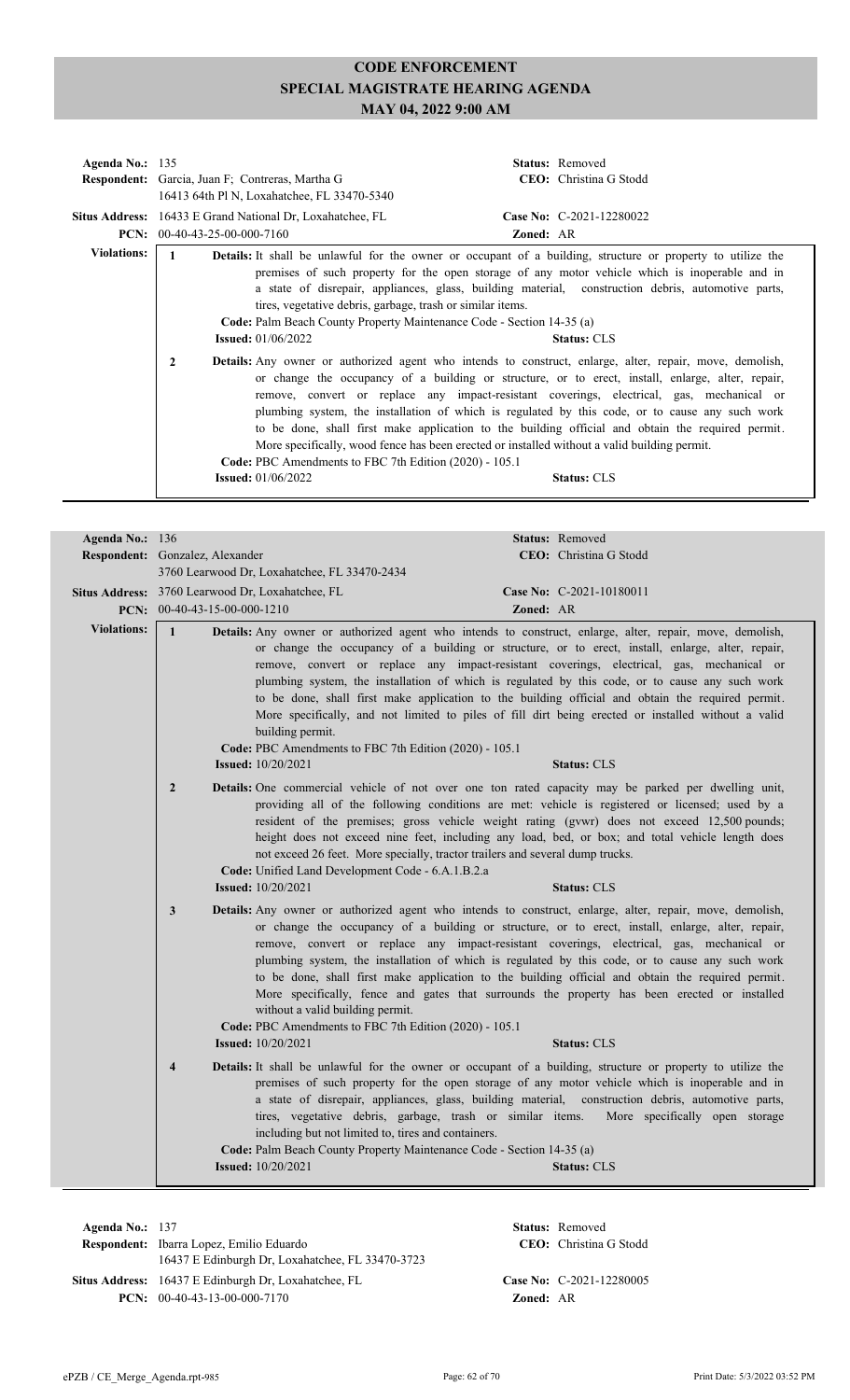| Agenda No.: $135$  | <b>Respondent:</b> Garcia, Juan F; Contreras, Martha G<br>16413 64th Pl N, Loxahatchee, FL 33470-5340                                                                                                                                                                                                          | <b>Status:</b> Removed<br><b>CEO</b> : Christina G Stodd                                                                                                                                                                                                                                                                                                                                                                                                                                                                                                                                                                                                                                                                                                                                                                                                                                                                                                                                                                |
|--------------------|----------------------------------------------------------------------------------------------------------------------------------------------------------------------------------------------------------------------------------------------------------------------------------------------------------------|-------------------------------------------------------------------------------------------------------------------------------------------------------------------------------------------------------------------------------------------------------------------------------------------------------------------------------------------------------------------------------------------------------------------------------------------------------------------------------------------------------------------------------------------------------------------------------------------------------------------------------------------------------------------------------------------------------------------------------------------------------------------------------------------------------------------------------------------------------------------------------------------------------------------------------------------------------------------------------------------------------------------------|
|                    | Situs Address: 16433 E Grand National Dr, Loxahatchee, FL                                                                                                                                                                                                                                                      | Case No: C-2021-12280022                                                                                                                                                                                                                                                                                                                                                                                                                                                                                                                                                                                                                                                                                                                                                                                                                                                                                                                                                                                                |
| <b>Violations:</b> | <b>PCN:</b> $00-40-43-25-00-000-7160$<br>1<br>tires, vegetative debris, garbage, trash or similar items.<br>Code: Palm Beach County Property Maintenance Code - Section 14-35 (a)<br><b>Issued:</b> $01/06/2022$<br>2<br>Code: PBC Amendments to FBC 7th Edition (2020) - 105.1<br><b>Issued:</b> $01/06/2022$ | <b>Zoned: AR</b><br><b>Details:</b> It shall be unlawful for the owner or occupant of a building, structure or property to utilize the<br>premises of such property for the open storage of any motor vehicle which is inoperable and in<br>a state of disrepair, appliances, glass, building material, construction debris, automotive parts,<br><b>Status: CLS</b><br><b>Details:</b> Any owner or authorized agent who intends to construct, enlarge, alter, repair, move, demolish,<br>or change the occupancy of a building or structure, or to erect, install, enlarge, alter, repair,<br>remove, convert or replace any impact-resistant coverings, electrical, gas, mechanical or<br>plumbing system, the installation of which is regulated by this code, or to cause any such work<br>to be done, shall first make application to the building official and obtain the required permit.<br>More specifically, wood fence has been erected or installed without a valid building permit.<br><b>Status: CLS</b> |

| Agenda No.: 136    |                                       |                                                                                                                                                                                                                         |           | Status: Removed                                                                                                                                                                                                                                                                                                                                                                                                                                                                                                                                                                                                                          |
|--------------------|---------------------------------------|-------------------------------------------------------------------------------------------------------------------------------------------------------------------------------------------------------------------------|-----------|------------------------------------------------------------------------------------------------------------------------------------------------------------------------------------------------------------------------------------------------------------------------------------------------------------------------------------------------------------------------------------------------------------------------------------------------------------------------------------------------------------------------------------------------------------------------------------------------------------------------------------------|
|                    | Respondent: Gonzalez, Alexander       |                                                                                                                                                                                                                         |           | CEO: Christina G Stodd                                                                                                                                                                                                                                                                                                                                                                                                                                                                                                                                                                                                                   |
|                    |                                       | 3760 Learwood Dr, Loxahatchee, FL 33470-2434                                                                                                                                                                            |           |                                                                                                                                                                                                                                                                                                                                                                                                                                                                                                                                                                                                                                          |
|                    |                                       | Situs Address: 3760 Learwood Dr, Loxahatchee, FL                                                                                                                                                                        |           | Case No: C-2021-10180011                                                                                                                                                                                                                                                                                                                                                                                                                                                                                                                                                                                                                 |
|                    | <b>PCN:</b> $00-40-43-15-00-000-1210$ |                                                                                                                                                                                                                         | Zoned: AR |                                                                                                                                                                                                                                                                                                                                                                                                                                                                                                                                                                                                                                          |
| <b>Violations:</b> | $\mathbf{1}$                          | building permit.<br>Code: PBC Amendments to FBC 7th Edition (2020) - 105.1                                                                                                                                              |           | Details: Any owner or authorized agent who intends to construct, enlarge, alter, repair, move, demolish,<br>or change the occupancy of a building or structure, or to erect, install, enlarge, alter, repair,<br>remove, convert or replace any impact-resistant coverings, electrical, gas, mechanical or<br>plumbing system, the installation of which is regulated by this code, or to cause any such work<br>to be done, shall first make application to the building official and obtain the required permit.<br>More specifically, and not limited to piles of fill dirt being erected or installed without a valid                |
|                    |                                       | <b>Issued:</b> 10/20/2021                                                                                                                                                                                               |           | <b>Status: CLS</b>                                                                                                                                                                                                                                                                                                                                                                                                                                                                                                                                                                                                                       |
|                    | $\overline{2}$                        | not exceed 26 feet. More specially, tractor trailers and several dump trucks.<br>Code: Unified Land Development Code - 6.A.1.B.2.a                                                                                      |           | Details: One commercial vehicle of not over one ton rated capacity may be parked per dwelling unit,<br>providing all of the following conditions are met: vehicle is registered or licensed; used by a<br>resident of the premises; gross vehicle weight rating (gvwr) does not exceed 12,500 pounds;<br>height does not exceed nine feet, including any load, bed, or box; and total vehicle length does                                                                                                                                                                                                                                |
|                    |                                       | <b>Issued:</b> 10/20/2021                                                                                                                                                                                               |           | <b>Status: CLS</b>                                                                                                                                                                                                                                                                                                                                                                                                                                                                                                                                                                                                                       |
|                    | 3                                     | without a valid building permit.<br>Code: PBC Amendments to FBC 7th Edition (2020) - 105.1<br><b>Issued:</b> 10/20/2021                                                                                                 |           | Details: Any owner or authorized agent who intends to construct, enlarge, alter, repair, move, demolish,<br>or change the occupancy of a building or structure, or to erect, install, enlarge, alter, repair,<br>remove, convert or replace any impact-resistant coverings, electrical, gas, mechanical or<br>plumbing system, the installation of which is regulated by this code, or to cause any such work<br>to be done, shall first make application to the building official and obtain the required permit.<br>More specifically, fence and gates that surrounds the property has been erected or installed<br><b>Status: CLS</b> |
|                    |                                       |                                                                                                                                                                                                                         |           |                                                                                                                                                                                                                                                                                                                                                                                                                                                                                                                                                                                                                                          |
|                    | $\overline{\mathbf{4}}$               | tires, vegetative debris, garbage, trash or similar items.<br>including but not limited to, tires and containers.<br>Code: Palm Beach County Property Maintenance Code - Section 14-35 (a)<br><b>Issued:</b> 10/20/2021 |           | Details: It shall be unlawful for the owner or occupant of a building, structure or property to utilize the<br>premises of such property for the open storage of any motor vehicle which is inoperable and in<br>a state of disrepair, appliances, glass, building material, construction debris, automotive parts,<br>More specifically open storage<br><b>Status: CLS</b>                                                                                                                                                                                                                                                              |

**Respondent:** Ibarra Lopez, Emilio Eduardo **Agenda No.:** 137 **Status:** Removed CEO: Christina G Stodd 16437 E Edinburgh Dr, Loxahatchee, FL 33470-3723 Situs Address: 16437 E Edinburgh Dr, Loxahatchee, FL **Case No:** C-2021-12280005 **PCN:** 00-40-43-13-00-000-7170 **Zoned:** AR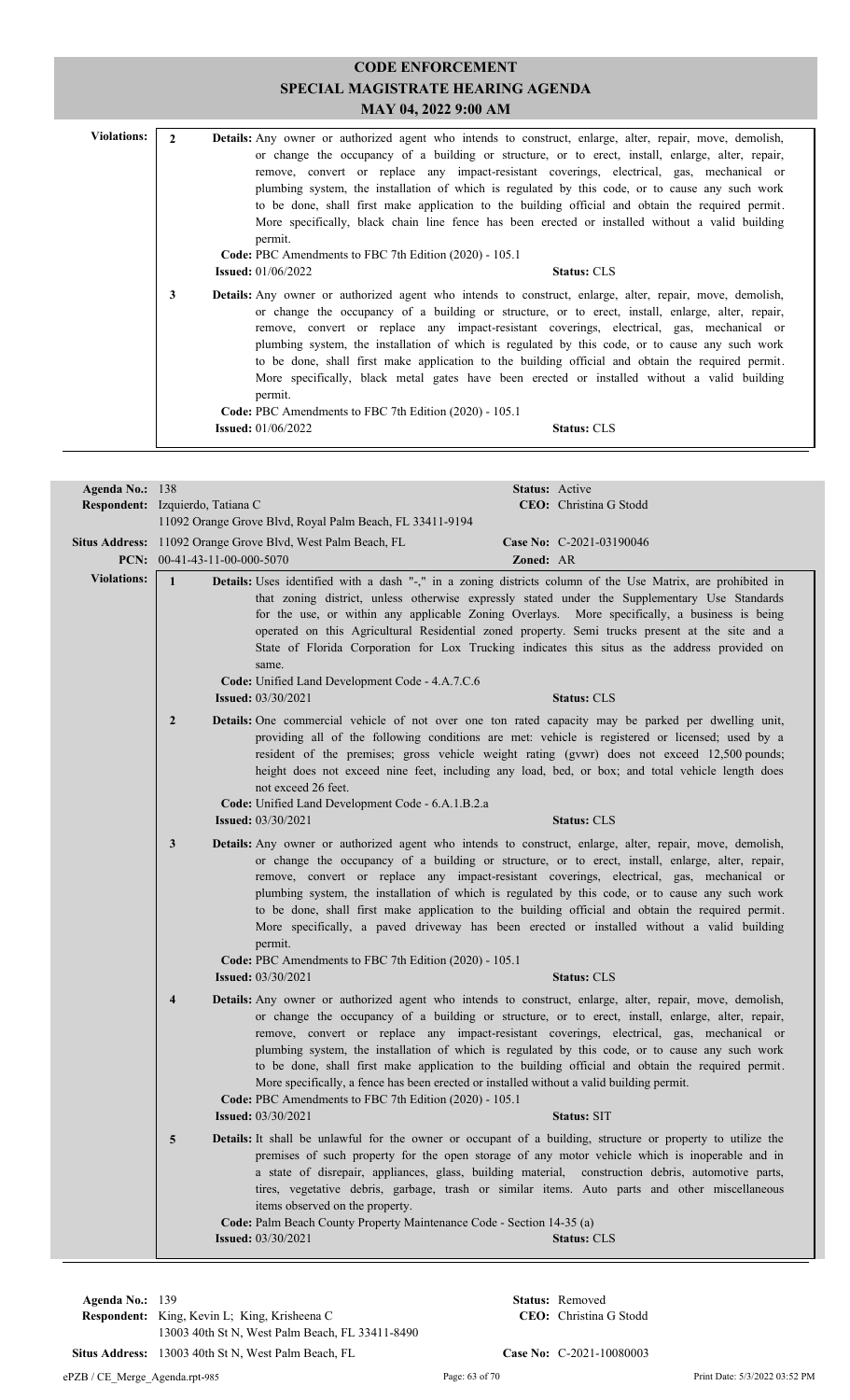| <b>Violations:</b> | <b>Details:</b> Any owner or authorized agent who intends to construct, enlarge, alter, repair, move, demolish,<br>or change the occupancy of a building or structure, or to erect, install, enlarge, alter, repair,<br>remove, convert or replace any impact-resistant coverings, electrical, gas, mechanical or<br>plumbing system, the installation of which is regulated by this code, or to cause any such work<br>to be done, shall first make application to the building official and obtain the required permit.<br>More specifically, black chain line fence has been erected or installed without a valid building<br>permit.<br>Code: PBC Amendments to FBC 7th Edition (2020) - 105.1 |                                                                                                                                                                                                                                                                                                                                                                                                                                                                                                                                                                                                                                      |                    |
|--------------------|----------------------------------------------------------------------------------------------------------------------------------------------------------------------------------------------------------------------------------------------------------------------------------------------------------------------------------------------------------------------------------------------------------------------------------------------------------------------------------------------------------------------------------------------------------------------------------------------------------------------------------------------------------------------------------------------------|--------------------------------------------------------------------------------------------------------------------------------------------------------------------------------------------------------------------------------------------------------------------------------------------------------------------------------------------------------------------------------------------------------------------------------------------------------------------------------------------------------------------------------------------------------------------------------------------------------------------------------------|--------------------|
|                    |                                                                                                                                                                                                                                                                                                                                                                                                                                                                                                                                                                                                                                                                                                    | <b>Issued:</b> $01/06/2022$                                                                                                                                                                                                                                                                                                                                                                                                                                                                                                                                                                                                          | <b>Status: CLS</b> |
|                    | 3                                                                                                                                                                                                                                                                                                                                                                                                                                                                                                                                                                                                                                                                                                  | <b>Details:</b> Any owner or authorized agent who intends to construct, enlarge, alter, repair, move, demolish,<br>or change the occupancy of a building or structure, or to erect, install, enlarge, alter, repair,<br>remove, convert or replace any impact-resistant coverings, electrical, gas, mechanical or<br>plumbing system, the installation of which is regulated by this code, or to cause any such work<br>to be done, shall first make application to the building official and obtain the required permit.<br>More specifically, black metal gates have been erected or installed without a valid building<br>permit. |                    |
|                    |                                                                                                                                                                                                                                                                                                                                                                                                                                                                                                                                                                                                                                                                                                    | Code: PBC Amendments to FBC 7th Edition (2020) - 105.1                                                                                                                                                                                                                                                                                                                                                                                                                                                                                                                                                                               |                    |
|                    |                                                                                                                                                                                                                                                                                                                                                                                                                                                                                                                                                                                                                                                                                                    | <b>Issued:</b> $01/06/2022$                                                                                                                                                                                                                                                                                                                                                                                                                                                                                                                                                                                                          | <b>Status: CLS</b> |

| Agenda No.: 138    |                                  |                                                                                                                                                                                                                                                                                                                                                                                                                                                                                                                                                                                                                                                                                  | Status: Active           |  |
|--------------------|----------------------------------|----------------------------------------------------------------------------------------------------------------------------------------------------------------------------------------------------------------------------------------------------------------------------------------------------------------------------------------------------------------------------------------------------------------------------------------------------------------------------------------------------------------------------------------------------------------------------------------------------------------------------------------------------------------------------------|--------------------------|--|
|                    | Respondent: Izquierdo, Tatiana C |                                                                                                                                                                                                                                                                                                                                                                                                                                                                                                                                                                                                                                                                                  | CEO: Christina G Stodd   |  |
|                    |                                  | 11092 Orange Grove Blvd, Royal Palm Beach, FL 33411-9194                                                                                                                                                                                                                                                                                                                                                                                                                                                                                                                                                                                                                         |                          |  |
|                    |                                  | Situs Address: 11092 Orange Grove Blvd, West Palm Beach, FL                                                                                                                                                                                                                                                                                                                                                                                                                                                                                                                                                                                                                      | Case No: C-2021-03190046 |  |
|                    | PCN: 00-41-43-11-00-000-5070     |                                                                                                                                                                                                                                                                                                                                                                                                                                                                                                                                                                                                                                                                                  | Zoned: AR                |  |
| <b>Violations:</b> | $\mathbf{1}$                     | Details: Uses identified with a dash "-," in a zoning districts column of the Use Matrix, are prohibited in<br>that zoning district, unless otherwise expressly stated under the Supplementary Use Standards<br>for the use, or within any applicable Zoning Overlays. More specifically, a business is being<br>operated on this Agricultural Residential zoned property. Semi trucks present at the site and a<br>State of Florida Corporation for Lox Trucking indicates this situs as the address provided on<br>same.                                                                                                                                                       |                          |  |
|                    |                                  | Code: Unified Land Development Code - 4.A.7.C.6<br><b>Issued:</b> 03/30/2021                                                                                                                                                                                                                                                                                                                                                                                                                                                                                                                                                                                                     | <b>Status: CLS</b>       |  |
|                    | $\overline{2}$                   | <b>Details:</b> One commercial vehicle of not over one ton rated capacity may be parked per dwelling unit,<br>providing all of the following conditions are met: vehicle is registered or licensed; used by a<br>resident of the premises; gross vehicle weight rating (gywr) does not exceed 12,500 pounds;<br>height does not exceed nine feet, including any load, bed, or box; and total vehicle length does<br>not exceed 26 feet.<br>Code: Unified Land Development Code - 6.A.1.B.2.a<br><b>Issued:</b> 03/30/2021                                                                                                                                                        | <b>Status: CLS</b>       |  |
|                    |                                  |                                                                                                                                                                                                                                                                                                                                                                                                                                                                                                                                                                                                                                                                                  |                          |  |
|                    | 3                                | <b>Details:</b> Any owner or authorized agent who intends to construct, enlarge, alter, repair, move, demolish,<br>or change the occupancy of a building or structure, or to erect, install, enlarge, alter, repair,<br>remove, convert or replace any impact-resistant coverings, electrical, gas, mechanical or<br>plumbing system, the installation of which is regulated by this code, or to cause any such work<br>to be done, shall first make application to the building official and obtain the required permit.<br>More specifically, a paved driveway has been erected or installed without a valid building<br>permit.                                               |                          |  |
|                    |                                  | Code: PBC Amendments to FBC 7th Edition (2020) - 105.1                                                                                                                                                                                                                                                                                                                                                                                                                                                                                                                                                                                                                           |                          |  |
|                    |                                  | <b>Issued:</b> 03/30/2021                                                                                                                                                                                                                                                                                                                                                                                                                                                                                                                                                                                                                                                        | <b>Status: CLS</b>       |  |
|                    | $\overline{\mathbf{4}}$          | <b>Details:</b> Any owner or authorized agent who intends to construct, enlarge, alter, repair, move, demolish,<br>or change the occupancy of a building or structure, or to erect, install, enlarge, alter, repair,<br>remove, convert or replace any impact-resistant coverings, electrical, gas, mechanical or<br>plumbing system, the installation of which is regulated by this code, or to cause any such work<br>to be done, shall first make application to the building official and obtain the required permit.<br>More specifically, a fence has been erected or installed without a valid building permit.<br>Code: PBC Amendments to FBC 7th Edition (2020) - 105.1 |                          |  |
|                    |                                  | <b>Issued: 03/30/2021</b>                                                                                                                                                                                                                                                                                                                                                                                                                                                                                                                                                                                                                                                        | Status: SIT              |  |
|                    | 5                                | Details: It shall be unlawful for the owner or occupant of a building, structure or property to utilize the<br>premises of such property for the open storage of any motor vehicle which is inoperable and in<br>a state of disrepair, appliances, glass, building material, construction debris, automotive parts,<br>tires, vegetative debris, garbage, trash or similar items. Auto parts and other miscellaneous<br>items observed on the property.                                                                                                                                                                                                                          |                          |  |
|                    |                                  | Code: Palm Beach County Property Maintenance Code - Section 14-35 (a)<br><b>Issued: 03/30/2021</b>                                                                                                                                                                                                                                                                                                                                                                                                                                                                                                                                                                               | <b>Status: CLS</b>       |  |
|                    |                                  |                                                                                                                                                                                                                                                                                                                                                                                                                                                                                                                                                                                                                                                                                  |                          |  |

**Respondent:** King, Kevin L; King, Krisheena C 13003 40th St N, West Palm Beach, FL 33411-8490 **Situs Address:** 13003 40th St N, West Palm Beach, FL **Case No:** C-2021-10080003

**Agenda No.:** 139 **Status:** Removed CEO: Christina G Stodd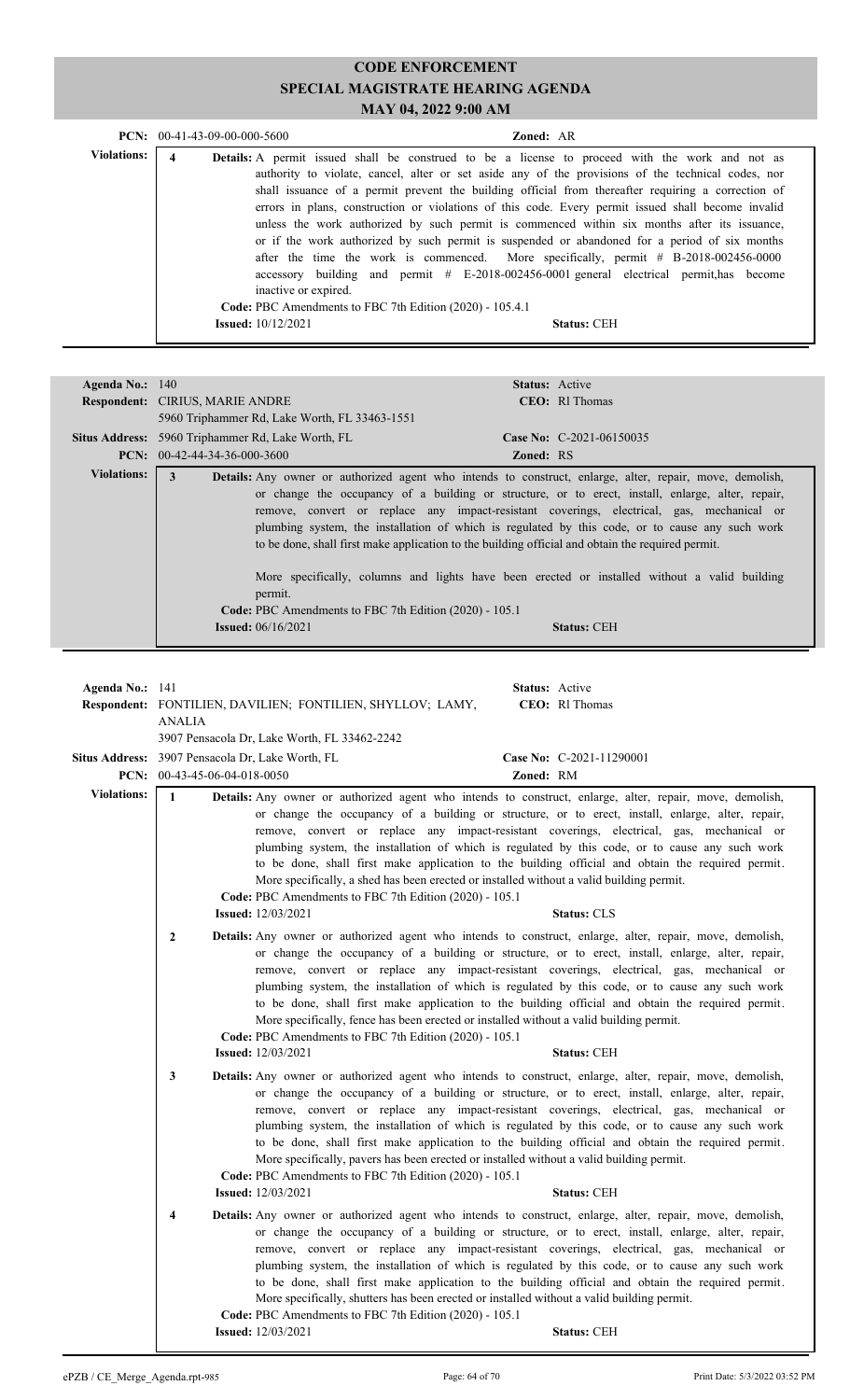|             | <b>PCN:</b> $00-41-43-09-00-000-5600$ |                                                                                                                                                                                                                                                                                                                                                                                                                                                                                                                                                                                                                                                                                                                                                                                                                                                                                                 | <b>Zoned: AR</b>   |  |
|-------------|---------------------------------------|-------------------------------------------------------------------------------------------------------------------------------------------------------------------------------------------------------------------------------------------------------------------------------------------------------------------------------------------------------------------------------------------------------------------------------------------------------------------------------------------------------------------------------------------------------------------------------------------------------------------------------------------------------------------------------------------------------------------------------------------------------------------------------------------------------------------------------------------------------------------------------------------------|--------------------|--|
| Violations: | 4                                     | Details: A permit issued shall be construed to be a license to proceed with the work and not as<br>authority to violate, cancel, alter or set aside any of the provisions of the technical codes, nor<br>shall issuance of a permit prevent the building official from thereafter requiring a correction of<br>errors in plans, construction or violations of this code. Every permit issued shall become invalid<br>unless the work authorized by such permit is commenced within six months after its issuance,<br>or if the work authorized by such permit is suspended or abandoned for a period of six months<br>after the time the work is commenced. More specifically, permit $# B-2018-002456-0000$<br>accessory building and permit $\#$ E-2018-002456-0001 general electrical permit, has become<br>inactive or expired.<br>Code: PBC Amendments to FBC 7th Edition (2020) - 105.4.1 |                    |  |
|             |                                       | <b>Issued:</b> 10/12/2021                                                                                                                                                                                                                                                                                                                                                                                                                                                                                                                                                                                                                                                                                                                                                                                                                                                                       | <b>Status: CEH</b> |  |

| Agenda No.: $140$  |                                                                                                   |                  | <b>Status:</b> Active                                                                                    |
|--------------------|---------------------------------------------------------------------------------------------------|------------------|----------------------------------------------------------------------------------------------------------|
|                    | <b>Respondent: CIRIUS, MARIE ANDRE</b>                                                            |                  | $CEO:$ Rl Thomas                                                                                         |
|                    | 5960 Triphammer Rd, Lake Worth, FL 33463-1551                                                     |                  |                                                                                                          |
|                    | Situs Address: 5960 Triphammer Rd, Lake Worth, FL                                                 |                  | Case No: $C-2021-06150035$                                                                               |
|                    | <b>PCN:</b> $00-42-44-34-36-000-3600$                                                             | <b>Zoned: RS</b> |                                                                                                          |
| <b>Violations:</b> | 3                                                                                                 |                  | Details: Any owner or authorized agent who intends to construct, enlarge, alter, repair, move, demolish, |
|                    |                                                                                                   |                  | or change the occupancy of a building or structure, or to erect, install, enlarge, alter, repair,        |
|                    |                                                                                                   |                  | remove, convert or replace any impact-resistant coverings, electrical, gas, mechanical or                |
|                    |                                                                                                   |                  |                                                                                                          |
|                    |                                                                                                   |                  | plumbing system, the installation of which is regulated by this code, or to cause any such work          |
|                    | to be done, shall first make application to the building official and obtain the required permit. |                  |                                                                                                          |
|                    |                                                                                                   |                  |                                                                                                          |
|                    |                                                                                                   |                  | More specifically, columns and lights have been erected or installed without a valid building            |
|                    | permit.                                                                                           |                  |                                                                                                          |
|                    | <b>Code:</b> PBC Amendments to FBC 7th Edition (2020) - 105.1                                     |                  |                                                                                                          |
|                    | <b>Issued:</b> $06/16/2021$                                                                       |                  | <b>Status: CEH</b>                                                                                       |
|                    |                                                                                                   |                  |                                                                                                          |

| Agenda No.: $141$  | ANALIA                                                                                           | Respondent: FONTILIEN, DAVILIEN; FONTILIEN, SHYLLOV; LAMY,<br>3907 Pensacola Dr, Lake Worth, FL 33462-2242                                                                                                                                                                                                                                                                                                                                                                                                                                                                                                                                                                                              |           | <b>Status:</b> Active<br><b>CEO</b> : RI Thomas |
|--------------------|--------------------------------------------------------------------------------------------------|---------------------------------------------------------------------------------------------------------------------------------------------------------------------------------------------------------------------------------------------------------------------------------------------------------------------------------------------------------------------------------------------------------------------------------------------------------------------------------------------------------------------------------------------------------------------------------------------------------------------------------------------------------------------------------------------------------|-----------|-------------------------------------------------|
|                    | <b>Situs Address:</b> 3907 Pensacola Dr, Lake Worth, FL<br><b>PCN:</b> $00-43-45-06-04-018-0050$ |                                                                                                                                                                                                                                                                                                                                                                                                                                                                                                                                                                                                                                                                                                         | Zoned: RM | Case No: C-2021-11290001                        |
| <b>Violations:</b> | $\mathbf{1}$                                                                                     | Details: Any owner or authorized agent who intends to construct, enlarge, alter, repair, move, demolish,<br>or change the occupancy of a building or structure, or to erect, install, enlarge, alter, repair,<br>remove, convert or replace any impact-resistant coverings, electrical, gas, mechanical or<br>plumbing system, the installation of which is regulated by this code, or to cause any such work<br>to be done, shall first make application to the building official and obtain the required permit.<br>More specifically, a shed has been erected or installed without a valid building permit.<br>Code: PBC Amendments to FBC 7th Edition (2020) - 105.1<br><b>Issued:</b> 12/03/2021   |           | <b>Status: CLS</b>                              |
|                    | $\overline{2}$                                                                                   | Details: Any owner or authorized agent who intends to construct, enlarge, alter, repair, move, demolish,<br>or change the occupancy of a building or structure, or to erect, install, enlarge, alter, repair,<br>remove, convert or replace any impact-resistant coverings, electrical, gas, mechanical or<br>plumbing system, the installation of which is regulated by this code, or to cause any such work<br>to be done, shall first make application to the building official and obtain the required permit.<br>More specifically, fence has been erected or installed without a valid building permit.<br>Code: PBC Amendments to FBC 7th Edition (2020) - 105.1<br><b>Issued:</b> 12/03/2021    |           | <b>Status: CEH</b>                              |
|                    | 3                                                                                                | Details: Any owner or authorized agent who intends to construct, enlarge, alter, repair, move, demolish,<br>or change the occupancy of a building or structure, or to erect, install, enlarge, alter, repair,<br>remove, convert or replace any impact-resistant coverings, electrical, gas, mechanical or<br>plumbing system, the installation of which is regulated by this code, or to cause any such work<br>to be done, shall first make application to the building official and obtain the required permit.<br>More specifically, pavers has been erected or installed without a valid building permit.<br>Code: PBC Amendments to FBC 7th Edition (2020) - 105.1<br><b>Issued:</b> 12/03/2021   |           | <b>Status: CEH</b>                              |
|                    | 4                                                                                                | Details: Any owner or authorized agent who intends to construct, enlarge, alter, repair, move, demolish,<br>or change the occupancy of a building or structure, or to erect, install, enlarge, alter, repair,<br>remove, convert or replace any impact-resistant coverings, electrical, gas, mechanical or<br>plumbing system, the installation of which is regulated by this code, or to cause any such work<br>to be done, shall first make application to the building official and obtain the required permit.<br>More specifically, shutters has been erected or installed without a valid building permit.<br>Code: PBC Amendments to FBC 7th Edition (2020) - 105.1<br><b>Issued:</b> 12/03/2021 |           | <b>Status: CEH</b>                              |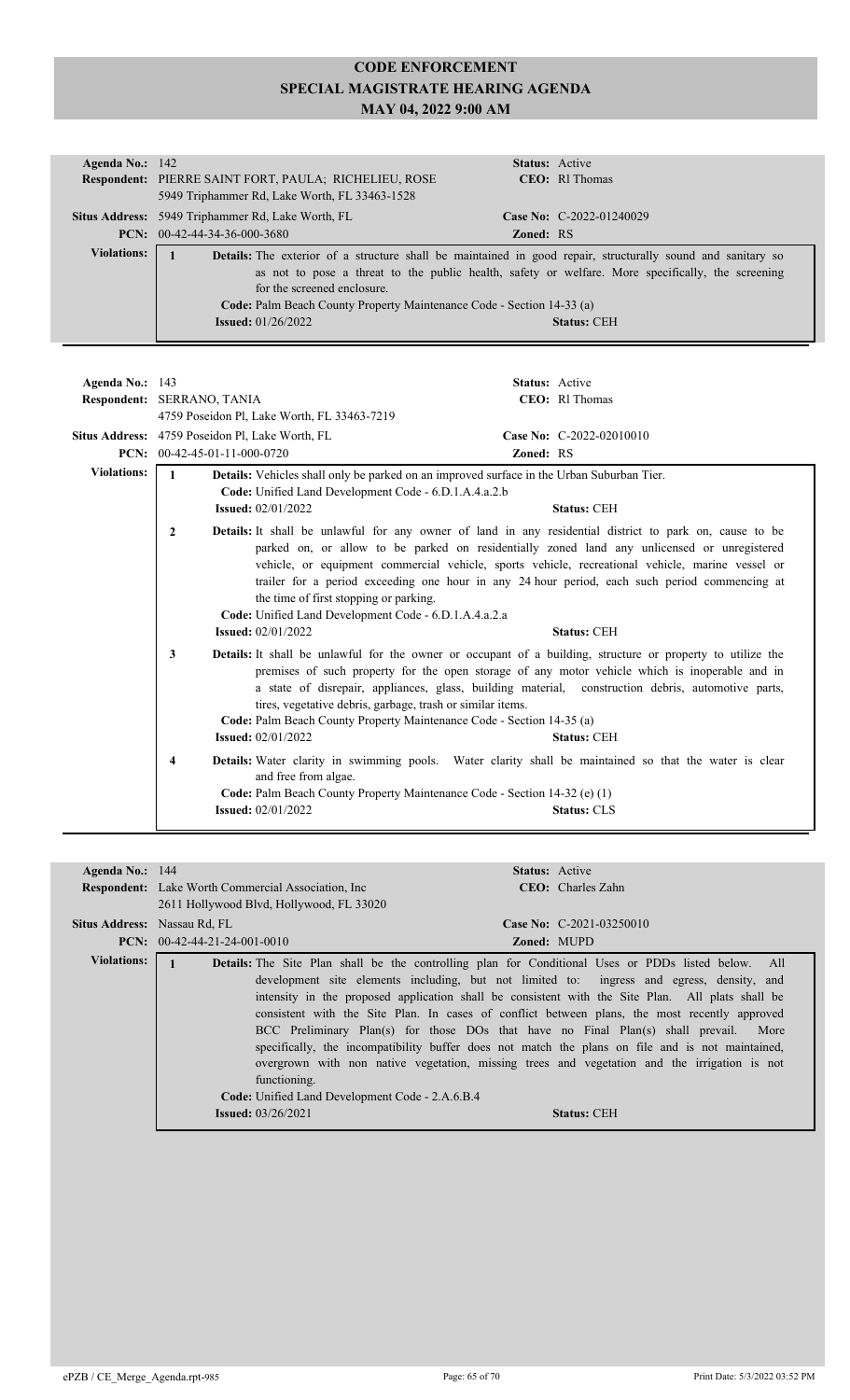| Agenda No.: $142$  | <b>Status:</b> Active                                                                                                                                                                                                                                                                                                                                                               |  |
|--------------------|-------------------------------------------------------------------------------------------------------------------------------------------------------------------------------------------------------------------------------------------------------------------------------------------------------------------------------------------------------------------------------------|--|
|                    | Respondent: PIERRE SAINT FORT, PAULA; RICHELIEU, ROSE<br>CEO: RI Thomas                                                                                                                                                                                                                                                                                                             |  |
|                    | 5949 Triphammer Rd, Lake Worth, FL 33463-1528                                                                                                                                                                                                                                                                                                                                       |  |
|                    | Situs Address: 5949 Triphammer Rd, Lake Worth, FL<br>Case No: $C-2022-01240029$                                                                                                                                                                                                                                                                                                     |  |
|                    | $PCN: 00-42-44-34-36-000-3680$<br><b>Zoned: RS</b>                                                                                                                                                                                                                                                                                                                                  |  |
| <b>Violations:</b> | <b>Details:</b> The exterior of a structure shall be maintained in good repair, structurally sound and sanitary so<br>as not to pose a threat to the public health, safety or welfare. More specifically, the screening<br>for the screened enclosure<br>Code: Palm Beach County Property Maintenance Code - Section 14-33 (a)<br><b>Issued:</b> $01/26/2022$<br><b>Status: CEH</b> |  |
|                    |                                                                                                                                                                                                                                                                                                                                                                                     |  |

| Agenda No.: $143$  |                                                        | <b>Status:</b> Active                                                                                                                                                                                                                                                                                                                                                                                                                                                                   |                                                                                                                                                                                                                                                                                                                                                                                                                                          |
|--------------------|--------------------------------------------------------|-----------------------------------------------------------------------------------------------------------------------------------------------------------------------------------------------------------------------------------------------------------------------------------------------------------------------------------------------------------------------------------------------------------------------------------------------------------------------------------------|------------------------------------------------------------------------------------------------------------------------------------------------------------------------------------------------------------------------------------------------------------------------------------------------------------------------------------------------------------------------------------------------------------------------------------------|
|                    | Respondent: SERRANO, TANIA                             |                                                                                                                                                                                                                                                                                                                                                                                                                                                                                         | CEO: RI Thomas                                                                                                                                                                                                                                                                                                                                                                                                                           |
|                    | 4759 Poseidon Pl, Lake Worth, FL 33463-7219            |                                                                                                                                                                                                                                                                                                                                                                                                                                                                                         |                                                                                                                                                                                                                                                                                                                                                                                                                                          |
|                    | Situs Address: 4759 Poseidon Pl, Lake Worth, FL        |                                                                                                                                                                                                                                                                                                                                                                                                                                                                                         | Case No: C-2022-02010010                                                                                                                                                                                                                                                                                                                                                                                                                 |
| PCN:               | 00-42-45-01-11-000-0720                                | Zoned: RS                                                                                                                                                                                                                                                                                                                                                                                                                                                                               |                                                                                                                                                                                                                                                                                                                                                                                                                                          |
| <b>Violations:</b> | <b>Issued:</b> 02/01/2022                              | <b>Details:</b> Vehicles shall only be parked on an improved surface in the Urban Suburban Tier.<br>Code: Unified Land Development Code - 6.D.1.A.4.a.2.b                                                                                                                                                                                                                                                                                                                               | <b>Status: CEH</b>                                                                                                                                                                                                                                                                                                                                                                                                                       |
|                    | 2<br><b>Issued:</b> 02/01/2022                         | the time of first stopping or parking.<br>Code: Unified Land Development Code - 6.D.1.A.4.a.2.a                                                                                                                                                                                                                                                                                                                                                                                         | <b>Details:</b> It shall be unlawful for any owner of land in any residential district to park on, cause to be<br>parked on, or allow to be parked on residentially zoned land any unlicensed or unregistered<br>vehicle, or equipment commercial vehicle, sports vehicle, recreational vehicle, marine vessel or<br>trailer for a period exceeding one hour in any 24 hour period, each such period commencing at<br><b>Status: CEH</b> |
|                    | 3<br><b>Issued:</b> 02/01/2022                         | <b>Details:</b> It shall be unlawful for the owner or occupant of a building, structure or property to utilize the<br>premises of such property for the open storage of any motor vehicle which is inoperable and in<br>a state of disrepair, appliances, glass, building material, construction debris, automotive parts,<br>tires, vegetative debris, garbage, trash or similar items.<br>Code: Palm Beach County Property Maintenance Code - Section 14-35 (a)<br><b>Status: CEH</b> |                                                                                                                                                                                                                                                                                                                                                                                                                                          |
|                    | 4<br>and free from algae.<br><b>Issued:</b> 02/01/2022 | Code: Palm Beach County Property Maintenance Code - Section 14-32 (e) (1)                                                                                                                                                                                                                                                                                                                                                                                                               | Details: Water clarity in swimming pools. Water clarity shall be maintained so that the water is clear<br><b>Status: CLS</b>                                                                                                                                                                                                                                                                                                             |

| Agenda No.: 144    | <b>Respondent:</b> Lake Worth Commercial Association, Inc.<br>2611 Hollywood Blvd, Hollywood, FL 33020 | <b>Status:</b> Active<br><b>CEO</b> : Charles Zahn                                                                                                                                                                                                                                                                                                                                                                                                                                                                                                                                                                                                                                                                             |
|--------------------|--------------------------------------------------------------------------------------------------------|--------------------------------------------------------------------------------------------------------------------------------------------------------------------------------------------------------------------------------------------------------------------------------------------------------------------------------------------------------------------------------------------------------------------------------------------------------------------------------------------------------------------------------------------------------------------------------------------------------------------------------------------------------------------------------------------------------------------------------|
|                    | <b>Situs Address:</b> Nassau Rd, FL<br><b>PCN:</b> $00-42-44-21-24-001-0010$                           | Case No: $C-2021-03250010$<br><b>Zoned: MUPD</b>                                                                                                                                                                                                                                                                                                                                                                                                                                                                                                                                                                                                                                                                               |
| <b>Violations:</b> | functioning.<br>Code: Unified Land Development Code - 2.A.6.B.4<br><b>Issued:</b> $03/26/2021$         | <b>Details:</b> The Site Plan shall be the controlling plan for Conditional Uses or PDDs listed below. All<br>development site elements including, but not limited to: ingress and egress, density, and<br>intensity in the proposed application shall be consistent with the Site Plan. All plats shall be<br>consistent with the Site Plan. In cases of conflict between plans, the most recently approved<br>BCC Preliminary Plan(s) for those DOs that have no Final Plan(s) shall prevail. More<br>specifically, the incompatibility buffer does not match the plans on file and is not maintained,<br>overgrown with non native vegetation, missing trees and vegetation and the irrigation is not<br><b>Status: CEH</b> |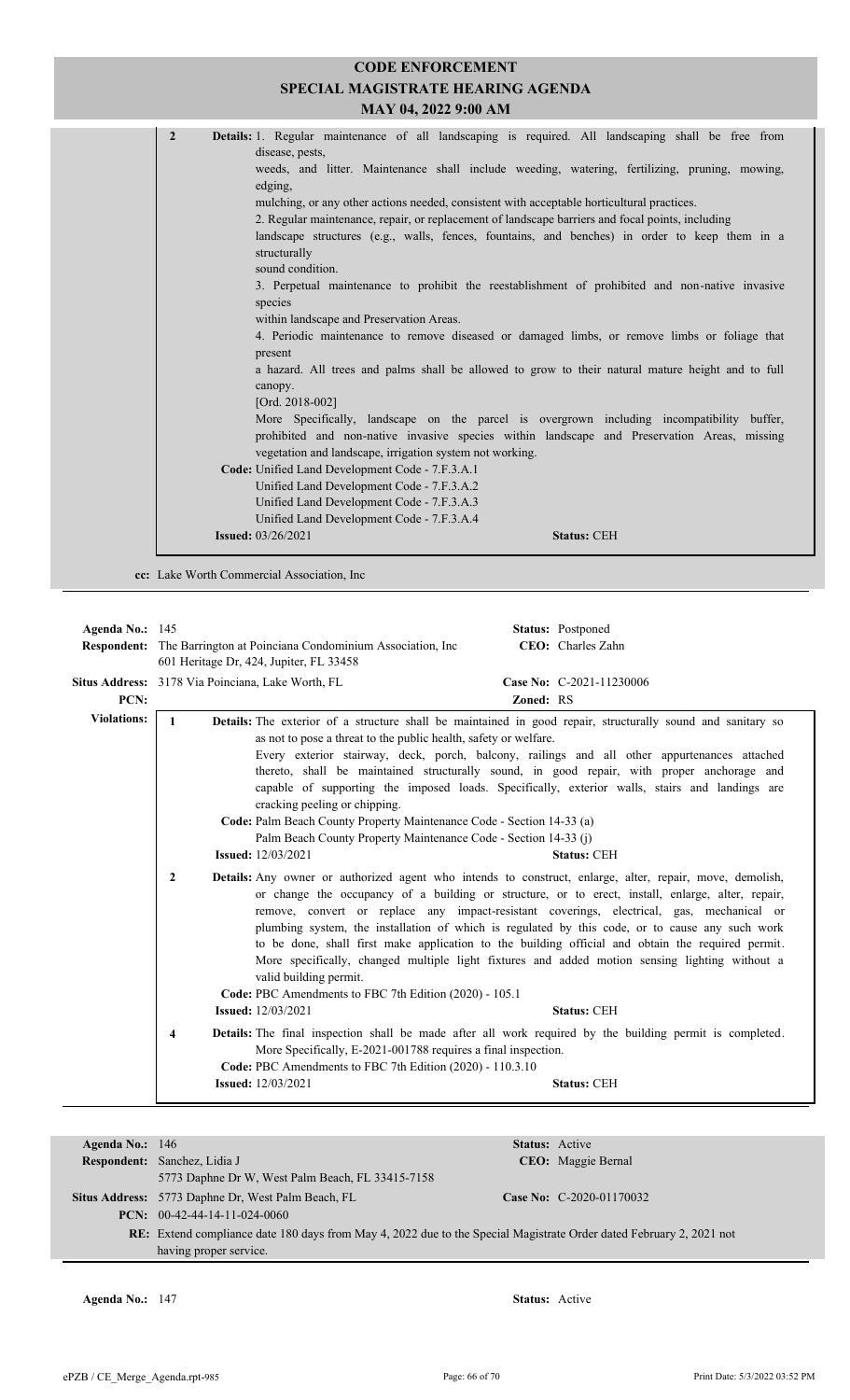| <b>CODE ENFORCEMENT</b><br><b>SPECIAL MAGISTRATE HEARING AGENDA</b><br>MAY 04, 2022 9:00 AM                                                                                                                                                                                                                                                                                                                                                                                                                                                                                                                                                                                                                                                                                                                                                                                                                                                                                                                                                                                                                                                                                                                                                                                                                                                                                                                                                            |
|--------------------------------------------------------------------------------------------------------------------------------------------------------------------------------------------------------------------------------------------------------------------------------------------------------------------------------------------------------------------------------------------------------------------------------------------------------------------------------------------------------------------------------------------------------------------------------------------------------------------------------------------------------------------------------------------------------------------------------------------------------------------------------------------------------------------------------------------------------------------------------------------------------------------------------------------------------------------------------------------------------------------------------------------------------------------------------------------------------------------------------------------------------------------------------------------------------------------------------------------------------------------------------------------------------------------------------------------------------------------------------------------------------------------------------------------------------|
|                                                                                                                                                                                                                                                                                                                                                                                                                                                                                                                                                                                                                                                                                                                                                                                                                                                                                                                                                                                                                                                                                                                                                                                                                                                                                                                                                                                                                                                        |
| $\overline{2}$<br>Details: 1. Regular maintenance of all landscaping is required. All landscaping shall be free from<br>disease, pests,<br>weeds, and litter. Maintenance shall include weeding, watering, fertilizing, pruning, mowing,<br>edging,<br>mulching, or any other actions needed, consistent with acceptable horticultural practices.<br>2. Regular maintenance, repair, or replacement of landscape barriers and focal points, including<br>landscape structures (e.g., walls, fences, fountains, and benches) in order to keep them in a<br>structurally<br>sound condition.<br>3. Perpetual maintenance to prohibit the reestablishment of prohibited and non-native invasive<br>species<br>within landscape and Preservation Areas.<br>4. Periodic maintenance to remove diseased or damaged limbs, or remove limbs or foliage that<br>present<br>a hazard. All trees and palms shall be allowed to grow to their natural mature height and to full<br>canopy.<br>[Ord. $2018-002$ ]<br>More Specifically, landscape on the parcel is overgrown including incompatibility buffer,<br>prohibited and non-native invasive species within landscape and Preservation Areas, missing<br>vegetation and landscape, irrigation system not working.<br>Code: Unified Land Development Code - 7.F.3.A.1<br>Unified Land Development Code - 7.F.3.A.2<br>Unified Land Development Code - 7.F.3.A.3<br>Unified Land Development Code - 7.F.3.A.4 |
| <b>Issued:</b> 03/26/2021<br><b>Status: CEH</b>                                                                                                                                                                                                                                                                                                                                                                                                                                                                                                                                                                                                                                                                                                                                                                                                                                                                                                                                                                                                                                                                                                                                                                                                                                                                                                                                                                                                        |

**cc:** Lake Worth Commercial Association, Inc

| Agenda No.: $145$  | Status: Postponed                                                                                                                                                                                                                                                                                                                                                                                                                                                                                                                                                                                                                                                                                                                                                                                                                                                                                                                                                                                                                                                                                                                                                                                                                                                                                                                                                                                                                                                                                                                                                                                                                                                                                                                                                                                                         |  |  |
|--------------------|---------------------------------------------------------------------------------------------------------------------------------------------------------------------------------------------------------------------------------------------------------------------------------------------------------------------------------------------------------------------------------------------------------------------------------------------------------------------------------------------------------------------------------------------------------------------------------------------------------------------------------------------------------------------------------------------------------------------------------------------------------------------------------------------------------------------------------------------------------------------------------------------------------------------------------------------------------------------------------------------------------------------------------------------------------------------------------------------------------------------------------------------------------------------------------------------------------------------------------------------------------------------------------------------------------------------------------------------------------------------------------------------------------------------------------------------------------------------------------------------------------------------------------------------------------------------------------------------------------------------------------------------------------------------------------------------------------------------------------------------------------------------------------------------------------------------------|--|--|
|                    | CEO: Charles Zahn<br><b>Respondent:</b> The Barrington at Poinciana Condominium Association, Inc.                                                                                                                                                                                                                                                                                                                                                                                                                                                                                                                                                                                                                                                                                                                                                                                                                                                                                                                                                                                                                                                                                                                                                                                                                                                                                                                                                                                                                                                                                                                                                                                                                                                                                                                         |  |  |
|                    | 601 Heritage Dr, 424, Jupiter, FL 33458                                                                                                                                                                                                                                                                                                                                                                                                                                                                                                                                                                                                                                                                                                                                                                                                                                                                                                                                                                                                                                                                                                                                                                                                                                                                                                                                                                                                                                                                                                                                                                                                                                                                                                                                                                                   |  |  |
|                    | Situs Address: 3178 Via Poinciana, Lake Worth, FL<br>Case No: C-2021-11230006                                                                                                                                                                                                                                                                                                                                                                                                                                                                                                                                                                                                                                                                                                                                                                                                                                                                                                                                                                                                                                                                                                                                                                                                                                                                                                                                                                                                                                                                                                                                                                                                                                                                                                                                             |  |  |
| PCN:               | <b>Zoned: RS</b>                                                                                                                                                                                                                                                                                                                                                                                                                                                                                                                                                                                                                                                                                                                                                                                                                                                                                                                                                                                                                                                                                                                                                                                                                                                                                                                                                                                                                                                                                                                                                                                                                                                                                                                                                                                                          |  |  |
| <b>Violations:</b> | Details: The exterior of a structure shall be maintained in good repair, structurally sound and sanitary so<br>$\mathbf{1}$<br>as not to pose a threat to the public health, safety or welfare.<br>Every exterior stairway, deck, porch, balcony, railings and all other appurtenances attached<br>thereto, shall be maintained structurally sound, in good repair, with proper anchorage and<br>capable of supporting the imposed loads. Specifically, exterior walls, stairs and landings are<br>cracking peeling or chipping.<br>Code: Palm Beach County Property Maintenance Code - Section 14-33 (a)<br>Palm Beach County Property Maintenance Code - Section 14-33 (j)<br><b>Issued:</b> 12/03/2021<br><b>Status: CEH</b><br><b>Details:</b> Any owner or authorized agent who intends to construct, enlarge, alter, repair, move, demolish,<br>$\overline{2}$<br>or change the occupancy of a building or structure, or to erect, install, enlarge, alter, repair,<br>remove, convert or replace any impact-resistant coverings, electrical, gas, mechanical or<br>plumbing system, the installation of which is regulated by this code, or to cause any such work<br>to be done, shall first make application to the building official and obtain the required permit.<br>More specifically, changed multiple light fixtures and added motion sensing lighting without a<br>valid building permit.<br>Code: PBC Amendments to FBC 7th Edition (2020) - 105.1<br><b>Issued:</b> 12/03/2021<br><b>Status: CEH</b><br>Details: The final inspection shall be made after all work required by the building permit is completed.<br>4<br>More Specifically, E-2021-001788 requires a final inspection.<br>Code: PBC Amendments to FBC 7th Edition (2020) - 110.3.10<br><b>Issued:</b> 12/03/2021<br><b>Status: CEH</b> |  |  |
|                    |                                                                                                                                                                                                                                                                                                                                                                                                                                                                                                                                                                                                                                                                                                                                                                                                                                                                                                                                                                                                                                                                                                                                                                                                                                                                                                                                                                                                                                                                                                                                                                                                                                                                                                                                                                                                                           |  |  |

| Agenda No.: $146$ |                                                                                                                            | <b>Status:</b> Active    |
|-------------------|----------------------------------------------------------------------------------------------------------------------------|--------------------------|
|                   |                                                                                                                            |                          |
|                   | <b>Respondent:</b> Sanchez, Lidia J                                                                                        | CEO: Maggie Bernal       |
|                   | 5773 Daphne Dr W, West Palm Beach, FL 33415-7158                                                                           |                          |
|                   | Situs Address: 5773 Daphne Dr, West Palm Beach, FL                                                                         | Case No: C-2020-01170032 |
|                   | $PCN: 00-42-44-14-11-024-0060$                                                                                             |                          |
|                   | <b>RE:</b> Extend compliance date 180 days from May 4, 2022 due to the Special Magistrate Order dated February 2, 2021 not |                          |
|                   | having proper service.                                                                                                     |                          |

**Agenda No.:** 147 **Status:** Active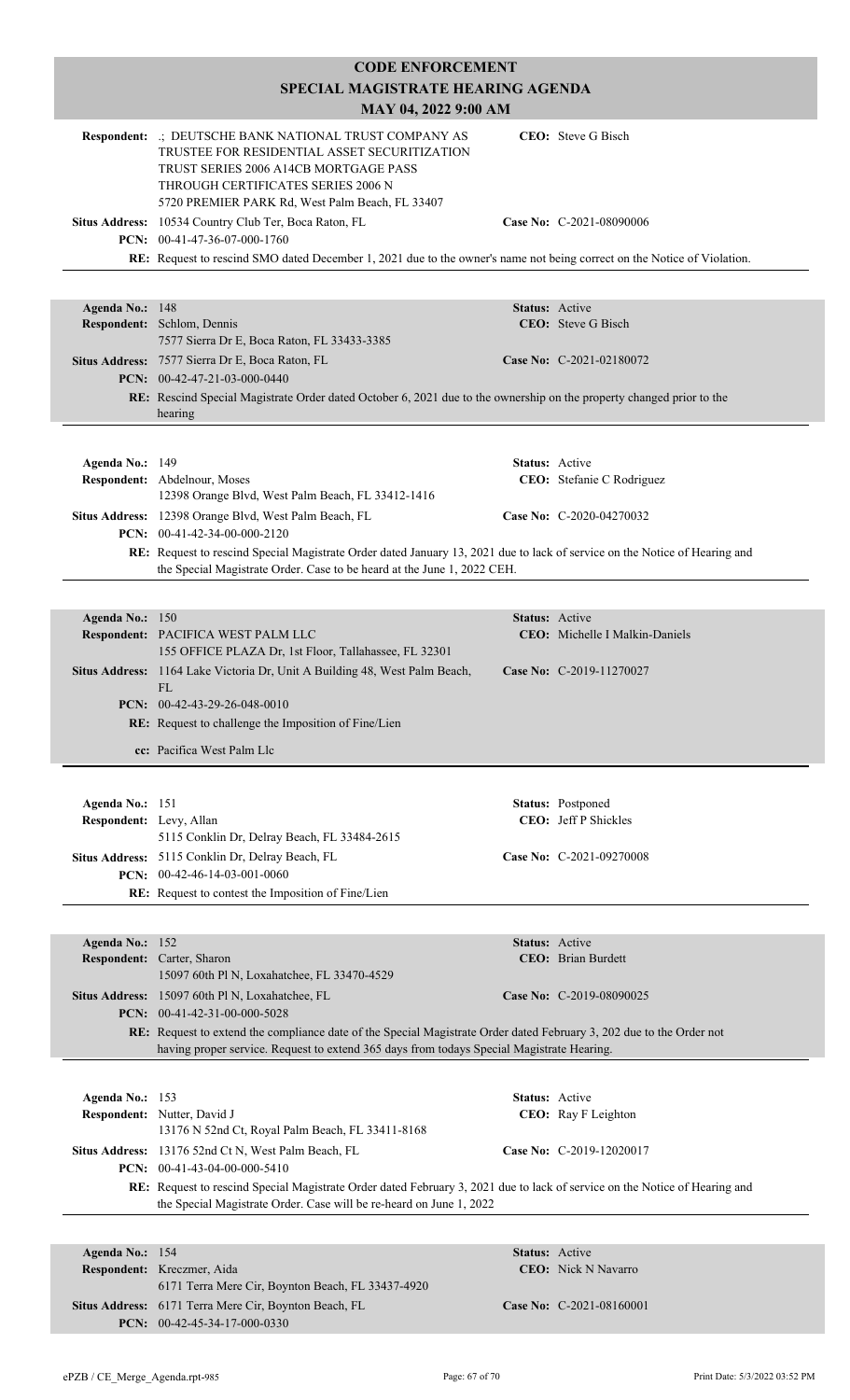|                                            | <b>CODE ENFORCEMENT</b>                                                                                                                                                                                                                  |                       |                                                  |
|--------------------------------------------|------------------------------------------------------------------------------------------------------------------------------------------------------------------------------------------------------------------------------------------|-----------------------|--------------------------------------------------|
|                                            | SPECIAL MAGISTRATE HEARING AGENDA                                                                                                                                                                                                        |                       |                                                  |
|                                            | MAY 04, 2022 9:00 AM                                                                                                                                                                                                                     |                       |                                                  |
|                                            | Respondent: .; DEUTSCHE BANK NATIONAL TRUST COMPANY AS<br>TRUSTEE FOR RESIDENTIAL ASSET SECURITIZATION<br>TRUST SERIES 2006 A14CB MORTGAGE PASS<br>THROUGH CERTIFICATES SERIES 2006 N<br>5720 PREMIER PARK Rd, West Palm Beach, FL 33407 |                       | CEO: Steve G Bisch                               |
|                                            | Situs Address: 10534 Country Club Ter, Boca Raton, FL<br>PCN: 00-41-47-36-07-000-1760                                                                                                                                                    |                       | Case No: C-2021-08090006                         |
|                                            | RE: Request to rescind SMO dated December 1, 2021 due to the owner's name not being correct on the Notice of Violation.                                                                                                                  |                       |                                                  |
|                                            |                                                                                                                                                                                                                                          |                       |                                                  |
| Agenda No.: 148                            |                                                                                                                                                                                                                                          | Status: Active        |                                                  |
|                                            | Respondent: Schlom, Dennis<br>7577 Sierra Dr E, Boca Raton, FL 33433-3385                                                                                                                                                                |                       | <b>CEO</b> : Steve G Bisch                       |
|                                            | Situs Address: 7577 Sierra Dr E, Boca Raton, FL<br>PCN: 00-42-47-21-03-000-0440                                                                                                                                                          |                       | Case No: C-2021-02180072                         |
|                                            | RE: Rescind Special Magistrate Order dated October 6, 2021 due to the ownership on the property changed prior to the                                                                                                                     |                       |                                                  |
|                                            | hearing                                                                                                                                                                                                                                  |                       |                                                  |
|                                            |                                                                                                                                                                                                                                          |                       |                                                  |
| Agenda No.: 149                            | Respondent: Abdelnour, Moses                                                                                                                                                                                                             | <b>Status:</b> Active | CEO: Stefanie C Rodriguez                        |
|                                            | 12398 Orange Blvd, West Palm Beach, FL 33412-1416                                                                                                                                                                                        |                       |                                                  |
|                                            | Situs Address: 12398 Orange Blvd, West Palm Beach, FL<br>PCN: 00-41-42-34-00-000-2120                                                                                                                                                    |                       | Case No: C-2020-04270032                         |
|                                            | RE: Request to rescind Special Magistrate Order dated January 13, 2021 due to lack of service on the Notice of Hearing and                                                                                                               |                       |                                                  |
|                                            | the Special Magistrate Order. Case to be heard at the June 1, 2022 CEH.                                                                                                                                                                  |                       |                                                  |
| Agenda No.: 150                            |                                                                                                                                                                                                                                          | Status: Active        |                                                  |
|                                            | Respondent: PACIFICA WEST PALM LLC                                                                                                                                                                                                       |                       | <b>CEO:</b> Michelle I Malkin-Daniels            |
|                                            | 155 OFFICE PLAZA Dr, 1st Floor, Tallahassee, FL 32301                                                                                                                                                                                    |                       |                                                  |
|                                            | Situs Address: 1164 Lake Victoria Dr, Unit A Building 48, West Palm Beach,<br>FL                                                                                                                                                         |                       | Case No: C-2019-11270027                         |
|                                            | PCN: $00-42-43-29-26-048-0010$                                                                                                                                                                                                           |                       |                                                  |
|                                            | RE: Request to challenge the Imposition of Fine/Lien                                                                                                                                                                                     |                       |                                                  |
|                                            | cc: Pacifica West Palm Llc                                                                                                                                                                                                               |                       |                                                  |
|                                            |                                                                                                                                                                                                                                          |                       |                                                  |
| Agenda No.: 151<br>Respondent: Levy, Allan |                                                                                                                                                                                                                                          |                       | Status: Postponed<br><b>CEO:</b> Jeff P Shickles |
|                                            | 5115 Conklin Dr, Delray Beach, FL 33484-2615                                                                                                                                                                                             |                       |                                                  |
|                                            | Situs Address: 5115 Conklin Dr, Delray Beach, FL                                                                                                                                                                                         |                       | Case No: C-2021-09270008                         |
|                                            | PCN: $00-42-46-14-03-001-0060$<br>RE: Request to contest the Imposition of Fine/Lien                                                                                                                                                     |                       |                                                  |
|                                            |                                                                                                                                                                                                                                          |                       |                                                  |
| Agenda No.: 152                            |                                                                                                                                                                                                                                          | Status: Active        |                                                  |
|                                            | Respondent: Carter, Sharon                                                                                                                                                                                                               |                       | <b>CEO</b> : Brian Burdett                       |
|                                            | 15097 60th Pl N, Loxahatchee, FL 33470-4529<br>Situs Address: 15097 60th Pl N, Loxahatchee, FL                                                                                                                                           |                       | Case No: C-2019-08090025                         |
|                                            | PCN: $00-41-42-31-00-000-5028$                                                                                                                                                                                                           |                       |                                                  |
|                                            | RE: Request to extend the compliance date of the Special Magistrate Order dated February 3, 202 due to the Order not                                                                                                                     |                       |                                                  |
|                                            | having proper service. Request to extend 365 days from todays Special Magistrate Hearing.                                                                                                                                                |                       |                                                  |
| Agenda No.: 153                            |                                                                                                                                                                                                                                          | Status: Active        |                                                  |
|                                            | Respondent: Nutter, David J                                                                                                                                                                                                              |                       | CEO: Ray F Leighton                              |
|                                            | 13176 N 52nd Ct, Royal Palm Beach, FL 33411-8168                                                                                                                                                                                         |                       |                                                  |
|                                            | Situs Address: 13176 52nd Ct N, West Palm Beach, FL<br>PCN: 00-41-43-04-00-000-5410                                                                                                                                                      |                       | Case No: C-2019-12020017                         |
|                                            | RE: Request to rescind Special Magistrate Order dated February 3, 2021 due to lack of service on the Notice of Hearing and                                                                                                               |                       |                                                  |
|                                            | the Special Magistrate Order. Case will be re-heard on June 1, 2022                                                                                                                                                                      |                       |                                                  |
|                                            |                                                                                                                                                                                                                                          |                       |                                                  |
| Agenda No.: 154                            | Respondent: Kreczmer, Aida                                                                                                                                                                                                               | <b>Status:</b> Active | <b>CEO</b> : Nick N Navarro                      |
|                                            | 6171 Terra Mere Cir, Boynton Beach, FL 33437-4920                                                                                                                                                                                        |                       |                                                  |
|                                            | Situs Address: 6171 Terra Mere Cir, Boynton Beach, FL<br>PCN: $00-42-45-34-17-000-0330$                                                                                                                                                  |                       | Case No: C-2021-08160001                         |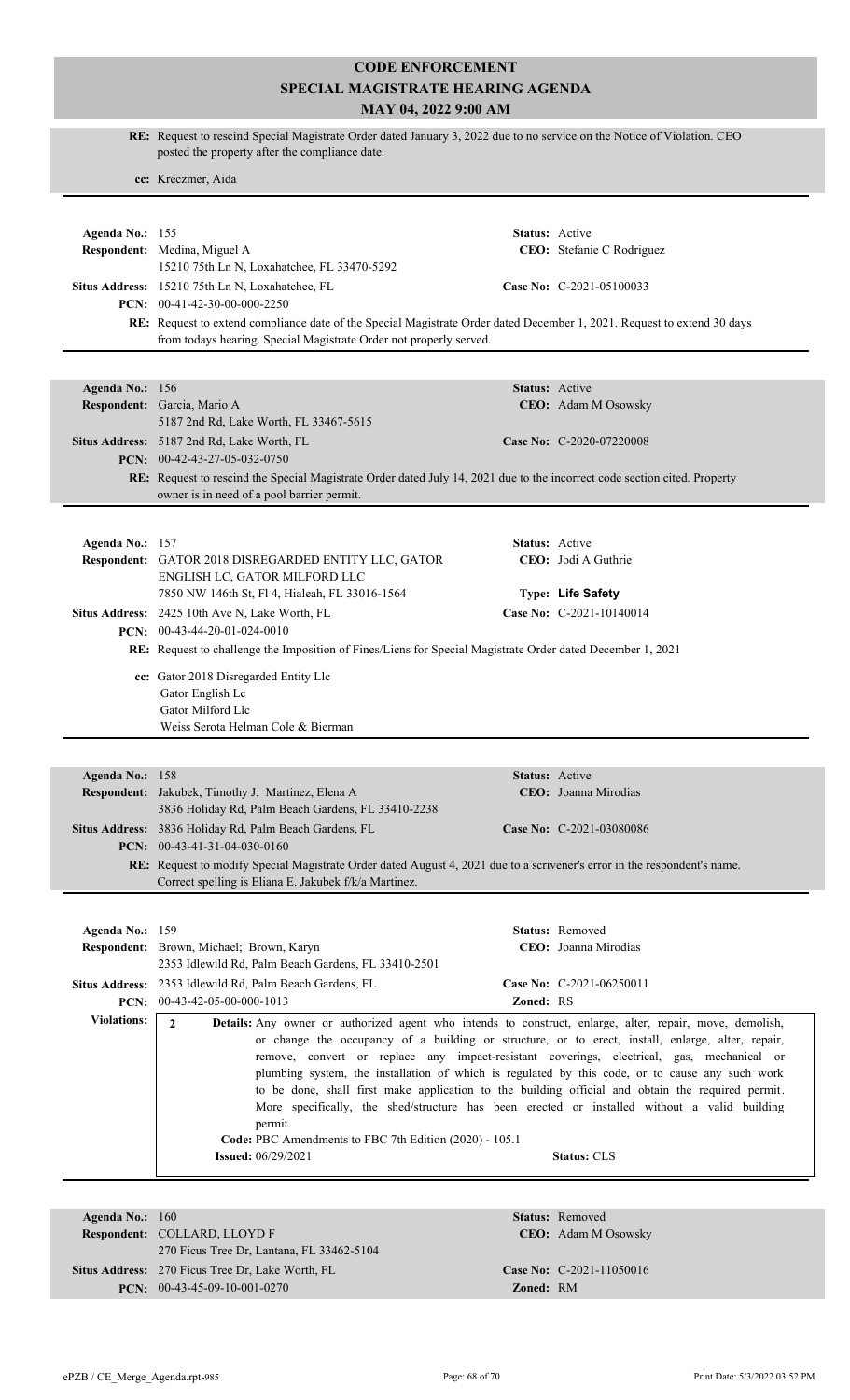|                    | RE: Request to rescind Special Magistrate Order dated January 3, 2022 due to no service on the Notice of Violation. CEO<br>posted the property after the compliance date.                            |                       |                                                                                                   |  |
|--------------------|------------------------------------------------------------------------------------------------------------------------------------------------------------------------------------------------------|-----------------------|---------------------------------------------------------------------------------------------------|--|
|                    | cc: Kreczmer, Aida                                                                                                                                                                                   |                       |                                                                                                   |  |
|                    |                                                                                                                                                                                                      |                       |                                                                                                   |  |
| Agenda No.: 155    |                                                                                                                                                                                                      | Status: Active        |                                                                                                   |  |
|                    | Respondent: Medina, Miguel A                                                                                                                                                                         |                       | CEO: Stefanie C Rodriguez                                                                         |  |
|                    | 15210 75th Ln N, Loxahatchee, FL 33470-5292                                                                                                                                                          |                       |                                                                                                   |  |
|                    | Situs Address: 15210 75th Ln N, Loxahatchee, FL                                                                                                                                                      |                       | Case No: C-2021-05100033                                                                          |  |
|                    | PCN: $00-41-42-30-00-000-2250$                                                                                                                                                                       |                       |                                                                                                   |  |
|                    | RE: Request to extend compliance date of the Special Magistrate Order dated December 1, 2021. Request to extend 30 days<br>from todays hearing. Special Magistrate Order not properly served.        |                       |                                                                                                   |  |
|                    |                                                                                                                                                                                                      |                       |                                                                                                   |  |
|                    |                                                                                                                                                                                                      |                       |                                                                                                   |  |
| Agenda No.: 156    |                                                                                                                                                                                                      | Status: Active        |                                                                                                   |  |
|                    | Respondent: Garcia, Mario A<br>5187 2nd Rd, Lake Worth, FL 33467-5615                                                                                                                                |                       | CEO: Adam M Osowsky                                                                               |  |
|                    | Situs Address: 5187 2nd Rd, Lake Worth, FL                                                                                                                                                           |                       | Case No: C-2020-07220008                                                                          |  |
|                    | PCN: 00-42-43-27-05-032-0750                                                                                                                                                                         |                       |                                                                                                   |  |
|                    | RE: Request to rescind the Special Magistrate Order dated July 14, 2021 due to the incorrect code section cited. Property                                                                            |                       |                                                                                                   |  |
|                    | owner is in need of a pool barrier permit.                                                                                                                                                           |                       |                                                                                                   |  |
|                    |                                                                                                                                                                                                      |                       |                                                                                                   |  |
| Agenda No.: 157    |                                                                                                                                                                                                      | <b>Status:</b> Active |                                                                                                   |  |
|                    | Respondent: GATOR 2018 DISREGARDED ENTITY LLC, GATOR                                                                                                                                                 |                       | CEO: Jodi A Guthrie                                                                               |  |
|                    | ENGLISH LC, GATOR MILFORD LLC                                                                                                                                                                        |                       |                                                                                                   |  |
|                    | 7850 NW 146th St, Fl 4, Hialeah, FL 33016-1564                                                                                                                                                       |                       | Type: Life Safety                                                                                 |  |
|                    | Situs Address: 2425 10th Ave N, Lake Worth, FL                                                                                                                                                       |                       | Case No: C-2021-10140014                                                                          |  |
|                    | PCN: $00-43-44-20-01-024-0010$<br>RE: Request to challenge the Imposition of Fines/Liens for Special Magistrate Order dated December 1, 2021                                                         |                       |                                                                                                   |  |
|                    |                                                                                                                                                                                                      |                       |                                                                                                   |  |
|                    | cc: Gator 2018 Disregarded Entity Llc<br>Gator English Lc                                                                                                                                            |                       |                                                                                                   |  |
|                    | Gator Milford Llc                                                                                                                                                                                    |                       |                                                                                                   |  |
|                    | Weiss Serota Helman Cole & Bierman                                                                                                                                                                   |                       |                                                                                                   |  |
|                    |                                                                                                                                                                                                      |                       |                                                                                                   |  |
| Agenda No.: 158    |                                                                                                                                                                                                      | Status: Active        |                                                                                                   |  |
|                    | Respondent: Jakubek, Timothy J; Martinez, Elena A                                                                                                                                                    |                       | CEO: Joanna Mirodias                                                                              |  |
|                    | 3836 Holiday Rd, Palm Beach Gardens, FL 33410-2238                                                                                                                                                   |                       |                                                                                                   |  |
|                    | Situs Address: 3836 Holiday Rd, Palm Beach Gardens, FL                                                                                                                                               |                       | Case No: C-2021-03080086                                                                          |  |
|                    | <b>PCN:</b> $00-43-41-31-04-030-0160$                                                                                                                                                                |                       |                                                                                                   |  |
|                    | RE: Request to modify Special Magistrate Order dated August 4, 2021 due to a scrivener's error in the respondent's name.<br>Correct spelling is Eliana E. Jakubek f/k/a Martinez.                    |                       |                                                                                                   |  |
|                    |                                                                                                                                                                                                      |                       |                                                                                                   |  |
|                    |                                                                                                                                                                                                      |                       |                                                                                                   |  |
| Agenda No.: 159    | Respondent: Brown, Michael; Brown, Karyn                                                                                                                                                             |                       | <b>Status:</b> Removed<br>CEO: Joanna Mirodias                                                    |  |
|                    | 2353 Idlewild Rd, Palm Beach Gardens, FL 33410-2501                                                                                                                                                  |                       |                                                                                                   |  |
|                    | Situs Address: 2353 Idlewild Rd, Palm Beach Gardens, FL                                                                                                                                              |                       | Case No: C-2021-06250011                                                                          |  |
|                    | PCN: 00-43-42-05-00-000-1013                                                                                                                                                                         | Zoned: RS             |                                                                                                   |  |
| <b>Violations:</b> | $\overline{2}$<br>Details: Any owner or authorized agent who intends to construct, enlarge, alter, repair, move, demolish,                                                                           |                       |                                                                                                   |  |
|                    |                                                                                                                                                                                                      |                       | or change the occupancy of a building or structure, or to erect, install, enlarge, alter, repair, |  |
|                    | remove, convert or replace any impact-resistant coverings, electrical, gas, mechanical or                                                                                                            |                       |                                                                                                   |  |
|                    | plumbing system, the installation of which is regulated by this code, or to cause any such work<br>to be done, shall first make application to the building official and obtain the required permit. |                       |                                                                                                   |  |
|                    | More specifically, the shed/structure has been erected or installed without a valid building                                                                                                         |                       |                                                                                                   |  |
|                    | permit.                                                                                                                                                                                              |                       |                                                                                                   |  |
|                    | Code: PBC Amendments to FBC 7th Edition (2020) - 105.1                                                                                                                                               |                       |                                                                                                   |  |
|                    | <b>Status: CLS</b><br><b>Issued:</b> 06/29/2021                                                                                                                                                      |                       |                                                                                                   |  |
|                    |                                                                                                                                                                                                      |                       |                                                                                                   |  |
| Agenda No.: 160    |                                                                                                                                                                                                      |                       | <b>Status:</b> Removed                                                                            |  |
|                    | Respondent: COLLARD, LLOYD F                                                                                                                                                                         |                       | CEO: Adam M Osowsky                                                                               |  |
|                    | 270 Ficus Tree Dr, Lantana, FL 33462-5104                                                                                                                                                            |                       |                                                                                                   |  |
|                    | Situs Address: 270 Ficus Tree Dr, Lake Worth, FL                                                                                                                                                     |                       | Case No: C-2021-11050016                                                                          |  |

**PCN:** 00-43-45-09-10-001-0270 **Zoned:** RM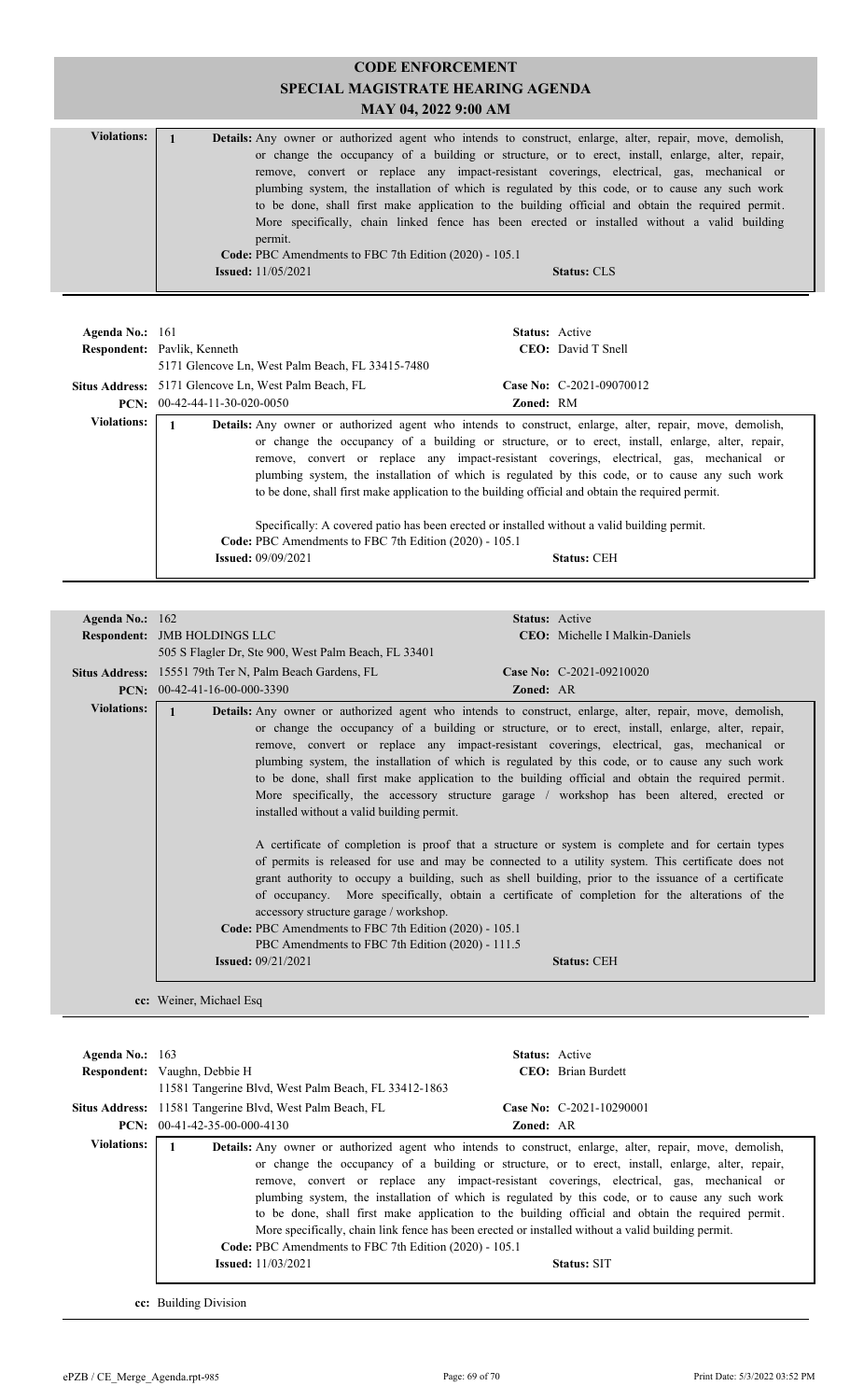| <b>Violations:</b> |                                                                                                                 |  |  |
|--------------------|-----------------------------------------------------------------------------------------------------------------|--|--|
|                    | <b>Details:</b> Any owner or authorized agent who intends to construct, enlarge, alter, repair, move, demolish, |  |  |
|                    | or change the occupancy of a building or structure, or to erect, install, enlarge, alter, repair,               |  |  |
|                    | remove, convert or replace any impact-resistant coverings, electrical, gas, mechanical or                       |  |  |
|                    | plumbing system, the installation of which is regulated by this code, or to cause any such work                 |  |  |
|                    | to be done, shall first make application to the building official and obtain the required permit.               |  |  |
|                    | More specifically, chain linked fence has been erected or installed without a valid building                    |  |  |
|                    | permit.                                                                                                         |  |  |
|                    | Code: PBC Amendments to FBC 7th Edition (2020) - 105.1                                                          |  |  |
|                    | <b>Issued:</b> $11/05/2021$<br><b>Status: CLS</b>                                                               |  |  |

| Agenda No.: $161$  | <b>Respondent:</b> Pavlik, Kenneth<br>5171 Glencove Ln, West Palm Beach, FL 33415-7480                                                                                                                                                                                                                                                                                                                                                                                                                                                                                                                                                                                                                           | <b>Status:</b> Active | <b>CEO</b> : David T Snell |
|--------------------|------------------------------------------------------------------------------------------------------------------------------------------------------------------------------------------------------------------------------------------------------------------------------------------------------------------------------------------------------------------------------------------------------------------------------------------------------------------------------------------------------------------------------------------------------------------------------------------------------------------------------------------------------------------------------------------------------------------|-----------------------|----------------------------|
|                    | Situs Address: 5171 Glencove Ln, West Palm Beach, FL                                                                                                                                                                                                                                                                                                                                                                                                                                                                                                                                                                                                                                                             |                       | Case No: C-2021-09070012   |
|                    | <b>PCN:</b> $00-42-44-11-30-020-0050$                                                                                                                                                                                                                                                                                                                                                                                                                                                                                                                                                                                                                                                                            | <b>Zoned: RM</b>      |                            |
| <b>Violations:</b> | <b>Details:</b> Any owner or authorized agent who intends to construct, enlarge, alter, repair, move, demolish,<br>or change the occupancy of a building or structure, or to erect, install, enlarge, alter, repair,<br>remove, convert or replace any impact-resistant coverings, electrical, gas, mechanical or<br>plumbing system, the installation of which is regulated by this code, or to cause any such work<br>to be done, shall first make application to the building official and obtain the required permit.<br>Specifically: A covered patio has been erected or installed without a valid building permit.<br>Code: PBC Amendments to FBC 7th Edition (2020) - 105.1<br><b>Issued: 09/09/2021</b> |                       | <b>Status: CEH</b>         |

| Agenda No.: 162    |                                                                                                                                                                                                                                                                                                                                                                                                                                                                                                                                                                                                                                                                                                                                                                                                                                                                                                                                                                                                                                                                                                                                                                                                                                                                                                                        | Status: Active                 |  |  |
|--------------------|------------------------------------------------------------------------------------------------------------------------------------------------------------------------------------------------------------------------------------------------------------------------------------------------------------------------------------------------------------------------------------------------------------------------------------------------------------------------------------------------------------------------------------------------------------------------------------------------------------------------------------------------------------------------------------------------------------------------------------------------------------------------------------------------------------------------------------------------------------------------------------------------------------------------------------------------------------------------------------------------------------------------------------------------------------------------------------------------------------------------------------------------------------------------------------------------------------------------------------------------------------------------------------------------------------------------|--------------------------------|--|--|
|                    | <b>Respondent: JMB HOLDINGS LLC</b>                                                                                                                                                                                                                                                                                                                                                                                                                                                                                                                                                                                                                                                                                                                                                                                                                                                                                                                                                                                                                                                                                                                                                                                                                                                                                    | CEO: Michelle I Malkin-Daniels |  |  |
|                    | 505 S Flagler Dr, Ste 900, West Palm Beach, FL 33401                                                                                                                                                                                                                                                                                                                                                                                                                                                                                                                                                                                                                                                                                                                                                                                                                                                                                                                                                                                                                                                                                                                                                                                                                                                                   |                                |  |  |
|                    | Situs Address: 15551 79th Ter N, Palm Beach Gardens, FL                                                                                                                                                                                                                                                                                                                                                                                                                                                                                                                                                                                                                                                                                                                                                                                                                                                                                                                                                                                                                                                                                                                                                                                                                                                                | Case No: C-2021-09210020       |  |  |
|                    | <b>PCN:</b> $00-42-41-16-00-000-3390$                                                                                                                                                                                                                                                                                                                                                                                                                                                                                                                                                                                                                                                                                                                                                                                                                                                                                                                                                                                                                                                                                                                                                                                                                                                                                  | <b>Zoned: AR</b>               |  |  |
| <b>Violations:</b> | <b>Details:</b> Any owner or authorized agent who intends to construct, enlarge, alter, repair, move, demolish,<br>$\mathbf{1}$<br>or change the occupancy of a building or structure, or to erect, install, enlarge, alter, repair,<br>remove, convert or replace any impact-resistant coverings, electrical, gas, mechanical or<br>plumbing system, the installation of which is regulated by this code, or to cause any such work<br>to be done, shall first make application to the building official and obtain the required permit.<br>More specifically, the accessory structure garage / workshop has been altered, erected or<br>installed without a valid building permit.<br>A certificate of completion is proof that a structure or system is complete and for certain types<br>of permits is released for use and may be connected to a utility system. This certificate does not<br>grant authority to occupy a building, such as shell building, prior to the issuance of a certificate<br>of occupancy. More specifically, obtain a certificate of completion for the alterations of the<br>accessory structure garage / workshop.<br>Code: PBC Amendments to FBC 7th Edition (2020) - 105.1<br>PBC Amendments to FBC 7th Edition (2020) - 111.5<br><b>Issued:</b> $09/21/2021$<br><b>Status: CEH</b> |                                |  |  |
|                    | cc: Weiner, Michael Esq                                                                                                                                                                                                                                                                                                                                                                                                                                                                                                                                                                                                                                                                                                                                                                                                                                                                                                                                                                                                                                                                                                                                                                                                                                                                                                |                                |  |  |

| Agenda No.: $163$  | <b>Respondent:</b> Vaughn, Debbie H<br>11581 Tangerine Blvd, West Palm Beach, FL 33412-1863 | <b>Status:</b> Active<br><b>CEO</b> : Brian Burdett                                                                                                                                                                                                                                                                                                                                                                                                                                                                                                                                                                                                   |  |
|--------------------|---------------------------------------------------------------------------------------------|-------------------------------------------------------------------------------------------------------------------------------------------------------------------------------------------------------------------------------------------------------------------------------------------------------------------------------------------------------------------------------------------------------------------------------------------------------------------------------------------------------------------------------------------------------------------------------------------------------------------------------------------------------|--|
|                    | Situs Address: 11581 Tangerine Blvd, West Palm Beach, FL<br>$PCN: 00-41-42-35-00-000-4130$  | Case No: $C-2021-10290001$<br><b>Zoned: AR</b>                                                                                                                                                                                                                                                                                                                                                                                                                                                                                                                                                                                                        |  |
| <b>Violations:</b> | Code: PBC Amendments to FBC 7th Edition (2020) - 105.1<br><b>Issued:</b> 11/03/2021         | <b>Details:</b> Any owner or authorized agent who intends to construct, enlarge, alter, repair, move, demolish,<br>or change the occupancy of a building or structure, or to erect, install, enlarge, alter, repair,<br>remove, convert or replace any impact-resistant coverings, electrical, gas, mechanical or<br>plumbing system, the installation of which is regulated by this code, or to cause any such work<br>to be done, shall first make application to the building official and obtain the required permit.<br>More specifically, chain link fence has been erected or installed without a valid building permit.<br><b>Status: SIT</b> |  |

**cc:** Building Division